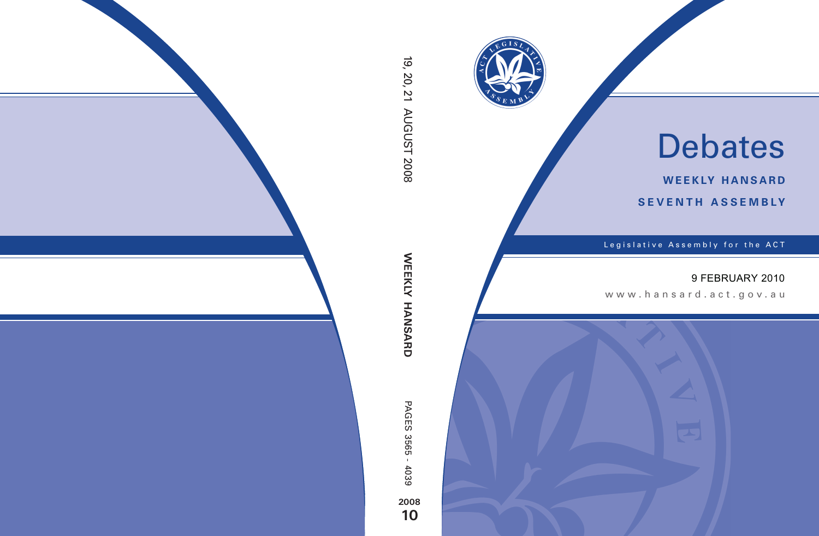

# Debates

**weekly hansard seventh asseMBly**

Legislative Assembly for the ACT

## 9 FEBRUARY 2010

www.hansard.act.gov.au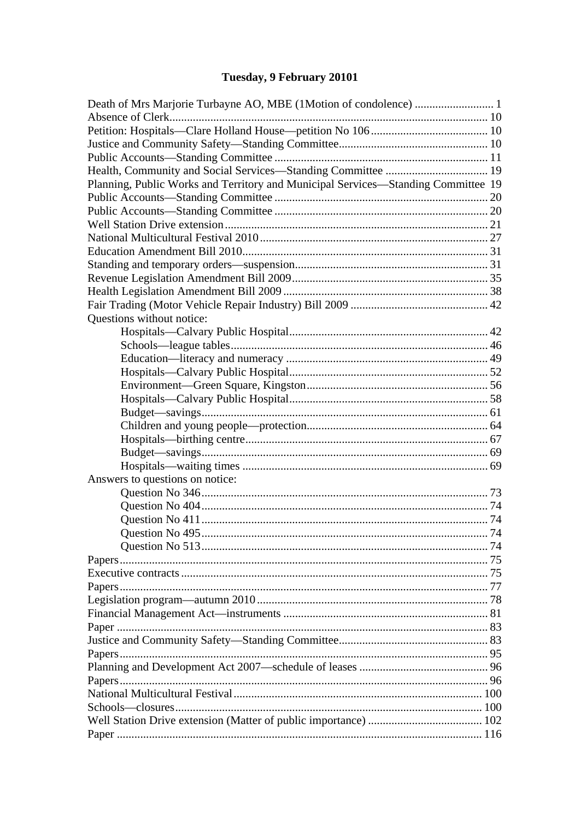# Tuesday, 9 February 20101

| Planning, Public Works and Territory and Municipal Services-Standing Committee 19 |  |
|-----------------------------------------------------------------------------------|--|
|                                                                                   |  |
|                                                                                   |  |
|                                                                                   |  |
|                                                                                   |  |
|                                                                                   |  |
|                                                                                   |  |
|                                                                                   |  |
|                                                                                   |  |
|                                                                                   |  |
| Questions without notice:                                                         |  |
|                                                                                   |  |
|                                                                                   |  |
|                                                                                   |  |
|                                                                                   |  |
|                                                                                   |  |
|                                                                                   |  |
|                                                                                   |  |
|                                                                                   |  |
|                                                                                   |  |
|                                                                                   |  |
|                                                                                   |  |
|                                                                                   |  |
| Answers to questions on notice:                                                   |  |
|                                                                                   |  |
|                                                                                   |  |
|                                                                                   |  |
|                                                                                   |  |
|                                                                                   |  |
|                                                                                   |  |
|                                                                                   |  |
|                                                                                   |  |
|                                                                                   |  |
|                                                                                   |  |
|                                                                                   |  |
|                                                                                   |  |
|                                                                                   |  |
|                                                                                   |  |
|                                                                                   |  |
|                                                                                   |  |
|                                                                                   |  |
|                                                                                   |  |
|                                                                                   |  |
|                                                                                   |  |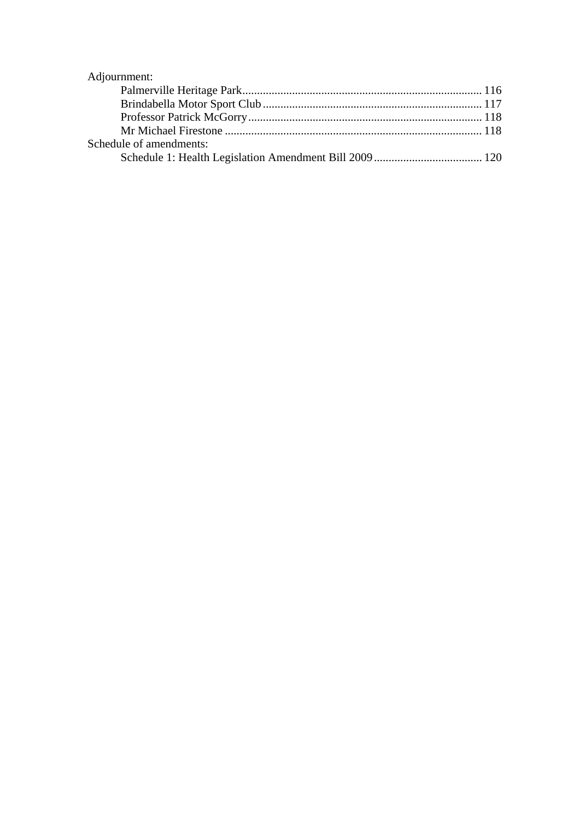| Adjournment:            |  |
|-------------------------|--|
|                         |  |
|                         |  |
|                         |  |
|                         |  |
| Schedule of amendments: |  |
|                         |  |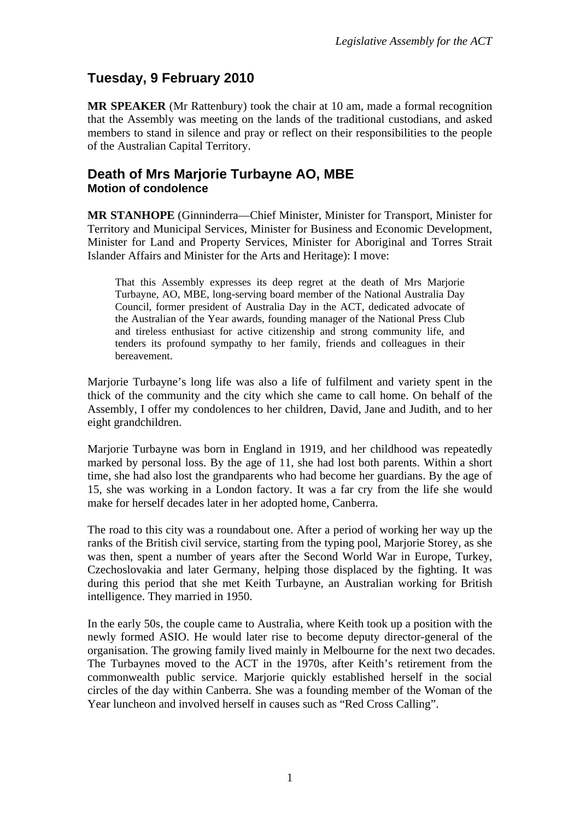## <span id="page-3-0"></span>**Tuesday, 9 February 2010**

**MR SPEAKER** (Mr Rattenbury) took the chair at 10 am, made a formal recognition that the Assembly was meeting on the lands of the traditional custodians, and asked members to stand in silence and pray or reflect on their responsibilities to the people of the Australian Capital Territory.

#### <span id="page-3-1"></span>**Death of Mrs Marjorie Turbayne AO, MBE Motion of condolence**

**MR STANHOPE** (Ginninderra—Chief Minister, Minister for Transport, Minister for Territory and Municipal Services, Minister for Business and Economic Development, Minister for Land and Property Services, Minister for Aboriginal and Torres Strait Islander Affairs and Minister for the Arts and Heritage): I move:

That this Assembly expresses its deep regret at the death of Mrs Marjorie Turbayne, AO, MBE, long-serving board member of the National Australia Day Council, former president of Australia Day in the ACT, dedicated advocate of the Australian of the Year awards, founding manager of the National Press Club and tireless enthusiast for active citizenship and strong community life, and tenders its profound sympathy to her family, friends and colleagues in their bereavement.

Marjorie Turbayne's long life was also a life of fulfilment and variety spent in the thick of the community and the city which she came to call home. On behalf of the Assembly, I offer my condolences to her children, David, Jane and Judith, and to her eight grandchildren.

Marjorie Turbayne was born in England in 1919, and her childhood was repeatedly marked by personal loss. By the age of 11, she had lost both parents. Within a short time, she had also lost the grandparents who had become her guardians. By the age of 15, she was working in a London factory. It was a far cry from the life she would make for herself decades later in her adopted home, Canberra.

The road to this city was a roundabout one. After a period of working her way up the ranks of the British civil service, starting from the typing pool, Marjorie Storey, as she was then, spent a number of years after the Second World War in Europe, Turkey, Czechoslovakia and later Germany, helping those displaced by the fighting. It was during this period that she met Keith Turbayne, an Australian working for British intelligence. They married in 1950.

In the early 50s, the couple came to Australia, where Keith took up a position with the newly formed ASIO. He would later rise to become deputy director-general of the organisation. The growing family lived mainly in Melbourne for the next two decades. The Turbaynes moved to the ACT in the 1970s, after Keith's retirement from the commonwealth public service. Marjorie quickly established herself in the social circles of the day within Canberra. She was a founding member of the Woman of the Year luncheon and involved herself in causes such as "Red Cross Calling".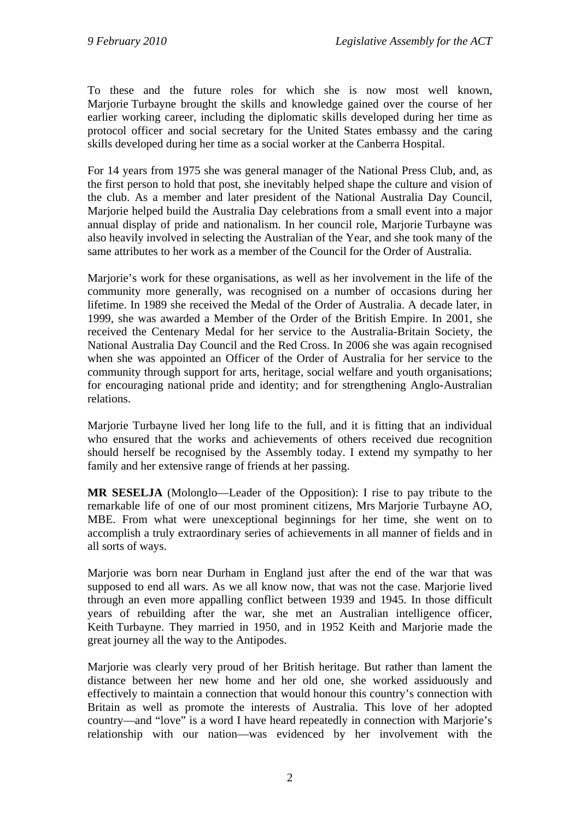To these and the future roles for which she is now most well known, Marjorie Turbayne brought the skills and knowledge gained over the course of her earlier working career, including the diplomatic skills developed during her time as protocol officer and social secretary for the United States embassy and the caring skills developed during her time as a social worker at the Canberra Hospital.

For 14 years from 1975 she was general manager of the National Press Club, and, as the first person to hold that post, she inevitably helped shape the culture and vision of the club. As a member and later president of the National Australia Day Council, Marjorie helped build the Australia Day celebrations from a small event into a major annual display of pride and nationalism. In her council role, Marjorie Turbayne was also heavily involved in selecting the Australian of the Year, and she took many of the same attributes to her work as a member of the Council for the Order of Australia.

Marjorie's work for these organisations, as well as her involvement in the life of the community more generally, was recognised on a number of occasions during her lifetime. In 1989 she received the Medal of the Order of Australia. A decade later, in 1999, she was awarded a Member of the Order of the British Empire. In 2001, she received the Centenary Medal for her service to the Australia-Britain Society, the National Australia Day Council and the Red Cross. In 2006 she was again recognised when she was appointed an Officer of the Order of Australia for her service to the community through support for arts, heritage, social welfare and youth organisations; for encouraging national pride and identity; and for strengthening Anglo-Australian relations.

Marjorie Turbayne lived her long life to the full, and it is fitting that an individual who ensured that the works and achievements of others received due recognition should herself be recognised by the Assembly today. I extend my sympathy to her family and her extensive range of friends at her passing.

**MR SESELJA** (Molonglo—Leader of the Opposition): I rise to pay tribute to the remarkable life of one of our most prominent citizens, Mrs Marjorie Turbayne AO, MBE. From what were unexceptional beginnings for her time, she went on to accomplish a truly extraordinary series of achievements in all manner of fields and in all sorts of ways.

Marjorie was born near Durham in England just after the end of the war that was supposed to end all wars. As we all know now, that was not the case. Marjorie lived through an even more appalling conflict between 1939 and 1945. In those difficult years of rebuilding after the war, she met an Australian intelligence officer, Keith Turbayne. They married in 1950, and in 1952 Keith and Marjorie made the great journey all the way to the Antipodes.

Marjorie was clearly very proud of her British heritage. But rather than lament the distance between her new home and her old one, she worked assiduously and effectively to maintain a connection that would honour this country's connection with Britain as well as promote the interests of Australia. This love of her adopted country—and "love" is a word I have heard repeatedly in connection with Marjorie's relationship with our nation—was evidenced by her involvement with the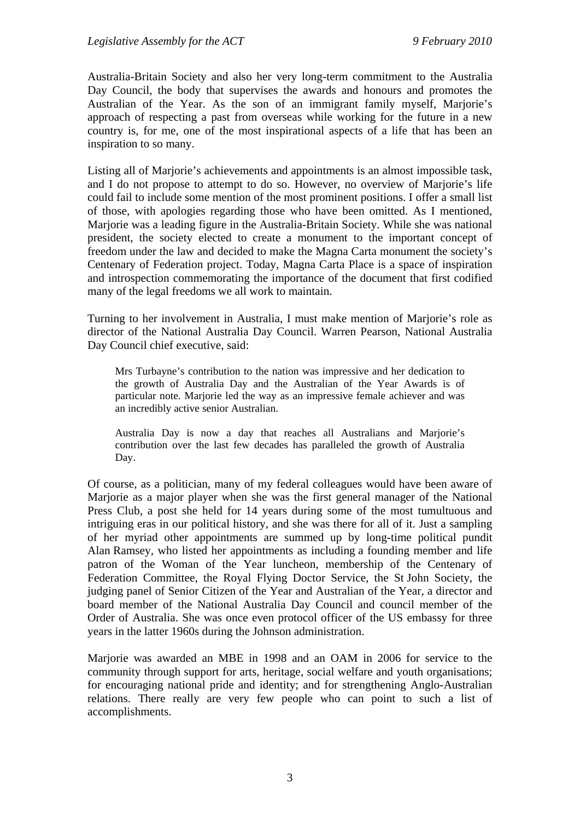Australia-Britain Society and also her very long-term commitment to the Australia Day Council, the body that supervises the awards and honours and promotes the Australian of the Year. As the son of an immigrant family myself, Marjorie's approach of respecting a past from overseas while working for the future in a new country is, for me, one of the most inspirational aspects of a life that has been an inspiration to so many.

Listing all of Marjorie's achievements and appointments is an almost impossible task, and I do not propose to attempt to do so. However, no overview of Marjorie's life could fail to include some mention of the most prominent positions. I offer a small list of those, with apologies regarding those who have been omitted. As I mentioned, Marjorie was a leading figure in the Australia-Britain Society. While she was national president, the society elected to create a monument to the important concept of freedom under the law and decided to make the Magna Carta monument the society's Centenary of Federation project. Today, Magna Carta Place is a space of inspiration and introspection commemorating the importance of the document that first codified many of the legal freedoms we all work to maintain.

Turning to her involvement in Australia, I must make mention of Marjorie's role as director of the National Australia Day Council. Warren Pearson, National Australia Day Council chief executive, said:

Mrs Turbayne's contribution to the nation was impressive and her dedication to the growth of Australia Day and the Australian of the Year Awards is of particular note. Marjorie led the way as an impressive female achiever and was an incredibly active senior Australian.

Australia Day is now a day that reaches all Australians and Marjorie's contribution over the last few decades has paralleled the growth of Australia Day.

Of course, as a politician, many of my federal colleagues would have been aware of Marjorie as a major player when she was the first general manager of the National Press Club, a post she held for 14 years during some of the most tumultuous and intriguing eras in our political history, and she was there for all of it. Just a sampling of her myriad other appointments are summed up by long-time political pundit Alan Ramsey, who listed her appointments as including a founding member and life patron of the Woman of the Year luncheon, membership of the Centenary of Federation Committee, the Royal Flying Doctor Service, the St John Society, the judging panel of Senior Citizen of the Year and Australian of the Year, a director and board member of the National Australia Day Council and council member of the Order of Australia. She was once even protocol officer of the US embassy for three years in the latter 1960s during the Johnson administration.

Marjorie was awarded an MBE in 1998 and an OAM in 2006 for service to the community through support for arts, heritage, social welfare and youth organisations; for encouraging national pride and identity; and for strengthening Anglo-Australian relations. There really are very few people who can point to such a list of accomplishments.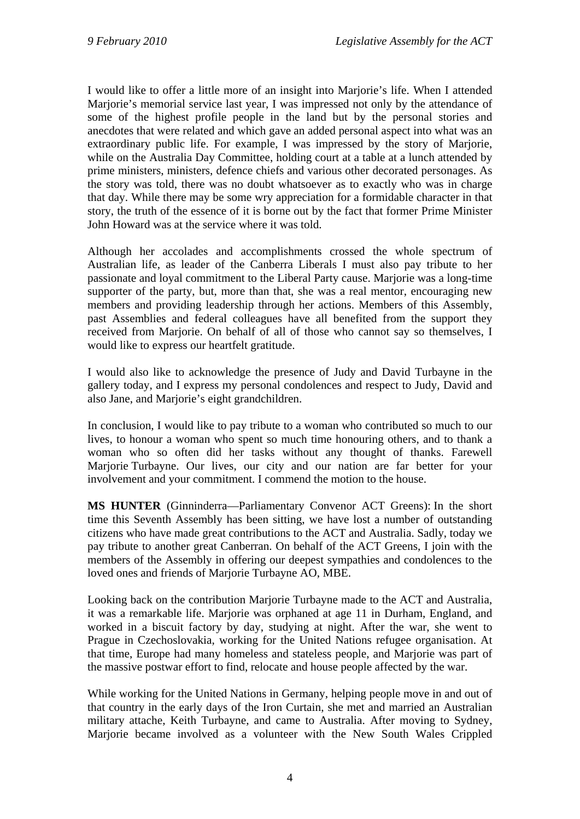I would like to offer a little more of an insight into Marjorie's life. When I attended Marjorie's memorial service last year, I was impressed not only by the attendance of some of the highest profile people in the land but by the personal stories and anecdotes that were related and which gave an added personal aspect into what was an extraordinary public life. For example, I was impressed by the story of Marjorie, while on the Australia Day Committee, holding court at a table at a lunch attended by prime ministers, ministers, defence chiefs and various other decorated personages. As the story was told, there was no doubt whatsoever as to exactly who was in charge that day. While there may be some wry appreciation for a formidable character in that story, the truth of the essence of it is borne out by the fact that former Prime Minister John Howard was at the service where it was told.

Although her accolades and accomplishments crossed the whole spectrum of Australian life, as leader of the Canberra Liberals I must also pay tribute to her passionate and loyal commitment to the Liberal Party cause. Marjorie was a long-time supporter of the party, but, more than that, she was a real mentor, encouraging new members and providing leadership through her actions. Members of this Assembly, past Assemblies and federal colleagues have all benefited from the support they received from Marjorie. On behalf of all of those who cannot say so themselves, I would like to express our heartfelt gratitude.

I would also like to acknowledge the presence of Judy and David Turbayne in the gallery today, and I express my personal condolences and respect to Judy, David and also Jane, and Marjorie's eight grandchildren.

In conclusion, I would like to pay tribute to a woman who contributed so much to our lives, to honour a woman who spent so much time honouring others, and to thank a woman who so often did her tasks without any thought of thanks. Farewell Marjorie Turbayne. Our lives, our city and our nation are far better for your involvement and your commitment. I commend the motion to the house.

**MS HUNTER** (Ginninderra—Parliamentary Convenor ACT Greens): In the short time this Seventh Assembly has been sitting, we have lost a number of outstanding citizens who have made great contributions to the ACT and Australia. Sadly, today we pay tribute to another great Canberran. On behalf of the ACT Greens, I join with the members of the Assembly in offering our deepest sympathies and condolences to the loved ones and friends of Marjorie Turbayne AO, MBE.

Looking back on the contribution Marjorie Turbayne made to the ACT and Australia, it was a remarkable life. Marjorie was orphaned at age 11 in Durham, England, and worked in a biscuit factory by day, studying at night. After the war, she went to Prague in Czechoslovakia, working for the United Nations refugee organisation. At that time, Europe had many homeless and stateless people, and Marjorie was part of the massive postwar effort to find, relocate and house people affected by the war.

While working for the United Nations in Germany, helping people move in and out of that country in the early days of the Iron Curtain, she met and married an Australian military attache, Keith Turbayne, and came to Australia. After moving to Sydney, Marjorie became involved as a volunteer with the New South Wales Crippled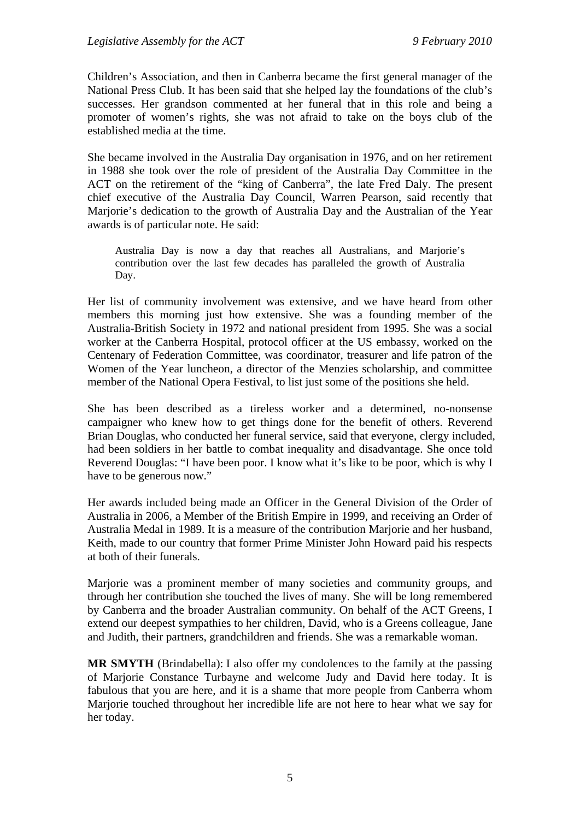Children's Association, and then in Canberra became the first general manager of the National Press Club. It has been said that she helped lay the foundations of the club's successes. Her grandson commented at her funeral that in this role and being a promoter of women's rights, she was not afraid to take on the boys club of the established media at the time.

She became involved in the Australia Day organisation in 1976, and on her retirement in 1988 she took over the role of president of the Australia Day Committee in the ACT on the retirement of the "king of Canberra", the late Fred Daly. The present chief executive of the Australia Day Council, Warren Pearson, said recently that Marjorie's dedication to the growth of Australia Day and the Australian of the Year awards is of particular note. He said:

Australia Day is now a day that reaches all Australians, and Marjorie's contribution over the last few decades has paralleled the growth of Australia Day.

Her list of community involvement was extensive, and we have heard from other members this morning just how extensive. She was a founding member of the Australia-British Society in 1972 and national president from 1995. She was a social worker at the Canberra Hospital, protocol officer at the US embassy, worked on the Centenary of Federation Committee, was coordinator, treasurer and life patron of the Women of the Year luncheon, a director of the Menzies scholarship, and committee member of the National Opera Festival, to list just some of the positions she held.

She has been described as a tireless worker and a determined, no-nonsense campaigner who knew how to get things done for the benefit of others. Reverend Brian Douglas, who conducted her funeral service, said that everyone, clergy included, had been soldiers in her battle to combat inequality and disadvantage. She once told Reverend Douglas: "I have been poor. I know what it's like to be poor, which is why I have to be generous now."

Her awards included being made an Officer in the General Division of the Order of Australia in 2006, a Member of the British Empire in 1999, and receiving an Order of Australia Medal in 1989. It is a measure of the contribution Marjorie and her husband, Keith, made to our country that former Prime Minister John Howard paid his respects at both of their funerals.

Marjorie was a prominent member of many societies and community groups, and through her contribution she touched the lives of many. She will be long remembered by Canberra and the broader Australian community. On behalf of the ACT Greens, I extend our deepest sympathies to her children, David, who is a Greens colleague, Jane and Judith, their partners, grandchildren and friends. She was a remarkable woman.

**MR SMYTH** (Brindabella): I also offer my condolences to the family at the passing of Marjorie Constance Turbayne and welcome Judy and David here today. It is fabulous that you are here, and it is a shame that more people from Canberra whom Marjorie touched throughout her incredible life are not here to hear what we say for her today.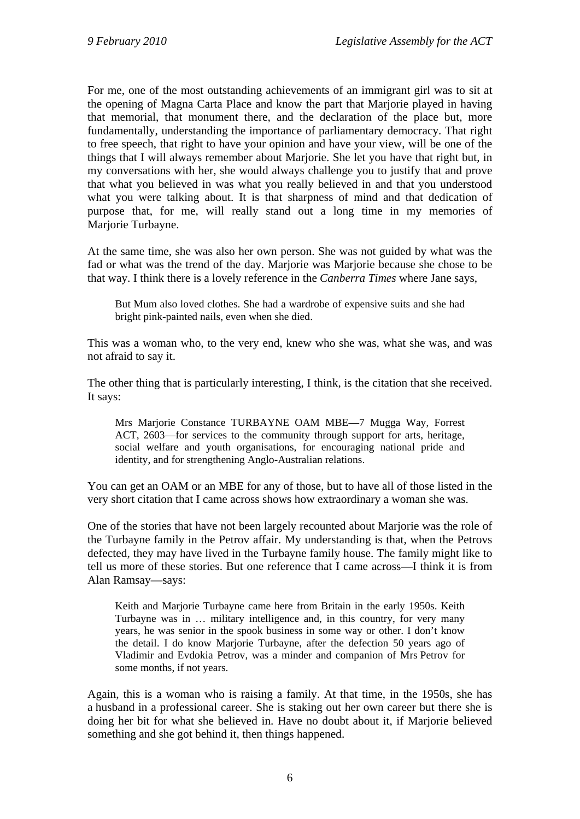For me, one of the most outstanding achievements of an immigrant girl was to sit at the opening of Magna Carta Place and know the part that Marjorie played in having that memorial, that monument there, and the declaration of the place but, more fundamentally, understanding the importance of parliamentary democracy. That right to free speech, that right to have your opinion and have your view, will be one of the things that I will always remember about Marjorie. She let you have that right but, in my conversations with her, she would always challenge you to justify that and prove that what you believed in was what you really believed in and that you understood what you were talking about. It is that sharpness of mind and that dedication of purpose that, for me, will really stand out a long time in my memories of Marjorie Turbayne.

At the same time, she was also her own person. She was not guided by what was the fad or what was the trend of the day. Marjorie was Marjorie because she chose to be that way. I think there is a lovely reference in the *Canberra Times* where Jane says,

But Mum also loved clothes. She had a wardrobe of expensive suits and she had bright pink-painted nails, even when she died.

This was a woman who, to the very end, knew who she was, what she was, and was not afraid to say it.

The other thing that is particularly interesting, I think, is the citation that she received. It says:

Mrs Marjorie Constance TURBAYNE OAM MBE—7 Mugga Way, Forrest ACT, 2603—for services to the community through support for arts, heritage, social welfare and youth organisations, for encouraging national pride and identity, and for strengthening Anglo-Australian relations.

You can get an OAM or an MBE for any of those, but to have all of those listed in the very short citation that I came across shows how extraordinary a woman she was.

One of the stories that have not been largely recounted about Marjorie was the role of the Turbayne family in the Petrov affair. My understanding is that, when the Petrovs defected, they may have lived in the Turbayne family house. The family might like to tell us more of these stories. But one reference that I came across—I think it is from Alan Ramsay—says:

Keith and Marjorie Turbayne came here from Britain in the early 1950s. Keith Turbayne was in … military intelligence and, in this country, for very many years, he was senior in the spook business in some way or other. I don't know the detail. I do know Marjorie Turbayne, after the defection 50 years ago of Vladimir and Evdokia Petrov, was a minder and companion of Mrs Petrov for some months, if not years.

Again, this is a woman who is raising a family. At that time, in the 1950s, she has a husband in a professional career. She is staking out her own career but there she is doing her bit for what she believed in. Have no doubt about it, if Marjorie believed something and she got behind it, then things happened.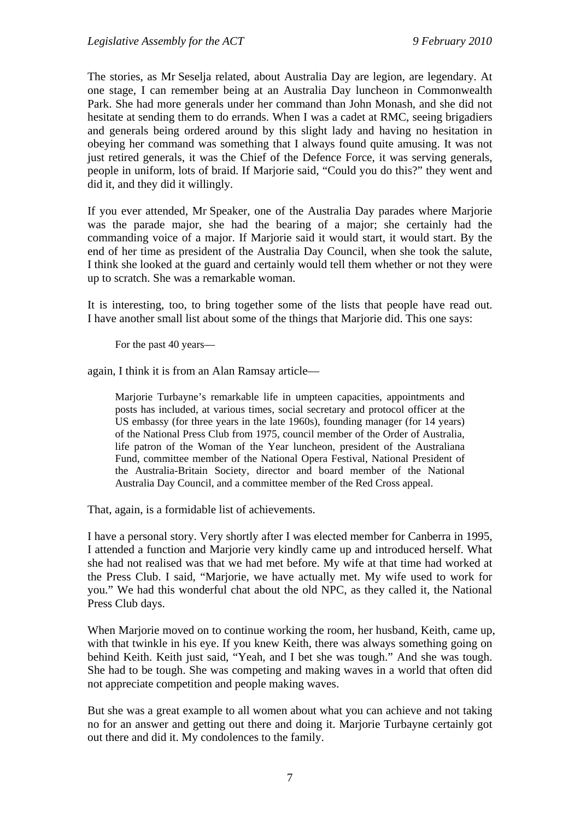The stories, as Mr Seselja related, about Australia Day are legion, are legendary. At one stage, I can remember being at an Australia Day luncheon in Commonwealth Park. She had more generals under her command than John Monash, and she did not hesitate at sending them to do errands. When I was a cadet at RMC, seeing brigadiers and generals being ordered around by this slight lady and having no hesitation in obeying her command was something that I always found quite amusing. It was not just retired generals, it was the Chief of the Defence Force, it was serving generals, people in uniform, lots of braid. If Marjorie said, "Could you do this?" they went and did it, and they did it willingly.

If you ever attended, Mr Speaker, one of the Australia Day parades where Marjorie was the parade major, she had the bearing of a major; she certainly had the commanding voice of a major. If Marjorie said it would start, it would start. By the end of her time as president of the Australia Day Council, when she took the salute, I think she looked at the guard and certainly would tell them whether or not they were up to scratch. She was a remarkable woman.

It is interesting, too, to bring together some of the lists that people have read out. I have another small list about some of the things that Marjorie did. This one says:

For the past 40 years—

again, I think it is from an Alan Ramsay article—

Marjorie Turbayne's remarkable life in umpteen capacities, appointments and posts has included, at various times, social secretary and protocol officer at the US embassy (for three years in the late 1960s), founding manager (for 14 years) of the National Press Club from 1975, council member of the Order of Australia, life patron of the Woman of the Year luncheon, president of the Australiana Fund, committee member of the National Opera Festival, National President of the Australia-Britain Society, director and board member of the National Australia Day Council, and a committee member of the Red Cross appeal.

That, again, is a formidable list of achievements.

I have a personal story. Very shortly after I was elected member for Canberra in 1995, I attended a function and Marjorie very kindly came up and introduced herself. What she had not realised was that we had met before. My wife at that time had worked at the Press Club. I said, "Marjorie, we have actually met. My wife used to work for you." We had this wonderful chat about the old NPC, as they called it, the National Press Club days.

When Marjorie moved on to continue working the room, her husband, Keith, came up, with that twinkle in his eye. If you knew Keith, there was always something going on behind Keith. Keith just said, "Yeah, and I bet she was tough." And she was tough. She had to be tough. She was competing and making waves in a world that often did not appreciate competition and people making waves.

But she was a great example to all women about what you can achieve and not taking no for an answer and getting out there and doing it. Marjorie Turbayne certainly got out there and did it. My condolences to the family.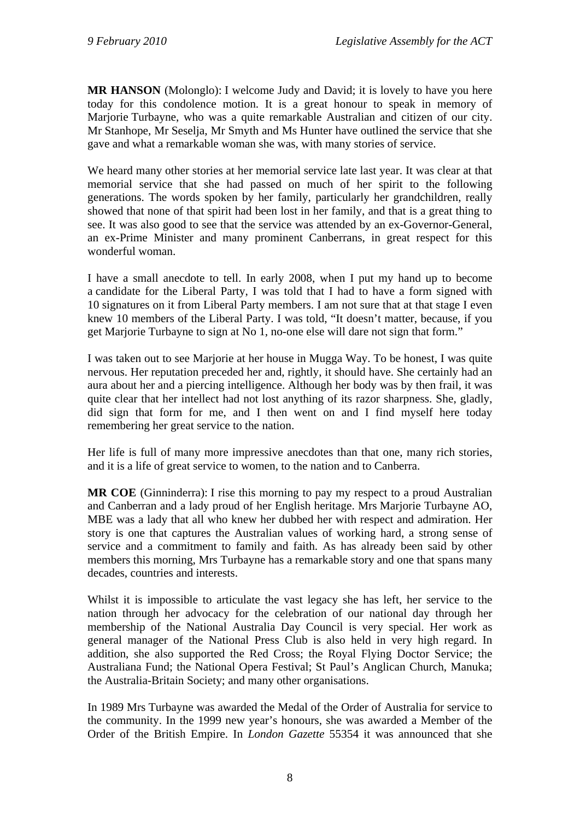**MR HANSON** (Molonglo): I welcome Judy and David; it is lovely to have you here today for this condolence motion. It is a great honour to speak in memory of Marjorie Turbayne, who was a quite remarkable Australian and citizen of our city. Mr Stanhope, Mr Seselja, Mr Smyth and Ms Hunter have outlined the service that she gave and what a remarkable woman she was, with many stories of service.

We heard many other stories at her memorial service late last year. It was clear at that memorial service that she had passed on much of her spirit to the following generations. The words spoken by her family, particularly her grandchildren, really showed that none of that spirit had been lost in her family, and that is a great thing to see. It was also good to see that the service was attended by an ex-Governor-General, an ex-Prime Minister and many prominent Canberrans, in great respect for this wonderful woman.

I have a small anecdote to tell. In early 2008, when I put my hand up to become a candidate for the Liberal Party, I was told that I had to have a form signed with 10 signatures on it from Liberal Party members. I am not sure that at that stage I even knew 10 members of the Liberal Party. I was told, "It doesn't matter, because, if you get Marjorie Turbayne to sign at No 1, no-one else will dare not sign that form."

I was taken out to see Marjorie at her house in Mugga Way. To be honest, I was quite nervous. Her reputation preceded her and, rightly, it should have. She certainly had an aura about her and a piercing intelligence. Although her body was by then frail, it was quite clear that her intellect had not lost anything of its razor sharpness. She, gladly, did sign that form for me, and I then went on and I find myself here today remembering her great service to the nation.

Her life is full of many more impressive anecdotes than that one, many rich stories, and it is a life of great service to women, to the nation and to Canberra.

**MR COE** (Ginninderra): I rise this morning to pay my respect to a proud Australian and Canberran and a lady proud of her English heritage. Mrs Marjorie Turbayne AO, MBE was a lady that all who knew her dubbed her with respect and admiration. Her story is one that captures the Australian values of working hard, a strong sense of service and a commitment to family and faith. As has already been said by other members this morning, Mrs Turbayne has a remarkable story and one that spans many decades, countries and interests.

Whilst it is impossible to articulate the vast legacy she has left, her service to the nation through her advocacy for the celebration of our national day through her membership of the National Australia Day Council is very special. Her work as general manager of the National Press Club is also held in very high regard. In addition, she also supported the Red Cross; the Royal Flying Doctor Service; the Australiana Fund; the National Opera Festival; St Paul's Anglican Church, Manuka; the Australia-Britain Society; and many other organisations.

In 1989 Mrs Turbayne was awarded the Medal of the Order of Australia for service to the community. In the 1999 new year's honours, she was awarded a Member of the Order of the British Empire. In *London Gazette* 55354 it was announced that she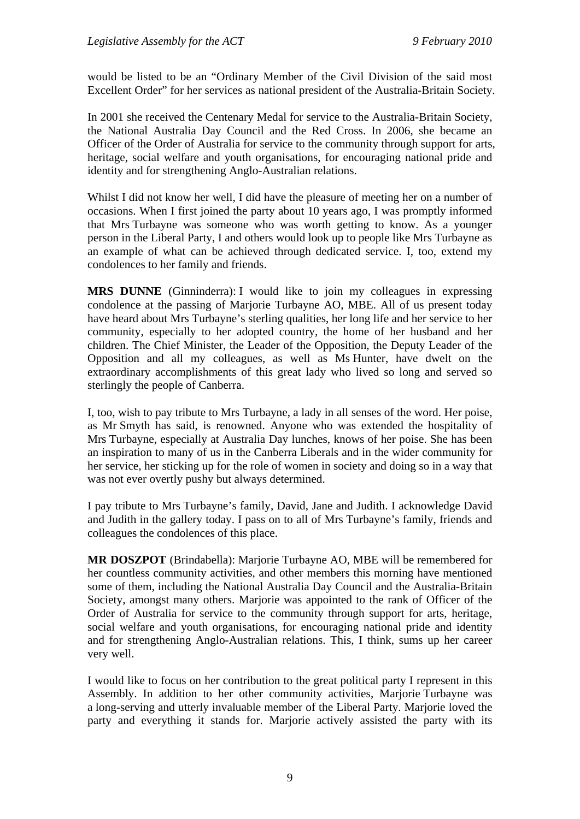would be listed to be an "Ordinary Member of the Civil Division of the said most Excellent Order" for her services as national president of the Australia-Britain Society.

In 2001 she received the Centenary Medal for service to the Australia-Britain Society, the National Australia Day Council and the Red Cross. In 2006, she became an Officer of the Order of Australia for service to the community through support for arts, heritage, social welfare and youth organisations, for encouraging national pride and identity and for strengthening Anglo-Australian relations.

Whilst I did not know her well, I did have the pleasure of meeting her on a number of occasions. When I first joined the party about 10 years ago, I was promptly informed that Mrs Turbayne was someone who was worth getting to know. As a younger person in the Liberal Party, I and others would look up to people like Mrs Turbayne as an example of what can be achieved through dedicated service. I, too, extend my condolences to her family and friends.

**MRS DUNNE** (Ginninderra): I would like to join my colleagues in expressing condolence at the passing of Marjorie Turbayne AO, MBE. All of us present today have heard about Mrs Turbayne's sterling qualities, her long life and her service to her community, especially to her adopted country, the home of her husband and her children. The Chief Minister, the Leader of the Opposition, the Deputy Leader of the Opposition and all my colleagues, as well as Ms Hunter, have dwelt on the extraordinary accomplishments of this great lady who lived so long and served so sterlingly the people of Canberra.

I, too, wish to pay tribute to Mrs Turbayne, a lady in all senses of the word. Her poise, as Mr Smyth has said, is renowned. Anyone who was extended the hospitality of Mrs Turbayne, especially at Australia Day lunches, knows of her poise. She has been an inspiration to many of us in the Canberra Liberals and in the wider community for her service, her sticking up for the role of women in society and doing so in a way that was not ever overtly pushy but always determined.

I pay tribute to Mrs Turbayne's family, David, Jane and Judith. I acknowledge David and Judith in the gallery today. I pass on to all of Mrs Turbayne's family, friends and colleagues the condolences of this place.

**MR DOSZPOT** (Brindabella): Marjorie Turbayne AO, MBE will be remembered for her countless community activities, and other members this morning have mentioned some of them, including the National Australia Day Council and the Australia-Britain Society, amongst many others. Marjorie was appointed to the rank of Officer of the Order of Australia for service to the community through support for arts, heritage, social welfare and youth organisations, for encouraging national pride and identity and for strengthening Anglo-Australian relations. This, I think, sums up her career very well.

I would like to focus on her contribution to the great political party I represent in this Assembly. In addition to her other community activities, Marjorie Turbayne was a long-serving and utterly invaluable member of the Liberal Party. Marjorie loved the party and everything it stands for. Marjorie actively assisted the party with its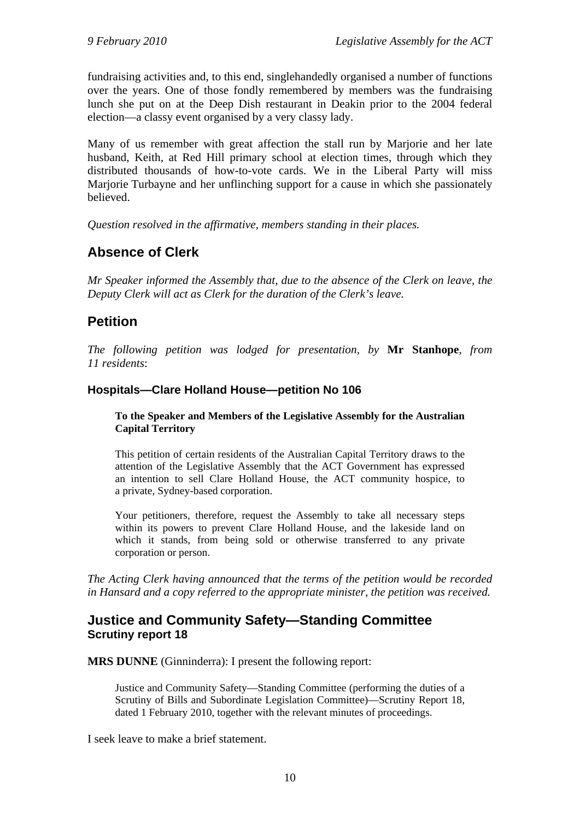fundraising activities and, to this end, singlehandedly organised a number of functions over the years. One of those fondly remembered by members was the fundraising lunch she put on at the Deep Dish restaurant in Deakin prior to the 2004 federal election—a classy event organised by a very classy lady.

Many of us remember with great affection the stall run by Marjorie and her late husband, Keith, at Red Hill primary school at election times, through which they distributed thousands of how-to-vote cards. We in the Liberal Party will miss Marjorie Turbayne and her unflinching support for a cause in which she passionately believed.

*Question resolved in the affirmative, members standing in their places.*

## <span id="page-12-0"></span>**Absence of Clerk**

*Mr Speaker informed the Assembly that, due to the absence of the Clerk on leave, the Deputy Clerk will act as Clerk for the duration of the Clerk's leave.* 

## <span id="page-12-1"></span>**Petition**

*The following petition was lodged for presentation, by* **Mr Stanhope**, *from 11 residents*:

#### **Hospitals—Clare Holland House—petition No 106**

#### **To the Speaker and Members of the Legislative Assembly for the Australian Capital Territory**

This petition of certain residents of the Australian Capital Territory draws to the attention of the Legislative Assembly that the ACT Government has expressed an intention to sell Clare Holland House, the ACT community hospice, to a private, Sydney-based corporation.

Your petitioners, therefore, request the Assembly to take all necessary steps within its powers to prevent Clare Holland House, and the lakeside land on which it stands, from being sold or otherwise transferred to any private corporation or person.

*The Acting Clerk having announced that the terms of the petition would be recorded in Hansard and a copy referred to the appropriate minister, the petition was received.* 

## <span id="page-12-2"></span>**Justice and Community Safety—Standing Committee Scrutiny report 18**

**MRS DUNNE** (Ginninderra): I present the following report:

Justice and Community Safety—Standing Committee (performing the duties of a Scrutiny of Bills and Subordinate Legislation Committee)—Scrutiny Report 18, dated 1 February 2010, together with the relevant minutes of proceedings.

I seek leave to make a brief statement.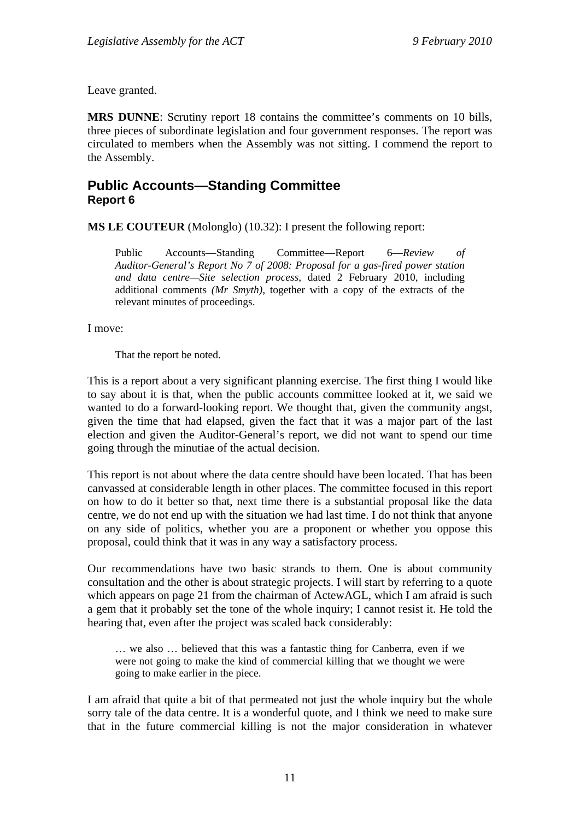Leave granted.

**MRS DUNNE**: Scrutiny report 18 contains the committee's comments on 10 bills, three pieces of subordinate legislation and four government responses. The report was circulated to members when the Assembly was not sitting. I commend the report to the Assembly.

#### <span id="page-13-0"></span>**Public Accounts—Standing Committee Report 6**

**MS LE COUTEUR** (Molonglo) (10.32): I present the following report:

Public Accounts—Standing Committee—Report 6—*Review of Auditor-General's Report No 7 of 2008: Proposal for a gas-fired power station and data centre—Site selection process,* dated 2 February 2010, including additional comments *(Mr Smyth),* together with a copy of the extracts of the relevant minutes of proceedings.

I move:

That the report be noted.

This is a report about a very significant planning exercise. The first thing I would like to say about it is that, when the public accounts committee looked at it, we said we wanted to do a forward-looking report. We thought that, given the community angst, given the time that had elapsed, given the fact that it was a major part of the last election and given the Auditor-General's report, we did not want to spend our time going through the minutiae of the actual decision.

This report is not about where the data centre should have been located. That has been canvassed at considerable length in other places. The committee focused in this report on how to do it better so that, next time there is a substantial proposal like the data centre, we do not end up with the situation we had last time. I do not think that anyone on any side of politics, whether you are a proponent or whether you oppose this proposal, could think that it was in any way a satisfactory process.

Our recommendations have two basic strands to them. One is about community consultation and the other is about strategic projects. I will start by referring to a quote which appears on page 21 from the chairman of ActewAGL, which I am afraid is such a gem that it probably set the tone of the whole inquiry; I cannot resist it. He told the hearing that, even after the project was scaled back considerably:

… we also … believed that this was a fantastic thing for Canberra, even if we were not going to make the kind of commercial killing that we thought we were going to make earlier in the piece.

I am afraid that quite a bit of that permeated not just the whole inquiry but the whole sorry tale of the data centre. It is a wonderful quote, and I think we need to make sure that in the future commercial killing is not the major consideration in whatever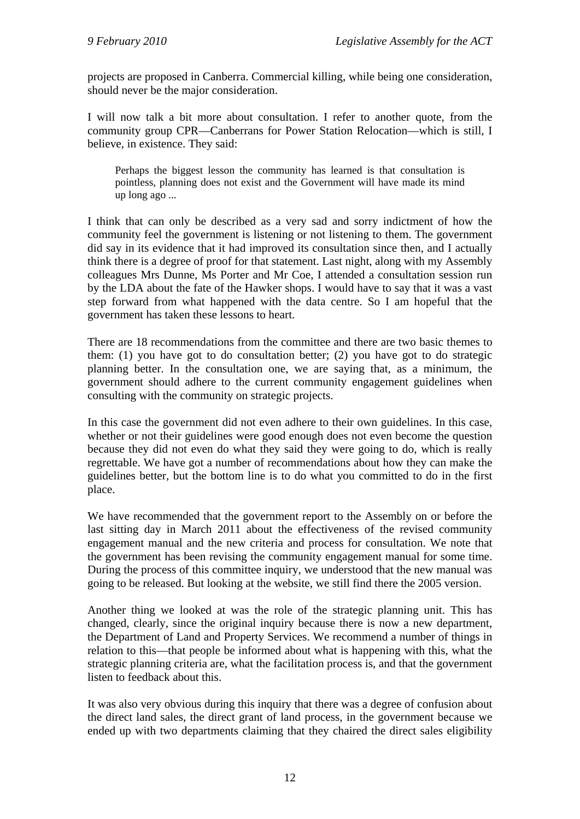projects are proposed in Canberra. Commercial killing, while being one consideration, should never be the major consideration.

I will now talk a bit more about consultation. I refer to another quote, from the community group CPR—Canberrans for Power Station Relocation—which is still, I believe, in existence. They said:

Perhaps the biggest lesson the community has learned is that consultation is pointless, planning does not exist and the Government will have made its mind up long ago ...

I think that can only be described as a very sad and sorry indictment of how the community feel the government is listening or not listening to them. The government did say in its evidence that it had improved its consultation since then, and I actually think there is a degree of proof for that statement. Last night, along with my Assembly colleagues Mrs Dunne, Ms Porter and Mr Coe, I attended a consultation session run by the LDA about the fate of the Hawker shops. I would have to say that it was a vast step forward from what happened with the data centre. So I am hopeful that the government has taken these lessons to heart.

There are 18 recommendations from the committee and there are two basic themes to them: (1) you have got to do consultation better; (2) you have got to do strategic planning better. In the consultation one, we are saying that, as a minimum, the government should adhere to the current community engagement guidelines when consulting with the community on strategic projects.

In this case the government did not even adhere to their own guidelines. In this case, whether or not their guidelines were good enough does not even become the question because they did not even do what they said they were going to do, which is really regrettable. We have got a number of recommendations about how they can make the guidelines better, but the bottom line is to do what you committed to do in the first place.

We have recommended that the government report to the Assembly on or before the last sitting day in March 2011 about the effectiveness of the revised community engagement manual and the new criteria and process for consultation. We note that the government has been revising the community engagement manual for some time. During the process of this committee inquiry, we understood that the new manual was going to be released. But looking at the website, we still find there the 2005 version.

Another thing we looked at was the role of the strategic planning unit. This has changed, clearly, since the original inquiry because there is now a new department, the Department of Land and Property Services. We recommend a number of things in relation to this—that people be informed about what is happening with this, what the strategic planning criteria are, what the facilitation process is, and that the government listen to feedback about this.

It was also very obvious during this inquiry that there was a degree of confusion about the direct land sales, the direct grant of land process, in the government because we ended up with two departments claiming that they chaired the direct sales eligibility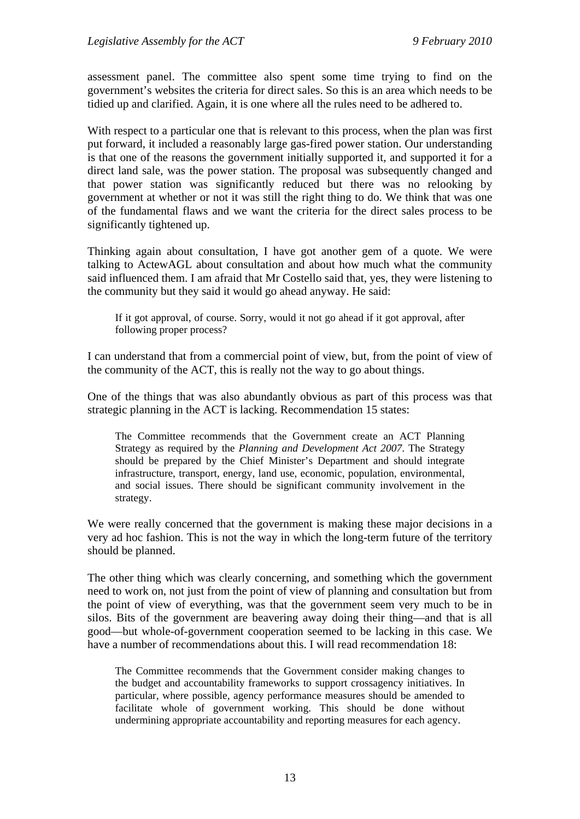assessment panel. The committee also spent some time trying to find on the government's websites the criteria for direct sales. So this is an area which needs to be tidied up and clarified. Again, it is one where all the rules need to be adhered to.

With respect to a particular one that is relevant to this process, when the plan was first put forward, it included a reasonably large gas-fired power station. Our understanding is that one of the reasons the government initially supported it, and supported it for a direct land sale, was the power station. The proposal was subsequently changed and that power station was significantly reduced but there was no relooking by government at whether or not it was still the right thing to do. We think that was one of the fundamental flaws and we want the criteria for the direct sales process to be significantly tightened up.

Thinking again about consultation, I have got another gem of a quote. We were talking to ActewAGL about consultation and about how much what the community said influenced them. I am afraid that Mr Costello said that, yes, they were listening to the community but they said it would go ahead anyway. He said:

If it got approval, of course. Sorry, would it not go ahead if it got approval, after following proper process?

I can understand that from a commercial point of view, but, from the point of view of the community of the ACT, this is really not the way to go about things.

One of the things that was also abundantly obvious as part of this process was that strategic planning in the ACT is lacking. Recommendation 15 states:

The Committee recommends that the Government create an ACT Planning Strategy as required by the *Planning and Development Act 2007*. The Strategy should be prepared by the Chief Minister's Department and should integrate infrastructure, transport, energy, land use, economic, population, environmental, and social issues. There should be significant community involvement in the strategy.

We were really concerned that the government is making these major decisions in a very ad hoc fashion. This is not the way in which the long-term future of the territory should be planned.

The other thing which was clearly concerning, and something which the government need to work on, not just from the point of view of planning and consultation but from the point of view of everything, was that the government seem very much to be in silos. Bits of the government are beavering away doing their thing—and that is all good—but whole-of-government cooperation seemed to be lacking in this case. We have a number of recommendations about this. I will read recommendation 18:

The Committee recommends that the Government consider making changes to the budget and accountability frameworks to support crossagency initiatives. In particular, where possible, agency performance measures should be amended to facilitate whole of government working. This should be done without undermining appropriate accountability and reporting measures for each agency.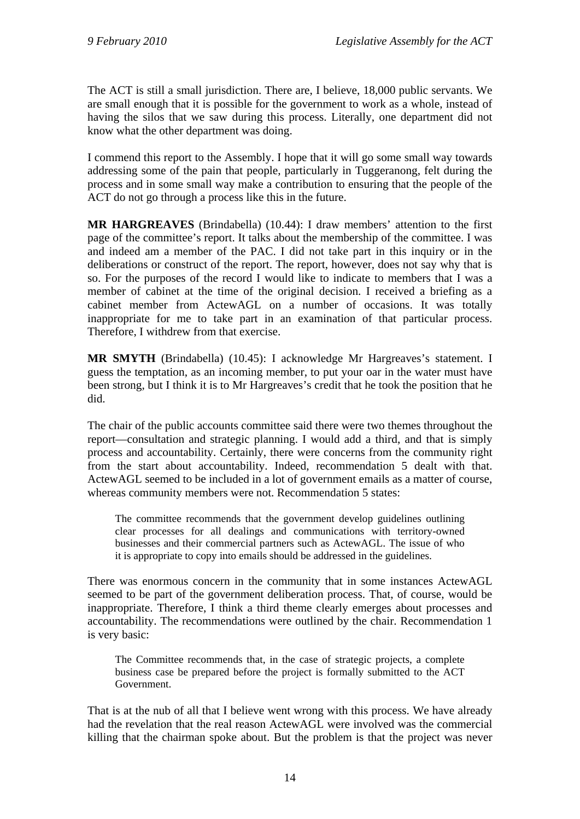The ACT is still a small jurisdiction. There are, I believe, 18,000 public servants. We are small enough that it is possible for the government to work as a whole, instead of having the silos that we saw during this process. Literally, one department did not know what the other department was doing.

I commend this report to the Assembly. I hope that it will go some small way towards addressing some of the pain that people, particularly in Tuggeranong, felt during the process and in some small way make a contribution to ensuring that the people of the ACT do not go through a process like this in the future.

**MR HARGREAVES** (Brindabella) (10.44): I draw members' attention to the first page of the committee's report. It talks about the membership of the committee. I was and indeed am a member of the PAC. I did not take part in this inquiry or in the deliberations or construct of the report. The report, however, does not say why that is so. For the purposes of the record I would like to indicate to members that I was a member of cabinet at the time of the original decision. I received a briefing as a cabinet member from ActewAGL on a number of occasions. It was totally inappropriate for me to take part in an examination of that particular process. Therefore, I withdrew from that exercise.

**MR SMYTH** (Brindabella) (10.45): I acknowledge Mr Hargreaves's statement. I guess the temptation, as an incoming member, to put your oar in the water must have been strong, but I think it is to Mr Hargreaves's credit that he took the position that he did.

The chair of the public accounts committee said there were two themes throughout the report—consultation and strategic planning. I would add a third, and that is simply process and accountability. Certainly, there were concerns from the community right from the start about accountability. Indeed, recommendation 5 dealt with that. ActewAGL seemed to be included in a lot of government emails as a matter of course, whereas community members were not. Recommendation 5 states:

The committee recommends that the government develop guidelines outlining clear processes for all dealings and communications with territory-owned businesses and their commercial partners such as ActewAGL. The issue of who it is appropriate to copy into emails should be addressed in the guidelines.

There was enormous concern in the community that in some instances ActewAGL seemed to be part of the government deliberation process. That, of course, would be inappropriate. Therefore, I think a third theme clearly emerges about processes and accountability. The recommendations were outlined by the chair. Recommendation 1 is very basic:

The Committee recommends that, in the case of strategic projects, a complete business case be prepared before the project is formally submitted to the ACT Government.

That is at the nub of all that I believe went wrong with this process. We have already had the revelation that the real reason ActewAGL were involved was the commercial killing that the chairman spoke about. But the problem is that the project was never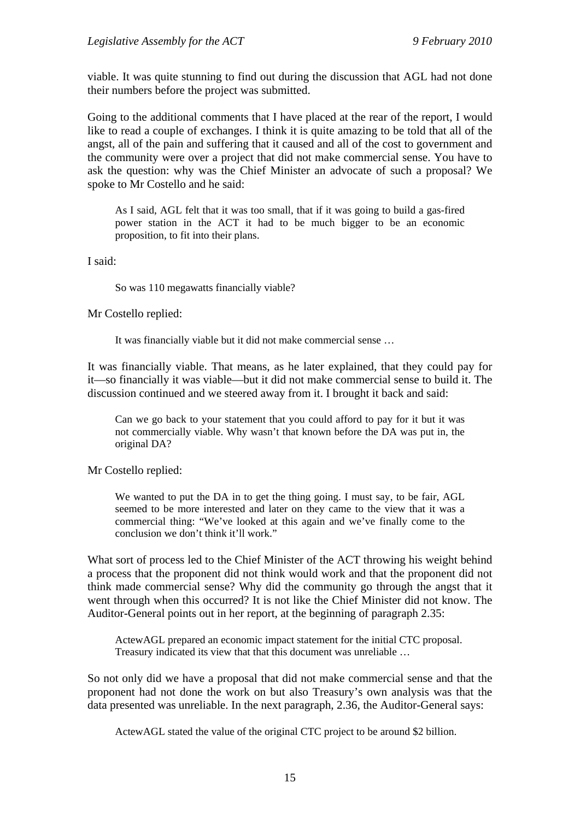viable. It was quite stunning to find out during the discussion that AGL had not done their numbers before the project was submitted.

Going to the additional comments that I have placed at the rear of the report, I would like to read a couple of exchanges. I think it is quite amazing to be told that all of the angst, all of the pain and suffering that it caused and all of the cost to government and the community were over a project that did not make commercial sense. You have to ask the question: why was the Chief Minister an advocate of such a proposal? We spoke to Mr Costello and he said:

As I said, AGL felt that it was too small, that if it was going to build a gas-fired power station in the ACT it had to be much bigger to be an economic proposition, to fit into their plans.

I said:

So was 110 megawatts financially viable?

Mr Costello replied:

It was financially viable but it did not make commercial sense …

It was financially viable. That means, as he later explained, that they could pay for it—so financially it was viable—but it did not make commercial sense to build it. The discussion continued and we steered away from it. I brought it back and said:

Can we go back to your statement that you could afford to pay for it but it was not commercially viable. Why wasn't that known before the DA was put in, the original DA?

Mr Costello replied:

We wanted to put the DA in to get the thing going. I must say, to be fair, AGL seemed to be more interested and later on they came to the view that it was a commercial thing: "We've looked at this again and we've finally come to the conclusion we don't think it'll work."

What sort of process led to the Chief Minister of the ACT throwing his weight behind a process that the proponent did not think would work and that the proponent did not think made commercial sense? Why did the community go through the angst that it went through when this occurred? It is not like the Chief Minister did not know. The Auditor-General points out in her report, at the beginning of paragraph 2.35:

ActewAGL prepared an economic impact statement for the initial CTC proposal. Treasury indicated its view that that this document was unreliable …

So not only did we have a proposal that did not make commercial sense and that the proponent had not done the work on but also Treasury's own analysis was that the data presented was unreliable. In the next paragraph, 2.36, the Auditor-General says:

ActewAGL stated the value of the original CTC project to be around \$2 billion.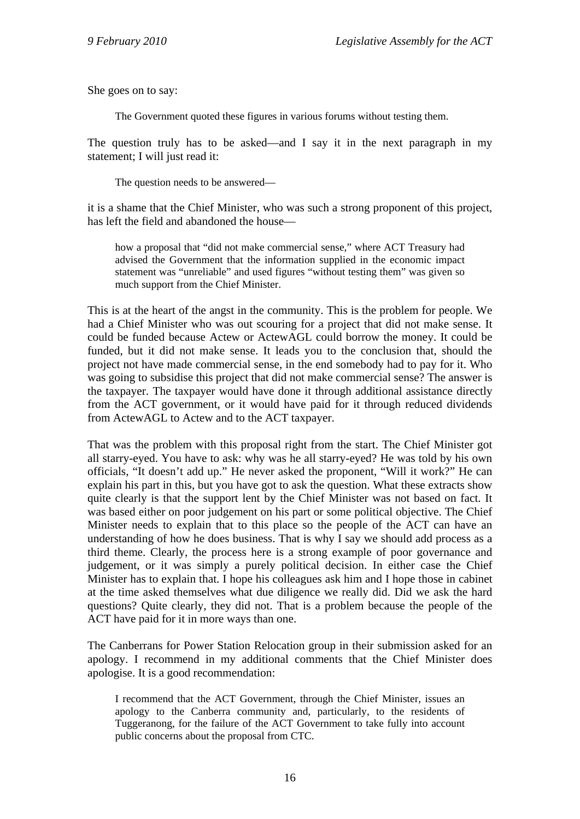She goes on to say:

The Government quoted these figures in various forums without testing them.

The question truly has to be asked—and I say it in the next paragraph in my statement; I will just read it:

The question needs to be answered—

it is a shame that the Chief Minister, who was such a strong proponent of this project, has left the field and abandoned the house—

how a proposal that "did not make commercial sense," where ACT Treasury had advised the Government that the information supplied in the economic impact statement was "unreliable" and used figures "without testing them" was given so much support from the Chief Minister.

This is at the heart of the angst in the community. This is the problem for people. We had a Chief Minister who was out scouring for a project that did not make sense. It could be funded because Actew or ActewAGL could borrow the money. It could be funded, but it did not make sense. It leads you to the conclusion that, should the project not have made commercial sense, in the end somebody had to pay for it. Who was going to subsidise this project that did not make commercial sense? The answer is the taxpayer. The taxpayer would have done it through additional assistance directly from the ACT government, or it would have paid for it through reduced dividends from ActewAGL to Actew and to the ACT taxpayer.

That was the problem with this proposal right from the start. The Chief Minister got all starry-eyed. You have to ask: why was he all starry-eyed? He was told by his own officials, "It doesn't add up." He never asked the proponent, "Will it work?" He can explain his part in this, but you have got to ask the question. What these extracts show quite clearly is that the support lent by the Chief Minister was not based on fact. It was based either on poor judgement on his part or some political objective. The Chief Minister needs to explain that to this place so the people of the ACT can have an understanding of how he does business. That is why I say we should add process as a third theme. Clearly, the process here is a strong example of poor governance and judgement, or it was simply a purely political decision. In either case the Chief Minister has to explain that. I hope his colleagues ask him and I hope those in cabinet at the time asked themselves what due diligence we really did. Did we ask the hard questions? Quite clearly, they did not. That is a problem because the people of the ACT have paid for it in more ways than one.

The Canberrans for Power Station Relocation group in their submission asked for an apology. I recommend in my additional comments that the Chief Minister does apologise. It is a good recommendation:

I recommend that the ACT Government, through the Chief Minister, issues an apology to the Canberra community and, particularly, to the residents of Tuggeranong, for the failure of the ACT Government to take fully into account public concerns about the proposal from CTC.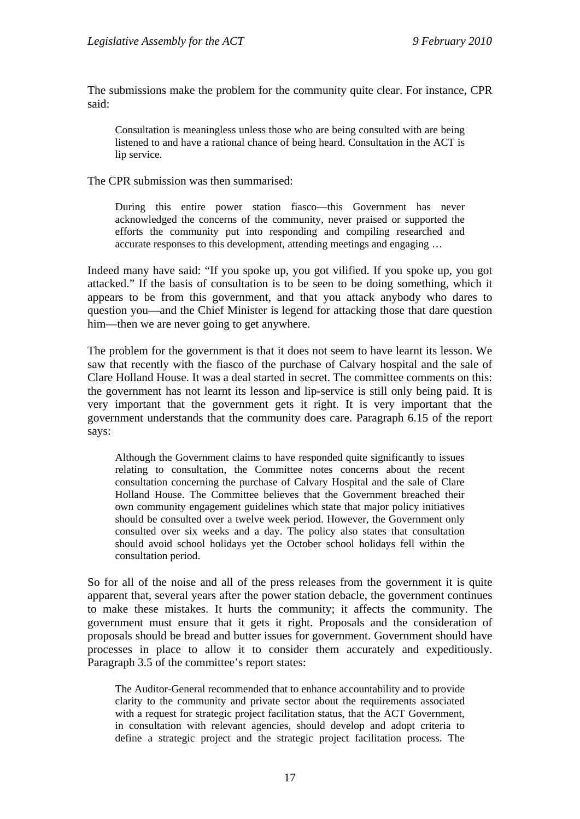The submissions make the problem for the community quite clear. For instance, CPR said:

Consultation is meaningless unless those who are being consulted with are being listened to and have a rational chance of being heard. Consultation in the ACT is lip service.

The CPR submission was then summarised:

During this entire power station fiasco—this Government has never acknowledged the concerns of the community, never praised or supported the efforts the community put into responding and compiling researched and accurate responses to this development, attending meetings and engaging …

Indeed many have said: "If you spoke up, you got vilified. If you spoke up, you got attacked." If the basis of consultation is to be seen to be doing something, which it appears to be from this government, and that you attack anybody who dares to question you—and the Chief Minister is legend for attacking those that dare question him—then we are never going to get anywhere.

The problem for the government is that it does not seem to have learnt its lesson. We saw that recently with the fiasco of the purchase of Calvary hospital and the sale of Clare Holland House. It was a deal started in secret. The committee comments on this: the government has not learnt its lesson and lip-service is still only being paid. It is very important that the government gets it right. It is very important that the government understands that the community does care. Paragraph 6.15 of the report says:

Although the Government claims to have responded quite significantly to issues relating to consultation, the Committee notes concerns about the recent consultation concerning the purchase of Calvary Hospital and the sale of Clare Holland House. The Committee believes that the Government breached their own community engagement guidelines which state that major policy initiatives should be consulted over a twelve week period. However, the Government only consulted over six weeks and a day. The policy also states that consultation should avoid school holidays yet the October school holidays fell within the consultation period.

So for all of the noise and all of the press releases from the government it is quite apparent that, several years after the power station debacle, the government continues to make these mistakes. It hurts the community; it affects the community. The government must ensure that it gets it right. Proposals and the consideration of proposals should be bread and butter issues for government. Government should have processes in place to allow it to consider them accurately and expeditiously. Paragraph 3.5 of the committee's report states:

The Auditor-General recommended that to enhance accountability and to provide clarity to the community and private sector about the requirements associated with a request for strategic project facilitation status, that the ACT Government, in consultation with relevant agencies, should develop and adopt criteria to define a strategic project and the strategic project facilitation process. The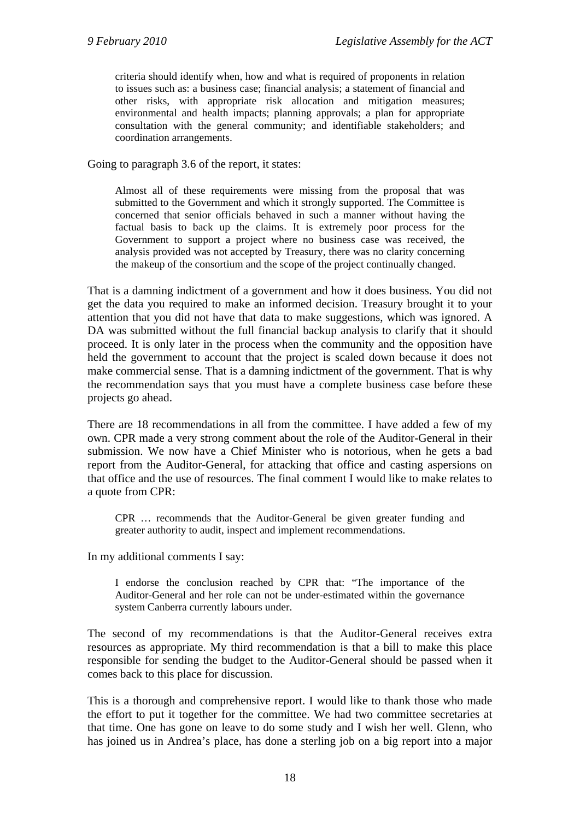criteria should identify when, how and what is required of proponents in relation to issues such as: a business case; financial analysis; a statement of financial and other risks, with appropriate risk allocation and mitigation measures; environmental and health impacts; planning approvals; a plan for appropriate consultation with the general community; and identifiable stakeholders; and coordination arrangements.

Going to paragraph 3.6 of the report, it states:

Almost all of these requirements were missing from the proposal that was submitted to the Government and which it strongly supported. The Committee is concerned that senior officials behaved in such a manner without having the factual basis to back up the claims. It is extremely poor process for the Government to support a project where no business case was received, the analysis provided was not accepted by Treasury, there was no clarity concerning the makeup of the consortium and the scope of the project continually changed.

That is a damning indictment of a government and how it does business. You did not get the data you required to make an informed decision. Treasury brought it to your attention that you did not have that data to make suggestions, which was ignored. A DA was submitted without the full financial backup analysis to clarify that it should proceed. It is only later in the process when the community and the opposition have held the government to account that the project is scaled down because it does not make commercial sense. That is a damning indictment of the government. That is why the recommendation says that you must have a complete business case before these projects go ahead.

There are 18 recommendations in all from the committee. I have added a few of my own. CPR made a very strong comment about the role of the Auditor-General in their submission. We now have a Chief Minister who is notorious, when he gets a bad report from the Auditor-General, for attacking that office and casting aspersions on that office and the use of resources. The final comment I would like to make relates to a quote from CPR:

CPR … recommends that the Auditor-General be given greater funding and greater authority to audit, inspect and implement recommendations.

In my additional comments I say:

I endorse the conclusion reached by CPR that: "The importance of the Auditor-General and her role can not be under-estimated within the governance system Canberra currently labours under.

The second of my recommendations is that the Auditor-General receives extra resources as appropriate. My third recommendation is that a bill to make this place responsible for sending the budget to the Auditor-General should be passed when it comes back to this place for discussion.

This is a thorough and comprehensive report. I would like to thank those who made the effort to put it together for the committee. We had two committee secretaries at that time. One has gone on leave to do some study and I wish her well. Glenn, who has joined us in Andrea's place, has done a sterling job on a big report into a major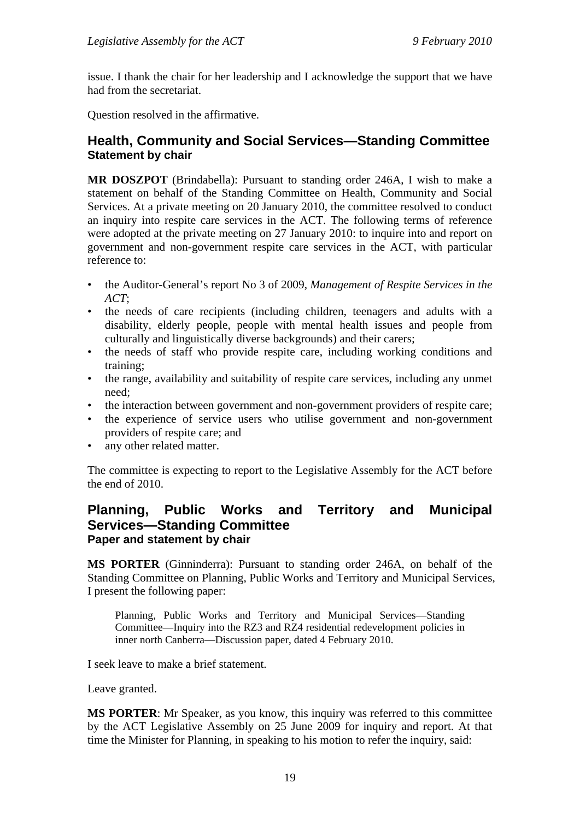issue. I thank the chair for her leadership and I acknowledge the support that we have had from the secretariat.

Question resolved in the affirmative.

#### <span id="page-21-0"></span>**Health, Community and Social Services—Standing Committee Statement by chair**

**MR DOSZPOT** (Brindabella): Pursuant to standing order 246A, I wish to make a statement on behalf of the Standing Committee on Health, Community and Social Services. At a private meeting on 20 January 2010, the committee resolved to conduct an inquiry into respite care services in the ACT. The following terms of reference were adopted at the private meeting on 27 January 2010: to inquire into and report on government and non-government respite care services in the ACT, with particular reference to:

- the Auditor-General's report No 3 of 2009, *Management of Respite Services in the ACT*;
- the needs of care recipients (including children, teenagers and adults with a disability, elderly people, people with mental health issues and people from culturally and linguistically diverse backgrounds) and their carers;
- the needs of staff who provide respite care, including working conditions and training;
- the range, availability and suitability of respite care services, including any unmet need;
- the interaction between government and non-government providers of respite care;
- the experience of service users who utilise government and non-government providers of respite care; and
- any other related matter.

The committee is expecting to report to the Legislative Assembly for the ACT before the end of 2010.

#### <span id="page-21-1"></span>**Planning, Public Works and Territory and Municipal Services—Standing Committee Paper and statement by chair**

**MS PORTER** (Ginninderra): Pursuant to standing order 246A, on behalf of the Standing Committee on Planning, Public Works and Territory and Municipal Services, I present the following paper:

Planning, Public Works and Territory and Municipal Services—Standing Committee—Inquiry into the RZ3 and RZ4 residential redevelopment policies in inner north Canberra—Discussion paper, dated 4 February 2010.

I seek leave to make a brief statement.

Leave granted.

**MS PORTER**: Mr Speaker, as you know, this inquiry was referred to this committee by the ACT Legislative Assembly on 25 June 2009 for inquiry and report. At that time the Minister for Planning, in speaking to his motion to refer the inquiry, said: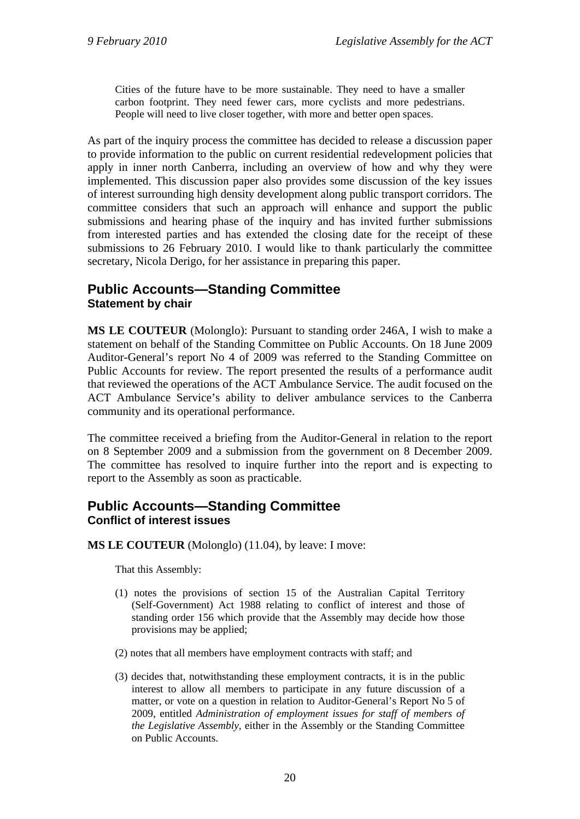Cities of the future have to be more sustainable. They need to have a smaller carbon footprint. They need fewer cars, more cyclists and more pedestrians. People will need to live closer together, with more and better open spaces.

As part of the inquiry process the committee has decided to release a discussion paper to provide information to the public on current residential redevelopment policies that apply in inner north Canberra, including an overview of how and why they were implemented. This discussion paper also provides some discussion of the key issues of interest surrounding high density development along public transport corridors. The committee considers that such an approach will enhance and support the public submissions and hearing phase of the inquiry and has invited further submissions from interested parties and has extended the closing date for the receipt of these submissions to 26 February 2010. I would like to thank particularly the committee secretary, Nicola Derigo, for her assistance in preparing this paper.

## <span id="page-22-0"></span>**Public Accounts—Standing Committee Statement by chair**

**MS LE COUTEUR** (Molonglo): Pursuant to standing order 246A, I wish to make a statement on behalf of the Standing Committee on Public Accounts. On 18 June 2009 Auditor-General's report No 4 of 2009 was referred to the Standing Committee on Public Accounts for review. The report presented the results of a performance audit that reviewed the operations of the ACT Ambulance Service. The audit focused on the ACT Ambulance Service's ability to deliver ambulance services to the Canberra community and its operational performance.

The committee received a briefing from the Auditor-General in relation to the report on 8 September 2009 and a submission from the government on 8 December 2009. The committee has resolved to inquire further into the report and is expecting to report to the Assembly as soon as practicable.

#### <span id="page-22-1"></span>**Public Accounts—Standing Committee Conflict of interest issues**

**MS LE COUTEUR** (Molonglo) (11.04), by leave: I move:

That this Assembly:

- (1) notes the provisions of section 15 of the Australian Capital Territory (Self-Government) Act 1988 relating to conflict of interest and those of standing order 156 which provide that the Assembly may decide how those provisions may be applied;
- (2) notes that all members have employment contracts with staff; and
- (3) decides that, notwithstanding these employment contracts, it is in the public interest to allow all members to participate in any future discussion of a matter, or vote on a question in relation to Auditor-General's Report No 5 of 2009, entitled *Administration of employment issues for staff of members of the Legislative Assembly*, either in the Assembly or the Standing Committee on Public Accounts.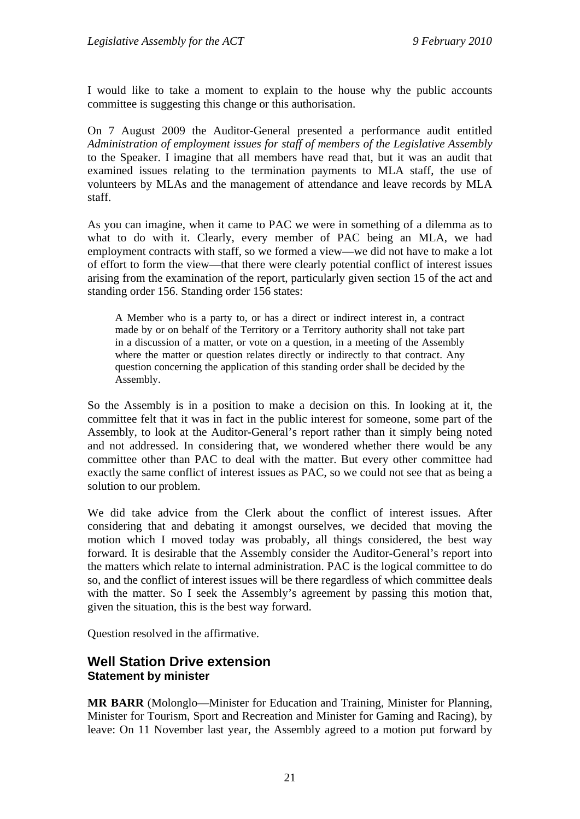I would like to take a moment to explain to the house why the public accounts committee is suggesting this change or this authorisation.

On 7 August 2009 the Auditor-General presented a performance audit entitled *Administration of employment issues for staff of members of the Legislative Assembly* to the Speaker. I imagine that all members have read that, but it was an audit that examined issues relating to the termination payments to MLA staff, the use of volunteers by MLAs and the management of attendance and leave records by MLA staff.

As you can imagine, when it came to PAC we were in something of a dilemma as to what to do with it. Clearly, every member of PAC being an MLA, we had employment contracts with staff, so we formed a view—we did not have to make a lot of effort to form the view—that there were clearly potential conflict of interest issues arising from the examination of the report, particularly given section 15 of the act and standing order 156. Standing order 156 states:

A Member who is a party to, or has a direct or indirect interest in, a contract made by or on behalf of the Territory or a Territory authority shall not take part in a discussion of a matter, or vote on a question, in a meeting of the Assembly where the matter or question relates directly or indirectly to that contract. Any question concerning the application of this standing order shall be decided by the Assembly.

So the Assembly is in a position to make a decision on this. In looking at it, the committee felt that it was in fact in the public interest for someone, some part of the Assembly, to look at the Auditor-General's report rather than it simply being noted and not addressed. In considering that, we wondered whether there would be any committee other than PAC to deal with the matter. But every other committee had exactly the same conflict of interest issues as PAC, so we could not see that as being a solution to our problem.

We did take advice from the Clerk about the conflict of interest issues. After considering that and debating it amongst ourselves, we decided that moving the motion which I moved today was probably, all things considered, the best way forward. It is desirable that the Assembly consider the Auditor-General's report into the matters which relate to internal administration. PAC is the logical committee to do so, and the conflict of interest issues will be there regardless of which committee deals with the matter. So I seek the Assembly's agreement by passing this motion that, given the situation, this is the best way forward.

Question resolved in the affirmative.

#### <span id="page-23-0"></span>**Well Station Drive extension Statement by minister**

**MR BARR** (Molonglo—Minister for Education and Training, Minister for Planning, Minister for Tourism, Sport and Recreation and Minister for Gaming and Racing), by leave: On 11 November last year, the Assembly agreed to a motion put forward by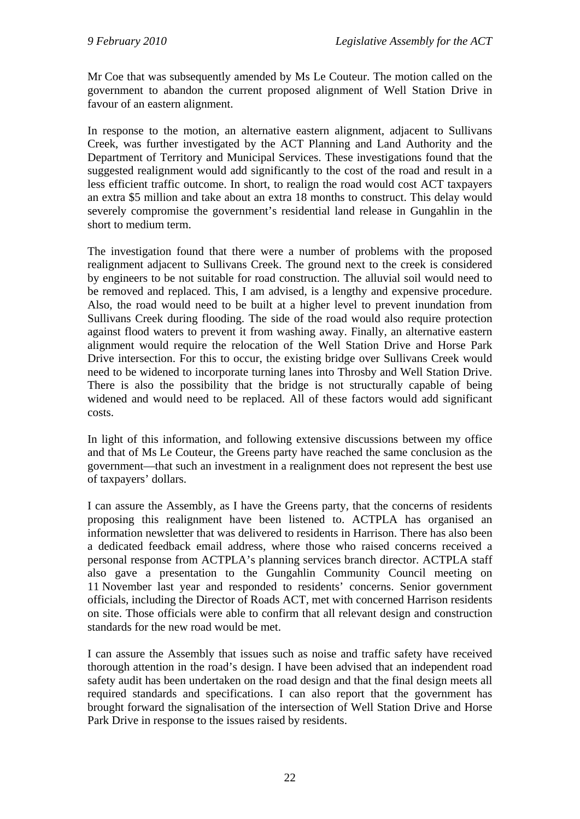Mr Coe that was subsequently amended by Ms Le Couteur. The motion called on the government to abandon the current proposed alignment of Well Station Drive in favour of an eastern alignment.

In response to the motion, an alternative eastern alignment, adjacent to Sullivans Creek, was further investigated by the ACT Planning and Land Authority and the Department of Territory and Municipal Services. These investigations found that the suggested realignment would add significantly to the cost of the road and result in a less efficient traffic outcome. In short, to realign the road would cost ACT taxpayers an extra \$5 million and take about an extra 18 months to construct. This delay would severely compromise the government's residential land release in Gungahlin in the short to medium term.

The investigation found that there were a number of problems with the proposed realignment adjacent to Sullivans Creek. The ground next to the creek is considered by engineers to be not suitable for road construction. The alluvial soil would need to be removed and replaced. This, I am advised, is a lengthy and expensive procedure. Also, the road would need to be built at a higher level to prevent inundation from Sullivans Creek during flooding. The side of the road would also require protection against flood waters to prevent it from washing away. Finally, an alternative eastern alignment would require the relocation of the Well Station Drive and Horse Park Drive intersection. For this to occur, the existing bridge over Sullivans Creek would need to be widened to incorporate turning lanes into Throsby and Well Station Drive. There is also the possibility that the bridge is not structurally capable of being widened and would need to be replaced. All of these factors would add significant costs.

In light of this information, and following extensive discussions between my office and that of Ms Le Couteur, the Greens party have reached the same conclusion as the government—that such an investment in a realignment does not represent the best use of taxpayers' dollars.

I can assure the Assembly, as I have the Greens party, that the concerns of residents proposing this realignment have been listened to. ACTPLA has organised an information newsletter that was delivered to residents in Harrison. There has also been a dedicated feedback email address, where those who raised concerns received a personal response from ACTPLA's planning services branch director. ACTPLA staff also gave a presentation to the Gungahlin Community Council meeting on 11 November last year and responded to residents' concerns. Senior government officials, including the Director of Roads ACT, met with concerned Harrison residents on site. Those officials were able to confirm that all relevant design and construction standards for the new road would be met.

I can assure the Assembly that issues such as noise and traffic safety have received thorough attention in the road's design. I have been advised that an independent road safety audit has been undertaken on the road design and that the final design meets all required standards and specifications. I can also report that the government has brought forward the signalisation of the intersection of Well Station Drive and Horse Park Drive in response to the issues raised by residents.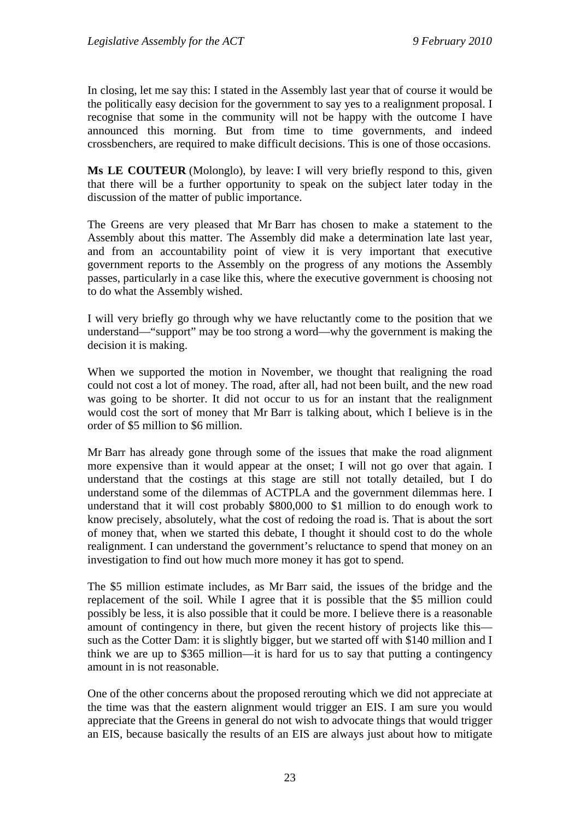In closing, let me say this: I stated in the Assembly last year that of course it would be the politically easy decision for the government to say yes to a realignment proposal. I recognise that some in the community will not be happy with the outcome I have announced this morning. But from time to time governments, and indeed crossbenchers, are required to make difficult decisions. This is one of those occasions.

**Ms LE COUTEUR** (Molonglo), by leave: I will very briefly respond to this, given that there will be a further opportunity to speak on the subject later today in the discussion of the matter of public importance.

The Greens are very pleased that Mr Barr has chosen to make a statement to the Assembly about this matter. The Assembly did make a determination late last year, and from an accountability point of view it is very important that executive government reports to the Assembly on the progress of any motions the Assembly passes, particularly in a case like this, where the executive government is choosing not to do what the Assembly wished.

I will very briefly go through why we have reluctantly come to the position that we understand—"support" may be too strong a word—why the government is making the decision it is making.

When we supported the motion in November, we thought that realigning the road could not cost a lot of money. The road, after all, had not been built, and the new road was going to be shorter. It did not occur to us for an instant that the realignment would cost the sort of money that Mr Barr is talking about, which I believe is in the order of \$5 million to \$6 million.

Mr Barr has already gone through some of the issues that make the road alignment more expensive than it would appear at the onset; I will not go over that again. I understand that the costings at this stage are still not totally detailed, but I do understand some of the dilemmas of ACTPLA and the government dilemmas here. I understand that it will cost probably \$800,000 to \$1 million to do enough work to know precisely, absolutely, what the cost of redoing the road is. That is about the sort of money that, when we started this debate, I thought it should cost to do the whole realignment. I can understand the government's reluctance to spend that money on an investigation to find out how much more money it has got to spend.

The \$5 million estimate includes, as Mr Barr said, the issues of the bridge and the replacement of the soil. While I agree that it is possible that the \$5 million could possibly be less, it is also possible that it could be more. I believe there is a reasonable amount of contingency in there, but given the recent history of projects like this such as the Cotter Dam: it is slightly bigger, but we started off with \$140 million and I think we are up to \$365 million—it is hard for us to say that putting a contingency amount in is not reasonable.

One of the other concerns about the proposed rerouting which we did not appreciate at the time was that the eastern alignment would trigger an EIS. I am sure you would appreciate that the Greens in general do not wish to advocate things that would trigger an EIS, because basically the results of an EIS are always just about how to mitigate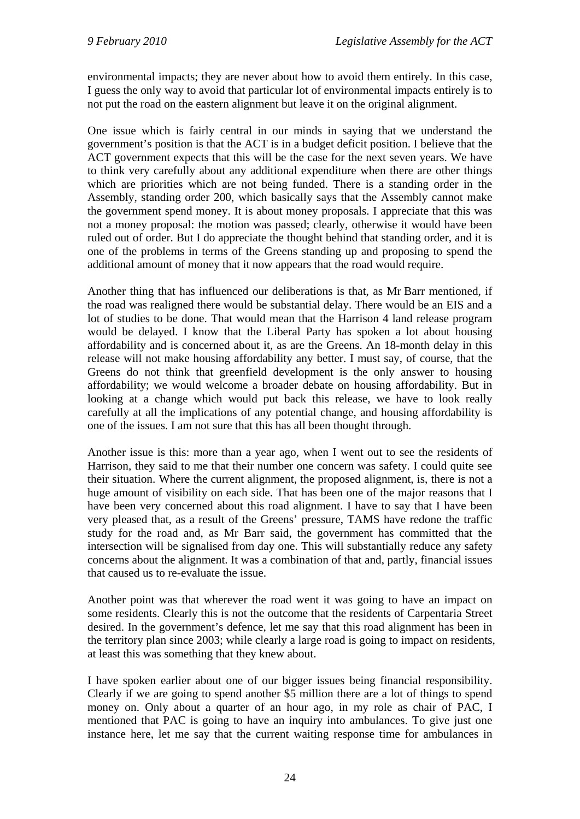environmental impacts; they are never about how to avoid them entirely. In this case, I guess the only way to avoid that particular lot of environmental impacts entirely is to not put the road on the eastern alignment but leave it on the original alignment.

One issue which is fairly central in our minds in saying that we understand the government's position is that the ACT is in a budget deficit position. I believe that the ACT government expects that this will be the case for the next seven years. We have to think very carefully about any additional expenditure when there are other things which are priorities which are not being funded. There is a standing order in the Assembly, standing order 200, which basically says that the Assembly cannot make the government spend money. It is about money proposals. I appreciate that this was not a money proposal: the motion was passed; clearly, otherwise it would have been ruled out of order. But I do appreciate the thought behind that standing order, and it is one of the problems in terms of the Greens standing up and proposing to spend the additional amount of money that it now appears that the road would require.

Another thing that has influenced our deliberations is that, as Mr Barr mentioned, if the road was realigned there would be substantial delay. There would be an EIS and a lot of studies to be done. That would mean that the Harrison 4 land release program would be delayed. I know that the Liberal Party has spoken a lot about housing affordability and is concerned about it, as are the Greens. An 18-month delay in this release will not make housing affordability any better. I must say, of course, that the Greens do not think that greenfield development is the only answer to housing affordability; we would welcome a broader debate on housing affordability. But in looking at a change which would put back this release, we have to look really carefully at all the implications of any potential change, and housing affordability is one of the issues. I am not sure that this has all been thought through.

Another issue is this: more than a year ago, when I went out to see the residents of Harrison, they said to me that their number one concern was safety. I could quite see their situation. Where the current alignment, the proposed alignment, is, there is not a huge amount of visibility on each side. That has been one of the major reasons that I have been very concerned about this road alignment. I have to say that I have been very pleased that, as a result of the Greens' pressure, TAMS have redone the traffic study for the road and, as Mr Barr said, the government has committed that the intersection will be signalised from day one. This will substantially reduce any safety concerns about the alignment. It was a combination of that and, partly, financial issues that caused us to re-evaluate the issue.

Another point was that wherever the road went it was going to have an impact on some residents. Clearly this is not the outcome that the residents of Carpentaria Street desired. In the government's defence, let me say that this road alignment has been in the territory plan since 2003; while clearly a large road is going to impact on residents, at least this was something that they knew about.

I have spoken earlier about one of our bigger issues being financial responsibility. Clearly if we are going to spend another \$5 million there are a lot of things to spend money on. Only about a quarter of an hour ago, in my role as chair of PAC, I mentioned that PAC is going to have an inquiry into ambulances. To give just one instance here, let me say that the current waiting response time for ambulances in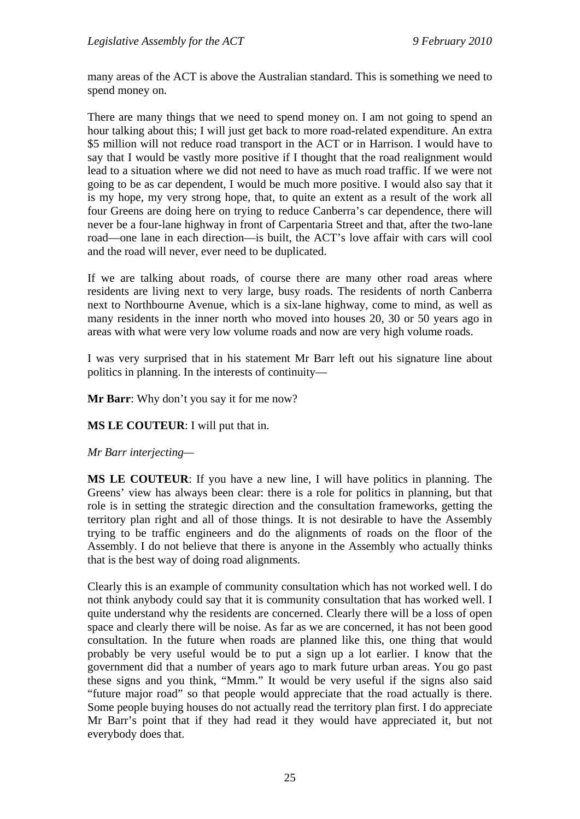many areas of the ACT is above the Australian standard. This is something we need to spend money on.

There are many things that we need to spend money on. I am not going to spend an hour talking about this; I will just get back to more road-related expenditure. An extra \$5 million will not reduce road transport in the ACT or in Harrison. I would have to say that I would be vastly more positive if I thought that the road realignment would lead to a situation where we did not need to have as much road traffic. If we were not going to be as car dependent, I would be much more positive. I would also say that it is my hope, my very strong hope, that, to quite an extent as a result of the work all four Greens are doing here on trying to reduce Canberra's car dependence, there will never be a four-lane highway in front of Carpentaria Street and that, after the two-lane road—one lane in each direction—is built, the ACT's love affair with cars will cool and the road will never, ever need to be duplicated.

If we are talking about roads, of course there are many other road areas where residents are living next to very large, busy roads. The residents of north Canberra next to Northbourne Avenue, which is a six-lane highway, come to mind, as well as many residents in the inner north who moved into houses 20, 30 or 50 years ago in areas with what were very low volume roads and now are very high volume roads.

I was very surprised that in his statement Mr Barr left out his signature line about politics in planning. In the interests of continuity—

**Mr Barr**: Why don't you say it for me now?

**MS LE COUTEUR**: I will put that in.

#### *Mr Barr interjecting—*

**MS LE COUTEUR**: If you have a new line, I will have politics in planning. The Greens' view has always been clear: there is a role for politics in planning, but that role is in setting the strategic direction and the consultation frameworks, getting the territory plan right and all of those things. It is not desirable to have the Assembly trying to be traffic engineers and do the alignments of roads on the floor of the Assembly. I do not believe that there is anyone in the Assembly who actually thinks that is the best way of doing road alignments.

Clearly this is an example of community consultation which has not worked well. I do not think anybody could say that it is community consultation that has worked well. I quite understand why the residents are concerned. Clearly there will be a loss of open space and clearly there will be noise. As far as we are concerned, it has not been good consultation. In the future when roads are planned like this, one thing that would probably be very useful would be to put a sign up a lot earlier. I know that the government did that a number of years ago to mark future urban areas. You go past these signs and you think, "Mmm." It would be very useful if the signs also said "future major road" so that people would appreciate that the road actually is there. Some people buying houses do not actually read the territory plan first. I do appreciate Mr Barr's point that if they had read it they would have appreciated it, but not everybody does that.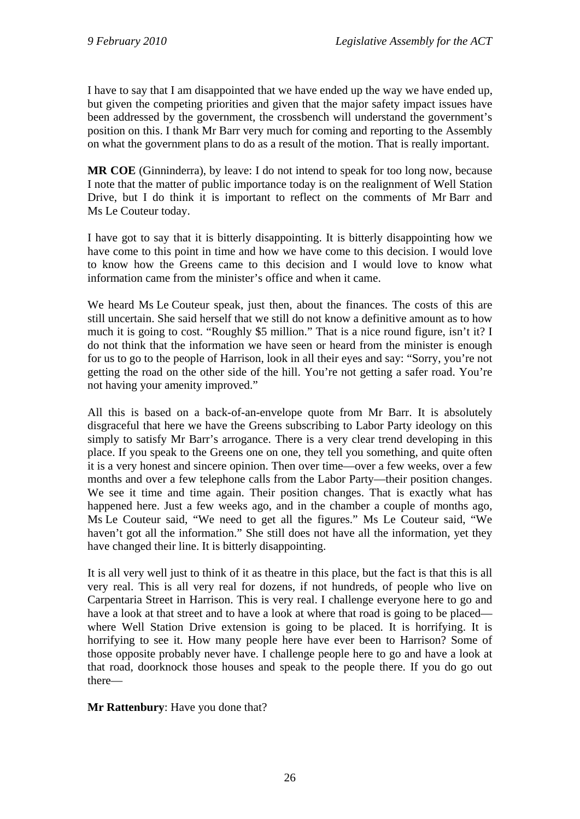I have to say that I am disappointed that we have ended up the way we have ended up, but given the competing priorities and given that the major safety impact issues have been addressed by the government, the crossbench will understand the government's position on this. I thank Mr Barr very much for coming and reporting to the Assembly on what the government plans to do as a result of the motion. That is really important.

**MR COE** (Ginninderra), by leave: I do not intend to speak for too long now, because I note that the matter of public importance today is on the realignment of Well Station Drive, but I do think it is important to reflect on the comments of Mr Barr and Ms Le Couteur today.

I have got to say that it is bitterly disappointing. It is bitterly disappointing how we have come to this point in time and how we have come to this decision. I would love to know how the Greens came to this decision and I would love to know what information came from the minister's office and when it came.

We heard Ms Le Couteur speak, just then, about the finances. The costs of this are still uncertain. She said herself that we still do not know a definitive amount as to how much it is going to cost. "Roughly \$5 million." That is a nice round figure, isn't it? I do not think that the information we have seen or heard from the minister is enough for us to go to the people of Harrison, look in all their eyes and say: "Sorry, you're not getting the road on the other side of the hill. You're not getting a safer road. You're not having your amenity improved."

All this is based on a back-of-an-envelope quote from Mr Barr. It is absolutely disgraceful that here we have the Greens subscribing to Labor Party ideology on this simply to satisfy Mr Barr's arrogance. There is a very clear trend developing in this place. If you speak to the Greens one on one, they tell you something, and quite often it is a very honest and sincere opinion. Then over time—over a few weeks, over a few months and over a few telephone calls from the Labor Party—their position changes. We see it time and time again. Their position changes. That is exactly what has happened here. Just a few weeks ago, and in the chamber a couple of months ago, Ms Le Couteur said, "We need to get all the figures." Ms Le Couteur said, "We haven't got all the information." She still does not have all the information, yet they have changed their line. It is bitterly disappointing.

It is all very well just to think of it as theatre in this place, but the fact is that this is all very real. This is all very real for dozens, if not hundreds, of people who live on Carpentaria Street in Harrison. This is very real. I challenge everyone here to go and have a look at that street and to have a look at where that road is going to be placed where Well Station Drive extension is going to be placed. It is horrifying. It is horrifying to see it. How many people here have ever been to Harrison? Some of those opposite probably never have. I challenge people here to go and have a look at that road, doorknock those houses and speak to the people there. If you do go out there—

#### **Mr Rattenbury**: Have you done that?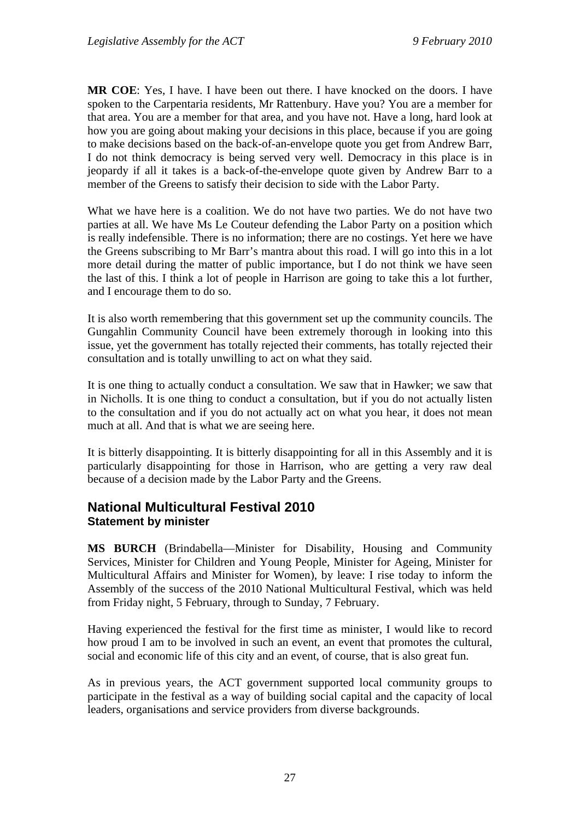**MR COE**: Yes, I have. I have been out there. I have knocked on the doors. I have spoken to the Carpentaria residents, Mr Rattenbury. Have you? You are a member for that area. You are a member for that area, and you have not. Have a long, hard look at how you are going about making your decisions in this place, because if you are going to make decisions based on the back-of-an-envelope quote you get from Andrew Barr, I do not think democracy is being served very well. Democracy in this place is in jeopardy if all it takes is a back-of-the-envelope quote given by Andrew Barr to a member of the Greens to satisfy their decision to side with the Labor Party.

What we have here is a coalition. We do not have two parties. We do not have two parties at all. We have Ms Le Couteur defending the Labor Party on a position which is really indefensible. There is no information; there are no costings. Yet here we have the Greens subscribing to Mr Barr's mantra about this road. I will go into this in a lot more detail during the matter of public importance, but I do not think we have seen the last of this. I think a lot of people in Harrison are going to take this a lot further, and I encourage them to do so.

It is also worth remembering that this government set up the community councils. The Gungahlin Community Council have been extremely thorough in looking into this issue, yet the government has totally rejected their comments, has totally rejected their consultation and is totally unwilling to act on what they said.

It is one thing to actually conduct a consultation. We saw that in Hawker; we saw that in Nicholls. It is one thing to conduct a consultation, but if you do not actually listen to the consultation and if you do not actually act on what you hear, it does not mean much at all. And that is what we are seeing here.

It is bitterly disappointing. It is bitterly disappointing for all in this Assembly and it is particularly disappointing for those in Harrison, who are getting a very raw deal because of a decision made by the Labor Party and the Greens.

## <span id="page-29-0"></span>**National Multicultural Festival 2010 Statement by minister**

**MS BURCH** (Brindabella—Minister for Disability, Housing and Community Services, Minister for Children and Young People, Minister for Ageing, Minister for Multicultural Affairs and Minister for Women), by leave: I rise today to inform the Assembly of the success of the 2010 National Multicultural Festival, which was held from Friday night, 5 February, through to Sunday, 7 February.

Having experienced the festival for the first time as minister, I would like to record how proud I am to be involved in such an event, an event that promotes the cultural, social and economic life of this city and an event, of course, that is also great fun.

As in previous years, the ACT government supported local community groups to participate in the festival as a way of building social capital and the capacity of local leaders, organisations and service providers from diverse backgrounds.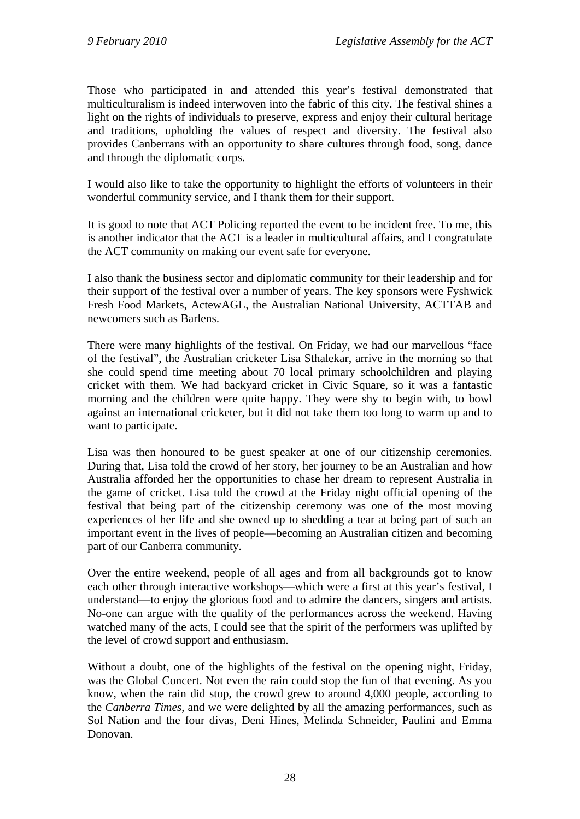Those who participated in and attended this year's festival demonstrated that multiculturalism is indeed interwoven into the fabric of this city. The festival shines a light on the rights of individuals to preserve, express and enjoy their cultural heritage and traditions, upholding the values of respect and diversity. The festival also provides Canberrans with an opportunity to share cultures through food, song, dance and through the diplomatic corps.

I would also like to take the opportunity to highlight the efforts of volunteers in their wonderful community service, and I thank them for their support.

It is good to note that ACT Policing reported the event to be incident free. To me, this is another indicator that the ACT is a leader in multicultural affairs, and I congratulate the ACT community on making our event safe for everyone.

I also thank the business sector and diplomatic community for their leadership and for their support of the festival over a number of years. The key sponsors were Fyshwick Fresh Food Markets, ActewAGL, the Australian National University, ACTTAB and newcomers such as Barlens.

There were many highlights of the festival. On Friday, we had our marvellous "face of the festival", the Australian cricketer Lisa Sthalekar, arrive in the morning so that she could spend time meeting about 70 local primary schoolchildren and playing cricket with them. We had backyard cricket in Civic Square, so it was a fantastic morning and the children were quite happy. They were shy to begin with, to bowl against an international cricketer, but it did not take them too long to warm up and to want to participate.

Lisa was then honoured to be guest speaker at one of our citizenship ceremonies. During that, Lisa told the crowd of her story, her journey to be an Australian and how Australia afforded her the opportunities to chase her dream to represent Australia in the game of cricket. Lisa told the crowd at the Friday night official opening of the festival that being part of the citizenship ceremony was one of the most moving experiences of her life and she owned up to shedding a tear at being part of such an important event in the lives of people—becoming an Australian citizen and becoming part of our Canberra community.

Over the entire weekend, people of all ages and from all backgrounds got to know each other through interactive workshops—which were a first at this year's festival, I understand—to enjoy the glorious food and to admire the dancers, singers and artists. No-one can argue with the quality of the performances across the weekend. Having watched many of the acts, I could see that the spirit of the performers was uplifted by the level of crowd support and enthusiasm.

Without a doubt, one of the highlights of the festival on the opening night, Friday, was the Global Concert. Not even the rain could stop the fun of that evening. As you know, when the rain did stop, the crowd grew to around 4,000 people, according to the *Canberra Times*, and we were delighted by all the amazing performances, such as Sol Nation and the four divas, Deni Hines, Melinda Schneider, Paulini and Emma Donovan.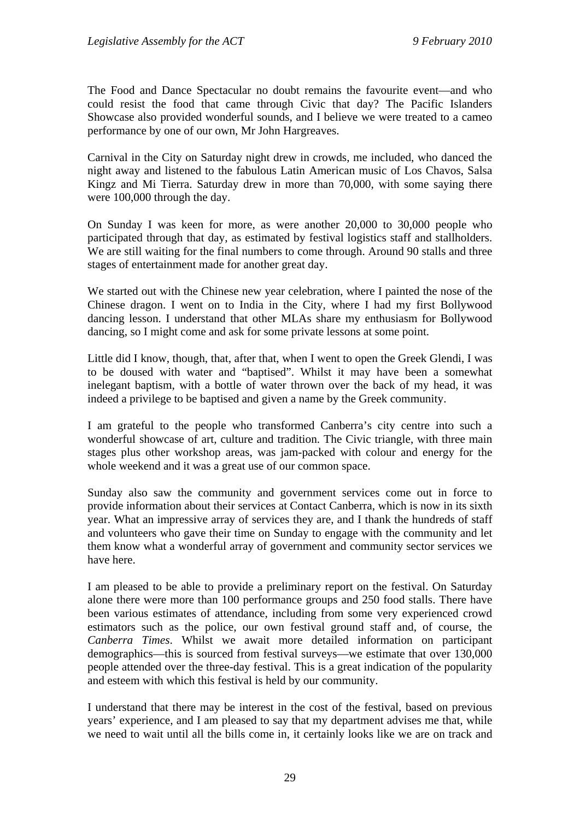The Food and Dance Spectacular no doubt remains the favourite event—and who could resist the food that came through Civic that day? The Pacific Islanders Showcase also provided wonderful sounds, and I believe we were treated to a cameo performance by one of our own, Mr John Hargreaves.

Carnival in the City on Saturday night drew in crowds, me included, who danced the night away and listened to the fabulous Latin American music of Los Chavos, Salsa Kingz and Mi Tierra. Saturday drew in more than 70,000, with some saying there were 100,000 through the day.

On Sunday I was keen for more, as were another 20,000 to 30,000 people who participated through that day, as estimated by festival logistics staff and stallholders. We are still waiting for the final numbers to come through. Around 90 stalls and three stages of entertainment made for another great day.

We started out with the Chinese new year celebration, where I painted the nose of the Chinese dragon. I went on to India in the City, where I had my first Bollywood dancing lesson. I understand that other MLAs share my enthusiasm for Bollywood dancing, so I might come and ask for some private lessons at some point.

Little did I know, though, that, after that, when I went to open the Greek Glendi, I was to be doused with water and "baptised". Whilst it may have been a somewhat inelegant baptism, with a bottle of water thrown over the back of my head, it was indeed a privilege to be baptised and given a name by the Greek community.

I am grateful to the people who transformed Canberra's city centre into such a wonderful showcase of art, culture and tradition. The Civic triangle, with three main stages plus other workshop areas, was jam-packed with colour and energy for the whole weekend and it was a great use of our common space.

Sunday also saw the community and government services come out in force to provide information about their services at Contact Canberra, which is now in its sixth year. What an impressive array of services they are, and I thank the hundreds of staff and volunteers who gave their time on Sunday to engage with the community and let them know what a wonderful array of government and community sector services we have here.

I am pleased to be able to provide a preliminary report on the festival. On Saturday alone there were more than 100 performance groups and 250 food stalls. There have been various estimates of attendance, including from some very experienced crowd estimators such as the police, our own festival ground staff and, of course, the *Canberra Times*. Whilst we await more detailed information on participant demographics—this is sourced from festival surveys—we estimate that over 130,000 people attended over the three-day festival. This is a great indication of the popularity and esteem with which this festival is held by our community.

I understand that there may be interest in the cost of the festival, based on previous years' experience, and I am pleased to say that my department advises me that, while we need to wait until all the bills come in, it certainly looks like we are on track and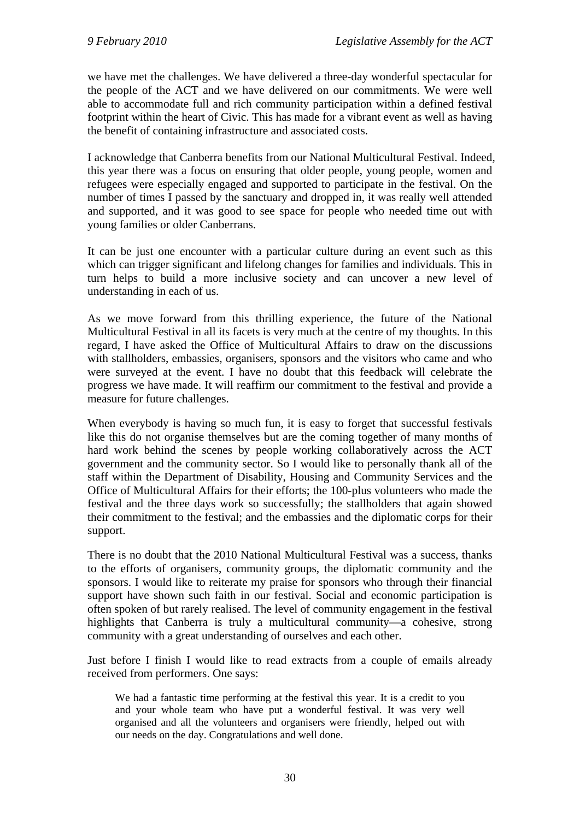we have met the challenges. We have delivered a three-day wonderful spectacular for the people of the ACT and we have delivered on our commitments. We were well able to accommodate full and rich community participation within a defined festival footprint within the heart of Civic. This has made for a vibrant event as well as having the benefit of containing infrastructure and associated costs.

I acknowledge that Canberra benefits from our National Multicultural Festival. Indeed, this year there was a focus on ensuring that older people, young people, women and refugees were especially engaged and supported to participate in the festival. On the number of times I passed by the sanctuary and dropped in, it was really well attended and supported, and it was good to see space for people who needed time out with young families or older Canberrans.

It can be just one encounter with a particular culture during an event such as this which can trigger significant and lifelong changes for families and individuals. This in turn helps to build a more inclusive society and can uncover a new level of understanding in each of us.

As we move forward from this thrilling experience, the future of the National Multicultural Festival in all its facets is very much at the centre of my thoughts. In this regard, I have asked the Office of Multicultural Affairs to draw on the discussions with stallholders, embassies, organisers, sponsors and the visitors who came and who were surveyed at the event. I have no doubt that this feedback will celebrate the progress we have made. It will reaffirm our commitment to the festival and provide a measure for future challenges.

When everybody is having so much fun, it is easy to forget that successful festivals like this do not organise themselves but are the coming together of many months of hard work behind the scenes by people working collaboratively across the ACT government and the community sector. So I would like to personally thank all of the staff within the Department of Disability, Housing and Community Services and the Office of Multicultural Affairs for their efforts; the 100-plus volunteers who made the festival and the three days work so successfully; the stallholders that again showed their commitment to the festival; and the embassies and the diplomatic corps for their support.

There is no doubt that the 2010 National Multicultural Festival was a success, thanks to the efforts of organisers, community groups, the diplomatic community and the sponsors. I would like to reiterate my praise for sponsors who through their financial support have shown such faith in our festival. Social and economic participation is often spoken of but rarely realised. The level of community engagement in the festival highlights that Canberra is truly a multicultural community—a cohesive, strong community with a great understanding of ourselves and each other.

Just before I finish I would like to read extracts from a couple of emails already received from performers. One says:

We had a fantastic time performing at the festival this year. It is a credit to you and your whole team who have put a wonderful festival. It was very well organised and all the volunteers and organisers were friendly, helped out with our needs on the day. Congratulations and well done.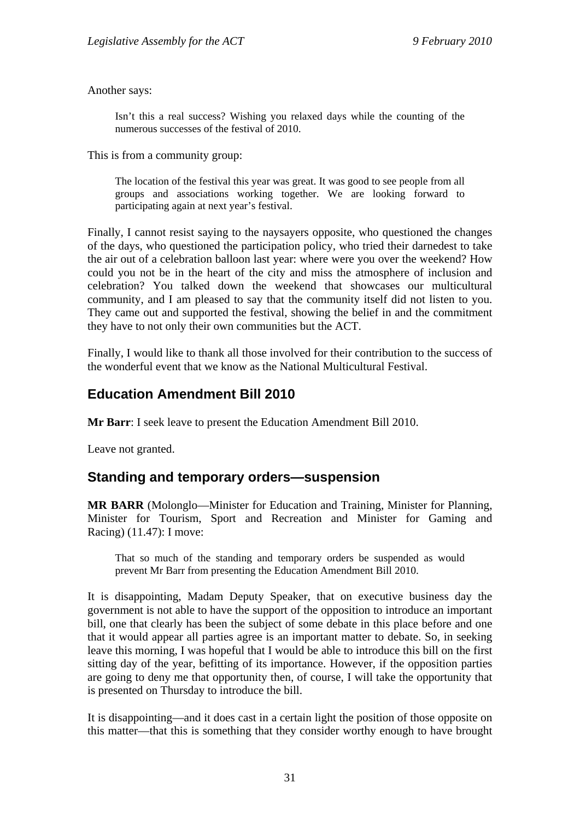Another says:

Isn't this a real success? Wishing you relaxed days while the counting of the numerous successes of the festival of 2010.

This is from a community group:

The location of the festival this year was great. It was good to see people from all groups and associations working together. We are looking forward to participating again at next year's festival.

Finally, I cannot resist saying to the naysayers opposite, who questioned the changes of the days, who questioned the participation policy, who tried their darnedest to take the air out of a celebration balloon last year: where were you over the weekend? How could you not be in the heart of the city and miss the atmosphere of inclusion and celebration? You talked down the weekend that showcases our multicultural community, and I am pleased to say that the community itself did not listen to you. They came out and supported the festival, showing the belief in and the commitment they have to not only their own communities but the ACT.

Finally, I would like to thank all those involved for their contribution to the success of the wonderful event that we know as the National Multicultural Festival.

## <span id="page-33-0"></span>**Education Amendment Bill 2010**

**Mr Barr**: I seek leave to present the Education Amendment Bill 2010.

Leave not granted.

## <span id="page-33-1"></span>**Standing and temporary orders—suspension**

**MR BARR** (Molonglo—Minister for Education and Training, Minister for Planning, Minister for Tourism, Sport and Recreation and Minister for Gaming and Racing) (11.47): I move:

That so much of the standing and temporary orders be suspended as would prevent Mr Barr from presenting the Education Amendment Bill 2010.

It is disappointing, Madam Deputy Speaker, that on executive business day the government is not able to have the support of the opposition to introduce an important bill, one that clearly has been the subject of some debate in this place before and one that it would appear all parties agree is an important matter to debate. So, in seeking leave this morning, I was hopeful that I would be able to introduce this bill on the first sitting day of the year, befitting of its importance. However, if the opposition parties are going to deny me that opportunity then, of course, I will take the opportunity that is presented on Thursday to introduce the bill.

It is disappointing—and it does cast in a certain light the position of those opposite on this matter—that this is something that they consider worthy enough to have brought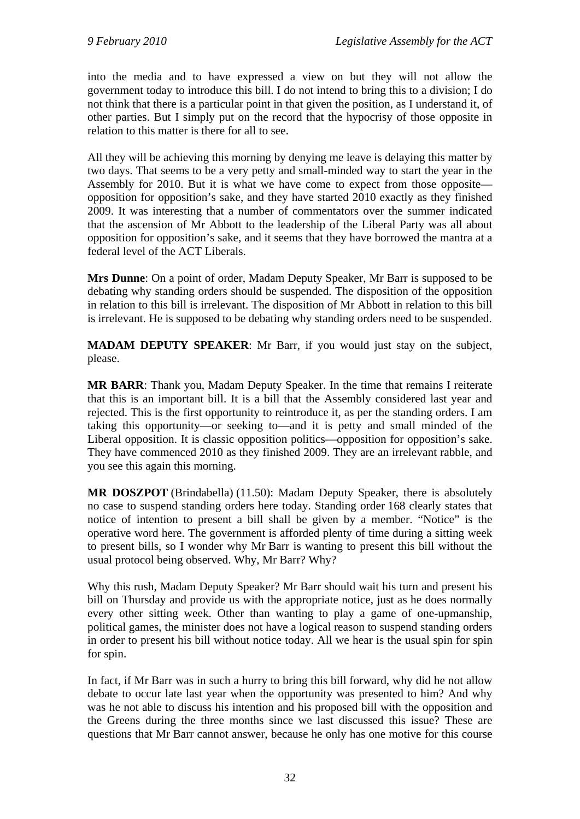into the media and to have expressed a view on but they will not allow the government today to introduce this bill. I do not intend to bring this to a division; I do not think that there is a particular point in that given the position, as I understand it, of other parties. But I simply put on the record that the hypocrisy of those opposite in relation to this matter is there for all to see.

All they will be achieving this morning by denying me leave is delaying this matter by two days. That seems to be a very petty and small-minded way to start the year in the Assembly for 2010. But it is what we have come to expect from those opposite opposition for opposition's sake, and they have started 2010 exactly as they finished 2009. It was interesting that a number of commentators over the summer indicated that the ascension of Mr Abbott to the leadership of the Liberal Party was all about opposition for opposition's sake, and it seems that they have borrowed the mantra at a federal level of the ACT Liberals.

**Mrs Dunne**: On a point of order, Madam Deputy Speaker, Mr Barr is supposed to be debating why standing orders should be suspended. The disposition of the opposition in relation to this bill is irrelevant. The disposition of Mr Abbott in relation to this bill is irrelevant. He is supposed to be debating why standing orders need to be suspended.

**MADAM DEPUTY SPEAKER**: Mr Barr, if you would just stay on the subject, please.

**MR BARR**: Thank you, Madam Deputy Speaker. In the time that remains I reiterate that this is an important bill. It is a bill that the Assembly considered last year and rejected. This is the first opportunity to reintroduce it, as per the standing orders. I am taking this opportunity—or seeking to—and it is petty and small minded of the Liberal opposition. It is classic opposition politics—opposition for opposition's sake. They have commenced 2010 as they finished 2009. They are an irrelevant rabble, and you see this again this morning.

**MR DOSZPOT** (Brindabella) (11.50): Madam Deputy Speaker, there is absolutely no case to suspend standing orders here today. Standing order 168 clearly states that notice of intention to present a bill shall be given by a member. "Notice" is the operative word here. The government is afforded plenty of time during a sitting week to present bills, so I wonder why Mr Barr is wanting to present this bill without the usual protocol being observed. Why, Mr Barr? Why?

Why this rush, Madam Deputy Speaker? Mr Barr should wait his turn and present his bill on Thursday and provide us with the appropriate notice, just as he does normally every other sitting week. Other than wanting to play a game of one-upmanship, political games, the minister does not have a logical reason to suspend standing orders in order to present his bill without notice today. All we hear is the usual spin for spin for spin.

In fact, if Mr Barr was in such a hurry to bring this bill forward, why did he not allow debate to occur late last year when the opportunity was presented to him? And why was he not able to discuss his intention and his proposed bill with the opposition and the Greens during the three months since we last discussed this issue? These are questions that Mr Barr cannot answer, because he only has one motive for this course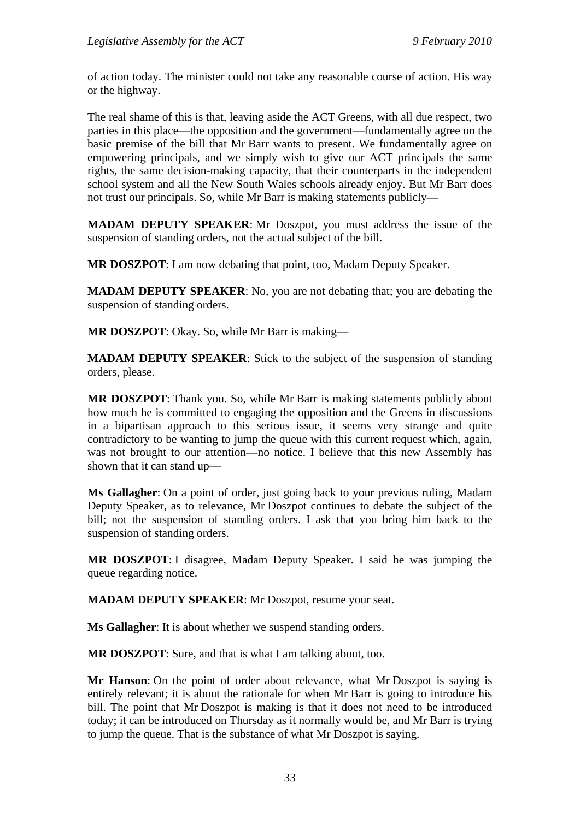of action today. The minister could not take any reasonable course of action. His way or the highway.

The real shame of this is that, leaving aside the ACT Greens, with all due respect, two parties in this place—the opposition and the government—fundamentally agree on the basic premise of the bill that Mr Barr wants to present. We fundamentally agree on empowering principals, and we simply wish to give our ACT principals the same rights, the same decision-making capacity, that their counterparts in the independent school system and all the New South Wales schools already enjoy. But Mr Barr does not trust our principals. So, while Mr Barr is making statements publicly—

**MADAM DEPUTY SPEAKER**: Mr Doszpot, you must address the issue of the suspension of standing orders, not the actual subject of the bill.

**MR DOSZPOT**: I am now debating that point, too, Madam Deputy Speaker.

**MADAM DEPUTY SPEAKER**: No, you are not debating that; you are debating the suspension of standing orders.

**MR DOSZPOT**: Okay. So, while Mr Barr is making—

**MADAM DEPUTY SPEAKER**: Stick to the subject of the suspension of standing orders, please.

**MR DOSZPOT**: Thank you. So, while Mr Barr is making statements publicly about how much he is committed to engaging the opposition and the Greens in discussions in a bipartisan approach to this serious issue, it seems very strange and quite contradictory to be wanting to jump the queue with this current request which, again, was not brought to our attention—no notice. I believe that this new Assembly has shown that it can stand up—

**Ms Gallagher**: On a point of order, just going back to your previous ruling, Madam Deputy Speaker, as to relevance, Mr Doszpot continues to debate the subject of the bill; not the suspension of standing orders. I ask that you bring him back to the suspension of standing orders.

**MR DOSZPOT**: I disagree, Madam Deputy Speaker. I said he was jumping the queue regarding notice.

**MADAM DEPUTY SPEAKER**: Mr Doszpot, resume your seat.

**Ms Gallagher**: It is about whether we suspend standing orders.

**MR DOSZPOT**: Sure, and that is what I am talking about, too.

**Mr Hanson**: On the point of order about relevance, what Mr Doszpot is saying is entirely relevant; it is about the rationale for when Mr Barr is going to introduce his bill. The point that Mr Doszpot is making is that it does not need to be introduced today; it can be introduced on Thursday as it normally would be, and Mr Barr is trying to jump the queue. That is the substance of what Mr Doszpot is saying.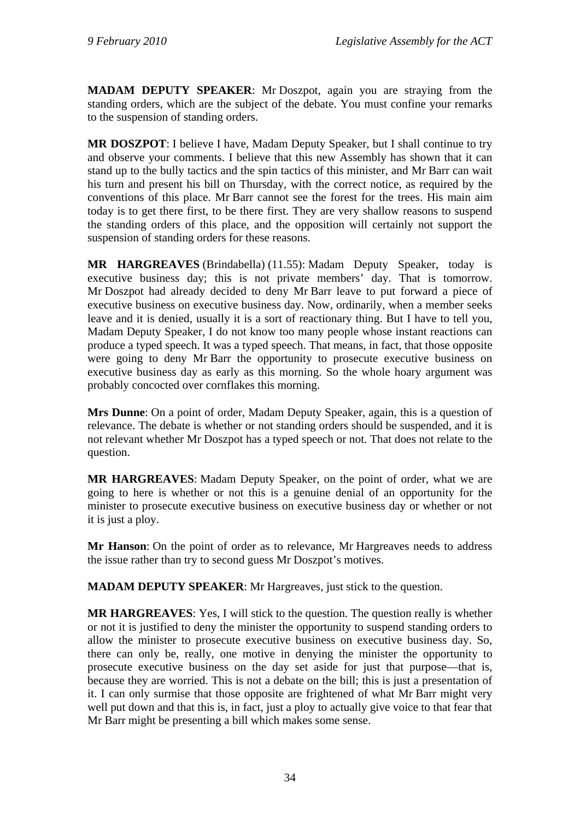**MADAM DEPUTY SPEAKER**: Mr Doszpot, again you are straying from the standing orders, which are the subject of the debate. You must confine your remarks to the suspension of standing orders.

**MR DOSZPOT**: I believe I have, Madam Deputy Speaker, but I shall continue to try and observe your comments. I believe that this new Assembly has shown that it can stand up to the bully tactics and the spin tactics of this minister, and Mr Barr can wait his turn and present his bill on Thursday, with the correct notice, as required by the conventions of this place. Mr Barr cannot see the forest for the trees. His main aim today is to get there first, to be there first. They are very shallow reasons to suspend the standing orders of this place, and the opposition will certainly not support the suspension of standing orders for these reasons.

**MR HARGREAVES** (Brindabella) (11.55): Madam Deputy Speaker, today is executive business day; this is not private members' day. That is tomorrow. Mr Doszpot had already decided to deny Mr Barr leave to put forward a piece of executive business on executive business day. Now, ordinarily, when a member seeks leave and it is denied, usually it is a sort of reactionary thing. But I have to tell you, Madam Deputy Speaker, I do not know too many people whose instant reactions can produce a typed speech. It was a typed speech. That means, in fact, that those opposite were going to deny Mr Barr the opportunity to prosecute executive business on executive business day as early as this morning. So the whole hoary argument was probably concocted over cornflakes this morning.

**Mrs Dunne**: On a point of order, Madam Deputy Speaker, again, this is a question of relevance. The debate is whether or not standing orders should be suspended, and it is not relevant whether Mr Doszpot has a typed speech or not. That does not relate to the question.

**MR HARGREAVES**: Madam Deputy Speaker, on the point of order, what we are going to here is whether or not this is a genuine denial of an opportunity for the minister to prosecute executive business on executive business day or whether or not it is just a ploy.

**Mr Hanson**: On the point of order as to relevance, Mr Hargreaves needs to address the issue rather than try to second guess Mr Doszpot's motives.

**MADAM DEPUTY SPEAKER**: Mr Hargreaves, just stick to the question.

**MR HARGREAVES**: Yes, I will stick to the question. The question really is whether or not it is justified to deny the minister the opportunity to suspend standing orders to allow the minister to prosecute executive business on executive business day. So, there can only be, really, one motive in denying the minister the opportunity to prosecute executive business on the day set aside for just that purpose—that is, because they are worried. This is not a debate on the bill; this is just a presentation of it. I can only surmise that those opposite are frightened of what Mr Barr might very well put down and that this is, in fact, just a ploy to actually give voice to that fear that Mr Barr might be presenting a bill which makes some sense.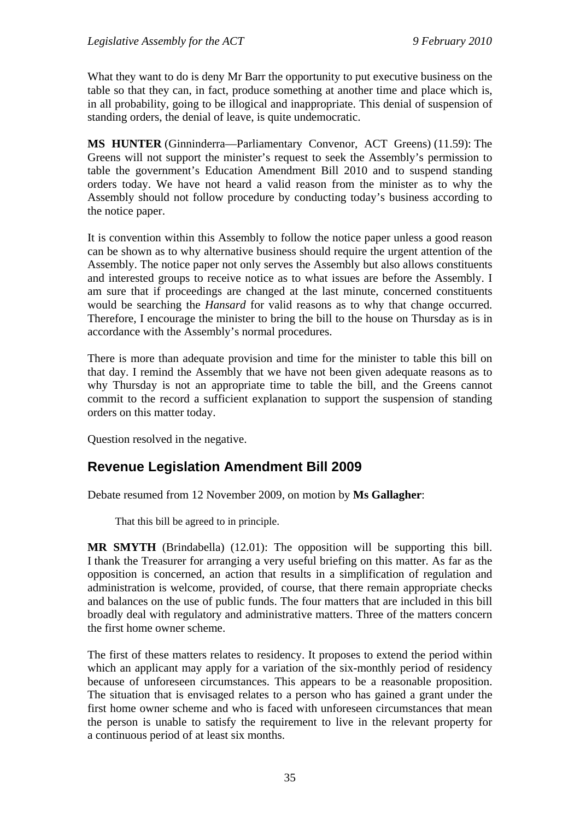What they want to do is deny Mr Barr the opportunity to put executive business on the table so that they can, in fact, produce something at another time and place which is, in all probability, going to be illogical and inappropriate. This denial of suspension of standing orders, the denial of leave, is quite undemocratic.

**MS HUNTER** (Ginninderra—Parliamentary Convenor, ACT Greens) (11.59): The Greens will not support the minister's request to seek the Assembly's permission to table the government's Education Amendment Bill 2010 and to suspend standing orders today. We have not heard a valid reason from the minister as to why the Assembly should not follow procedure by conducting today's business according to the notice paper.

It is convention within this Assembly to follow the notice paper unless a good reason can be shown as to why alternative business should require the urgent attention of the Assembly. The notice paper not only serves the Assembly but also allows constituents and interested groups to receive notice as to what issues are before the Assembly. I am sure that if proceedings are changed at the last minute, concerned constituents would be searching the *Hansard* for valid reasons as to why that change occurred. Therefore, I encourage the minister to bring the bill to the house on Thursday as is in accordance with the Assembly's normal procedures.

There is more than adequate provision and time for the minister to table this bill on that day. I remind the Assembly that we have not been given adequate reasons as to why Thursday is not an appropriate time to table the bill, and the Greens cannot commit to the record a sufficient explanation to support the suspension of standing orders on this matter today.

Question resolved in the negative.

# **Revenue Legislation Amendment Bill 2009**

Debate resumed from 12 November 2009, on motion by **Ms Gallagher**:

That this bill be agreed to in principle.

**MR SMYTH** (Brindabella) (12.01): The opposition will be supporting this bill. I thank the Treasurer for arranging a very useful briefing on this matter. As far as the opposition is concerned, an action that results in a simplification of regulation and administration is welcome, provided, of course, that there remain appropriate checks and balances on the use of public funds. The four matters that are included in this bill broadly deal with regulatory and administrative matters. Three of the matters concern the first home owner scheme.

The first of these matters relates to residency. It proposes to extend the period within which an applicant may apply for a variation of the six-monthly period of residency because of unforeseen circumstances. This appears to be a reasonable proposition. The situation that is envisaged relates to a person who has gained a grant under the first home owner scheme and who is faced with unforeseen circumstances that mean the person is unable to satisfy the requirement to live in the relevant property for a continuous period of at least six months.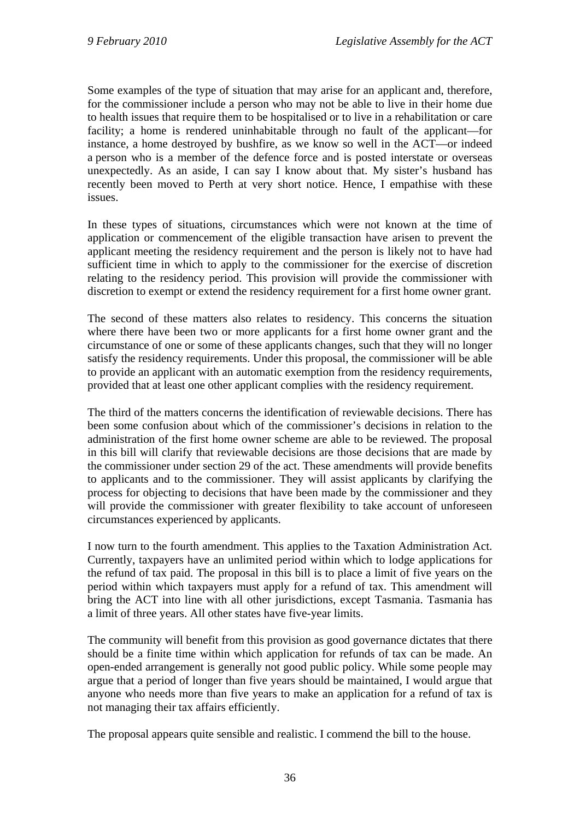Some examples of the type of situation that may arise for an applicant and, therefore, for the commissioner include a person who may not be able to live in their home due to health issues that require them to be hospitalised or to live in a rehabilitation or care facility; a home is rendered uninhabitable through no fault of the applicant—for instance, a home destroyed by bushfire, as we know so well in the ACT—or indeed a person who is a member of the defence force and is posted interstate or overseas unexpectedly. As an aside, I can say I know about that. My sister's husband has recently been moved to Perth at very short notice. Hence, I empathise with these issues.

In these types of situations, circumstances which were not known at the time of application or commencement of the eligible transaction have arisen to prevent the applicant meeting the residency requirement and the person is likely not to have had sufficient time in which to apply to the commissioner for the exercise of discretion relating to the residency period. This provision will provide the commissioner with discretion to exempt or extend the residency requirement for a first home owner grant.

The second of these matters also relates to residency. This concerns the situation where there have been two or more applicants for a first home owner grant and the circumstance of one or some of these applicants changes, such that they will no longer satisfy the residency requirements. Under this proposal, the commissioner will be able to provide an applicant with an automatic exemption from the residency requirements, provided that at least one other applicant complies with the residency requirement.

The third of the matters concerns the identification of reviewable decisions. There has been some confusion about which of the commissioner's decisions in relation to the administration of the first home owner scheme are able to be reviewed. The proposal in this bill will clarify that reviewable decisions are those decisions that are made by the commissioner under section 29 of the act. These amendments will provide benefits to applicants and to the commissioner. They will assist applicants by clarifying the process for objecting to decisions that have been made by the commissioner and they will provide the commissioner with greater flexibility to take account of unforeseen circumstances experienced by applicants.

I now turn to the fourth amendment. This applies to the Taxation Administration Act. Currently, taxpayers have an unlimited period within which to lodge applications for the refund of tax paid. The proposal in this bill is to place a limit of five years on the period within which taxpayers must apply for a refund of tax. This amendment will bring the ACT into line with all other jurisdictions, except Tasmania. Tasmania has a limit of three years. All other states have five-year limits.

The community will benefit from this provision as good governance dictates that there should be a finite time within which application for refunds of tax can be made. An open-ended arrangement is generally not good public policy. While some people may argue that a period of longer than five years should be maintained, I would argue that anyone who needs more than five years to make an application for a refund of tax is not managing their tax affairs efficiently.

The proposal appears quite sensible and realistic. I commend the bill to the house.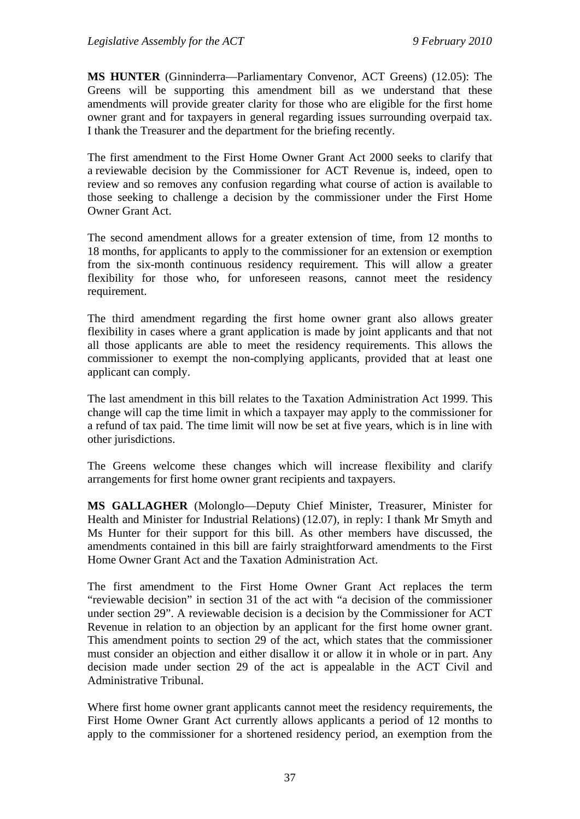**MS HUNTER** (Ginninderra—Parliamentary Convenor, ACT Greens) (12.05): The Greens will be supporting this amendment bill as we understand that these amendments will provide greater clarity for those who are eligible for the first home owner grant and for taxpayers in general regarding issues surrounding overpaid tax. I thank the Treasurer and the department for the briefing recently.

The first amendment to the First Home Owner Grant Act 2000 seeks to clarify that a reviewable decision by the Commissioner for ACT Revenue is, indeed, open to review and so removes any confusion regarding what course of action is available to those seeking to challenge a decision by the commissioner under the First Home Owner Grant Act.

The second amendment allows for a greater extension of time, from 12 months to 18 months, for applicants to apply to the commissioner for an extension or exemption from the six-month continuous residency requirement. This will allow a greater flexibility for those who, for unforeseen reasons, cannot meet the residency requirement.

The third amendment regarding the first home owner grant also allows greater flexibility in cases where a grant application is made by joint applicants and that not all those applicants are able to meet the residency requirements. This allows the commissioner to exempt the non-complying applicants, provided that at least one applicant can comply.

The last amendment in this bill relates to the Taxation Administration Act 1999. This change will cap the time limit in which a taxpayer may apply to the commissioner for a refund of tax paid. The time limit will now be set at five years, which is in line with other jurisdictions.

The Greens welcome these changes which will increase flexibility and clarify arrangements for first home owner grant recipients and taxpayers.

**MS GALLAGHER** (Molonglo—Deputy Chief Minister, Treasurer, Minister for Health and Minister for Industrial Relations) (12.07), in reply: I thank Mr Smyth and Ms Hunter for their support for this bill. As other members have discussed, the amendments contained in this bill are fairly straightforward amendments to the First Home Owner Grant Act and the Taxation Administration Act.

The first amendment to the First Home Owner Grant Act replaces the term "reviewable decision" in section 31 of the act with "a decision of the commissioner under section 29". A reviewable decision is a decision by the Commissioner for ACT Revenue in relation to an objection by an applicant for the first home owner grant. This amendment points to section 29 of the act, which states that the commissioner must consider an objection and either disallow it or allow it in whole or in part. Any decision made under section 29 of the act is appealable in the ACT Civil and Administrative Tribunal.

Where first home owner grant applicants cannot meet the residency requirements, the First Home Owner Grant Act currently allows applicants a period of 12 months to apply to the commissioner for a shortened residency period, an exemption from the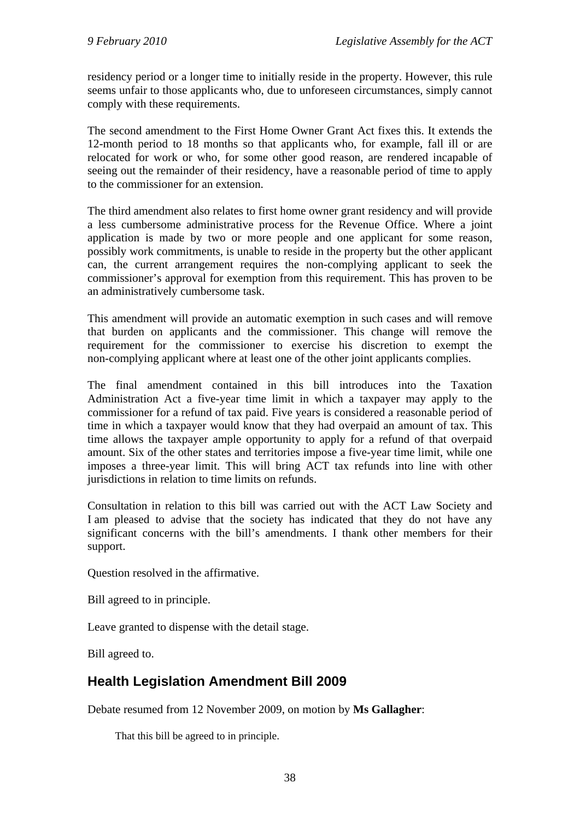residency period or a longer time to initially reside in the property. However, this rule seems unfair to those applicants who, due to unforeseen circumstances, simply cannot comply with these requirements.

The second amendment to the First Home Owner Grant Act fixes this. It extends the 12-month period to 18 months so that applicants who, for example, fall ill or are relocated for work or who, for some other good reason, are rendered incapable of seeing out the remainder of their residency, have a reasonable period of time to apply to the commissioner for an extension.

The third amendment also relates to first home owner grant residency and will provide a less cumbersome administrative process for the Revenue Office. Where a joint application is made by two or more people and one applicant for some reason, possibly work commitments, is unable to reside in the property but the other applicant can, the current arrangement requires the non-complying applicant to seek the commissioner's approval for exemption from this requirement. This has proven to be an administratively cumbersome task.

This amendment will provide an automatic exemption in such cases and will remove that burden on applicants and the commissioner. This change will remove the requirement for the commissioner to exercise his discretion to exempt the non-complying applicant where at least one of the other joint applicants complies.

The final amendment contained in this bill introduces into the Taxation Administration Act a five-year time limit in which a taxpayer may apply to the commissioner for a refund of tax paid. Five years is considered a reasonable period of time in which a taxpayer would know that they had overpaid an amount of tax. This time allows the taxpayer ample opportunity to apply for a refund of that overpaid amount. Six of the other states and territories impose a five-year time limit, while one imposes a three-year limit. This will bring ACT tax refunds into line with other jurisdictions in relation to time limits on refunds.

Consultation in relation to this bill was carried out with the ACT Law Society and I am pleased to advise that the society has indicated that they do not have any significant concerns with the bill's amendments. I thank other members for their support.

Question resolved in the affirmative.

Bill agreed to in principle.

Leave granted to dispense with the detail stage.

Bill agreed to.

# **Health Legislation Amendment Bill 2009**

Debate resumed from 12 November 2009, on motion by **Ms Gallagher**:

That this bill be agreed to in principle.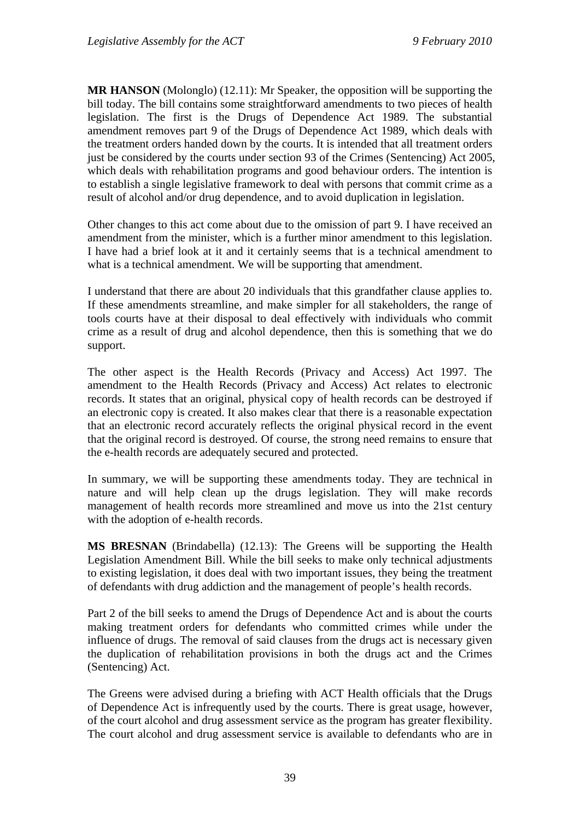**MR HANSON** (Molonglo) (12.11): Mr Speaker, the opposition will be supporting the bill today. The bill contains some straightforward amendments to two pieces of health legislation. The first is the Drugs of Dependence Act 1989. The substantial amendment removes part 9 of the Drugs of Dependence Act 1989, which deals with the treatment orders handed down by the courts. It is intended that all treatment orders just be considered by the courts under section 93 of the Crimes (Sentencing) Act 2005, which deals with rehabilitation programs and good behaviour orders. The intention is to establish a single legislative framework to deal with persons that commit crime as a result of alcohol and/or drug dependence, and to avoid duplication in legislation.

Other changes to this act come about due to the omission of part 9. I have received an amendment from the minister, which is a further minor amendment to this legislation. I have had a brief look at it and it certainly seems that is a technical amendment to what is a technical amendment. We will be supporting that amendment.

I understand that there are about 20 individuals that this grandfather clause applies to. If these amendments streamline, and make simpler for all stakeholders, the range of tools courts have at their disposal to deal effectively with individuals who commit crime as a result of drug and alcohol dependence, then this is something that we do support.

The other aspect is the Health Records (Privacy and Access) Act 1997. The amendment to the Health Records (Privacy and Access) Act relates to electronic records. It states that an original, physical copy of health records can be destroyed if an electronic copy is created. It also makes clear that there is a reasonable expectation that an electronic record accurately reflects the original physical record in the event that the original record is destroyed. Of course, the strong need remains to ensure that the e-health records are adequately secured and protected.

In summary, we will be supporting these amendments today. They are technical in nature and will help clean up the drugs legislation. They will make records management of health records more streamlined and move us into the 21st century with the adoption of e-health records.

**MS BRESNAN** (Brindabella) (12.13): The Greens will be supporting the Health Legislation Amendment Bill. While the bill seeks to make only technical adjustments to existing legislation, it does deal with two important issues, they being the treatment of defendants with drug addiction and the management of people's health records.

Part 2 of the bill seeks to amend the Drugs of Dependence Act and is about the courts making treatment orders for defendants who committed crimes while under the influence of drugs. The removal of said clauses from the drugs act is necessary given the duplication of rehabilitation provisions in both the drugs act and the Crimes (Sentencing) Act.

The Greens were advised during a briefing with ACT Health officials that the Drugs of Dependence Act is infrequently used by the courts. There is great usage, however, of the court alcohol and drug assessment service as the program has greater flexibility. The court alcohol and drug assessment service is available to defendants who are in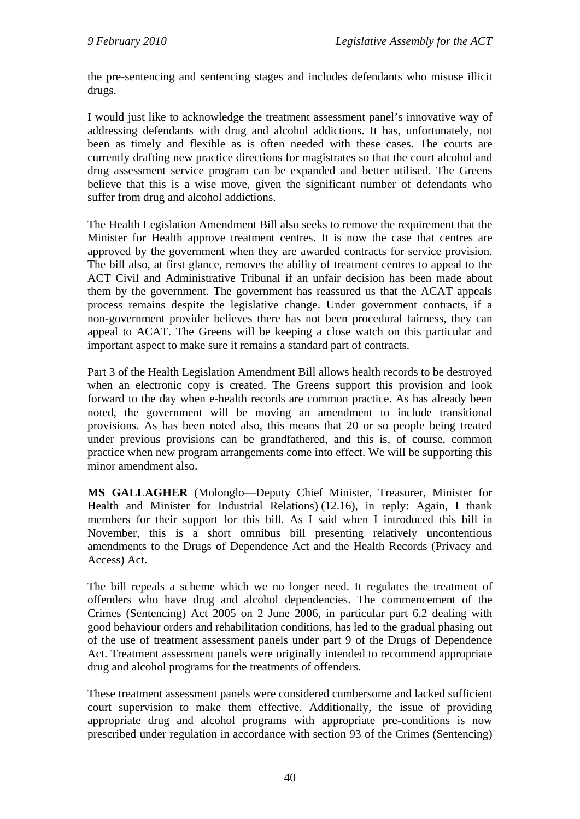the pre-sentencing and sentencing stages and includes defendants who misuse illicit drugs.

I would just like to acknowledge the treatment assessment panel's innovative way of addressing defendants with drug and alcohol addictions. It has, unfortunately, not been as timely and flexible as is often needed with these cases. The courts are currently drafting new practice directions for magistrates so that the court alcohol and drug assessment service program can be expanded and better utilised. The Greens believe that this is a wise move, given the significant number of defendants who suffer from drug and alcohol addictions.

The Health Legislation Amendment Bill also seeks to remove the requirement that the Minister for Health approve treatment centres. It is now the case that centres are approved by the government when they are awarded contracts for service provision. The bill also, at first glance, removes the ability of treatment centres to appeal to the ACT Civil and Administrative Tribunal if an unfair decision has been made about them by the government. The government has reassured us that the ACAT appeals process remains despite the legislative change. Under government contracts, if a non-government provider believes there has not been procedural fairness, they can appeal to ACAT. The Greens will be keeping a close watch on this particular and important aspect to make sure it remains a standard part of contracts.

Part 3 of the Health Legislation Amendment Bill allows health records to be destroyed when an electronic copy is created. The Greens support this provision and look forward to the day when e-health records are common practice. As has already been noted, the government will be moving an amendment to include transitional provisions. As has been noted also, this means that 20 or so people being treated under previous provisions can be grandfathered, and this is, of course, common practice when new program arrangements come into effect. We will be supporting this minor amendment also.

**MS GALLAGHER** (Molonglo—Deputy Chief Minister, Treasurer, Minister for Health and Minister for Industrial Relations) (12.16), in reply: Again, I thank members for their support for this bill. As I said when I introduced this bill in November, this is a short omnibus bill presenting relatively uncontentious amendments to the Drugs of Dependence Act and the Health Records (Privacy and Access) Act.

The bill repeals a scheme which we no longer need. It regulates the treatment of offenders who have drug and alcohol dependencies. The commencement of the Crimes (Sentencing) Act 2005 on 2 June 2006, in particular part 6.2 dealing with good behaviour orders and rehabilitation conditions, has led to the gradual phasing out of the use of treatment assessment panels under part 9 of the Drugs of Dependence Act. Treatment assessment panels were originally intended to recommend appropriate drug and alcohol programs for the treatments of offenders.

These treatment assessment panels were considered cumbersome and lacked sufficient court supervision to make them effective. Additionally, the issue of providing appropriate drug and alcohol programs with appropriate pre-conditions is now prescribed under regulation in accordance with section 93 of the Crimes (Sentencing)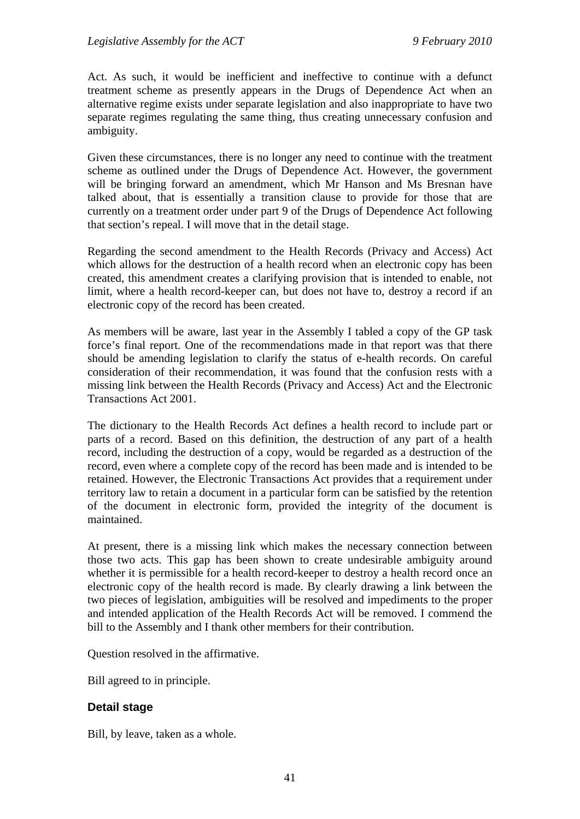Act. As such, it would be inefficient and ineffective to continue with a defunct treatment scheme as presently appears in the Drugs of Dependence Act when an alternative regime exists under separate legislation and also inappropriate to have two separate regimes regulating the same thing, thus creating unnecessary confusion and ambiguity.

Given these circumstances, there is no longer any need to continue with the treatment scheme as outlined under the Drugs of Dependence Act. However, the government will be bringing forward an amendment, which Mr Hanson and Ms Bresnan have talked about, that is essentially a transition clause to provide for those that are currently on a treatment order under part 9 of the Drugs of Dependence Act following that section's repeal. I will move that in the detail stage.

Regarding the second amendment to the Health Records (Privacy and Access) Act which allows for the destruction of a health record when an electronic copy has been created, this amendment creates a clarifying provision that is intended to enable, not limit, where a health record-keeper can, but does not have to, destroy a record if an electronic copy of the record has been created.

As members will be aware, last year in the Assembly I tabled a copy of the GP task force's final report. One of the recommendations made in that report was that there should be amending legislation to clarify the status of e-health records. On careful consideration of their recommendation, it was found that the confusion rests with a missing link between the Health Records (Privacy and Access) Act and the Electronic Transactions Act 2001.

The dictionary to the Health Records Act defines a health record to include part or parts of a record. Based on this definition, the destruction of any part of a health record, including the destruction of a copy, would be regarded as a destruction of the record, even where a complete copy of the record has been made and is intended to be retained. However, the Electronic Transactions Act provides that a requirement under territory law to retain a document in a particular form can be satisfied by the retention of the document in electronic form, provided the integrity of the document is maintained.

At present, there is a missing link which makes the necessary connection between those two acts. This gap has been shown to create undesirable ambiguity around whether it is permissible for a health record-keeper to destroy a health record once an electronic copy of the health record is made. By clearly drawing a link between the two pieces of legislation, ambiguities will be resolved and impediments to the proper and intended application of the Health Records Act will be removed. I commend the bill to the Assembly and I thank other members for their contribution.

Question resolved in the affirmative.

Bill agreed to in principle.

# **Detail stage**

Bill, by leave, taken as a whole.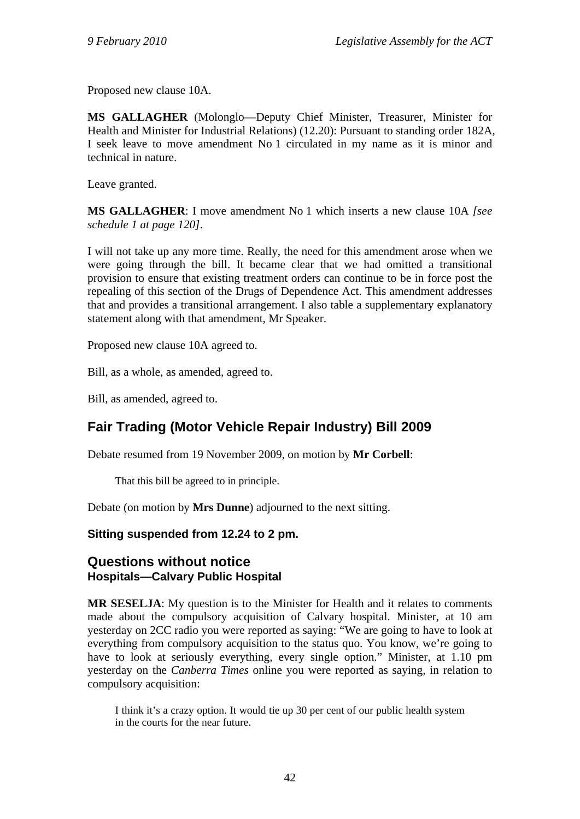Proposed new clause 10A.

**MS GALLAGHER** (Molonglo—Deputy Chief Minister, Treasurer, Minister for Health and Minister for Industrial Relations) (12.20): Pursuant to standing order 182A, I seek leave to move amendment No 1 circulated in my name as it is minor and technical in nature.

Leave granted.

**MS GALLAGHER**: I move amendment No 1 which inserts a new clause 10A *[see schedule 1 at page 120]*.

I will not take up any more time. Really, the need for this amendment arose when we were going through the bill. It became clear that we had omitted a transitional provision to ensure that existing treatment orders can continue to be in force post the repealing of this section of the Drugs of Dependence Act. This amendment addresses that and provides a transitional arrangement. I also table a supplementary explanatory statement along with that amendment, Mr Speaker.

Proposed new clause 10A agreed to.

Bill, as a whole, as amended, agreed to.

Bill, as amended, agreed to.

# **Fair Trading (Motor Vehicle Repair Industry) Bill 2009**

Debate resumed from 19 November 2009, on motion by **Mr Corbell**:

That this bill be agreed to in principle.

Debate (on motion by **Mrs Dunne**) adjourned to the next sitting.

## **Sitting suspended from 12.24 to 2 pm.**

# **Questions without notice Hospitals—Calvary Public Hospital**

**MR SESELJA**: My question is to the Minister for Health and it relates to comments made about the compulsory acquisition of Calvary hospital. Minister, at 10 am yesterday on 2CC radio you were reported as saying: "We are going to have to look at everything from compulsory acquisition to the status quo. You know, we're going to have to look at seriously everything, every single option." Minister, at 1.10 pm yesterday on the *Canberra Times* online you were reported as saying, in relation to compulsory acquisition:

I think it's a crazy option. It would tie up 30 per cent of our public health system in the courts for the near future.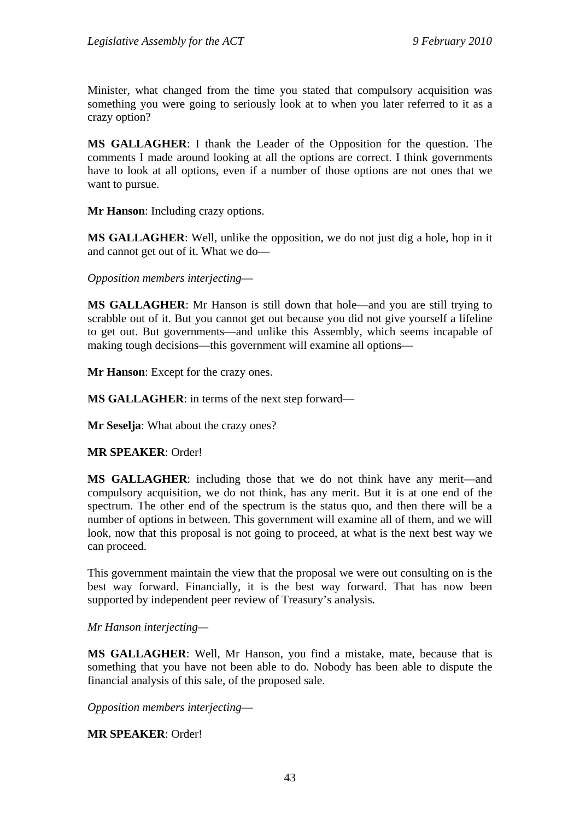Minister, what changed from the time you stated that compulsory acquisition was something you were going to seriously look at to when you later referred to it as a crazy option?

**MS GALLAGHER**: I thank the Leader of the Opposition for the question. The comments I made around looking at all the options are correct. I think governments have to look at all options, even if a number of those options are not ones that we want to pursue.

**Mr Hanson**: Including crazy options.

**MS GALLAGHER**: Well, unlike the opposition, we do not just dig a hole, hop in it and cannot get out of it. What we do—

*Opposition members interjecting*—

**MS GALLAGHER**: Mr Hanson is still down that hole—and you are still trying to scrabble out of it. But you cannot get out because you did not give yourself a lifeline to get out. But governments—and unlike this Assembly, which seems incapable of making tough decisions—this government will examine all options—

**Mr Hanson**: Except for the crazy ones.

**MS GALLAGHER**: in terms of the next step forward—

**Mr Seselja**: What about the crazy ones?

**MR SPEAKER**: Order!

**MS GALLAGHER**: including those that we do not think have any merit—and compulsory acquisition, we do not think, has any merit. But it is at one end of the spectrum. The other end of the spectrum is the status quo, and then there will be a number of options in between. This government will examine all of them, and we will look, now that this proposal is not going to proceed, at what is the next best way we can proceed.

This government maintain the view that the proposal we were out consulting on is the best way forward. Financially, it is the best way forward. That has now been supported by independent peer review of Treasury's analysis.

*Mr Hanson interjecting—* 

**MS GALLAGHER**: Well, Mr Hanson, you find a mistake, mate, because that is something that you have not been able to do. Nobody has been able to dispute the financial analysis of this sale, of the proposed sale.

*Opposition members interjecting*—

**MR SPEAKER**: Order!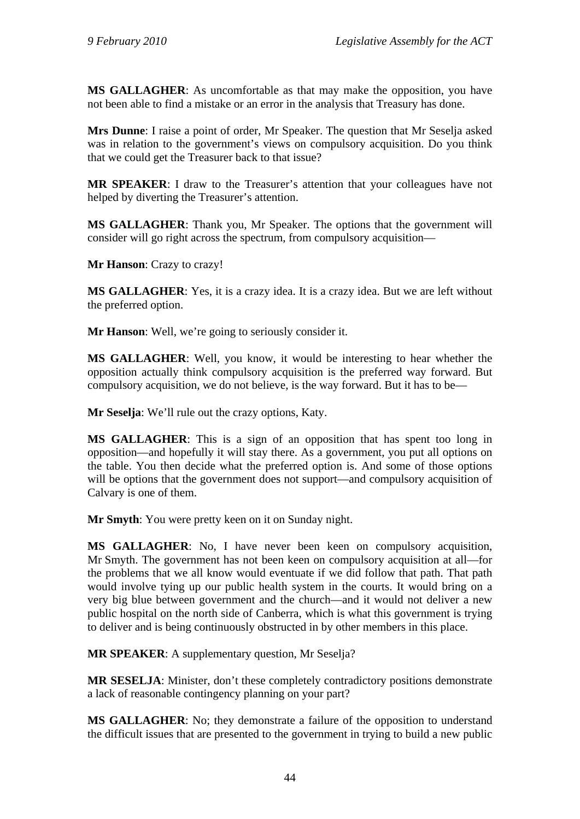**MS GALLAGHER**: As uncomfortable as that may make the opposition, you have not been able to find a mistake or an error in the analysis that Treasury has done.

**Mrs Dunne**: I raise a point of order, Mr Speaker. The question that Mr Seselja asked was in relation to the government's views on compulsory acquisition. Do you think that we could get the Treasurer back to that issue?

**MR SPEAKER**: I draw to the Treasurer's attention that your colleagues have not helped by diverting the Treasurer's attention.

**MS GALLAGHER**: Thank you, Mr Speaker. The options that the government will consider will go right across the spectrum, from compulsory acquisition—

**Mr Hanson**: Crazy to crazy!

**MS GALLAGHER**: Yes, it is a crazy idea. It is a crazy idea. But we are left without the preferred option.

**Mr Hanson**: Well, we're going to seriously consider it.

**MS GALLAGHER**: Well, you know, it would be interesting to hear whether the opposition actually think compulsory acquisition is the preferred way forward. But compulsory acquisition, we do not believe, is the way forward. But it has to be—

**Mr Seselja**: We'll rule out the crazy options, Katy.

**MS GALLAGHER**: This is a sign of an opposition that has spent too long in opposition—and hopefully it will stay there. As a government, you put all options on the table. You then decide what the preferred option is. And some of those options will be options that the government does not support—and compulsory acquisition of Calvary is one of them.

**Mr Smyth**: You were pretty keen on it on Sunday night.

**MS GALLAGHER**: No, I have never been keen on compulsory acquisition, Mr Smyth. The government has not been keen on compulsory acquisition at all—for the problems that we all know would eventuate if we did follow that path. That path would involve tying up our public health system in the courts. It would bring on a very big blue between government and the church—and it would not deliver a new public hospital on the north side of Canberra, which is what this government is trying to deliver and is being continuously obstructed in by other members in this place.

**MR SPEAKER**: A supplementary question, Mr Seselja?

**MR SESELJA**: Minister, don't these completely contradictory positions demonstrate a lack of reasonable contingency planning on your part?

**MS GALLAGHER**: No; they demonstrate a failure of the opposition to understand the difficult issues that are presented to the government in trying to build a new public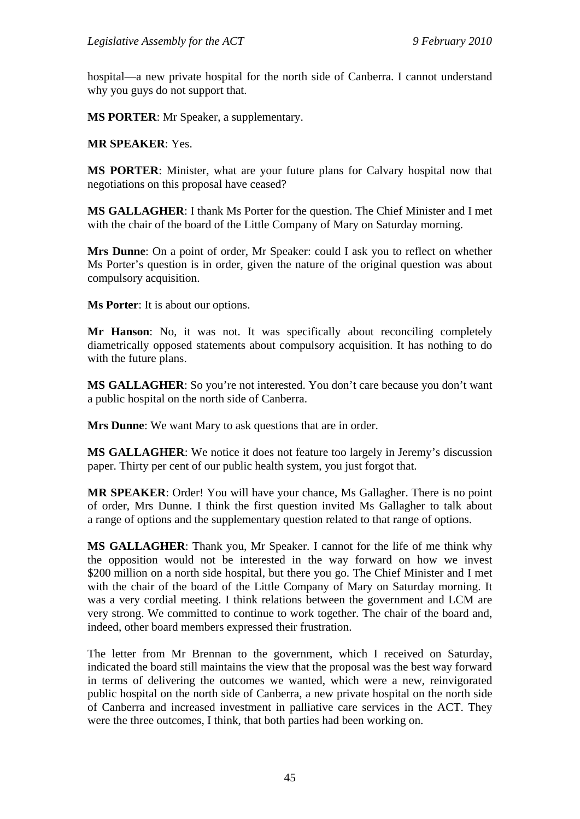hospital—a new private hospital for the north side of Canberra. I cannot understand why you guys do not support that.

**MS PORTER**: Mr Speaker, a supplementary.

**MR SPEAKER**: Yes.

**MS PORTER**: Minister, what are your future plans for Calvary hospital now that negotiations on this proposal have ceased?

**MS GALLAGHER**: I thank Ms Porter for the question. The Chief Minister and I met with the chair of the board of the Little Company of Mary on Saturday morning.

**Mrs Dunne**: On a point of order, Mr Speaker: could I ask you to reflect on whether Ms Porter's question is in order, given the nature of the original question was about compulsory acquisition.

**Ms Porter**: It is about our options.

**Mr Hanson**: No, it was not. It was specifically about reconciling completely diametrically opposed statements about compulsory acquisition. It has nothing to do with the future plans.

**MS GALLAGHER:** So you're not interested. You don't care because you don't want a public hospital on the north side of Canberra.

**Mrs Dunne**: We want Mary to ask questions that are in order.

**MS GALLAGHER:** We notice it does not feature too largely in Jeremy's discussion paper. Thirty per cent of our public health system, you just forgot that.

**MR SPEAKER**: Order! You will have your chance, Ms Gallagher. There is no point of order, Mrs Dunne. I think the first question invited Ms Gallagher to talk about a range of options and the supplementary question related to that range of options.

**MS GALLAGHER**: Thank you, Mr Speaker. I cannot for the life of me think why the opposition would not be interested in the way forward on how we invest \$200 million on a north side hospital, but there you go. The Chief Minister and I met with the chair of the board of the Little Company of Mary on Saturday morning. It was a very cordial meeting. I think relations between the government and LCM are very strong. We committed to continue to work together. The chair of the board and, indeed, other board members expressed their frustration.

The letter from Mr Brennan to the government, which I received on Saturday, indicated the board still maintains the view that the proposal was the best way forward in terms of delivering the outcomes we wanted, which were a new, reinvigorated public hospital on the north side of Canberra, a new private hospital on the north side of Canberra and increased investment in palliative care services in the ACT. They were the three outcomes, I think, that both parties had been working on.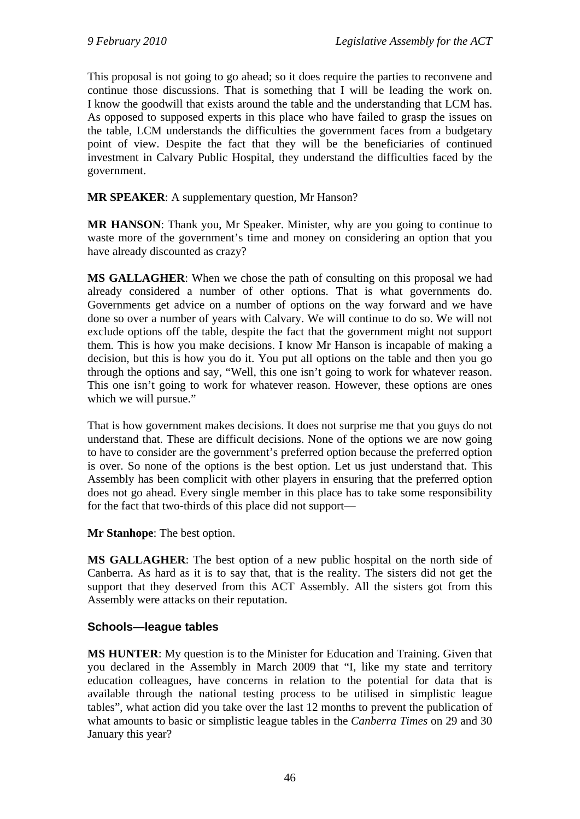This proposal is not going to go ahead; so it does require the parties to reconvene and continue those discussions. That is something that I will be leading the work on. I know the goodwill that exists around the table and the understanding that LCM has. As opposed to supposed experts in this place who have failed to grasp the issues on the table, LCM understands the difficulties the government faces from a budgetary point of view. Despite the fact that they will be the beneficiaries of continued investment in Calvary Public Hospital, they understand the difficulties faced by the government.

**MR SPEAKER**: A supplementary question, Mr Hanson?

**MR HANSON**: Thank you, Mr Speaker. Minister, why are you going to continue to waste more of the government's time and money on considering an option that you have already discounted as crazy?

**MS GALLAGHER**: When we chose the path of consulting on this proposal we had already considered a number of other options. That is what governments do. Governments get advice on a number of options on the way forward and we have done so over a number of years with Calvary. We will continue to do so. We will not exclude options off the table, despite the fact that the government might not support them. This is how you make decisions. I know Mr Hanson is incapable of making a decision, but this is how you do it. You put all options on the table and then you go through the options and say, "Well, this one isn't going to work for whatever reason. This one isn't going to work for whatever reason. However, these options are ones which we will pursue."

That is how government makes decisions. It does not surprise me that you guys do not understand that. These are difficult decisions. None of the options we are now going to have to consider are the government's preferred option because the preferred option is over. So none of the options is the best option. Let us just understand that. This Assembly has been complicit with other players in ensuring that the preferred option does not go ahead. Every single member in this place has to take some responsibility for the fact that two-thirds of this place did not support—

**Mr Stanhope**: The best option.

**MS GALLAGHER**: The best option of a new public hospital on the north side of Canberra. As hard as it is to say that, that is the reality. The sisters did not get the support that they deserved from this ACT Assembly. All the sisters got from this Assembly were attacks on their reputation.

# **Schools—league tables**

**MS HUNTER**: My question is to the Minister for Education and Training. Given that you declared in the Assembly in March 2009 that "I, like my state and territory education colleagues, have concerns in relation to the potential for data that is available through the national testing process to be utilised in simplistic league tables", what action did you take over the last 12 months to prevent the publication of what amounts to basic or simplistic league tables in the *Canberra Times* on 29 and 30 January this year?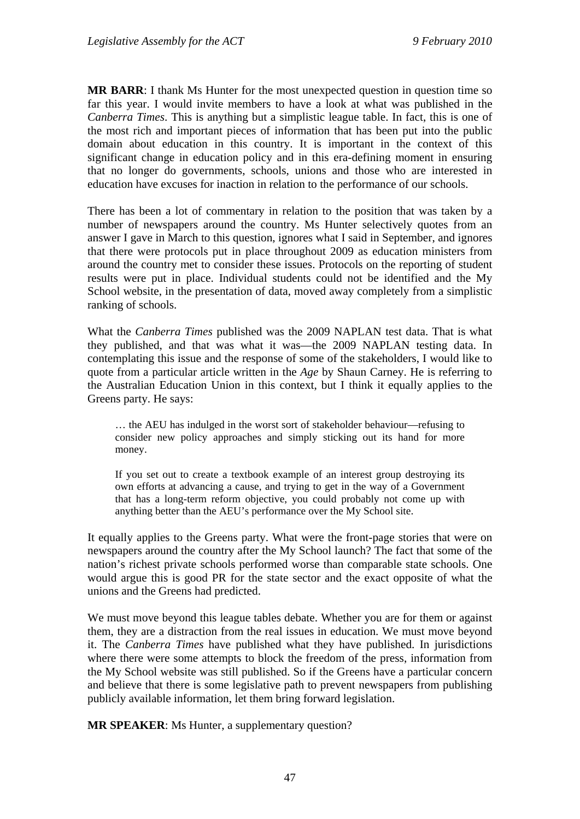**MR BARR**: I thank Ms Hunter for the most unexpected question in question time so far this year. I would invite members to have a look at what was published in the *Canberra Times*. This is anything but a simplistic league table. In fact, this is one of the most rich and important pieces of information that has been put into the public domain about education in this country. It is important in the context of this significant change in education policy and in this era-defining moment in ensuring that no longer do governments, schools, unions and those who are interested in education have excuses for inaction in relation to the performance of our schools.

There has been a lot of commentary in relation to the position that was taken by a number of newspapers around the country. Ms Hunter selectively quotes from an answer I gave in March to this question, ignores what I said in September, and ignores that there were protocols put in place throughout 2009 as education ministers from around the country met to consider these issues. Protocols on the reporting of student results were put in place. Individual students could not be identified and the My School website, in the presentation of data, moved away completely from a simplistic ranking of schools.

What the *Canberra Times* published was the 2009 NAPLAN test data. That is what they published, and that was what it was—the 2009 NAPLAN testing data. In contemplating this issue and the response of some of the stakeholders, I would like to quote from a particular article written in the *Age* by Shaun Carney. He is referring to the Australian Education Union in this context, but I think it equally applies to the Greens party. He says:

… the AEU has indulged in the worst sort of stakeholder behaviour—refusing to consider new policy approaches and simply sticking out its hand for more money.

If you set out to create a textbook example of an interest group destroying its own efforts at advancing a cause, and trying to get in the way of a Government that has a long-term reform objective, you could probably not come up with anything better than the AEU's performance over the My School site.

It equally applies to the Greens party. What were the front-page stories that were on newspapers around the country after the My School launch? The fact that some of the nation's richest private schools performed worse than comparable state schools. One would argue this is good PR for the state sector and the exact opposite of what the unions and the Greens had predicted.

We must move beyond this league tables debate. Whether you are for them or against them, they are a distraction from the real issues in education. We must move beyond it. The *Canberra Times* have published what they have published. In jurisdictions where there were some attempts to block the freedom of the press, information from the My School website was still published. So if the Greens have a particular concern and believe that there is some legislative path to prevent newspapers from publishing publicly available information, let them bring forward legislation.

**MR SPEAKER:** Ms Hunter, a supplementary question?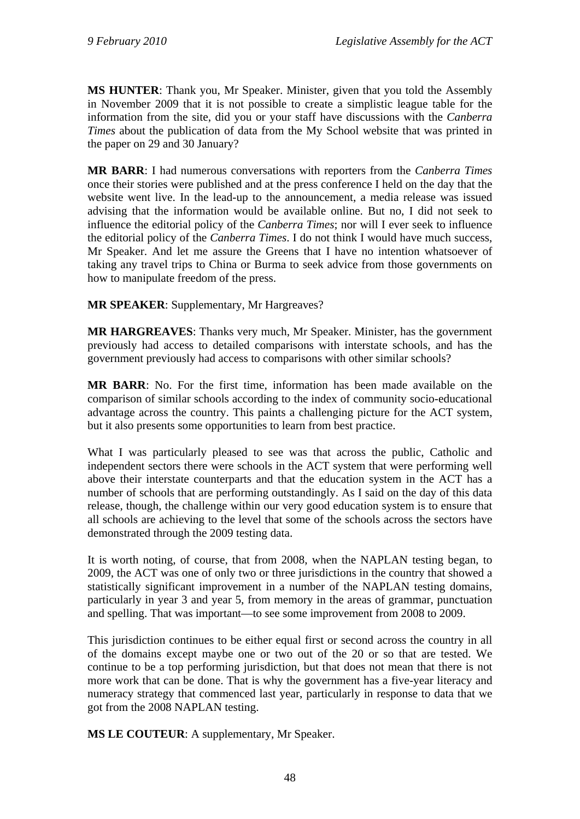**MS HUNTER**: Thank you, Mr Speaker. Minister, given that you told the Assembly in November 2009 that it is not possible to create a simplistic league table for the information from the site, did you or your staff have discussions with the *Canberra Times* about the publication of data from the My School website that was printed in the paper on 29 and 30 January?

**MR BARR**: I had numerous conversations with reporters from the *Canberra Times* once their stories were published and at the press conference I held on the day that the website went live. In the lead-up to the announcement, a media release was issued advising that the information would be available online. But no, I did not seek to influence the editorial policy of the *Canberra Times*; nor will I ever seek to influence the editorial policy of the *Canberra Times*. I do not think I would have much success, Mr Speaker. And let me assure the Greens that I have no intention whatsoever of taking any travel trips to China or Burma to seek advice from those governments on how to manipulate freedom of the press.

**MR SPEAKER**: Supplementary, Mr Hargreaves?

**MR HARGREAVES**: Thanks very much, Mr Speaker. Minister, has the government previously had access to detailed comparisons with interstate schools, and has the government previously had access to comparisons with other similar schools?

**MR BARR**: No. For the first time, information has been made available on the comparison of similar schools according to the index of community socio-educational advantage across the country. This paints a challenging picture for the ACT system, but it also presents some opportunities to learn from best practice.

What I was particularly pleased to see was that across the public, Catholic and independent sectors there were schools in the ACT system that were performing well above their interstate counterparts and that the education system in the ACT has a number of schools that are performing outstandingly. As I said on the day of this data release, though, the challenge within our very good education system is to ensure that all schools are achieving to the level that some of the schools across the sectors have demonstrated through the 2009 testing data.

It is worth noting, of course, that from 2008, when the NAPLAN testing began, to 2009, the ACT was one of only two or three jurisdictions in the country that showed a statistically significant improvement in a number of the NAPLAN testing domains, particularly in year 3 and year 5, from memory in the areas of grammar, punctuation and spelling. That was important—to see some improvement from 2008 to 2009.

This jurisdiction continues to be either equal first or second across the country in all of the domains except maybe one or two out of the 20 or so that are tested. We continue to be a top performing jurisdiction, but that does not mean that there is not more work that can be done. That is why the government has a five-year literacy and numeracy strategy that commenced last year, particularly in response to data that we got from the 2008 NAPLAN testing.

**MS LE COUTEUR**: A supplementary, Mr Speaker.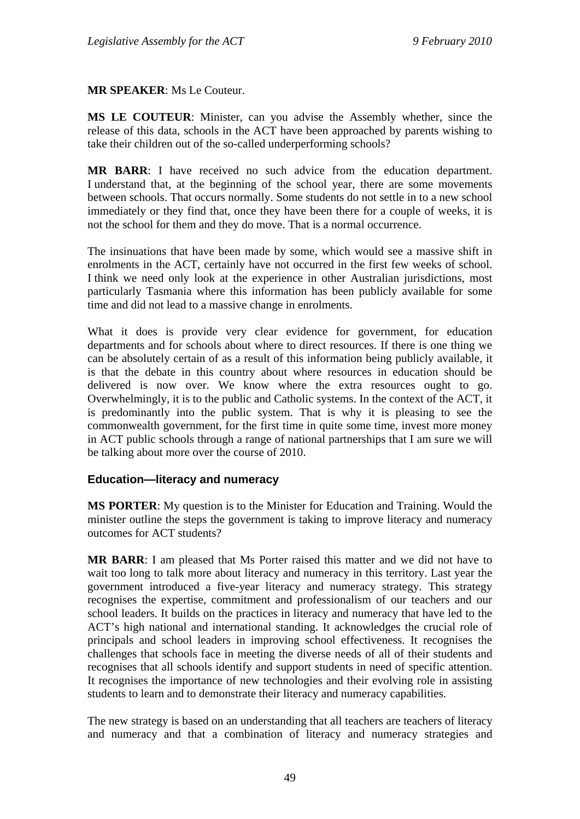#### **MR SPEAKER**: Ms Le Couteur.

**MS LE COUTEUR**: Minister, can you advise the Assembly whether, since the release of this data, schools in the ACT have been approached by parents wishing to take their children out of the so-called underperforming schools?

**MR BARR**: I have received no such advice from the education department. I understand that, at the beginning of the school year, there are some movements between schools. That occurs normally. Some students do not settle in to a new school immediately or they find that, once they have been there for a couple of weeks, it is not the school for them and they do move. That is a normal occurrence.

The insinuations that have been made by some, which would see a massive shift in enrolments in the ACT, certainly have not occurred in the first few weeks of school. I think we need only look at the experience in other Australian jurisdictions, most particularly Tasmania where this information has been publicly available for some time and did not lead to a massive change in enrolments.

What it does is provide very clear evidence for government, for education departments and for schools about where to direct resources. If there is one thing we can be absolutely certain of as a result of this information being publicly available, it is that the debate in this country about where resources in education should be delivered is now over. We know where the extra resources ought to go. Overwhelmingly, it is to the public and Catholic systems. In the context of the ACT, it is predominantly into the public system. That is why it is pleasing to see the commonwealth government, for the first time in quite some time, invest more money in ACT public schools through a range of national partnerships that I am sure we will be talking about more over the course of 2010.

#### **Education—literacy and numeracy**

**MS PORTER**: My question is to the Minister for Education and Training. Would the minister outline the steps the government is taking to improve literacy and numeracy outcomes for ACT students?

**MR BARR**: I am pleased that Ms Porter raised this matter and we did not have to wait too long to talk more about literacy and numeracy in this territory. Last year the government introduced a five-year literacy and numeracy strategy. This strategy recognises the expertise, commitment and professionalism of our teachers and our school leaders. It builds on the practices in literacy and numeracy that have led to the ACT's high national and international standing. It acknowledges the crucial role of principals and school leaders in improving school effectiveness. It recognises the challenges that schools face in meeting the diverse needs of all of their students and recognises that all schools identify and support students in need of specific attention. It recognises the importance of new technologies and their evolving role in assisting students to learn and to demonstrate their literacy and numeracy capabilities.

The new strategy is based on an understanding that all teachers are teachers of literacy and numeracy and that a combination of literacy and numeracy strategies and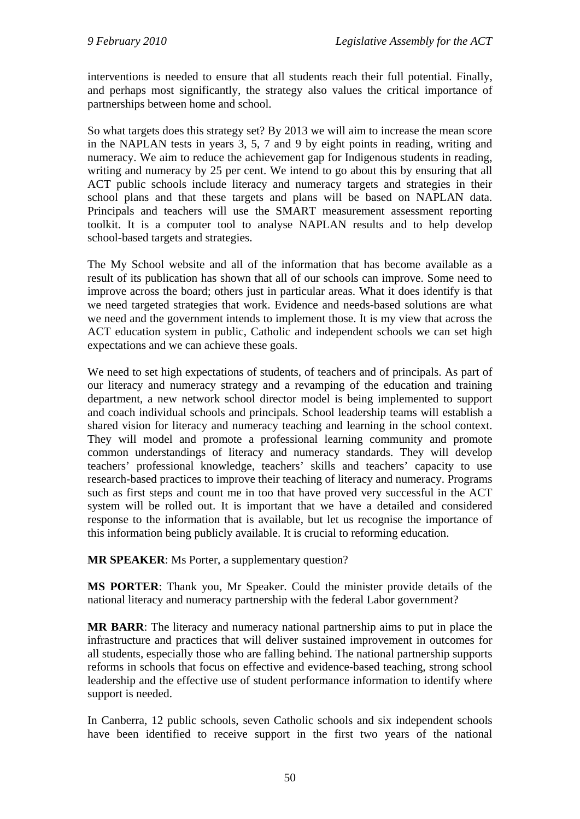interventions is needed to ensure that all students reach their full potential. Finally, and perhaps most significantly, the strategy also values the critical importance of partnerships between home and school.

So what targets does this strategy set? By 2013 we will aim to increase the mean score in the NAPLAN tests in years 3, 5, 7 and 9 by eight points in reading, writing and numeracy. We aim to reduce the achievement gap for Indigenous students in reading, writing and numeracy by 25 per cent. We intend to go about this by ensuring that all ACT public schools include literacy and numeracy targets and strategies in their school plans and that these targets and plans will be based on NAPLAN data. Principals and teachers will use the SMART measurement assessment reporting toolkit. It is a computer tool to analyse NAPLAN results and to help develop school-based targets and strategies.

The My School website and all of the information that has become available as a result of its publication has shown that all of our schools can improve. Some need to improve across the board; others just in particular areas. What it does identify is that we need targeted strategies that work. Evidence and needs-based solutions are what we need and the government intends to implement those. It is my view that across the ACT education system in public, Catholic and independent schools we can set high expectations and we can achieve these goals.

We need to set high expectations of students, of teachers and of principals. As part of our literacy and numeracy strategy and a revamping of the education and training department, a new network school director model is being implemented to support and coach individual schools and principals. School leadership teams will establish a shared vision for literacy and numeracy teaching and learning in the school context. They will model and promote a professional learning community and promote common understandings of literacy and numeracy standards. They will develop teachers' professional knowledge, teachers' skills and teachers' capacity to use research-based practices to improve their teaching of literacy and numeracy. Programs such as first steps and count me in too that have proved very successful in the ACT system will be rolled out. It is important that we have a detailed and considered response to the information that is available, but let us recognise the importance of this information being publicly available. It is crucial to reforming education.

**MR SPEAKER**: Ms Porter, a supplementary question?

**MS PORTER**: Thank you, Mr Speaker. Could the minister provide details of the national literacy and numeracy partnership with the federal Labor government?

**MR BARR**: The literacy and numeracy national partnership aims to put in place the infrastructure and practices that will deliver sustained improvement in outcomes for all students, especially those who are falling behind. The national partnership supports reforms in schools that focus on effective and evidence-based teaching, strong school leadership and the effective use of student performance information to identify where support is needed.

In Canberra, 12 public schools, seven Catholic schools and six independent schools have been identified to receive support in the first two years of the national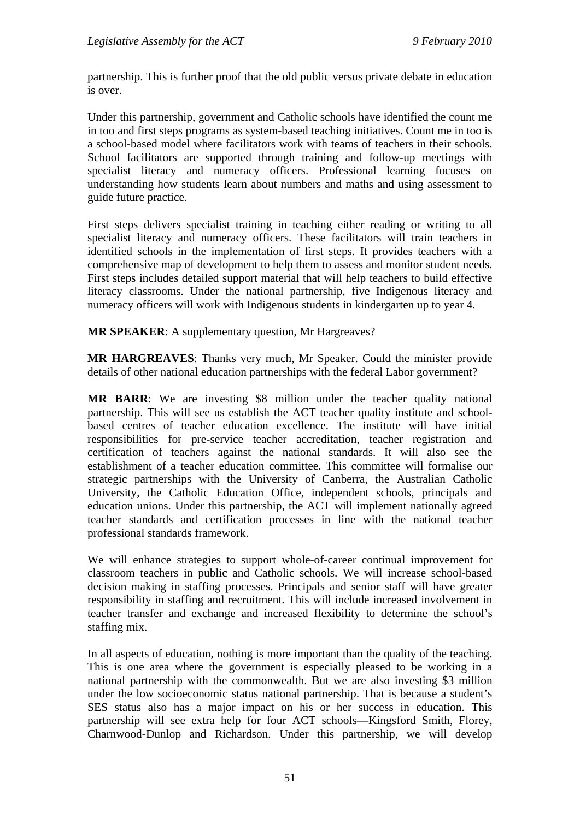partnership. This is further proof that the old public versus private debate in education is over.

Under this partnership, government and Catholic schools have identified the count me in too and first steps programs as system-based teaching initiatives. Count me in too is a school-based model where facilitators work with teams of teachers in their schools. School facilitators are supported through training and follow-up meetings with specialist literacy and numeracy officers. Professional learning focuses on understanding how students learn about numbers and maths and using assessment to guide future practice.

First steps delivers specialist training in teaching either reading or writing to all specialist literacy and numeracy officers. These facilitators will train teachers in identified schools in the implementation of first steps. It provides teachers with a comprehensive map of development to help them to assess and monitor student needs. First steps includes detailed support material that will help teachers to build effective literacy classrooms. Under the national partnership, five Indigenous literacy and numeracy officers will work with Indigenous students in kindergarten up to year 4.

**MR SPEAKER**: A supplementary question, Mr Hargreaves?

**MR HARGREAVES**: Thanks very much, Mr Speaker. Could the minister provide details of other national education partnerships with the federal Labor government?

**MR BARR**: We are investing \$8 million under the teacher quality national partnership. This will see us establish the ACT teacher quality institute and schoolbased centres of teacher education excellence. The institute will have initial responsibilities for pre-service teacher accreditation, teacher registration and certification of teachers against the national standards. It will also see the establishment of a teacher education committee. This committee will formalise our strategic partnerships with the University of Canberra, the Australian Catholic University, the Catholic Education Office, independent schools, principals and education unions. Under this partnership, the ACT will implement nationally agreed teacher standards and certification processes in line with the national teacher professional standards framework.

We will enhance strategies to support whole-of-career continual improvement for classroom teachers in public and Catholic schools. We will increase school-based decision making in staffing processes. Principals and senior staff will have greater responsibility in staffing and recruitment. This will include increased involvement in teacher transfer and exchange and increased flexibility to determine the school's staffing mix.

In all aspects of education, nothing is more important than the quality of the teaching. This is one area where the government is especially pleased to be working in a national partnership with the commonwealth. But we are also investing \$3 million under the low socioeconomic status national partnership. That is because a student's SES status also has a major impact on his or her success in education. This partnership will see extra help for four ACT schools—Kingsford Smith, Florey, Charnwood-Dunlop and Richardson. Under this partnership, we will develop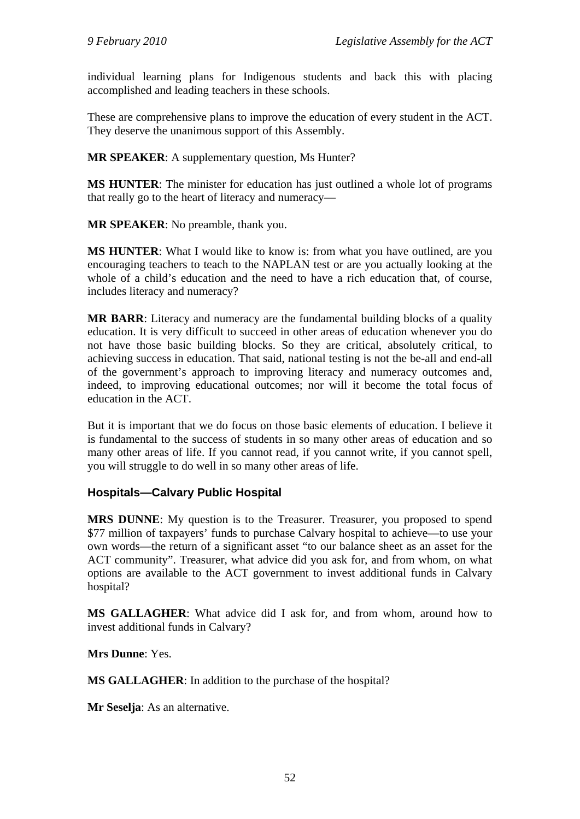individual learning plans for Indigenous students and back this with placing accomplished and leading teachers in these schools.

These are comprehensive plans to improve the education of every student in the ACT. They deserve the unanimous support of this Assembly.

**MR SPEAKER**: A supplementary question, Ms Hunter?

**MS HUNTER**: The minister for education has just outlined a whole lot of programs that really go to the heart of literacy and numeracy—

**MR SPEAKER**: No preamble, thank you.

**MS HUNTER:** What I would like to know is: from what you have outlined, are you encouraging teachers to teach to the NAPLAN test or are you actually looking at the whole of a child's education and the need to have a rich education that, of course, includes literacy and numeracy?

**MR BARR**: Literacy and numeracy are the fundamental building blocks of a quality education. It is very difficult to succeed in other areas of education whenever you do not have those basic building blocks. So they are critical, absolutely critical, to achieving success in education. That said, national testing is not the be-all and end-all of the government's approach to improving literacy and numeracy outcomes and, indeed, to improving educational outcomes; nor will it become the total focus of education in the ACT.

But it is important that we do focus on those basic elements of education. I believe it is fundamental to the success of students in so many other areas of education and so many other areas of life. If you cannot read, if you cannot write, if you cannot spell, you will struggle to do well in so many other areas of life.

# **Hospitals—Calvary Public Hospital**

**MRS DUNNE**: My question is to the Treasurer. Treasurer, you proposed to spend \$77 million of taxpayers' funds to purchase Calvary hospital to achieve—to use your own words—the return of a significant asset "to our balance sheet as an asset for the ACT community". Treasurer, what advice did you ask for, and from whom, on what options are available to the ACT government to invest additional funds in Calvary hospital?

**MS GALLAGHER**: What advice did I ask for, and from whom, around how to invest additional funds in Calvary?

**Mrs Dunne**: Yes.

**MS GALLAGHER**: In addition to the purchase of the hospital?

**Mr Seselja**: As an alternative.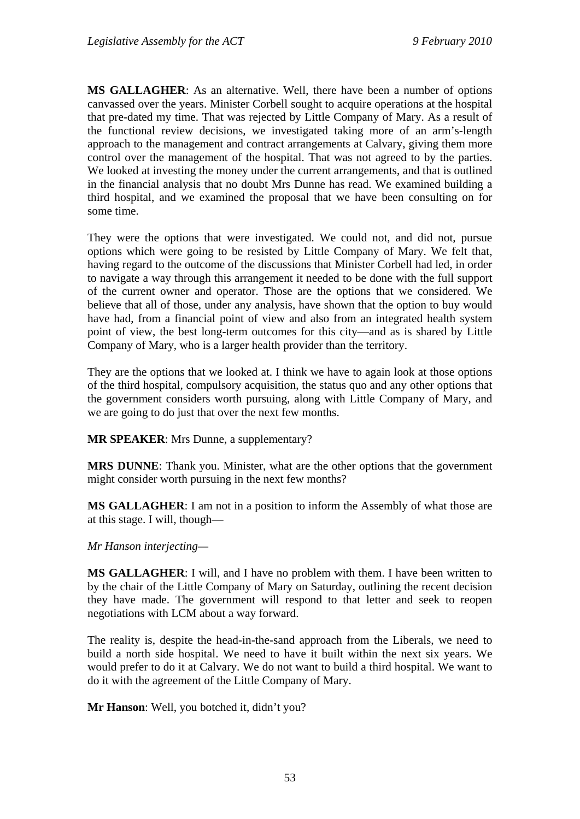**MS GALLAGHER**: As an alternative. Well, there have been a number of options canvassed over the years. Minister Corbell sought to acquire operations at the hospital that pre-dated my time. That was rejected by Little Company of Mary. As a result of the functional review decisions, we investigated taking more of an arm's-length approach to the management and contract arrangements at Calvary, giving them more control over the management of the hospital. That was not agreed to by the parties. We looked at investing the money under the current arrangements, and that is outlined in the financial analysis that no doubt Mrs Dunne has read. We examined building a third hospital, and we examined the proposal that we have been consulting on for some time.

They were the options that were investigated. We could not, and did not, pursue options which were going to be resisted by Little Company of Mary. We felt that, having regard to the outcome of the discussions that Minister Corbell had led, in order to navigate a way through this arrangement it needed to be done with the full support of the current owner and operator. Those are the options that we considered. We believe that all of those, under any analysis, have shown that the option to buy would have had, from a financial point of view and also from an integrated health system point of view, the best long-term outcomes for this city—and as is shared by Little Company of Mary, who is a larger health provider than the territory.

They are the options that we looked at. I think we have to again look at those options of the third hospital, compulsory acquisition, the status quo and any other options that the government considers worth pursuing, along with Little Company of Mary, and we are going to do just that over the next few months.

**MR SPEAKER**: Mrs Dunne, a supplementary?

**MRS DUNNE**: Thank you. Minister, what are the other options that the government might consider worth pursuing in the next few months?

**MS GALLAGHER**: I am not in a position to inform the Assembly of what those are at this stage. I will, though—

*Mr Hanson interjecting—* 

**MS GALLAGHER**: I will, and I have no problem with them. I have been written to by the chair of the Little Company of Mary on Saturday, outlining the recent decision they have made. The government will respond to that letter and seek to reopen negotiations with LCM about a way forward.

The reality is, despite the head-in-the-sand approach from the Liberals, we need to build a north side hospital. We need to have it built within the next six years. We would prefer to do it at Calvary. We do not want to build a third hospital. We want to do it with the agreement of the Little Company of Mary.

**Mr Hanson**: Well, you botched it, didn't you?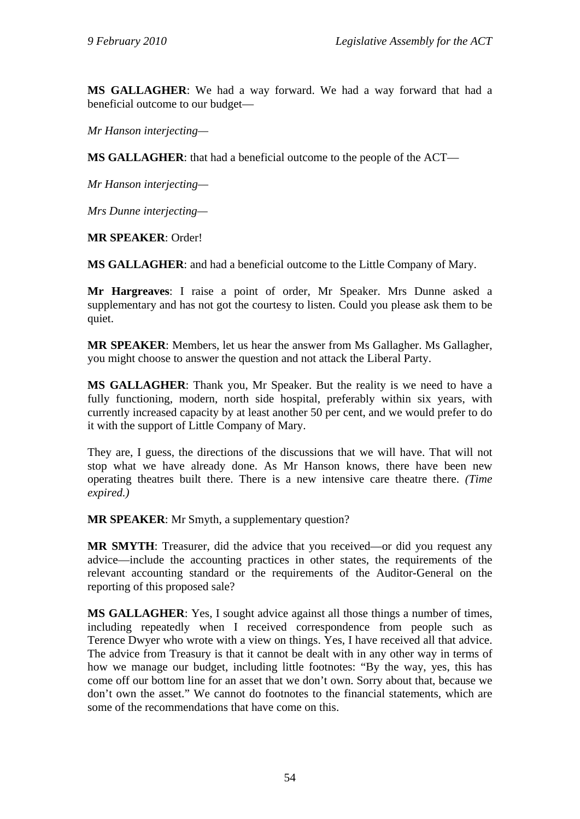**MS GALLAGHER**: We had a way forward. We had a way forward that had a beneficial outcome to our budget—

*Mr Hanson interjecting—* 

**MS GALLAGHER**: that had a beneficial outcome to the people of the ACT—

*Mr Hanson interjecting—* 

*Mrs Dunne interjecting—* 

**MR SPEAKER**: Order!

**MS GALLAGHER**: and had a beneficial outcome to the Little Company of Mary.

**Mr Hargreaves**: I raise a point of order, Mr Speaker. Mrs Dunne asked a supplementary and has not got the courtesy to listen. Could you please ask them to be quiet.

**MR SPEAKER**: Members, let us hear the answer from Ms Gallagher. Ms Gallagher, you might choose to answer the question and not attack the Liberal Party.

**MS GALLAGHER**: Thank you, Mr Speaker. But the reality is we need to have a fully functioning, modern, north side hospital, preferably within six years, with currently increased capacity by at least another 50 per cent, and we would prefer to do it with the support of Little Company of Mary.

They are, I guess, the directions of the discussions that we will have. That will not stop what we have already done. As Mr Hanson knows, there have been new operating theatres built there. There is a new intensive care theatre there. *(Time expired.)*

**MR SPEAKER**: Mr Smyth, a supplementary question?

**MR SMYTH**: Treasurer, did the advice that you received—or did you request any advice—include the accounting practices in other states, the requirements of the relevant accounting standard or the requirements of the Auditor-General on the reporting of this proposed sale?

**MS GALLAGHER:** Yes, I sought advice against all those things a number of times, including repeatedly when I received correspondence from people such as Terence Dwyer who wrote with a view on things. Yes, I have received all that advice. The advice from Treasury is that it cannot be dealt with in any other way in terms of how we manage our budget, including little footnotes: "By the way, yes, this has come off our bottom line for an asset that we don't own. Sorry about that, because we don't own the asset." We cannot do footnotes to the financial statements, which are some of the recommendations that have come on this.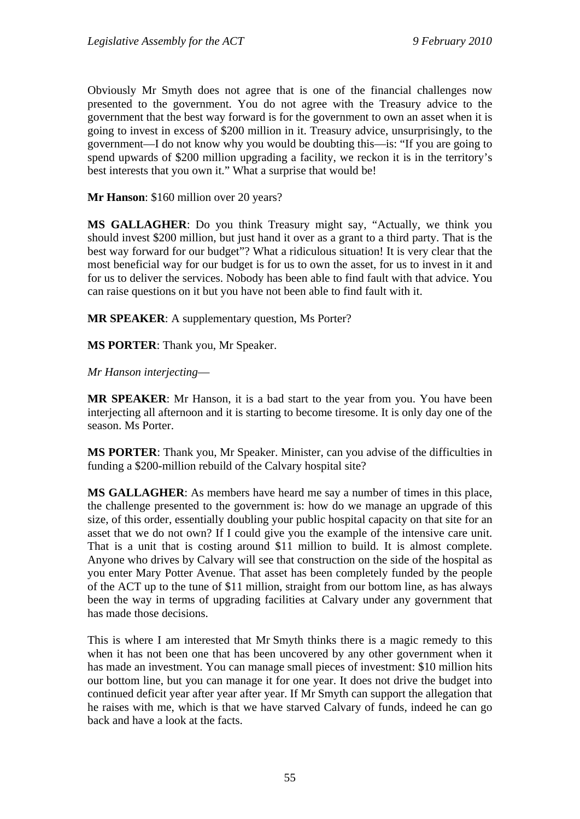Obviously Mr Smyth does not agree that is one of the financial challenges now presented to the government. You do not agree with the Treasury advice to the government that the best way forward is for the government to own an asset when it is going to invest in excess of \$200 million in it. Treasury advice, unsurprisingly, to the government—I do not know why you would be doubting this—is: "If you are going to spend upwards of \$200 million upgrading a facility, we reckon it is in the territory's best interests that you own it." What a surprise that would be!

**Mr Hanson**: \$160 million over 20 years?

**MS GALLAGHER**: Do you think Treasury might say, "Actually, we think you should invest \$200 million, but just hand it over as a grant to a third party. That is the best way forward for our budget"? What a ridiculous situation! It is very clear that the most beneficial way for our budget is for us to own the asset, for us to invest in it and for us to deliver the services. Nobody has been able to find fault with that advice. You can raise questions on it but you have not been able to find fault with it.

**MR SPEAKER**: A supplementary question, Ms Porter?

**MS PORTER**: Thank you, Mr Speaker.

*Mr Hanson interjecting*—

**MR SPEAKER**: Mr Hanson, it is a bad start to the year from you. You have been interjecting all afternoon and it is starting to become tiresome. It is only day one of the season. Ms Porter.

**MS PORTER**: Thank you, Mr Speaker. Minister, can you advise of the difficulties in funding a \$200-million rebuild of the Calvary hospital site?

**MS GALLAGHER**: As members have heard me say a number of times in this place, the challenge presented to the government is: how do we manage an upgrade of this size, of this order, essentially doubling your public hospital capacity on that site for an asset that we do not own? If I could give you the example of the intensive care unit. That is a unit that is costing around \$11 million to build. It is almost complete. Anyone who drives by Calvary will see that construction on the side of the hospital as you enter Mary Potter Avenue. That asset has been completely funded by the people of the ACT up to the tune of \$11 million, straight from our bottom line, as has always been the way in terms of upgrading facilities at Calvary under any government that has made those decisions.

This is where I am interested that Mr Smyth thinks there is a magic remedy to this when it has not been one that has been uncovered by any other government when it has made an investment. You can manage small pieces of investment: \$10 million hits our bottom line, but you can manage it for one year. It does not drive the budget into continued deficit year after year after year. If Mr Smyth can support the allegation that he raises with me, which is that we have starved Calvary of funds, indeed he can go back and have a look at the facts.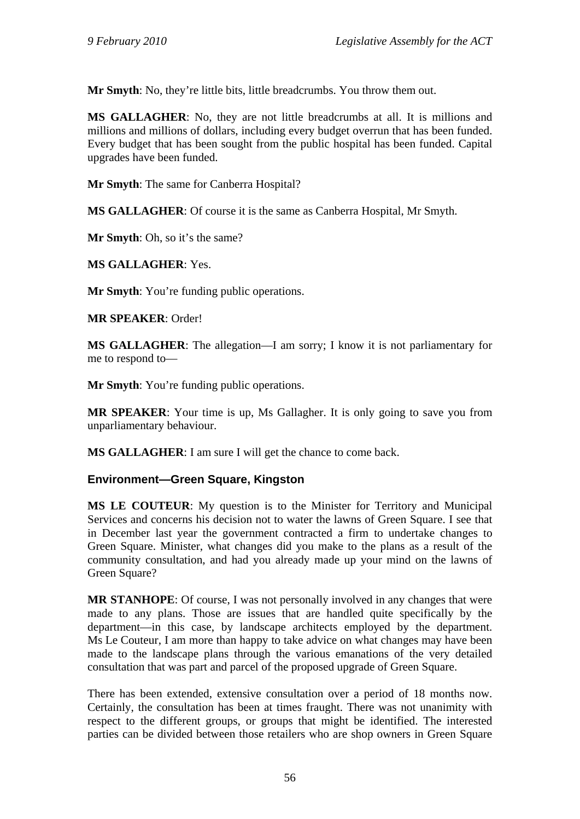**Mr Smyth**: No, they're little bits, little breadcrumbs. You throw them out.

**MS GALLAGHER**: No, they are not little breadcrumbs at all. It is millions and millions and millions of dollars, including every budget overrun that has been funded. Every budget that has been sought from the public hospital has been funded. Capital upgrades have been funded.

**Mr Smyth**: The same for Canberra Hospital?

**MS GALLAGHER**: Of course it is the same as Canberra Hospital, Mr Smyth.

**Mr Smyth**: Oh, so it's the same?

**MS GALLAGHER**: Yes.

**Mr Smyth:** You're funding public operations.

**MR SPEAKER**: Order!

**MS GALLAGHER**: The allegation—I am sorry; I know it is not parliamentary for me to respond to—

**Mr Smyth**: You're funding public operations.

**MR SPEAKER**: Your time is up, Ms Gallagher. It is only going to save you from unparliamentary behaviour.

**MS GALLAGHER**: I am sure I will get the chance to come back.

## **Environment—Green Square, Kingston**

**MS LE COUTEUR**: My question is to the Minister for Territory and Municipal Services and concerns his decision not to water the lawns of Green Square. I see that in December last year the government contracted a firm to undertake changes to Green Square. Minister, what changes did you make to the plans as a result of the community consultation, and had you already made up your mind on the lawns of Green Square?

**MR STANHOPE**: Of course, I was not personally involved in any changes that were made to any plans. Those are issues that are handled quite specifically by the department—in this case, by landscape architects employed by the department. Ms Le Couteur, I am more than happy to take advice on what changes may have been made to the landscape plans through the various emanations of the very detailed consultation that was part and parcel of the proposed upgrade of Green Square.

There has been extended, extensive consultation over a period of 18 months now. Certainly, the consultation has been at times fraught. There was not unanimity with respect to the different groups, or groups that might be identified. The interested parties can be divided between those retailers who are shop owners in Green Square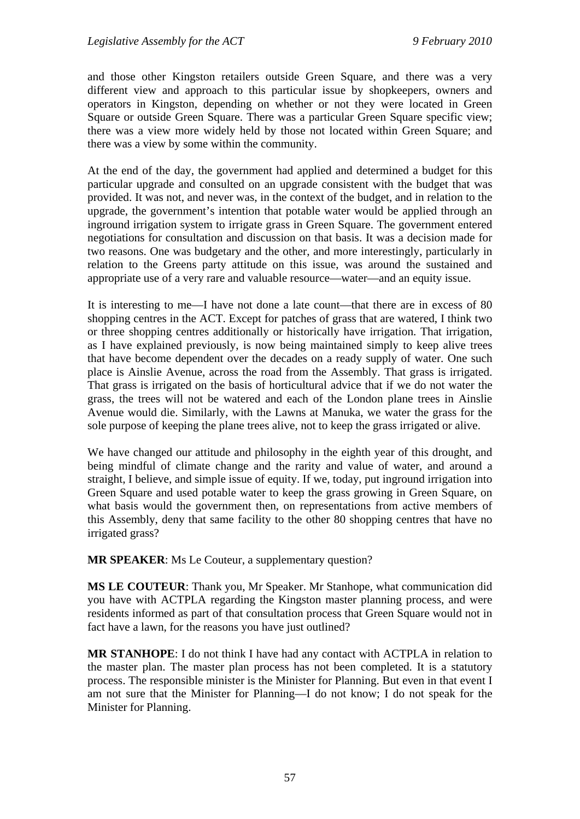and those other Kingston retailers outside Green Square, and there was a very different view and approach to this particular issue by shopkeepers, owners and operators in Kingston, depending on whether or not they were located in Green Square or outside Green Square. There was a particular Green Square specific view; there was a view more widely held by those not located within Green Square; and there was a view by some within the community.

At the end of the day, the government had applied and determined a budget for this particular upgrade and consulted on an upgrade consistent with the budget that was provided. It was not, and never was, in the context of the budget, and in relation to the upgrade, the government's intention that potable water would be applied through an inground irrigation system to irrigate grass in Green Square. The government entered negotiations for consultation and discussion on that basis. It was a decision made for two reasons. One was budgetary and the other, and more interestingly, particularly in relation to the Greens party attitude on this issue, was around the sustained and appropriate use of a very rare and valuable resource—water—and an equity issue.

It is interesting to me—I have not done a late count—that there are in excess of 80 shopping centres in the ACT. Except for patches of grass that are watered, I think two or three shopping centres additionally or historically have irrigation. That irrigation, as I have explained previously, is now being maintained simply to keep alive trees that have become dependent over the decades on a ready supply of water. One such place is Ainslie Avenue, across the road from the Assembly. That grass is irrigated. That grass is irrigated on the basis of horticultural advice that if we do not water the grass, the trees will not be watered and each of the London plane trees in Ainslie Avenue would die. Similarly, with the Lawns at Manuka, we water the grass for the sole purpose of keeping the plane trees alive, not to keep the grass irrigated or alive.

We have changed our attitude and philosophy in the eighth year of this drought, and being mindful of climate change and the rarity and value of water, and around a straight, I believe, and simple issue of equity. If we, today, put inground irrigation into Green Square and used potable water to keep the grass growing in Green Square, on what basis would the government then, on representations from active members of this Assembly, deny that same facility to the other 80 shopping centres that have no irrigated grass?

**MR SPEAKER**: Ms Le Couteur, a supplementary question?

**MS LE COUTEUR**: Thank you, Mr Speaker. Mr Stanhope, what communication did you have with ACTPLA regarding the Kingston master planning process, and were residents informed as part of that consultation process that Green Square would not in fact have a lawn, for the reasons you have just outlined?

**MR STANHOPE**: I do not think I have had any contact with ACTPLA in relation to the master plan. The master plan process has not been completed. It is a statutory process. The responsible minister is the Minister for Planning. But even in that event I am not sure that the Minister for Planning—I do not know; I do not speak for the Minister for Planning.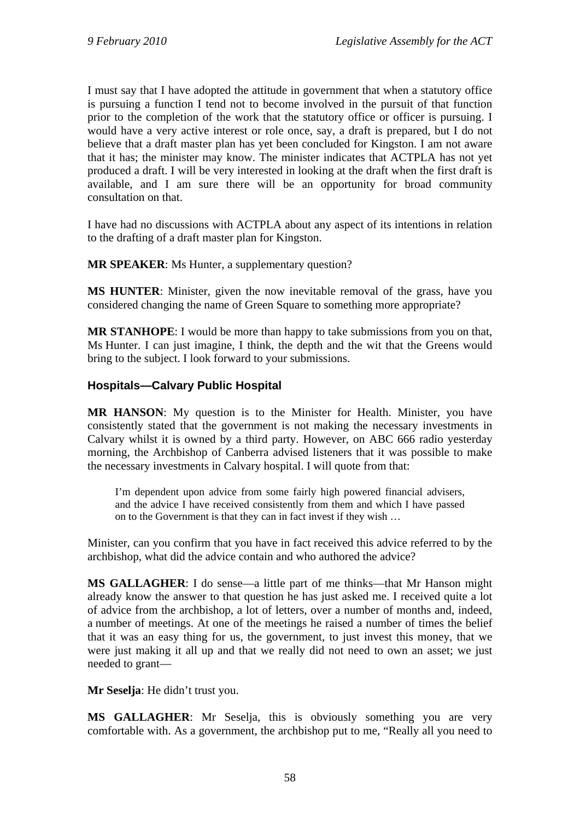I must say that I have adopted the attitude in government that when a statutory office is pursuing a function I tend not to become involved in the pursuit of that function prior to the completion of the work that the statutory office or officer is pursuing. I would have a very active interest or role once, say, a draft is prepared, but I do not believe that a draft master plan has yet been concluded for Kingston. I am not aware that it has; the minister may know. The minister indicates that ACTPLA has not yet produced a draft. I will be very interested in looking at the draft when the first draft is available, and I am sure there will be an opportunity for broad community consultation on that.

I have had no discussions with ACTPLA about any aspect of its intentions in relation to the drafting of a draft master plan for Kingston.

**MR SPEAKER**: Ms Hunter, a supplementary question?

**MS HUNTER**: Minister, given the now inevitable removal of the grass, have you considered changing the name of Green Square to something more appropriate?

**MR STANHOPE**: I would be more than happy to take submissions from you on that, Ms Hunter. I can just imagine, I think, the depth and the wit that the Greens would bring to the subject. I look forward to your submissions.

# **Hospitals—Calvary Public Hospital**

**MR HANSON**: My question is to the Minister for Health. Minister, you have consistently stated that the government is not making the necessary investments in Calvary whilst it is owned by a third party. However, on ABC 666 radio yesterday morning, the Archbishop of Canberra advised listeners that it was possible to make the necessary investments in Calvary hospital. I will quote from that:

I'm dependent upon advice from some fairly high powered financial advisers, and the advice I have received consistently from them and which I have passed on to the Government is that they can in fact invest if they wish …

Minister, can you confirm that you have in fact received this advice referred to by the archbishop, what did the advice contain and who authored the advice?

**MS GALLAGHER**: I do sense—a little part of me thinks—that Mr Hanson might already know the answer to that question he has just asked me. I received quite a lot of advice from the archbishop, a lot of letters, over a number of months and, indeed, a number of meetings. At one of the meetings he raised a number of times the belief that it was an easy thing for us, the government, to just invest this money, that we were just making it all up and that we really did not need to own an asset; we just needed to grant—

**Mr Seselja**: He didn't trust you.

**MS GALLAGHER**: Mr Seselja, this is obviously something you are very comfortable with. As a government, the archbishop put to me, "Really all you need to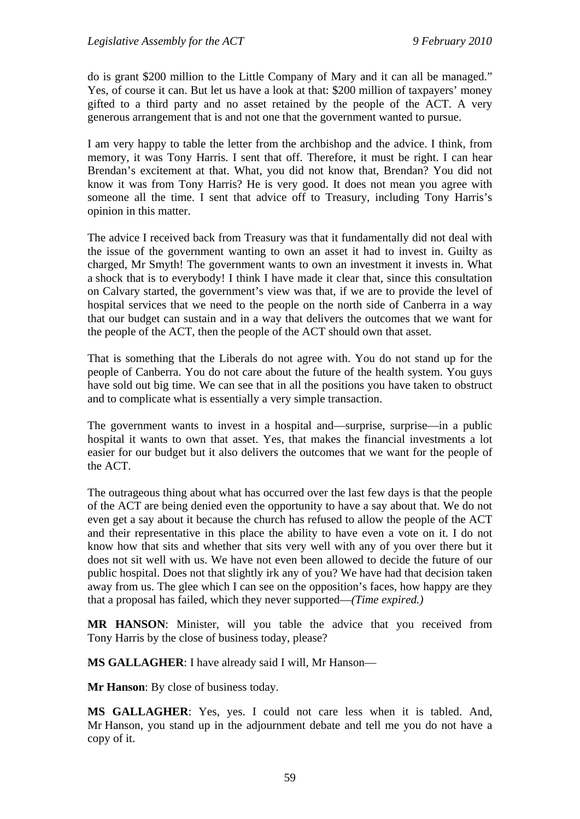do is grant \$200 million to the Little Company of Mary and it can all be managed." Yes, of course it can. But let us have a look at that: \$200 million of taxpayers' money gifted to a third party and no asset retained by the people of the ACT. A very generous arrangement that is and not one that the government wanted to pursue.

I am very happy to table the letter from the archbishop and the advice. I think, from memory, it was Tony Harris. I sent that off. Therefore, it must be right. I can hear Brendan's excitement at that. What, you did not know that, Brendan? You did not know it was from Tony Harris? He is very good. It does not mean you agree with someone all the time. I sent that advice off to Treasury, including Tony Harris's opinion in this matter.

The advice I received back from Treasury was that it fundamentally did not deal with the issue of the government wanting to own an asset it had to invest in. Guilty as charged, Mr Smyth! The government wants to own an investment it invests in. What a shock that is to everybody! I think I have made it clear that, since this consultation on Calvary started, the government's view was that, if we are to provide the level of hospital services that we need to the people on the north side of Canberra in a way that our budget can sustain and in a way that delivers the outcomes that we want for the people of the ACT, then the people of the ACT should own that asset.

That is something that the Liberals do not agree with. You do not stand up for the people of Canberra. You do not care about the future of the health system. You guys have sold out big time. We can see that in all the positions you have taken to obstruct and to complicate what is essentially a very simple transaction.

The government wants to invest in a hospital and—surprise, surprise—in a public hospital it wants to own that asset. Yes, that makes the financial investments a lot easier for our budget but it also delivers the outcomes that we want for the people of the ACT.

The outrageous thing about what has occurred over the last few days is that the people of the ACT are being denied even the opportunity to have a say about that. We do not even get a say about it because the church has refused to allow the people of the ACT and their representative in this place the ability to have even a vote on it. I do not know how that sits and whether that sits very well with any of you over there but it does not sit well with us. We have not even been allowed to decide the future of our public hospital. Does not that slightly irk any of you? We have had that decision taken away from us. The glee which I can see on the opposition's faces, how happy are they that a proposal has failed, which they never supported—*(Time expired.)* 

**MR HANSON**: Minister, will you table the advice that you received from Tony Harris by the close of business today, please?

**MS GALLAGHER**: I have already said I will, Mr Hanson—

**Mr Hanson**: By close of business today.

**MS GALLAGHER**: Yes, yes. I could not care less when it is tabled. And, Mr Hanson, you stand up in the adjournment debate and tell me you do not have a copy of it.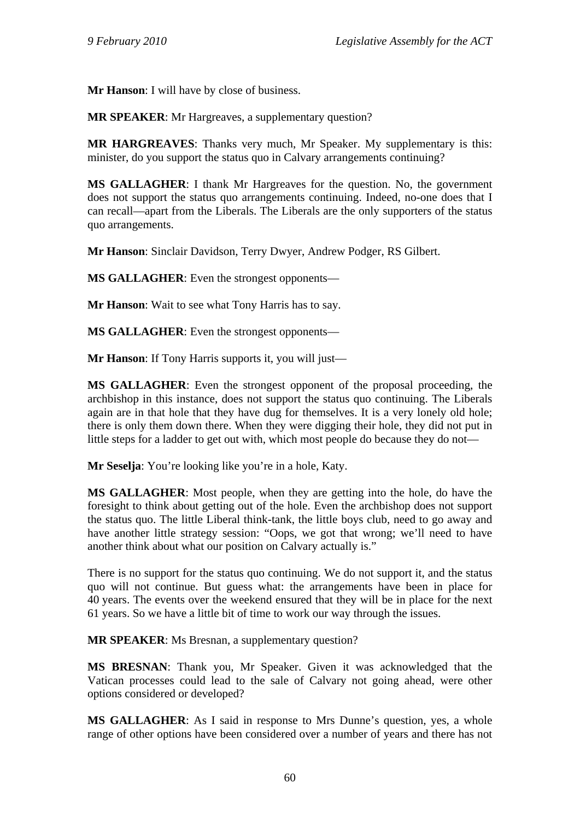**Mr Hanson**: I will have by close of business.

**MR SPEAKER**: Mr Hargreaves, a supplementary question?

**MR HARGREAVES**: Thanks very much, Mr Speaker. My supplementary is this: minister, do you support the status quo in Calvary arrangements continuing?

**MS GALLAGHER**: I thank Mr Hargreaves for the question. No, the government does not support the status quo arrangements continuing. Indeed, no-one does that I can recall—apart from the Liberals. The Liberals are the only supporters of the status quo arrangements.

**Mr Hanson**: Sinclair Davidson, Terry Dwyer, Andrew Podger, RS Gilbert.

**MS GALLAGHER**: Even the strongest opponents—

**Mr Hanson**: Wait to see what Tony Harris has to say.

**MS GALLAGHER**: Even the strongest opponents—

**Mr Hanson**: If Tony Harris supports it, you will just—

**MS GALLAGHER**: Even the strongest opponent of the proposal proceeding, the archbishop in this instance, does not support the status quo continuing. The Liberals again are in that hole that they have dug for themselves. It is a very lonely old hole; there is only them down there. When they were digging their hole, they did not put in little steps for a ladder to get out with, which most people do because they do not—

**Mr Seselja**: You're looking like you're in a hole, Katy.

**MS GALLAGHER**: Most people, when they are getting into the hole, do have the foresight to think about getting out of the hole. Even the archbishop does not support the status quo. The little Liberal think-tank, the little boys club, need to go away and have another little strategy session: "Oops, we got that wrong; we'll need to have another think about what our position on Calvary actually is."

There is no support for the status quo continuing. We do not support it, and the status quo will not continue. But guess what: the arrangements have been in place for 40 years. The events over the weekend ensured that they will be in place for the next 61 years. So we have a little bit of time to work our way through the issues.

**MR SPEAKER**: Ms Bresnan, a supplementary question?

**MS BRESNAN**: Thank you, Mr Speaker. Given it was acknowledged that the Vatican processes could lead to the sale of Calvary not going ahead, were other options considered or developed?

**MS GALLAGHER**: As I said in response to Mrs Dunne's question, yes, a whole range of other options have been considered over a number of years and there has not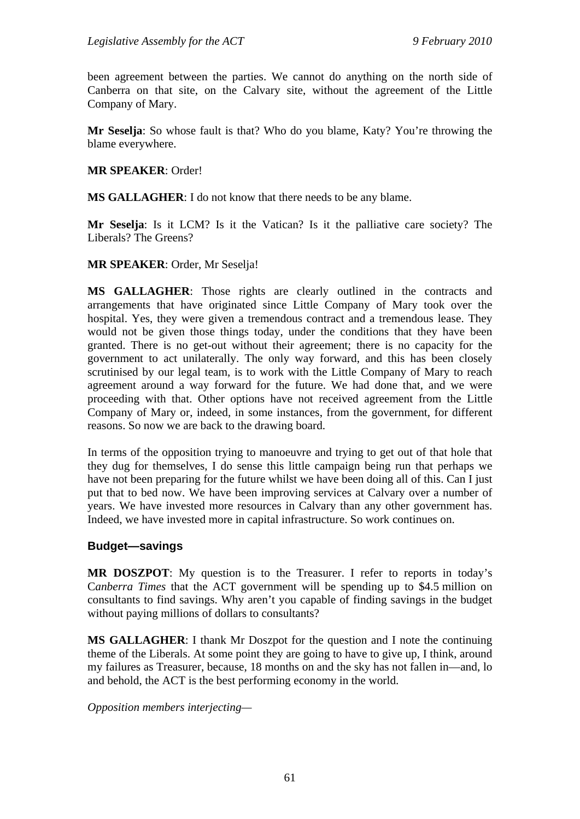been agreement between the parties. We cannot do anything on the north side of Canberra on that site, on the Calvary site, without the agreement of the Little Company of Mary.

**Mr Seselja**: So whose fault is that? Who do you blame, Katy? You're throwing the blame everywhere.

#### **MR SPEAKER**: Order!

**MS GALLAGHER**: I do not know that there needs to be any blame.

**Mr Seselja**: Is it LCM? Is it the Vatican? Is it the palliative care society? The Liberals? The Greens?

#### **MR SPEAKER**: Order, Mr Seselja!

**MS GALLAGHER**: Those rights are clearly outlined in the contracts and arrangements that have originated since Little Company of Mary took over the hospital. Yes, they were given a tremendous contract and a tremendous lease. They would not be given those things today, under the conditions that they have been granted. There is no get-out without their agreement; there is no capacity for the government to act unilaterally. The only way forward, and this has been closely scrutinised by our legal team, is to work with the Little Company of Mary to reach agreement around a way forward for the future. We had done that, and we were proceeding with that. Other options have not received agreement from the Little Company of Mary or, indeed, in some instances, from the government, for different reasons. So now we are back to the drawing board.

In terms of the opposition trying to manoeuvre and trying to get out of that hole that they dug for themselves, I do sense this little campaign being run that perhaps we have not been preparing for the future whilst we have been doing all of this. Can I just put that to bed now. We have been improving services at Calvary over a number of years. We have invested more resources in Calvary than any other government has. Indeed, we have invested more in capital infrastructure. So work continues on.

#### **Budget—savings**

**MR DOSZPOT**: My question is to the Treasurer. I refer to reports in today's C*anberra Times* that the ACT government will be spending up to \$4.5 million on consultants to find savings. Why aren't you capable of finding savings in the budget without paying millions of dollars to consultants?

**MS GALLAGHER**: I thank Mr Doszpot for the question and I note the continuing theme of the Liberals. At some point they are going to have to give up, I think, around my failures as Treasurer, because, 18 months on and the sky has not fallen in—and, lo and behold, the ACT is the best performing economy in the world.

*Opposition members interjecting—*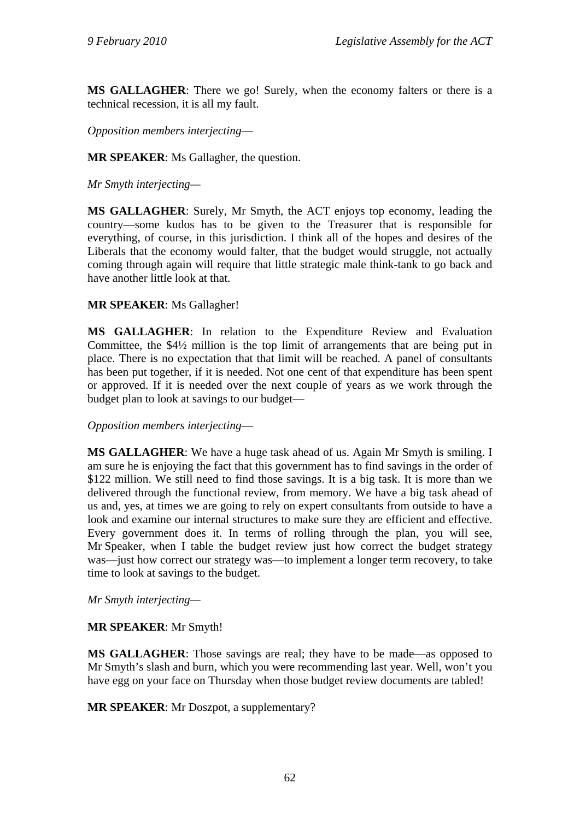**MS GALLAGHER**: There we go! Surely, when the economy falters or there is a technical recession, it is all my fault.

*Opposition members interjecting*—

**MR SPEAKER**: Ms Gallagher, the question.

*Mr Smyth interjecting—* 

**MS GALLAGHER**: Surely, Mr Smyth, the ACT enjoys top economy, leading the country—some kudos has to be given to the Treasurer that is responsible for everything, of course, in this jurisdiction. I think all of the hopes and desires of the Liberals that the economy would falter, that the budget would struggle, not actually coming through again will require that little strategic male think-tank to go back and have another little look at that.

## **MR SPEAKER**: Ms Gallagher!

**MS GALLAGHER**: In relation to the Expenditure Review and Evaluation Committee, the \$4½ million is the top limit of arrangements that are being put in place. There is no expectation that that limit will be reached. A panel of consultants has been put together, if it is needed. Not one cent of that expenditure has been spent or approved. If it is needed over the next couple of years as we work through the budget plan to look at savings to our budget—

*Opposition members interjecting*—

**MS GALLAGHER**: We have a huge task ahead of us. Again Mr Smyth is smiling. I am sure he is enjoying the fact that this government has to find savings in the order of \$122 million. We still need to find those savings. It is a big task. It is more than we delivered through the functional review, from memory. We have a big task ahead of us and, yes, at times we are going to rely on expert consultants from outside to have a look and examine our internal structures to make sure they are efficient and effective. Every government does it. In terms of rolling through the plan, you will see, Mr Speaker, when I table the budget review just how correct the budget strategy was—just how correct our strategy was—to implement a longer term recovery, to take time to look at savings to the budget.

*Mr Smyth interjecting—* 

## **MR SPEAKER**: Mr Smyth!

**MS GALLAGHER**: Those savings are real; they have to be made—as opposed to Mr Smyth's slash and burn, which you were recommending last year. Well, won't you have egg on your face on Thursday when those budget review documents are tabled!

**MR SPEAKER**: Mr Doszpot, a supplementary?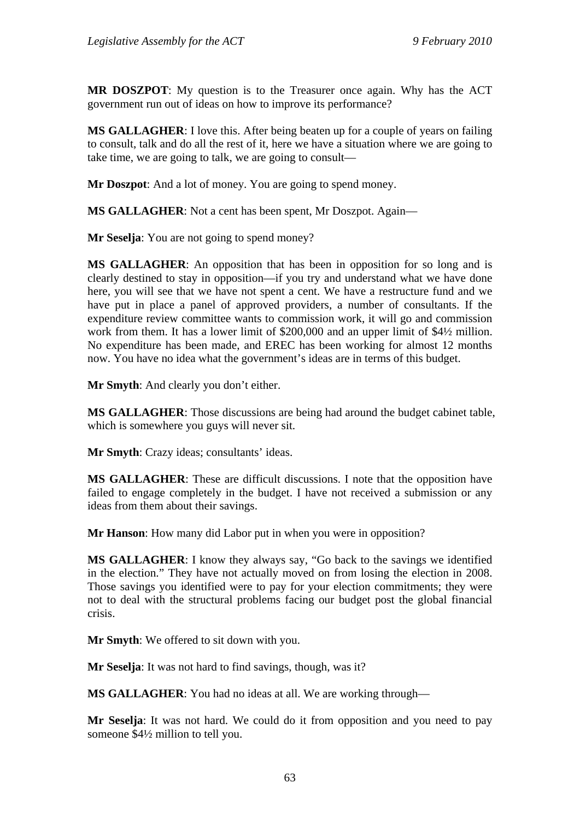**MR DOSZPOT**: My question is to the Treasurer once again. Why has the ACT government run out of ideas on how to improve its performance?

**MS GALLAGHER**: I love this. After being beaten up for a couple of years on failing to consult, talk and do all the rest of it, here we have a situation where we are going to take time, we are going to talk, we are going to consult—

**Mr Doszpot**: And a lot of money. You are going to spend money.

**MS GALLAGHER**: Not a cent has been spent, Mr Doszpot. Again—

**Mr Seselja**: You are not going to spend money?

**MS GALLAGHER**: An opposition that has been in opposition for so long and is clearly destined to stay in opposition—if you try and understand what we have done here, you will see that we have not spent a cent. We have a restructure fund and we have put in place a panel of approved providers, a number of consultants. If the expenditure review committee wants to commission work, it will go and commission work from them. It has a lower limit of \$200,000 and an upper limit of \$4½ million. No expenditure has been made, and EREC has been working for almost 12 months now. You have no idea what the government's ideas are in terms of this budget.

**Mr Smyth**: And clearly you don't either.

**MS GALLAGHER**: Those discussions are being had around the budget cabinet table, which is somewhere you guys will never sit.

**Mr Smyth**: Crazy ideas; consultants' ideas.

**MS GALLAGHER**: These are difficult discussions. I note that the opposition have failed to engage completely in the budget. I have not received a submission or any ideas from them about their savings.

**Mr Hanson**: How many did Labor put in when you were in opposition?

**MS GALLAGHER**: I know they always say, "Go back to the savings we identified in the election." They have not actually moved on from losing the election in 2008. Those savings you identified were to pay for your election commitments; they were not to deal with the structural problems facing our budget post the global financial crisis.

**Mr Smyth**: We offered to sit down with you.

**Mr Seselja**: It was not hard to find savings, though, was it?

**MS GALLAGHER**: You had no ideas at all. We are working through—

**Mr Seselja**: It was not hard. We could do it from opposition and you need to pay someone \$4½ million to tell you.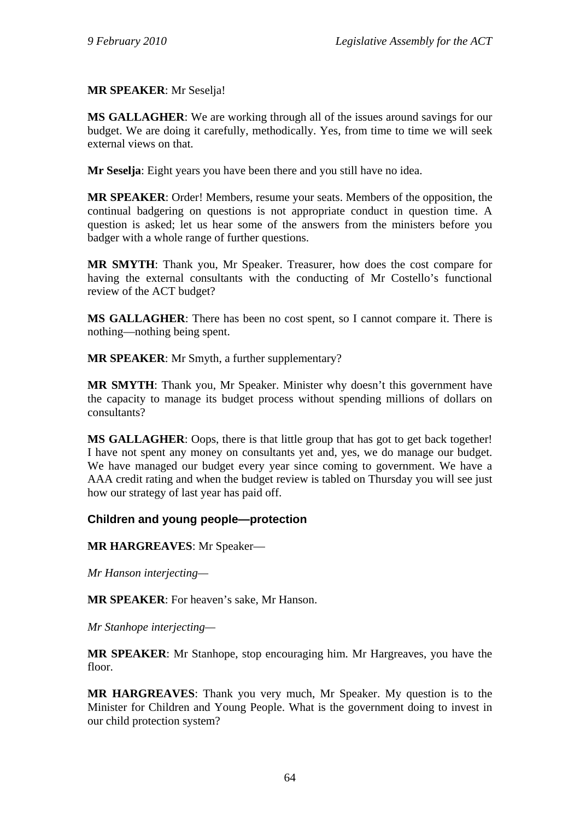## **MR SPEAKER**: Mr Seselja!

**MS GALLAGHER**: We are working through all of the issues around savings for our budget. We are doing it carefully, methodically. Yes, from time to time we will seek external views on that.

**Mr Seselja**: Eight years you have been there and you still have no idea.

**MR SPEAKER**: Order! Members, resume your seats. Members of the opposition, the continual badgering on questions is not appropriate conduct in question time. A question is asked; let us hear some of the answers from the ministers before you badger with a whole range of further questions.

**MR SMYTH**: Thank you, Mr Speaker. Treasurer, how does the cost compare for having the external consultants with the conducting of Mr Costello's functional review of the ACT budget?

**MS GALLAGHER**: There has been no cost spent, so I cannot compare it. There is nothing—nothing being spent.

**MR SPEAKER**: Mr Smyth, a further supplementary?

**MR SMYTH**: Thank you, Mr Speaker. Minister why doesn't this government have the capacity to manage its budget process without spending millions of dollars on consultants?

**MS GALLAGHER**: Oops, there is that little group that has got to get back together! I have not spent any money on consultants yet and, yes, we do manage our budget. We have managed our budget every year since coming to government. We have a AAA credit rating and when the budget review is tabled on Thursday you will see just how our strategy of last year has paid off.

## **Children and young people—protection**

**MR HARGREAVES**: Mr Speaker—

*Mr Hanson interjecting—* 

**MR SPEAKER**: For heaven's sake, Mr Hanson.

*Mr Stanhope interjecting—* 

**MR SPEAKER**: Mr Stanhope, stop encouraging him. Mr Hargreaves, you have the floor.

**MR HARGREAVES**: Thank you very much, Mr Speaker. My question is to the Minister for Children and Young People. What is the government doing to invest in our child protection system?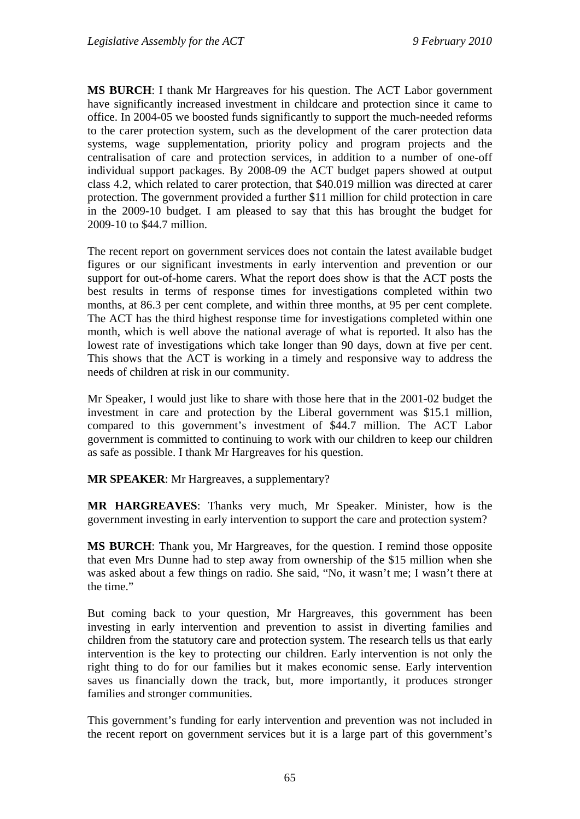**MS BURCH**: I thank Mr Hargreaves for his question. The ACT Labor government have significantly increased investment in childcare and protection since it came to office. In 2004-05 we boosted funds significantly to support the much-needed reforms to the carer protection system, such as the development of the carer protection data systems, wage supplementation, priority policy and program projects and the centralisation of care and protection services, in addition to a number of one-off individual support packages. By 2008-09 the ACT budget papers showed at output class 4.2, which related to carer protection, that \$40.019 million was directed at carer protection. The government provided a further \$11 million for child protection in care in the 2009-10 budget. I am pleased to say that this has brought the budget for 2009-10 to \$44.7 million.

The recent report on government services does not contain the latest available budget figures or our significant investments in early intervention and prevention or our support for out-of-home carers. What the report does show is that the ACT posts the best results in terms of response times for investigations completed within two months, at 86.3 per cent complete, and within three months, at 95 per cent complete. The ACT has the third highest response time for investigations completed within one month, which is well above the national average of what is reported. It also has the lowest rate of investigations which take longer than 90 days, down at five per cent. This shows that the ACT is working in a timely and responsive way to address the needs of children at risk in our community.

Mr Speaker, I would just like to share with those here that in the 2001-02 budget the investment in care and protection by the Liberal government was \$15.1 million, compared to this government's investment of \$44.7 million. The ACT Labor government is committed to continuing to work with our children to keep our children as safe as possible. I thank Mr Hargreaves for his question.

**MR SPEAKER**: Mr Hargreaves, a supplementary?

**MR HARGREAVES**: Thanks very much, Mr Speaker. Minister, how is the government investing in early intervention to support the care and protection system?

**MS BURCH**: Thank you, Mr Hargreaves, for the question. I remind those opposite that even Mrs Dunne had to step away from ownership of the \$15 million when she was asked about a few things on radio. She said, "No, it wasn't me; I wasn't there at the time."

But coming back to your question, Mr Hargreaves, this government has been investing in early intervention and prevention to assist in diverting families and children from the statutory care and protection system. The research tells us that early intervention is the key to protecting our children. Early intervention is not only the right thing to do for our families but it makes economic sense. Early intervention saves us financially down the track, but, more importantly, it produces stronger families and stronger communities.

This government's funding for early intervention and prevention was not included in the recent report on government services but it is a large part of this government's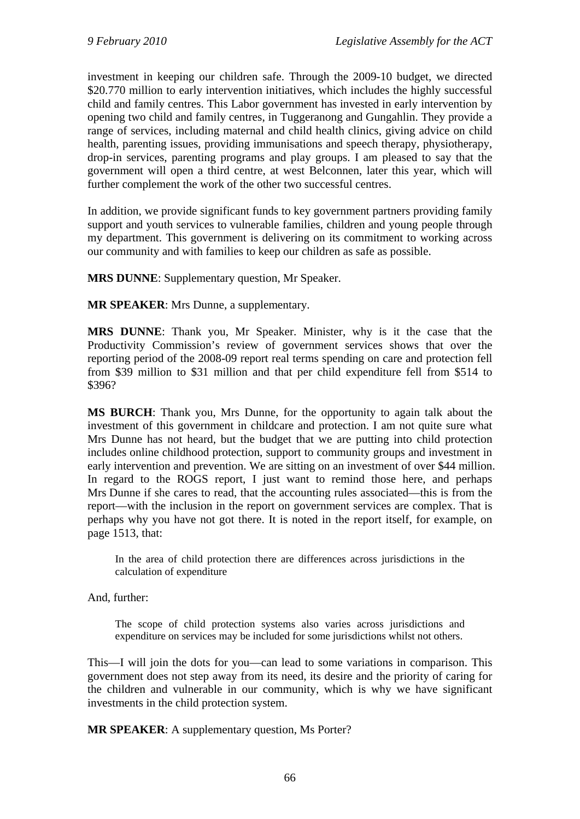investment in keeping our children safe. Through the 2009-10 budget, we directed \$20.770 million to early intervention initiatives, which includes the highly successful child and family centres. This Labor government has invested in early intervention by opening two child and family centres, in Tuggeranong and Gungahlin. They provide a range of services, including maternal and child health clinics, giving advice on child health, parenting issues, providing immunisations and speech therapy, physiotherapy, drop-in services, parenting programs and play groups. I am pleased to say that the government will open a third centre, at west Belconnen, later this year, which will further complement the work of the other two successful centres.

In addition, we provide significant funds to key government partners providing family support and youth services to vulnerable families, children and young people through my department. This government is delivering on its commitment to working across our community and with families to keep our children as safe as possible.

**MRS DUNNE**: Supplementary question, Mr Speaker.

**MR SPEAKER**: Mrs Dunne, a supplementary.

**MRS DUNNE**: Thank you, Mr Speaker. Minister, why is it the case that the Productivity Commission's review of government services shows that over the reporting period of the 2008-09 report real terms spending on care and protection fell from \$39 million to \$31 million and that per child expenditure fell from \$514 to \$396?

**MS BURCH**: Thank you, Mrs Dunne, for the opportunity to again talk about the investment of this government in childcare and protection. I am not quite sure what Mrs Dunne has not heard, but the budget that we are putting into child protection includes online childhood protection, support to community groups and investment in early intervention and prevention. We are sitting on an investment of over \$44 million. In regard to the ROGS report, I just want to remind those here, and perhaps Mrs Dunne if she cares to read, that the accounting rules associated—this is from the report—with the inclusion in the report on government services are complex. That is perhaps why you have not got there. It is noted in the report itself, for example, on page 1513, that:

In the area of child protection there are differences across jurisdictions in the calculation of expenditure

And, further:

The scope of child protection systems also varies across jurisdictions and expenditure on services may be included for some jurisdictions whilst not others.

This—I will join the dots for you—can lead to some variations in comparison. This government does not step away from its need, its desire and the priority of caring for the children and vulnerable in our community, which is why we have significant investments in the child protection system.

**MR SPEAKER**: A supplementary question, Ms Porter?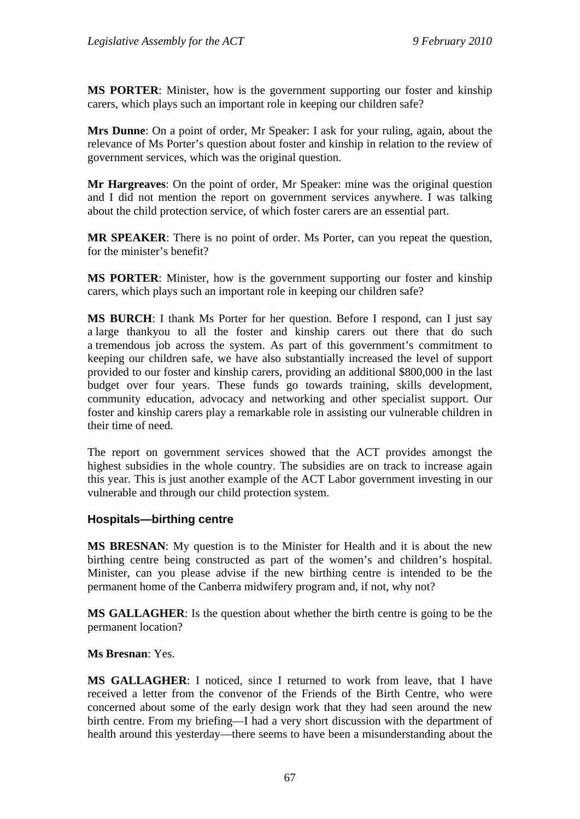**MS PORTER**: Minister, how is the government supporting our foster and kinship carers, which plays such an important role in keeping our children safe?

**Mrs Dunne**: On a point of order, Mr Speaker: I ask for your ruling, again, about the relevance of Ms Porter's question about foster and kinship in relation to the review of government services, which was the original question.

**Mr Hargreaves**: On the point of order, Mr Speaker: mine was the original question and I did not mention the report on government services anywhere. I was talking about the child protection service, of which foster carers are an essential part.

**MR SPEAKER**: There is no point of order. Ms Porter, can you repeat the question, for the minister's benefit?

**MS PORTER**: Minister, how is the government supporting our foster and kinship carers, which plays such an important role in keeping our children safe?

**MS BURCH**: I thank Ms Porter for her question. Before I respond, can I just say a large thankyou to all the foster and kinship carers out there that do such a tremendous job across the system. As part of this government's commitment to keeping our children safe, we have also substantially increased the level of support provided to our foster and kinship carers, providing an additional \$800,000 in the last budget over four years. These funds go towards training, skills development, community education, advocacy and networking and other specialist support. Our foster and kinship carers play a remarkable role in assisting our vulnerable children in their time of need.

The report on government services showed that the ACT provides amongst the highest subsidies in the whole country. The subsidies are on track to increase again this year. This is just another example of the ACT Labor government investing in our vulnerable and through our child protection system.

## **Hospitals—birthing centre**

**MS BRESNAN**: My question is to the Minister for Health and it is about the new birthing centre being constructed as part of the women's and children's hospital. Minister, can you please advise if the new birthing centre is intended to be the permanent home of the Canberra midwifery program and, if not, why not?

**MS GALLAGHER**: Is the question about whether the birth centre is going to be the permanent location?

#### **Ms Bresnan**: Yes.

**MS GALLAGHER**: I noticed, since I returned to work from leave, that I have received a letter from the convenor of the Friends of the Birth Centre, who were concerned about some of the early design work that they had seen around the new birth centre. From my briefing—I had a very short discussion with the department of health around this yesterday—there seems to have been a misunderstanding about the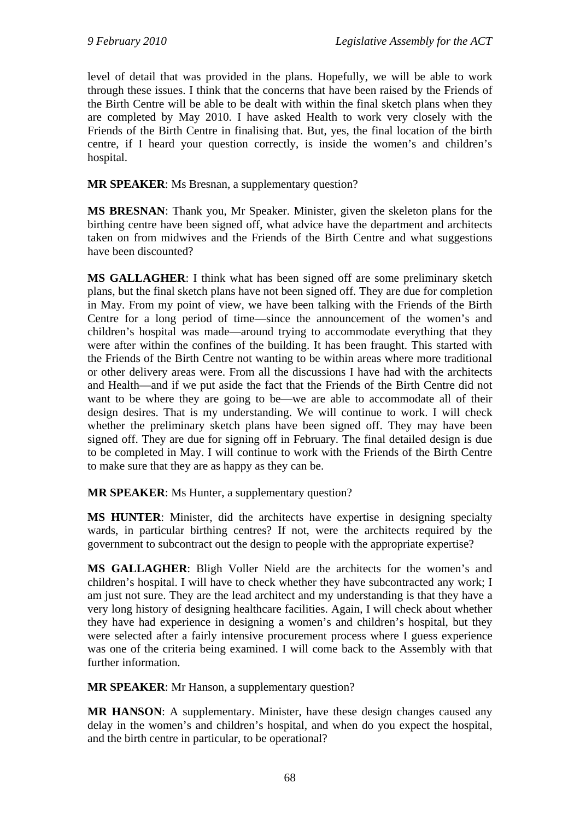level of detail that was provided in the plans. Hopefully, we will be able to work through these issues. I think that the concerns that have been raised by the Friends of the Birth Centre will be able to be dealt with within the final sketch plans when they are completed by May 2010. I have asked Health to work very closely with the Friends of the Birth Centre in finalising that. But, yes, the final location of the birth centre, if I heard your question correctly, is inside the women's and children's hospital.

**MR SPEAKER**: Ms Bresnan, a supplementary question?

**MS BRESNAN**: Thank you, Mr Speaker. Minister, given the skeleton plans for the birthing centre have been signed off, what advice have the department and architects taken on from midwives and the Friends of the Birth Centre and what suggestions have been discounted?

**MS GALLAGHER**: I think what has been signed off are some preliminary sketch plans, but the final sketch plans have not been signed off. They are due for completion in May. From my point of view, we have been talking with the Friends of the Birth Centre for a long period of time—since the announcement of the women's and children's hospital was made—around trying to accommodate everything that they were after within the confines of the building. It has been fraught. This started with the Friends of the Birth Centre not wanting to be within areas where more traditional or other delivery areas were. From all the discussions I have had with the architects and Health—and if we put aside the fact that the Friends of the Birth Centre did not want to be where they are going to be—we are able to accommodate all of their design desires. That is my understanding. We will continue to work. I will check whether the preliminary sketch plans have been signed off. They may have been signed off. They are due for signing off in February. The final detailed design is due to be completed in May. I will continue to work with the Friends of the Birth Centre to make sure that they are as happy as they can be.

**MR SPEAKER**: Ms Hunter, a supplementary question?

**MS HUNTER**: Minister, did the architects have expertise in designing specialty wards, in particular birthing centres? If not, were the architects required by the government to subcontract out the design to people with the appropriate expertise?

**MS GALLAGHER**: Bligh Voller Nield are the architects for the women's and children's hospital. I will have to check whether they have subcontracted any work; I am just not sure. They are the lead architect and my understanding is that they have a very long history of designing healthcare facilities. Again, I will check about whether they have had experience in designing a women's and children's hospital, but they were selected after a fairly intensive procurement process where I guess experience was one of the criteria being examined. I will come back to the Assembly with that further information.

**MR SPEAKER:** Mr Hanson, a supplementary question?

**MR HANSON**: A supplementary. Minister, have these design changes caused any delay in the women's and children's hospital, and when do you expect the hospital, and the birth centre in particular, to be operational?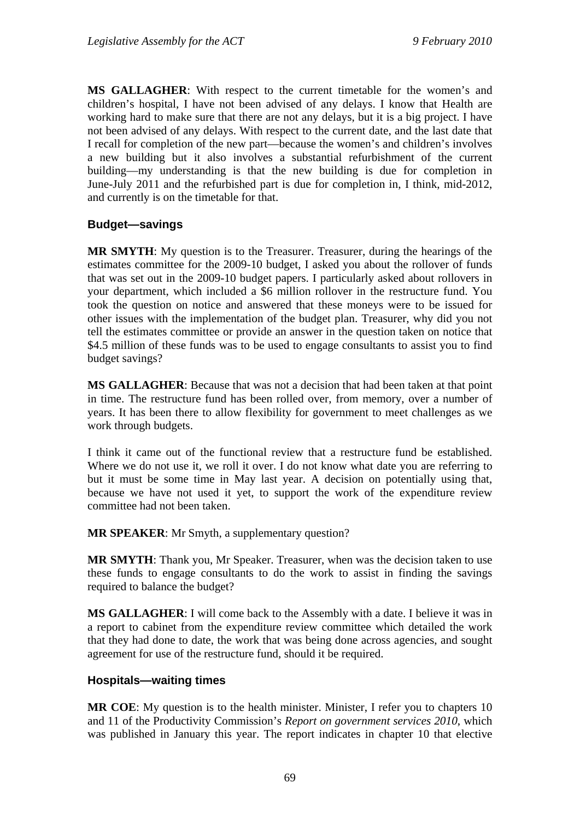**MS GALLAGHER**: With respect to the current timetable for the women's and children's hospital, I have not been advised of any delays. I know that Health are working hard to make sure that there are not any delays, but it is a big project. I have not been advised of any delays. With respect to the current date, and the last date that I recall for completion of the new part—because the women's and children's involves a new building but it also involves a substantial refurbishment of the current building—my understanding is that the new building is due for completion in June-July 2011 and the refurbished part is due for completion in, I think, mid-2012, and currently is on the timetable for that.

# **Budget—savings**

**MR SMYTH**: My question is to the Treasurer. Treasurer, during the hearings of the estimates committee for the 2009-10 budget, I asked you about the rollover of funds that was set out in the 2009-10 budget papers. I particularly asked about rollovers in your department, which included a \$6 million rollover in the restructure fund. You took the question on notice and answered that these moneys were to be issued for other issues with the implementation of the budget plan. Treasurer, why did you not tell the estimates committee or provide an answer in the question taken on notice that \$4.5 million of these funds was to be used to engage consultants to assist you to find budget savings?

**MS GALLAGHER**: Because that was not a decision that had been taken at that point in time. The restructure fund has been rolled over, from memory, over a number of years. It has been there to allow flexibility for government to meet challenges as we work through budgets.

I think it came out of the functional review that a restructure fund be established. Where we do not use it, we roll it over. I do not know what date you are referring to but it must be some time in May last year. A decision on potentially using that, because we have not used it yet, to support the work of the expenditure review committee had not been taken.

**MR SPEAKER**: Mr Smyth, a supplementary question?

**MR SMYTH**: Thank you, Mr Speaker. Treasurer, when was the decision taken to use these funds to engage consultants to do the work to assist in finding the savings required to balance the budget?

**MS GALLAGHER**: I will come back to the Assembly with a date. I believe it was in a report to cabinet from the expenditure review committee which detailed the work that they had done to date, the work that was being done across agencies, and sought agreement for use of the restructure fund, should it be required.

## **Hospitals—waiting times**

**MR COE**: My question is to the health minister. Minister, I refer you to chapters 10 and 11 of the Productivity Commission's *Report on government services 2010*, which was published in January this year. The report indicates in chapter 10 that elective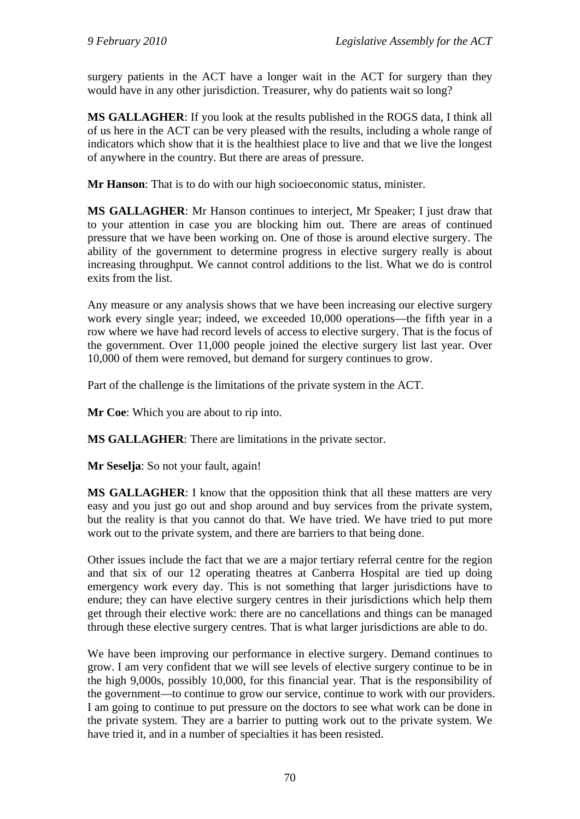surgery patients in the ACT have a longer wait in the ACT for surgery than they would have in any other jurisdiction. Treasurer, why do patients wait so long?

**MS GALLAGHER**: If you look at the results published in the ROGS data, I think all of us here in the ACT can be very pleased with the results, including a whole range of indicators which show that it is the healthiest place to live and that we live the longest of anywhere in the country. But there are areas of pressure.

**Mr Hanson**: That is to do with our high socioeconomic status, minister.

**MS GALLAGHER**: Mr Hanson continues to interject, Mr Speaker; I just draw that to your attention in case you are blocking him out. There are areas of continued pressure that we have been working on. One of those is around elective surgery. The ability of the government to determine progress in elective surgery really is about increasing throughput. We cannot control additions to the list. What we do is control exits from the list.

Any measure or any analysis shows that we have been increasing our elective surgery work every single year; indeed, we exceeded 10,000 operations—the fifth year in a row where we have had record levels of access to elective surgery. That is the focus of the government. Over 11,000 people joined the elective surgery list last year. Over 10,000 of them were removed, but demand for surgery continues to grow.

Part of the challenge is the limitations of the private system in the ACT.

**Mr Coe**: Which you are about to rip into.

**MS GALLAGHER**: There are limitations in the private sector.

**Mr Seselja**: So not your fault, again!

**MS GALLAGHER**: I know that the opposition think that all these matters are very easy and you just go out and shop around and buy services from the private system, but the reality is that you cannot do that. We have tried. We have tried to put more work out to the private system, and there are barriers to that being done.

Other issues include the fact that we are a major tertiary referral centre for the region and that six of our 12 operating theatres at Canberra Hospital are tied up doing emergency work every day. This is not something that larger jurisdictions have to endure; they can have elective surgery centres in their jurisdictions which help them get through their elective work: there are no cancellations and things can be managed through these elective surgery centres. That is what larger jurisdictions are able to do.

We have been improving our performance in elective surgery. Demand continues to grow. I am very confident that we will see levels of elective surgery continue to be in the high 9,000s, possibly 10,000, for this financial year. That is the responsibility of the government—to continue to grow our service, continue to work with our providers. I am going to continue to put pressure on the doctors to see what work can be done in the private system. They are a barrier to putting work out to the private system. We have tried it, and in a number of specialties it has been resisted.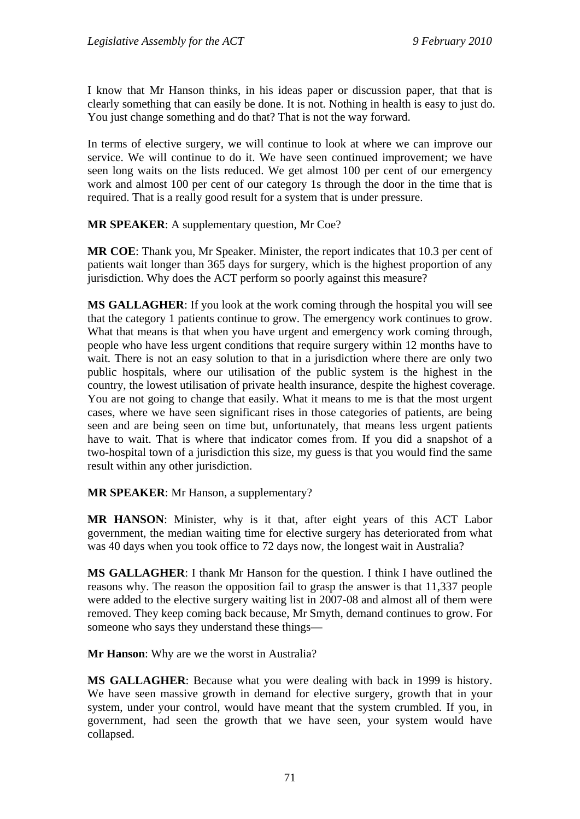I know that Mr Hanson thinks, in his ideas paper or discussion paper, that that is clearly something that can easily be done. It is not. Nothing in health is easy to just do. You just change something and do that? That is not the way forward.

In terms of elective surgery, we will continue to look at where we can improve our service. We will continue to do it. We have seen continued improvement; we have seen long waits on the lists reduced. We get almost 100 per cent of our emergency work and almost 100 per cent of our category 1s through the door in the time that is required. That is a really good result for a system that is under pressure.

**MR SPEAKER**: A supplementary question, Mr Coe?

**MR COE**: Thank you, Mr Speaker. Minister, the report indicates that 10.3 per cent of patients wait longer than 365 days for surgery, which is the highest proportion of any jurisdiction. Why does the ACT perform so poorly against this measure?

**MS GALLAGHER**: If you look at the work coming through the hospital you will see that the category 1 patients continue to grow. The emergency work continues to grow. What that means is that when you have urgent and emergency work coming through, people who have less urgent conditions that require surgery within 12 months have to wait. There is not an easy solution to that in a jurisdiction where there are only two public hospitals, where our utilisation of the public system is the highest in the country, the lowest utilisation of private health insurance, despite the highest coverage. You are not going to change that easily. What it means to me is that the most urgent cases, where we have seen significant rises in those categories of patients, are being seen and are being seen on time but, unfortunately, that means less urgent patients have to wait. That is where that indicator comes from. If you did a snapshot of a two-hospital town of a jurisdiction this size, my guess is that you would find the same result within any other jurisdiction.

### **MR SPEAKER**: Mr Hanson, a supplementary?

**MR HANSON**: Minister, why is it that, after eight years of this ACT Labor government, the median waiting time for elective surgery has deteriorated from what was 40 days when you took office to 72 days now, the longest wait in Australia?

**MS GALLAGHER**: I thank Mr Hanson for the question. I think I have outlined the reasons why. The reason the opposition fail to grasp the answer is that 11,337 people were added to the elective surgery waiting list in 2007-08 and almost all of them were removed. They keep coming back because, Mr Smyth, demand continues to grow. For someone who says they understand these things—

**Mr Hanson**: Why are we the worst in Australia?

**MS GALLAGHER**: Because what you were dealing with back in 1999 is history. We have seen massive growth in demand for elective surgery, growth that in your system, under your control, would have meant that the system crumbled. If you, in government, had seen the growth that we have seen, your system would have collapsed.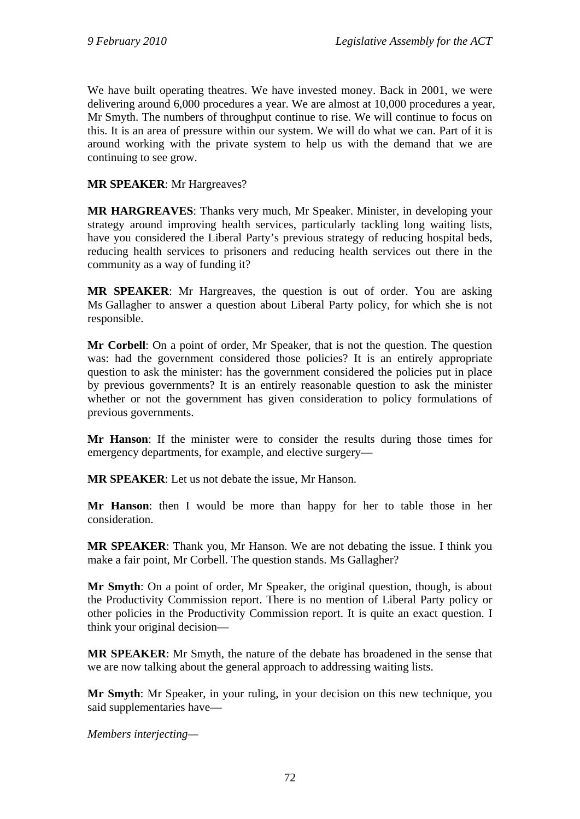We have built operating theatres. We have invested money. Back in 2001, we were delivering around 6,000 procedures a year. We are almost at 10,000 procedures a year, Mr Smyth. The numbers of throughput continue to rise. We will continue to focus on this. It is an area of pressure within our system. We will do what we can. Part of it is around working with the private system to help us with the demand that we are continuing to see grow.

### **MR SPEAKER**: Mr Hargreaves?

**MR HARGREAVES**: Thanks very much, Mr Speaker. Minister, in developing your strategy around improving health services, particularly tackling long waiting lists, have you considered the Liberal Party's previous strategy of reducing hospital beds, reducing health services to prisoners and reducing health services out there in the community as a way of funding it?

**MR SPEAKER**: Mr Hargreaves, the question is out of order. You are asking Ms Gallagher to answer a question about Liberal Party policy, for which she is not responsible.

**Mr Corbell**: On a point of order, Mr Speaker, that is not the question. The question was: had the government considered those policies? It is an entirely appropriate question to ask the minister: has the government considered the policies put in place by previous governments? It is an entirely reasonable question to ask the minister whether or not the government has given consideration to policy formulations of previous governments.

**Mr Hanson**: If the minister were to consider the results during those times for emergency departments, for example, and elective surgery—

**MR SPEAKER**: Let us not debate the issue, Mr Hanson.

**Mr Hanson**: then I would be more than happy for her to table those in her consideration.

**MR SPEAKER**: Thank you, Mr Hanson. We are not debating the issue. I think you make a fair point, Mr Corbell. The question stands. Ms Gallagher?

**Mr Smyth**: On a point of order, Mr Speaker, the original question, though, is about the Productivity Commission report. There is no mention of Liberal Party policy or other policies in the Productivity Commission report. It is quite an exact question. I think your original decision—

**MR SPEAKER**: Mr Smyth, the nature of the debate has broadened in the sense that we are now talking about the general approach to addressing waiting lists.

**Mr Smyth**: Mr Speaker, in your ruling, in your decision on this new technique, you said supplementaries have—

*Members interjecting—*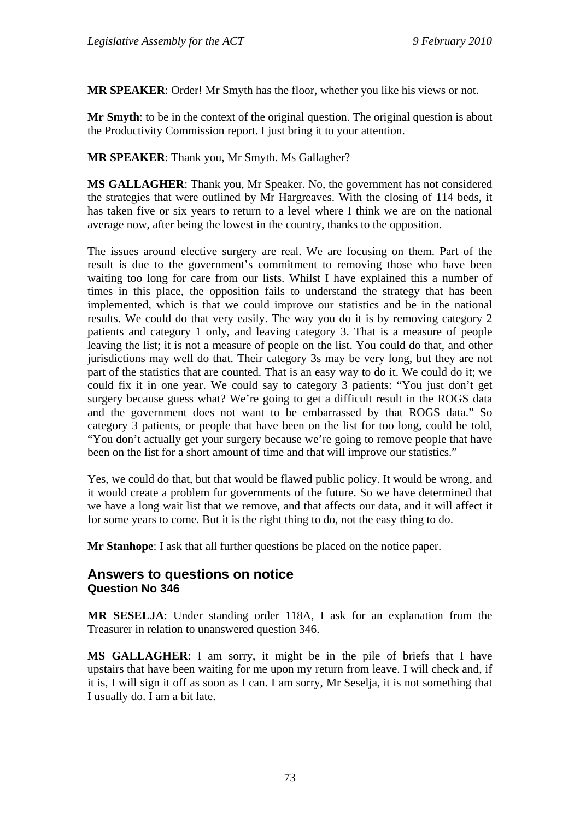**MR SPEAKER**: Order! Mr Smyth has the floor, whether you like his views or not.

**Mr Smyth**: to be in the context of the original question. The original question is about the Productivity Commission report. I just bring it to your attention.

**MR SPEAKER**: Thank you, Mr Smyth. Ms Gallagher?

**MS GALLAGHER**: Thank you, Mr Speaker. No, the government has not considered the strategies that were outlined by Mr Hargreaves. With the closing of 114 beds, it has taken five or six years to return to a level where I think we are on the national average now, after being the lowest in the country, thanks to the opposition.

The issues around elective surgery are real. We are focusing on them. Part of the result is due to the government's commitment to removing those who have been waiting too long for care from our lists. Whilst I have explained this a number of times in this place, the opposition fails to understand the strategy that has been implemented, which is that we could improve our statistics and be in the national results. We could do that very easily. The way you do it is by removing category 2 patients and category 1 only, and leaving category 3. That is a measure of people leaving the list; it is not a measure of people on the list. You could do that, and other jurisdictions may well do that. Their category 3s may be very long, but they are not part of the statistics that are counted. That is an easy way to do it. We could do it; we could fix it in one year. We could say to category 3 patients: "You just don't get surgery because guess what? We're going to get a difficult result in the ROGS data and the government does not want to be embarrassed by that ROGS data." So category 3 patients, or people that have been on the list for too long, could be told, "You don't actually get your surgery because we're going to remove people that have been on the list for a short amount of time and that will improve our statistics."

Yes, we could do that, but that would be flawed public policy. It would be wrong, and it would create a problem for governments of the future. So we have determined that we have a long wait list that we remove, and that affects our data, and it will affect it for some years to come. But it is the right thing to do, not the easy thing to do.

**Mr Stanhope**: I ask that all further questions be placed on the notice paper.

# **Answers to questions on notice Question No 346**

**MR SESELJA**: Under standing order 118A, I ask for an explanation from the Treasurer in relation to unanswered question 346.

**MS GALLAGHER**: I am sorry, it might be in the pile of briefs that I have upstairs that have been waiting for me upon my return from leave. I will check and, if it is, I will sign it off as soon as I can. I am sorry, Mr Seselja, it is not something that I usually do. I am a bit late.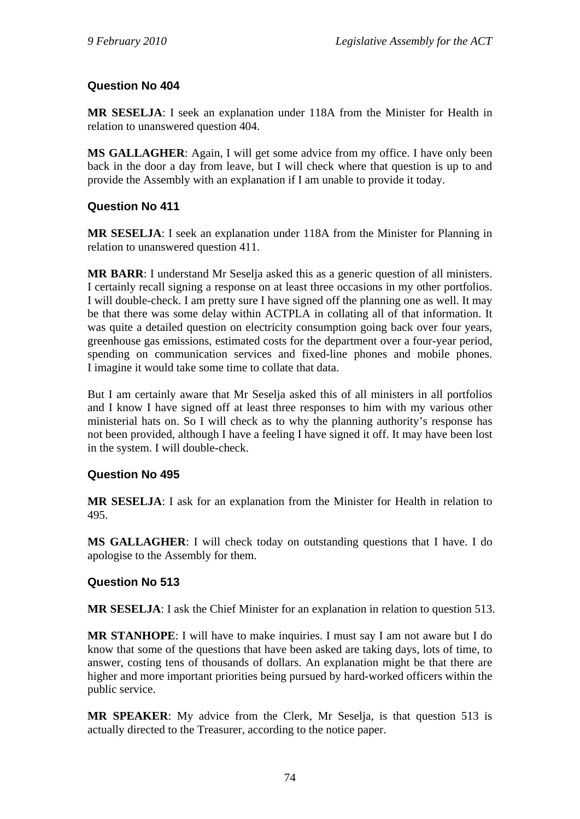# **Question No 404**

**MR SESELJA**: I seek an explanation under 118A from the Minister for Health in relation to unanswered question 404.

**MS GALLAGHER**: Again, I will get some advice from my office. I have only been back in the door a day from leave, but I will check where that question is up to and provide the Assembly with an explanation if I am unable to provide it today.

# **Question No 411**

**MR SESELJA**: I seek an explanation under 118A from the Minister for Planning in relation to unanswered question 411.

**MR BARR**: I understand Mr Seselja asked this as a generic question of all ministers. I certainly recall signing a response on at least three occasions in my other portfolios. I will double-check. I am pretty sure I have signed off the planning one as well. It may be that there was some delay within ACTPLA in collating all of that information. It was quite a detailed question on electricity consumption going back over four years, greenhouse gas emissions, estimated costs for the department over a four-year period, spending on communication services and fixed-line phones and mobile phones. I imagine it would take some time to collate that data.

But I am certainly aware that Mr Seselja asked this of all ministers in all portfolios and I know I have signed off at least three responses to him with my various other ministerial hats on. So I will check as to why the planning authority's response has not been provided, although I have a feeling I have signed it off. It may have been lost in the system. I will double-check.

# **Question No 495**

**MR SESELJA**: I ask for an explanation from the Minister for Health in relation to 495.

**MS GALLAGHER**: I will check today on outstanding questions that I have. I do apologise to the Assembly for them.

# **Question No 513**

**MR SESELJA**: I ask the Chief Minister for an explanation in relation to question 513.

**MR STANHOPE**: I will have to make inquiries. I must say I am not aware but I do know that some of the questions that have been asked are taking days, lots of time, to answer, costing tens of thousands of dollars. An explanation might be that there are higher and more important priorities being pursued by hard-worked officers within the public service.

**MR SPEAKER**: My advice from the Clerk, Mr Seselja, is that question 513 is actually directed to the Treasurer, according to the notice paper.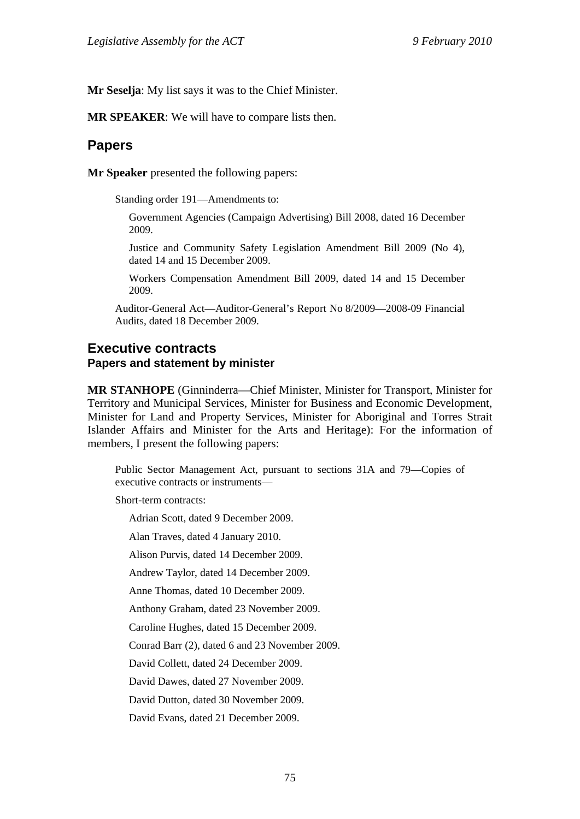**Mr Seselja**: My list says it was to the Chief Minister.

**MR SPEAKER**: We will have to compare lists then.

### **Papers**

**Mr Speaker** presented the following papers:

Standing order 191—Amendments to:

Government Agencies (Campaign Advertising) Bill 2008, dated 16 December 2009.

Justice and Community Safety Legislation Amendment Bill 2009 (No 4), dated 14 and 15 December 2009.

Workers Compensation Amendment Bill 2009, dated 14 and 15 December 2009.

Auditor-General Act—Auditor-General's Report No 8/2009—2008-09 Financial Audits, dated 18 December 2009.

# **Executive contracts Papers and statement by minister**

**MR STANHOPE** (Ginninderra—Chief Minister, Minister for Transport, Minister for Territory and Municipal Services, Minister for Business and Economic Development, Minister for Land and Property Services, Minister for Aboriginal and Torres Strait Islander Affairs and Minister for the Arts and Heritage): For the information of members, I present the following papers:

Public Sector Management Act, pursuant to sections 31A and 79—Copies of executive contracts or instruments—

Short-term contracts:

Adrian Scott, dated 9 December 2009.

Alan Traves, dated 4 January 2010.

Alison Purvis, dated 14 December 2009.

Andrew Taylor, dated 14 December 2009.

Anne Thomas, dated 10 December 2009.

Anthony Graham, dated 23 November 2009.

Caroline Hughes, dated 15 December 2009.

Conrad Barr (2), dated 6 and 23 November 2009.

David Collett, dated 24 December 2009.

David Dawes, dated 27 November 2009.

David Dutton, dated 30 November 2009.

David Evans, dated 21 December 2009.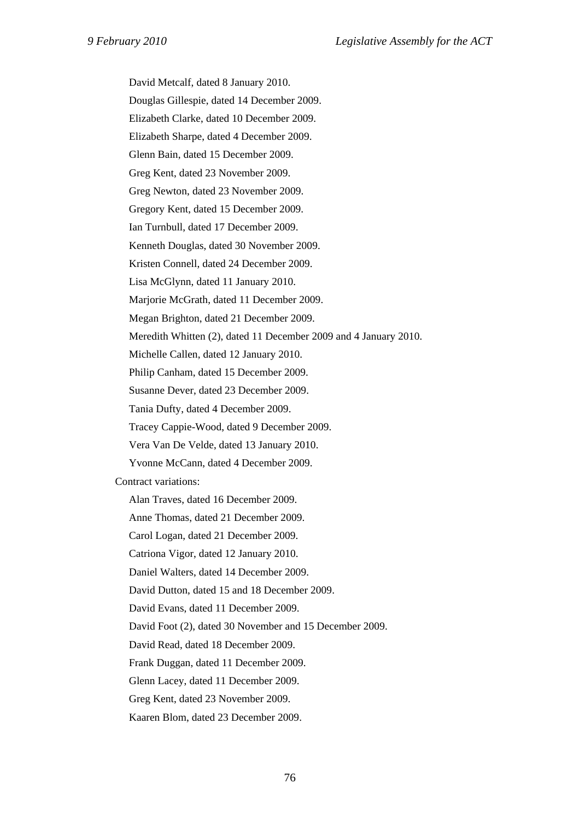David Metcalf, dated 8 January 2010.

Douglas Gillespie, dated 14 December 2009.

Elizabeth Clarke, dated 10 December 2009.

Elizabeth Sharpe, dated 4 December 2009.

Glenn Bain, dated 15 December 2009.

Greg Kent, dated 23 November 2009.

Greg Newton, dated 23 November 2009.

Gregory Kent, dated 15 December 2009.

Ian Turnbull, dated 17 December 2009.

Kenneth Douglas, dated 30 November 2009.

Kristen Connell, dated 24 December 2009.

Lisa McGlynn, dated 11 January 2010.

Marjorie McGrath, dated 11 December 2009.

Megan Brighton, dated 21 December 2009.

Meredith Whitten (2), dated 11 December 2009 and 4 January 2010.

Michelle Callen, dated 12 January 2010.

Philip Canham, dated 15 December 2009.

Susanne Dever, dated 23 December 2009.

Tania Dufty, dated 4 December 2009.

Tracey Cappie-Wood, dated 9 December 2009.

Vera Van De Velde, dated 13 January 2010.

Yvonne McCann, dated 4 December 2009.

Contract variations:

Alan Traves, dated 16 December 2009.

Anne Thomas, dated 21 December 2009.

Carol Logan, dated 21 December 2009.

Catriona Vigor, dated 12 January 2010.

Daniel Walters, dated 14 December 2009.

David Dutton, dated 15 and 18 December 2009.

David Evans, dated 11 December 2009.

David Foot (2), dated 30 November and 15 December 2009.

David Read, dated 18 December 2009.

Frank Duggan, dated 11 December 2009.

Glenn Lacey, dated 11 December 2009.

Greg Kent, dated 23 November 2009.

Kaaren Blom, dated 23 December 2009.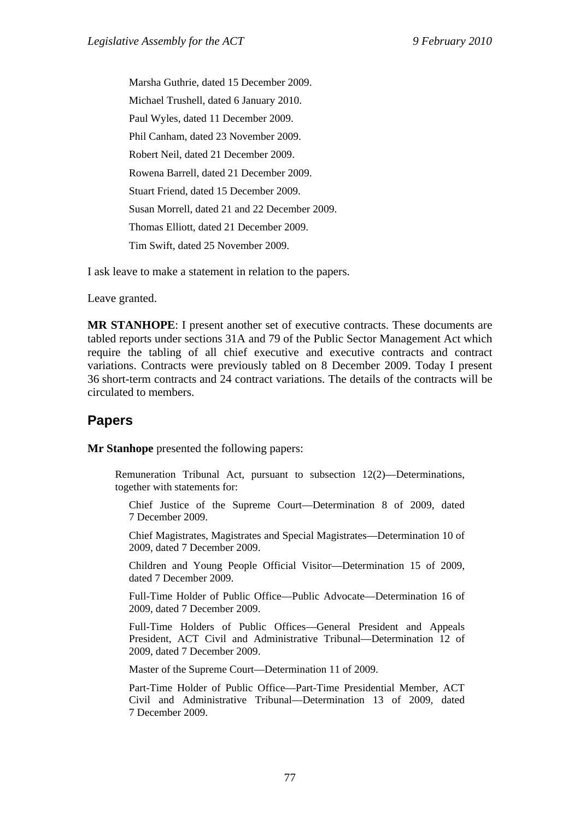Marsha Guthrie, dated 15 December 2009. Michael Trushell, dated 6 January 2010. Paul Wyles, dated 11 December 2009. Phil Canham, dated 23 November 2009. Robert Neil, dated 21 December 2009. Rowena Barrell, dated 21 December 2009. Stuart Friend, dated 15 December 2009. Susan Morrell, dated 21 and 22 December 2009. Thomas Elliott, dated 21 December 2009. Tim Swift, dated 25 November 2009.

I ask leave to make a statement in relation to the papers.

Leave granted.

**MR STANHOPE**: I present another set of executive contracts. These documents are tabled reports under sections 31A and 79 of the Public Sector Management Act which require the tabling of all chief executive and executive contracts and contract variations. Contracts were previously tabled on 8 December 2009. Today I present 36 short-term contracts and 24 contract variations. The details of the contracts will be circulated to members.

# **Papers**

**Mr Stanhope** presented the following papers:

Remuneration Tribunal Act, pursuant to subsection 12(2)—Determinations, together with statements for:

Chief Justice of the Supreme Court—Determination 8 of 2009, dated 7 December 2009.

Chief Magistrates, Magistrates and Special Magistrates—Determination 10 of 2009, dated 7 December 2009.

Children and Young People Official Visitor—Determination 15 of 2009, dated 7 December 2009.

Full-Time Holder of Public Office—Public Advocate—Determination 16 of 2009, dated 7 December 2009.

Full-Time Holders of Public Offices—General President and Appeals President, ACT Civil and Administrative Tribunal—Determination 12 of 2009, dated 7 December 2009.

Master of the Supreme Court—Determination 11 of 2009.

Part-Time Holder of Public Office—Part-Time Presidential Member, ACT Civil and Administrative Tribunal—Determination 13 of 2009, dated 7 December 2009.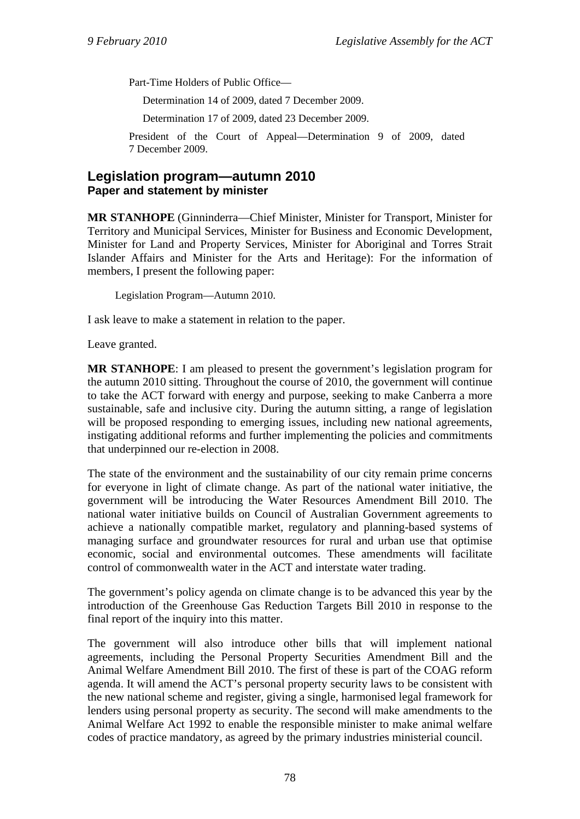Part-Time Holders of Public Office—

Determination 14 of 2009, dated 7 December 2009.

Determination 17 of 2009, dated 23 December 2009.

President of the Court of Appeal—Determination 9 of 2009, dated 7 December 2009.

# **Legislation program—autumn 2010 Paper and statement by minister**

**MR STANHOPE** (Ginninderra—Chief Minister, Minister for Transport, Minister for Territory and Municipal Services, Minister for Business and Economic Development, Minister for Land and Property Services, Minister for Aboriginal and Torres Strait Islander Affairs and Minister for the Arts and Heritage): For the information of members, I present the following paper:

Legislation Program—Autumn 2010.

I ask leave to make a statement in relation to the paper.

Leave granted.

**MR STANHOPE**: I am pleased to present the government's legislation program for the autumn 2010 sitting. Throughout the course of 2010, the government will continue to take the ACT forward with energy and purpose, seeking to make Canberra a more sustainable, safe and inclusive city. During the autumn sitting, a range of legislation will be proposed responding to emerging issues, including new national agreements, instigating additional reforms and further implementing the policies and commitments that underpinned our re-election in 2008.

The state of the environment and the sustainability of our city remain prime concerns for everyone in light of climate change. As part of the national water initiative, the government will be introducing the Water Resources Amendment Bill 2010. The national water initiative builds on Council of Australian Government agreements to achieve a nationally compatible market, regulatory and planning-based systems of managing surface and groundwater resources for rural and urban use that optimise economic, social and environmental outcomes. These amendments will facilitate control of commonwealth water in the ACT and interstate water trading.

The government's policy agenda on climate change is to be advanced this year by the introduction of the Greenhouse Gas Reduction Targets Bill 2010 in response to the final report of the inquiry into this matter.

The government will also introduce other bills that will implement national agreements, including the Personal Property Securities Amendment Bill and the Animal Welfare Amendment Bill 2010. The first of these is part of the COAG reform agenda. It will amend the ACT's personal property security laws to be consistent with the new national scheme and register, giving a single, harmonised legal framework for lenders using personal property as security. The second will make amendments to the Animal Welfare Act 1992 to enable the responsible minister to make animal welfare codes of practice mandatory, as agreed by the primary industries ministerial council.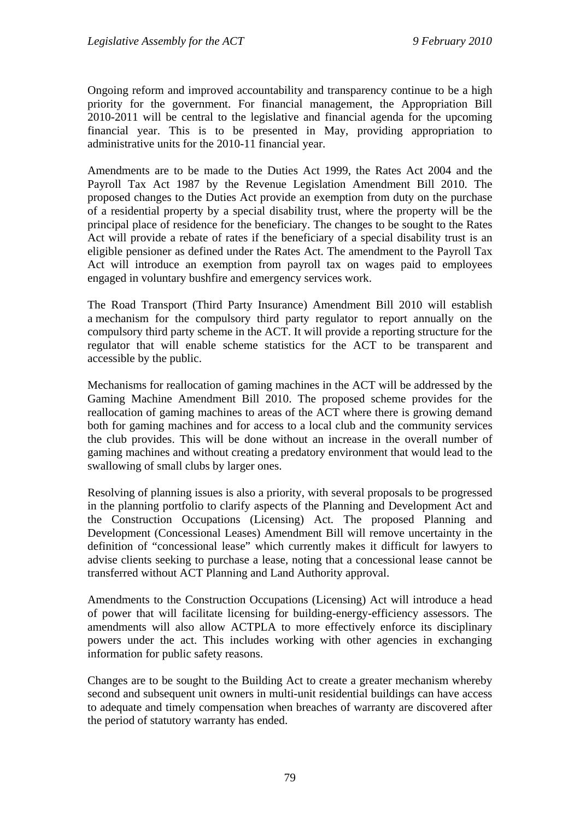Ongoing reform and improved accountability and transparency continue to be a high priority for the government. For financial management, the Appropriation Bill 2010-2011 will be central to the legislative and financial agenda for the upcoming financial year. This is to be presented in May, providing appropriation to administrative units for the 2010-11 financial year.

Amendments are to be made to the Duties Act 1999, the Rates Act 2004 and the Payroll Tax Act 1987 by the Revenue Legislation Amendment Bill 2010. The proposed changes to the Duties Act provide an exemption from duty on the purchase of a residential property by a special disability trust, where the property will be the principal place of residence for the beneficiary. The changes to be sought to the Rates Act will provide a rebate of rates if the beneficiary of a special disability trust is an eligible pensioner as defined under the Rates Act. The amendment to the Payroll Tax Act will introduce an exemption from payroll tax on wages paid to employees engaged in voluntary bushfire and emergency services work.

The Road Transport (Third Party Insurance) Amendment Bill 2010 will establish a mechanism for the compulsory third party regulator to report annually on the compulsory third party scheme in the ACT. It will provide a reporting structure for the regulator that will enable scheme statistics for the ACT to be transparent and accessible by the public.

Mechanisms for reallocation of gaming machines in the ACT will be addressed by the Gaming Machine Amendment Bill 2010. The proposed scheme provides for the reallocation of gaming machines to areas of the ACT where there is growing demand both for gaming machines and for access to a local club and the community services the club provides. This will be done without an increase in the overall number of gaming machines and without creating a predatory environment that would lead to the swallowing of small clubs by larger ones.

Resolving of planning issues is also a priority, with several proposals to be progressed in the planning portfolio to clarify aspects of the Planning and Development Act and the Construction Occupations (Licensing) Act. The proposed Planning and Development (Concessional Leases) Amendment Bill will remove uncertainty in the definition of "concessional lease" which currently makes it difficult for lawyers to advise clients seeking to purchase a lease, noting that a concessional lease cannot be transferred without ACT Planning and Land Authority approval.

Amendments to the Construction Occupations (Licensing) Act will introduce a head of power that will facilitate licensing for building-energy-efficiency assessors. The amendments will also allow ACTPLA to more effectively enforce its disciplinary powers under the act. This includes working with other agencies in exchanging information for public safety reasons.

Changes are to be sought to the Building Act to create a greater mechanism whereby second and subsequent unit owners in multi-unit residential buildings can have access to adequate and timely compensation when breaches of warranty are discovered after the period of statutory warranty has ended.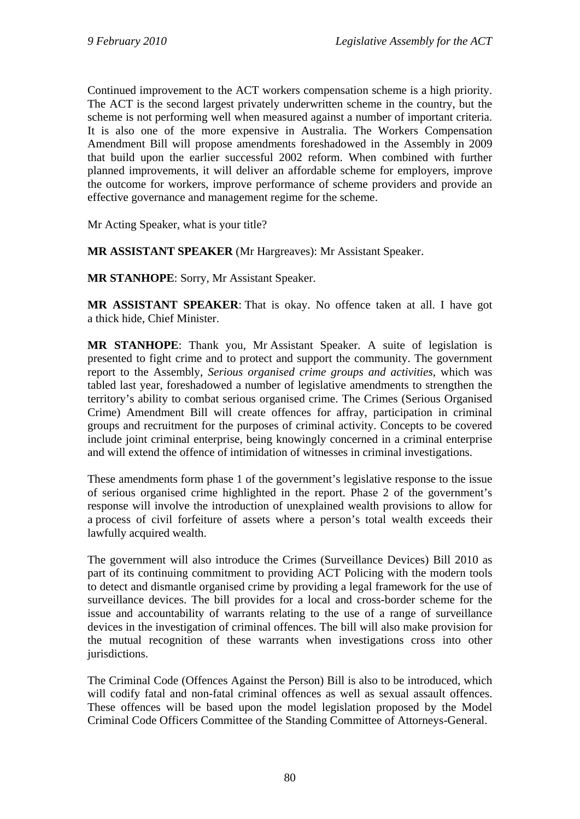Continued improvement to the ACT workers compensation scheme is a high priority. The ACT is the second largest privately underwritten scheme in the country, but the scheme is not performing well when measured against a number of important criteria. It is also one of the more expensive in Australia. The Workers Compensation Amendment Bill will propose amendments foreshadowed in the Assembly in 2009 that build upon the earlier successful 2002 reform. When combined with further planned improvements, it will deliver an affordable scheme for employers, improve the outcome for workers, improve performance of scheme providers and provide an effective governance and management regime for the scheme.

Mr Acting Speaker, what is your title?

**MR ASSISTANT SPEAKER** (Mr Hargreaves): Mr Assistant Speaker.

**MR STANHOPE**: Sorry, Mr Assistant Speaker.

**MR ASSISTANT SPEAKER**: That is okay. No offence taken at all. I have got a thick hide, Chief Minister.

**MR STANHOPE**: Thank you, Mr Assistant Speaker. A suite of legislation is presented to fight crime and to protect and support the community. The government report to the Assembly, *Serious organised crime groups and activities*, which was tabled last year, foreshadowed a number of legislative amendments to strengthen the territory's ability to combat serious organised crime. The Crimes (Serious Organised Crime) Amendment Bill will create offences for affray, participation in criminal groups and recruitment for the purposes of criminal activity. Concepts to be covered include joint criminal enterprise, being knowingly concerned in a criminal enterprise and will extend the offence of intimidation of witnesses in criminal investigations.

These amendments form phase 1 of the government's legislative response to the issue of serious organised crime highlighted in the report. Phase 2 of the government's response will involve the introduction of unexplained wealth provisions to allow for a process of civil forfeiture of assets where a person's total wealth exceeds their lawfully acquired wealth.

The government will also introduce the Crimes (Surveillance Devices) Bill 2010 as part of its continuing commitment to providing ACT Policing with the modern tools to detect and dismantle organised crime by providing a legal framework for the use of surveillance devices. The bill provides for a local and cross-border scheme for the issue and accountability of warrants relating to the use of a range of surveillance devices in the investigation of criminal offences. The bill will also make provision for the mutual recognition of these warrants when investigations cross into other jurisdictions.

The Criminal Code (Offences Against the Person) Bill is also to be introduced, which will codify fatal and non-fatal criminal offences as well as sexual assault offences. These offences will be based upon the model legislation proposed by the Model Criminal Code Officers Committee of the Standing Committee of Attorneys-General.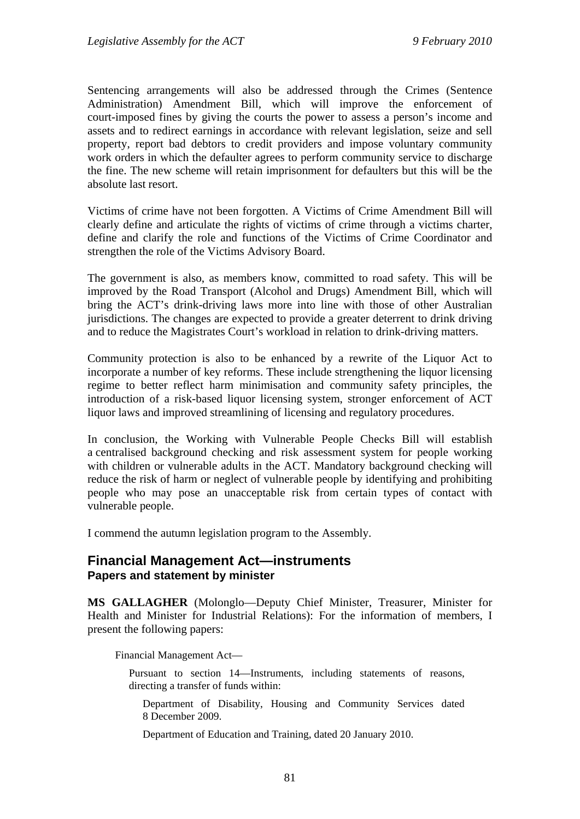Sentencing arrangements will also be addressed through the Crimes (Sentence Administration) Amendment Bill, which will improve the enforcement of court-imposed fines by giving the courts the power to assess a person's income and assets and to redirect earnings in accordance with relevant legislation, seize and sell property, report bad debtors to credit providers and impose voluntary community work orders in which the defaulter agrees to perform community service to discharge the fine. The new scheme will retain imprisonment for defaulters but this will be the absolute last resort.

Victims of crime have not been forgotten. A Victims of Crime Amendment Bill will clearly define and articulate the rights of victims of crime through a victims charter, define and clarify the role and functions of the Victims of Crime Coordinator and strengthen the role of the Victims Advisory Board.

The government is also, as members know, committed to road safety. This will be improved by the Road Transport (Alcohol and Drugs) Amendment Bill, which will bring the ACT's drink-driving laws more into line with those of other Australian jurisdictions. The changes are expected to provide a greater deterrent to drink driving and to reduce the Magistrates Court's workload in relation to drink-driving matters.

Community protection is also to be enhanced by a rewrite of the Liquor Act to incorporate a number of key reforms. These include strengthening the liquor licensing regime to better reflect harm minimisation and community safety principles, the introduction of a risk-based liquor licensing system, stronger enforcement of ACT liquor laws and improved streamlining of licensing and regulatory procedures.

In conclusion, the Working with Vulnerable People Checks Bill will establish a centralised background checking and risk assessment system for people working with children or vulnerable adults in the ACT. Mandatory background checking will reduce the risk of harm or neglect of vulnerable people by identifying and prohibiting people who may pose an unacceptable risk from certain types of contact with vulnerable people.

I commend the autumn legislation program to the Assembly.

### **Financial Management Act—instruments Papers and statement by minister**

**MS GALLAGHER** (Molonglo—Deputy Chief Minister, Treasurer, Minister for Health and Minister for Industrial Relations): For the information of members, I present the following papers:

Financial Management Act—

Pursuant to section 14—Instruments, including statements of reasons, directing a transfer of funds within:

Department of Disability, Housing and Community Services dated 8 December 2009.

Department of Education and Training, dated 20 January 2010.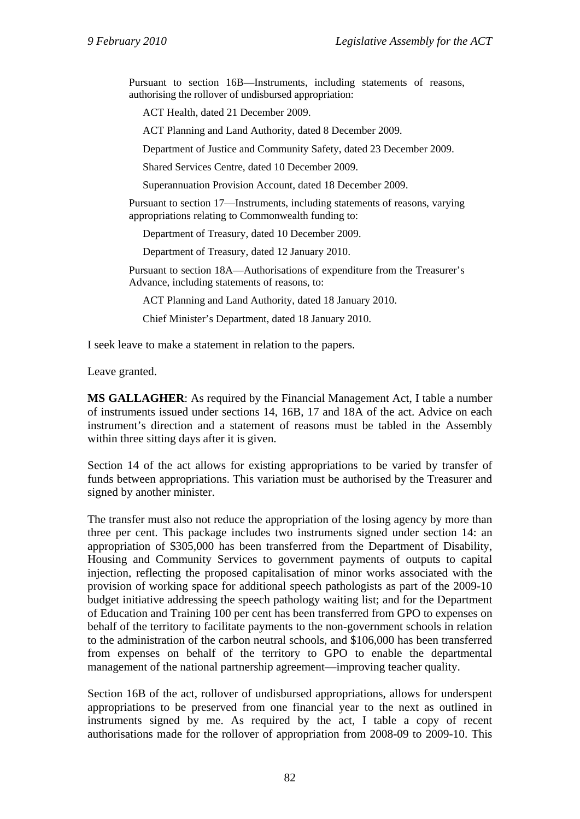Pursuant to section 16B—Instruments, including statements of reasons, authorising the rollover of undisbursed appropriation:

ACT Health, dated 21 December 2009.

ACT Planning and Land Authority, dated 8 December 2009.

Department of Justice and Community Safety, dated 23 December 2009.

Shared Services Centre, dated 10 December 2009.

Superannuation Provision Account, dated 18 December 2009.

Pursuant to section 17—Instruments, including statements of reasons, varying appropriations relating to Commonwealth funding to:

Department of Treasury, dated 10 December 2009.

Department of Treasury, dated 12 January 2010.

Pursuant to section 18A—Authorisations of expenditure from the Treasurer's Advance, including statements of reasons, to:

ACT Planning and Land Authority, dated 18 January 2010.

Chief Minister's Department, dated 18 January 2010.

I seek leave to make a statement in relation to the papers.

Leave granted.

**MS GALLAGHER**: As required by the Financial Management Act, I table a number of instruments issued under sections 14, 16B, 17 and 18A of the act. Advice on each instrument's direction and a statement of reasons must be tabled in the Assembly within three sitting days after it is given.

Section 14 of the act allows for existing appropriations to be varied by transfer of funds between appropriations. This variation must be authorised by the Treasurer and signed by another minister.

The transfer must also not reduce the appropriation of the losing agency by more than three per cent. This package includes two instruments signed under section 14: an appropriation of \$305,000 has been transferred from the Department of Disability, Housing and Community Services to government payments of outputs to capital injection, reflecting the proposed capitalisation of minor works associated with the provision of working space for additional speech pathologists as part of the 2009-10 budget initiative addressing the speech pathology waiting list; and for the Department of Education and Training 100 per cent has been transferred from GPO to expenses on behalf of the territory to facilitate payments to the non-government schools in relation to the administration of the carbon neutral schools, and \$106,000 has been transferred from expenses on behalf of the territory to GPO to enable the departmental management of the national partnership agreement—improving teacher quality.

Section 16B of the act, rollover of undisbursed appropriations, allows for underspent appropriations to be preserved from one financial year to the next as outlined in instruments signed by me. As required by the act, I table a copy of recent authorisations made for the rollover of appropriation from 2008-09 to 2009-10. This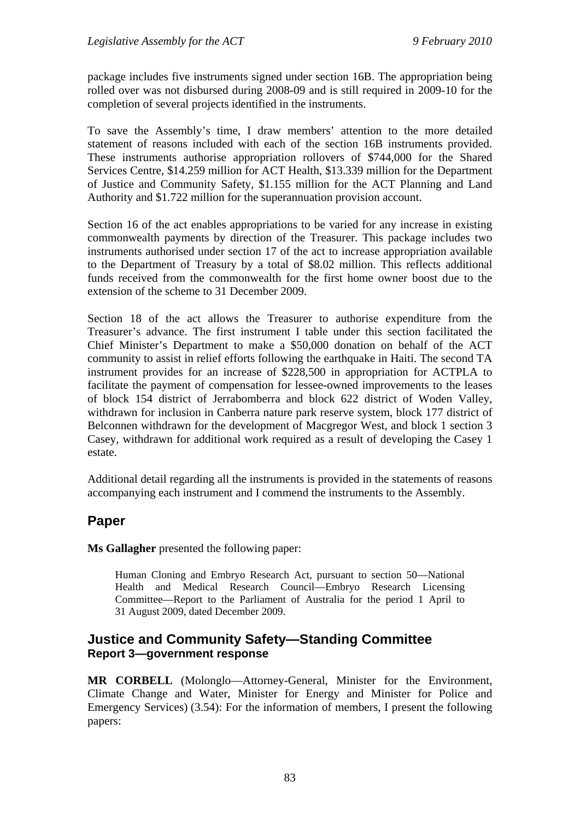package includes five instruments signed under section 16B. The appropriation being rolled over was not disbursed during 2008-09 and is still required in 2009-10 for the completion of several projects identified in the instruments.

To save the Assembly's time, I draw members' attention to the more detailed statement of reasons included with each of the section 16B instruments provided. These instruments authorise appropriation rollovers of \$744,000 for the Shared Services Centre, \$14.259 million for ACT Health, \$13.339 million for the Department of Justice and Community Safety, \$1.155 million for the ACT Planning and Land Authority and \$1.722 million for the superannuation provision account.

Section 16 of the act enables appropriations to be varied for any increase in existing commonwealth payments by direction of the Treasurer. This package includes two instruments authorised under section 17 of the act to increase appropriation available to the Department of Treasury by a total of \$8.02 million. This reflects additional funds received from the commonwealth for the first home owner boost due to the extension of the scheme to 31 December 2009.

Section 18 of the act allows the Treasurer to authorise expenditure from the Treasurer's advance. The first instrument I table under this section facilitated the Chief Minister's Department to make a \$50,000 donation on behalf of the ACT community to assist in relief efforts following the earthquake in Haiti. The second TA instrument provides for an increase of \$228,500 in appropriation for ACTPLA to facilitate the payment of compensation for lessee-owned improvements to the leases of block 154 district of Jerrabomberra and block 622 district of Woden Valley, withdrawn for inclusion in Canberra nature park reserve system, block 177 district of Belconnen withdrawn for the development of Macgregor West, and block 1 section 3 Casey, withdrawn for additional work required as a result of developing the Casey 1 estate.

Additional detail regarding all the instruments is provided in the statements of reasons accompanying each instrument and I commend the instruments to the Assembly.

# **Paper**

**Ms Gallagher** presented the following paper:

Human Cloning and Embryo Research Act, pursuant to section 50—National Health and Medical Research Council—Embryo Research Licensing Committee—Report to the Parliament of Australia for the period 1 April to 31 August 2009, dated December 2009.

# **Justice and Community Safety—Standing Committee Report 3—government response**

**MR CORBELL** (Molonglo—Attorney-General, Minister for the Environment, Climate Change and Water, Minister for Energy and Minister for Police and Emergency Services) (3.54): For the information of members, I present the following papers: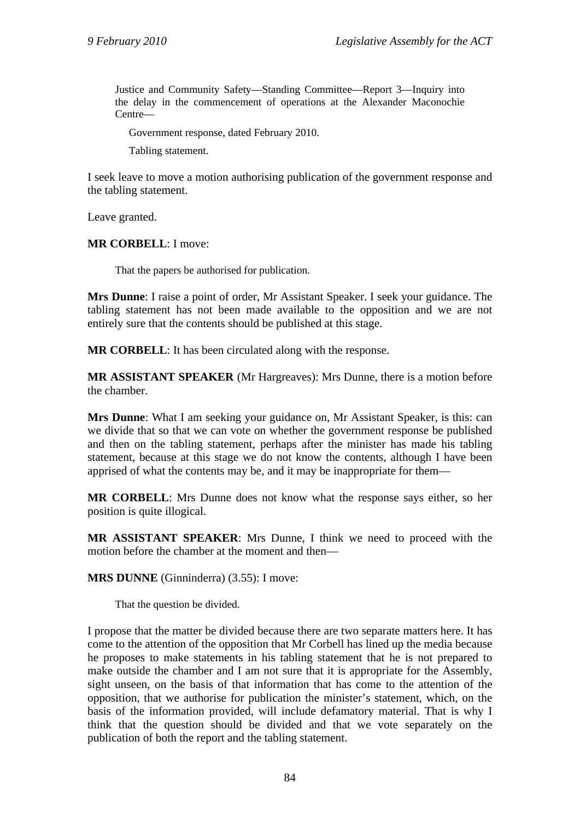Justice and Community Safety—Standing Committee—Report 3—Inquiry into the delay in the commencement of operations at the Alexander Maconochie Centre—

Government response, dated February 2010.

Tabling statement.

I seek leave to move a motion authorising publication of the government response and the tabling statement.

Leave granted.

**MR CORBELL**: I move:

That the papers be authorised for publication.

**Mrs Dunne**: I raise a point of order, Mr Assistant Speaker. I seek your guidance. The tabling statement has not been made available to the opposition and we are not entirely sure that the contents should be published at this stage.

**MR CORBELL**: It has been circulated along with the response.

**MR ASSISTANT SPEAKER** (Mr Hargreaves): Mrs Dunne, there is a motion before the chamber.

**Mrs Dunne**: What I am seeking your guidance on, Mr Assistant Speaker, is this: can we divide that so that we can vote on whether the government response be published and then on the tabling statement, perhaps after the minister has made his tabling statement, because at this stage we do not know the contents, although I have been apprised of what the contents may be, and it may be inappropriate for them—

**MR CORBELL**: Mrs Dunne does not know what the response says either, so her position is quite illogical.

**MR ASSISTANT SPEAKER**: Mrs Dunne, I think we need to proceed with the motion before the chamber at the moment and then—

**MRS DUNNE** (Ginninderra) (3.55): I move:

That the question be divided.

I propose that the matter be divided because there are two separate matters here. It has come to the attention of the opposition that Mr Corbell has lined up the media because he proposes to make statements in his tabling statement that he is not prepared to make outside the chamber and I am not sure that it is appropriate for the Assembly, sight unseen, on the basis of that information that has come to the attention of the opposition, that we authorise for publication the minister's statement, which, on the basis of the information provided, will include defamatory material. That is why I think that the question should be divided and that we vote separately on the publication of both the report and the tabling statement.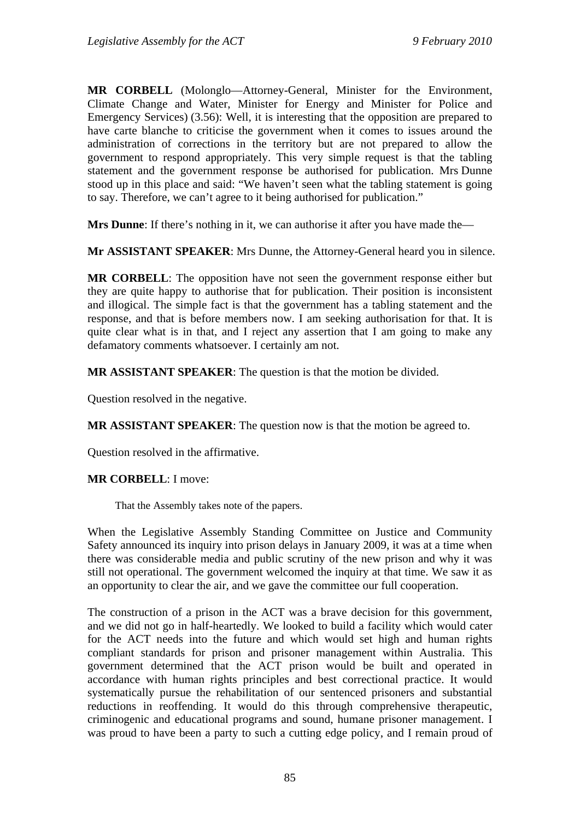**MR CORBELL** (Molonglo—Attorney-General, Minister for the Environment, Climate Change and Water, Minister for Energy and Minister for Police and Emergency Services) (3.56): Well, it is interesting that the opposition are prepared to have carte blanche to criticise the government when it comes to issues around the administration of corrections in the territory but are not prepared to allow the government to respond appropriately. This very simple request is that the tabling statement and the government response be authorised for publication. Mrs Dunne stood up in this place and said: "We haven't seen what the tabling statement is going to say. Therefore, we can't agree to it being authorised for publication."

**Mrs Dunne**: If there's nothing in it, we can authorise it after you have made the—

**Mr ASSISTANT SPEAKER**: Mrs Dunne, the Attorney-General heard you in silence.

**MR CORBELL**: The opposition have not seen the government response either but they are quite happy to authorise that for publication. Their position is inconsistent and illogical. The simple fact is that the government has a tabling statement and the response, and that is before members now. I am seeking authorisation for that. It is quite clear what is in that, and I reject any assertion that I am going to make any defamatory comments whatsoever. I certainly am not.

**MR ASSISTANT SPEAKER**: The question is that the motion be divided.

Question resolved in the negative.

**MR ASSISTANT SPEAKER**: The question now is that the motion be agreed to.

Question resolved in the affirmative.

#### **MR CORBELL**: I move:

That the Assembly takes note of the papers.

When the Legislative Assembly Standing Committee on Justice and Community Safety announced its inquiry into prison delays in January 2009, it was at a time when there was considerable media and public scrutiny of the new prison and why it was still not operational. The government welcomed the inquiry at that time. We saw it as an opportunity to clear the air, and we gave the committee our full cooperation.

The construction of a prison in the ACT was a brave decision for this government, and we did not go in half-heartedly. We looked to build a facility which would cater for the ACT needs into the future and which would set high and human rights compliant standards for prison and prisoner management within Australia. This government determined that the ACT prison would be built and operated in accordance with human rights principles and best correctional practice. It would systematically pursue the rehabilitation of our sentenced prisoners and substantial reductions in reoffending. It would do this through comprehensive therapeutic, criminogenic and educational programs and sound, humane prisoner management. I was proud to have been a party to such a cutting edge policy, and I remain proud of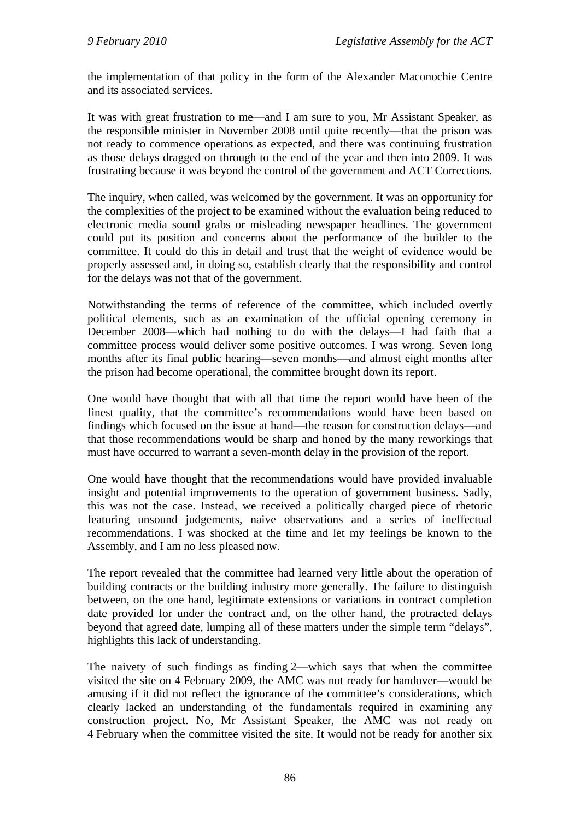the implementation of that policy in the form of the Alexander Maconochie Centre and its associated services.

It was with great frustration to me—and I am sure to you, Mr Assistant Speaker, as the responsible minister in November 2008 until quite recently—that the prison was not ready to commence operations as expected, and there was continuing frustration as those delays dragged on through to the end of the year and then into 2009. It was frustrating because it was beyond the control of the government and ACT Corrections.

The inquiry, when called, was welcomed by the government. It was an opportunity for the complexities of the project to be examined without the evaluation being reduced to electronic media sound grabs or misleading newspaper headlines. The government could put its position and concerns about the performance of the builder to the committee. It could do this in detail and trust that the weight of evidence would be properly assessed and, in doing so, establish clearly that the responsibility and control for the delays was not that of the government.

Notwithstanding the terms of reference of the committee, which included overtly political elements, such as an examination of the official opening ceremony in December 2008—which had nothing to do with the delays—I had faith that a committee process would deliver some positive outcomes. I was wrong. Seven long months after its final public hearing—seven months—and almost eight months after the prison had become operational, the committee brought down its report.

One would have thought that with all that time the report would have been of the finest quality, that the committee's recommendations would have been based on findings which focused on the issue at hand—the reason for construction delays—and that those recommendations would be sharp and honed by the many reworkings that must have occurred to warrant a seven-month delay in the provision of the report.

One would have thought that the recommendations would have provided invaluable insight and potential improvements to the operation of government business. Sadly, this was not the case. Instead, we received a politically charged piece of rhetoric featuring unsound judgements, naive observations and a series of ineffectual recommendations. I was shocked at the time and let my feelings be known to the Assembly, and I am no less pleased now.

The report revealed that the committee had learned very little about the operation of building contracts or the building industry more generally. The failure to distinguish between, on the one hand, legitimate extensions or variations in contract completion date provided for under the contract and, on the other hand, the protracted delays beyond that agreed date, lumping all of these matters under the simple term "delays", highlights this lack of understanding.

The naivety of such findings as finding 2—which says that when the committee visited the site on 4 February 2009, the AMC was not ready for handover—would be amusing if it did not reflect the ignorance of the committee's considerations, which clearly lacked an understanding of the fundamentals required in examining any construction project. No, Mr Assistant Speaker, the AMC was not ready on 4 February when the committee visited the site. It would not be ready for another six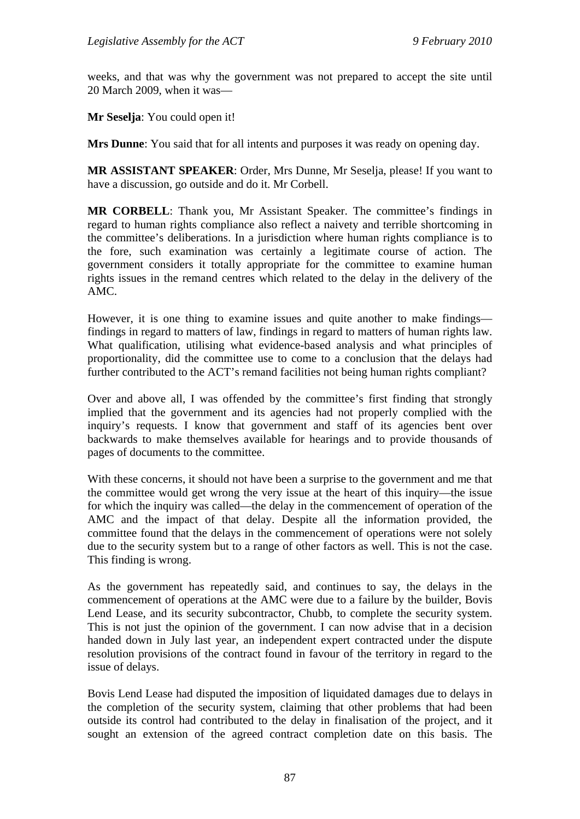weeks, and that was why the government was not prepared to accept the site until 20 March 2009, when it was—

**Mr Seselja**: You could open it!

**Mrs Dunne**: You said that for all intents and purposes it was ready on opening day.

**MR ASSISTANT SPEAKER**: Order, Mrs Dunne, Mr Seselja, please! If you want to have a discussion, go outside and do it. Mr Corbell.

**MR CORBELL**: Thank you, Mr Assistant Speaker. The committee's findings in regard to human rights compliance also reflect a naivety and terrible shortcoming in the committee's deliberations. In a jurisdiction where human rights compliance is to the fore, such examination was certainly a legitimate course of action. The government considers it totally appropriate for the committee to examine human rights issues in the remand centres which related to the delay in the delivery of the AMC.

However, it is one thing to examine issues and quite another to make findings findings in regard to matters of law, findings in regard to matters of human rights law. What qualification, utilising what evidence-based analysis and what principles of proportionality, did the committee use to come to a conclusion that the delays had further contributed to the ACT's remand facilities not being human rights compliant?

Over and above all, I was offended by the committee's first finding that strongly implied that the government and its agencies had not properly complied with the inquiry's requests. I know that government and staff of its agencies bent over backwards to make themselves available for hearings and to provide thousands of pages of documents to the committee.

With these concerns, it should not have been a surprise to the government and me that the committee would get wrong the very issue at the heart of this inquiry—the issue for which the inquiry was called—the delay in the commencement of operation of the AMC and the impact of that delay. Despite all the information provided, the committee found that the delays in the commencement of operations were not solely due to the security system but to a range of other factors as well. This is not the case. This finding is wrong.

As the government has repeatedly said, and continues to say, the delays in the commencement of operations at the AMC were due to a failure by the builder, Bovis Lend Lease, and its security subcontractor, Chubb, to complete the security system. This is not just the opinion of the government. I can now advise that in a decision handed down in July last year, an independent expert contracted under the dispute resolution provisions of the contract found in favour of the territory in regard to the issue of delays.

Bovis Lend Lease had disputed the imposition of liquidated damages due to delays in the completion of the security system, claiming that other problems that had been outside its control had contributed to the delay in finalisation of the project, and it sought an extension of the agreed contract completion date on this basis. The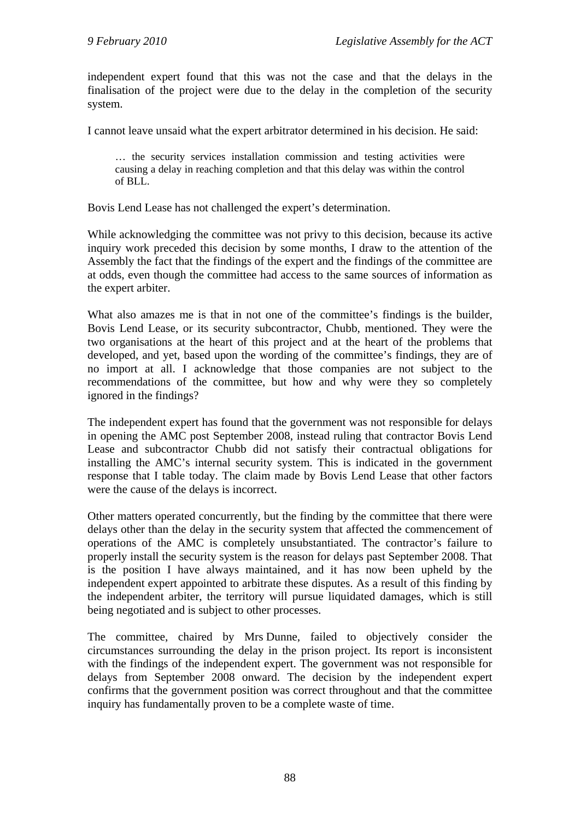independent expert found that this was not the case and that the delays in the finalisation of the project were due to the delay in the completion of the security system.

I cannot leave unsaid what the expert arbitrator determined in his decision. He said:

… the security services installation commission and testing activities were causing a delay in reaching completion and that this delay was within the control of BLL.

Bovis Lend Lease has not challenged the expert's determination.

While acknowledging the committee was not privy to this decision, because its active inquiry work preceded this decision by some months, I draw to the attention of the Assembly the fact that the findings of the expert and the findings of the committee are at odds, even though the committee had access to the same sources of information as the expert arbiter.

What also amazes me is that in not one of the committee's findings is the builder, Bovis Lend Lease, or its security subcontractor, Chubb, mentioned. They were the two organisations at the heart of this project and at the heart of the problems that developed, and yet, based upon the wording of the committee's findings, they are of no import at all. I acknowledge that those companies are not subject to the recommendations of the committee, but how and why were they so completely ignored in the findings?

The independent expert has found that the government was not responsible for delays in opening the AMC post September 2008, instead ruling that contractor Bovis Lend Lease and subcontractor Chubb did not satisfy their contractual obligations for installing the AMC's internal security system. This is indicated in the government response that I table today. The claim made by Bovis Lend Lease that other factors were the cause of the delays is incorrect.

Other matters operated concurrently, but the finding by the committee that there were delays other than the delay in the security system that affected the commencement of operations of the AMC is completely unsubstantiated. The contractor's failure to properly install the security system is the reason for delays past September 2008. That is the position I have always maintained, and it has now been upheld by the independent expert appointed to arbitrate these disputes. As a result of this finding by the independent arbiter, the territory will pursue liquidated damages, which is still being negotiated and is subject to other processes.

The committee, chaired by Mrs Dunne, failed to objectively consider the circumstances surrounding the delay in the prison project. Its report is inconsistent with the findings of the independent expert. The government was not responsible for delays from September 2008 onward. The decision by the independent expert confirms that the government position was correct throughout and that the committee inquiry has fundamentally proven to be a complete waste of time.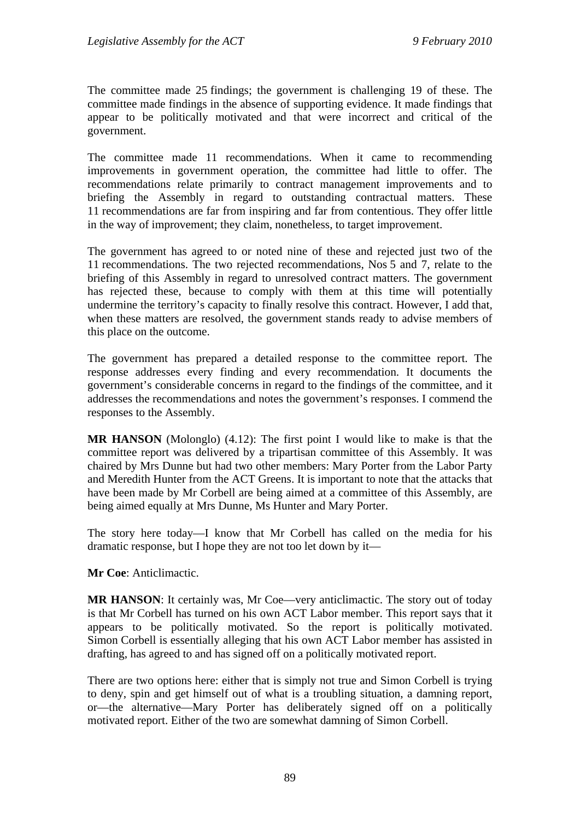The committee made 25 findings; the government is challenging 19 of these. The committee made findings in the absence of supporting evidence. It made findings that appear to be politically motivated and that were incorrect and critical of the government.

The committee made 11 recommendations. When it came to recommending improvements in government operation, the committee had little to offer. The recommendations relate primarily to contract management improvements and to briefing the Assembly in regard to outstanding contractual matters. These 11 recommendations are far from inspiring and far from contentious. They offer little in the way of improvement; they claim, nonetheless, to target improvement.

The government has agreed to or noted nine of these and rejected just two of the 11 recommendations. The two rejected recommendations, Nos 5 and 7, relate to the briefing of this Assembly in regard to unresolved contract matters. The government has rejected these, because to comply with them at this time will potentially undermine the territory's capacity to finally resolve this contract. However, I add that, when these matters are resolved, the government stands ready to advise members of this place on the outcome.

The government has prepared a detailed response to the committee report. The response addresses every finding and every recommendation. It documents the government's considerable concerns in regard to the findings of the committee, and it addresses the recommendations and notes the government's responses. I commend the responses to the Assembly.

**MR HANSON** (Molonglo) (4.12): The first point I would like to make is that the committee report was delivered by a tripartisan committee of this Assembly. It was chaired by Mrs Dunne but had two other members: Mary Porter from the Labor Party and Meredith Hunter from the ACT Greens. It is important to note that the attacks that have been made by Mr Corbell are being aimed at a committee of this Assembly, are being aimed equally at Mrs Dunne, Ms Hunter and Mary Porter.

The story here today—I know that Mr Corbell has called on the media for his dramatic response, but I hope they are not too let down by it—

**Mr Coe**: Anticlimactic.

**MR HANSON**: It certainly was, Mr Coe—very anticlimactic. The story out of today is that Mr Corbell has turned on his own ACT Labor member. This report says that it appears to be politically motivated. So the report is politically motivated. Simon Corbell is essentially alleging that his own ACT Labor member has assisted in drafting, has agreed to and has signed off on a politically motivated report.

There are two options here: either that is simply not true and Simon Corbell is trying to deny, spin and get himself out of what is a troubling situation, a damning report, or—the alternative—Mary Porter has deliberately signed off on a politically motivated report. Either of the two are somewhat damning of Simon Corbell.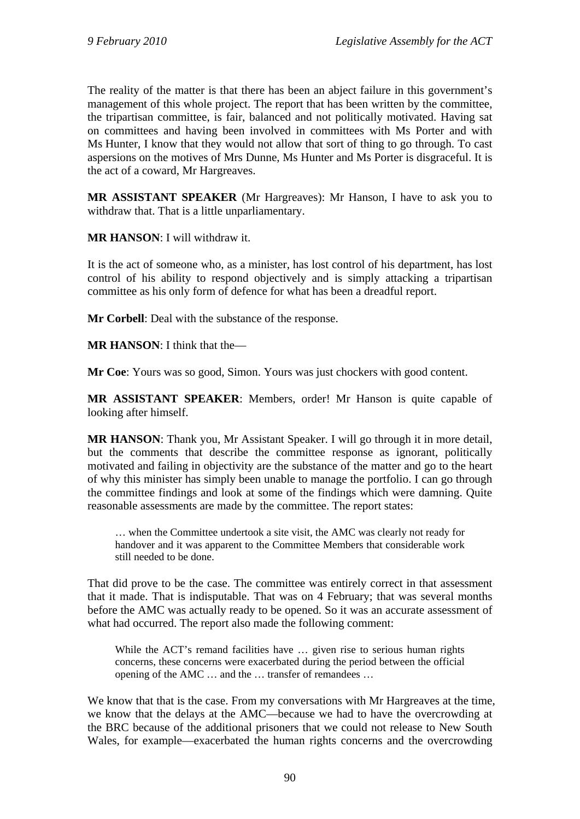The reality of the matter is that there has been an abject failure in this government's management of this whole project. The report that has been written by the committee, the tripartisan committee, is fair, balanced and not politically motivated. Having sat on committees and having been involved in committees with Ms Porter and with Ms Hunter, I know that they would not allow that sort of thing to go through. To cast aspersions on the motives of Mrs Dunne, Ms Hunter and Ms Porter is disgraceful. It is the act of a coward, Mr Hargreaves.

**MR ASSISTANT SPEAKER** (Mr Hargreaves): Mr Hanson, I have to ask you to withdraw that. That is a little unparliamentary.

**MR HANSON**: I will withdraw it.

It is the act of someone who, as a minister, has lost control of his department, has lost control of his ability to respond objectively and is simply attacking a tripartisan committee as his only form of defence for what has been a dreadful report.

**Mr Corbell**: Deal with the substance of the response.

**MR HANSON**: I think that the—

**Mr Coe**: Yours was so good, Simon. Yours was just chockers with good content.

**MR ASSISTANT SPEAKER**: Members, order! Mr Hanson is quite capable of looking after himself.

**MR HANSON**: Thank you, Mr Assistant Speaker. I will go through it in more detail, but the comments that describe the committee response as ignorant, politically motivated and failing in objectivity are the substance of the matter and go to the heart of why this minister has simply been unable to manage the portfolio. I can go through the committee findings and look at some of the findings which were damning. Quite reasonable assessments are made by the committee. The report states:

… when the Committee undertook a site visit, the AMC was clearly not ready for handover and it was apparent to the Committee Members that considerable work still needed to be done.

That did prove to be the case. The committee was entirely correct in that assessment that it made. That is indisputable. That was on 4 February; that was several months before the AMC was actually ready to be opened. So it was an accurate assessment of what had occurred. The report also made the following comment:

While the ACT's remand facilities have ... given rise to serious human rights concerns, these concerns were exacerbated during the period between the official opening of the AMC … and the … transfer of remandees …

We know that that is the case. From my conversations with Mr Hargreaves at the time, we know that the delays at the AMC—because we had to have the overcrowding at the BRC because of the additional prisoners that we could not release to New South Wales, for example—exacerbated the human rights concerns and the overcrowding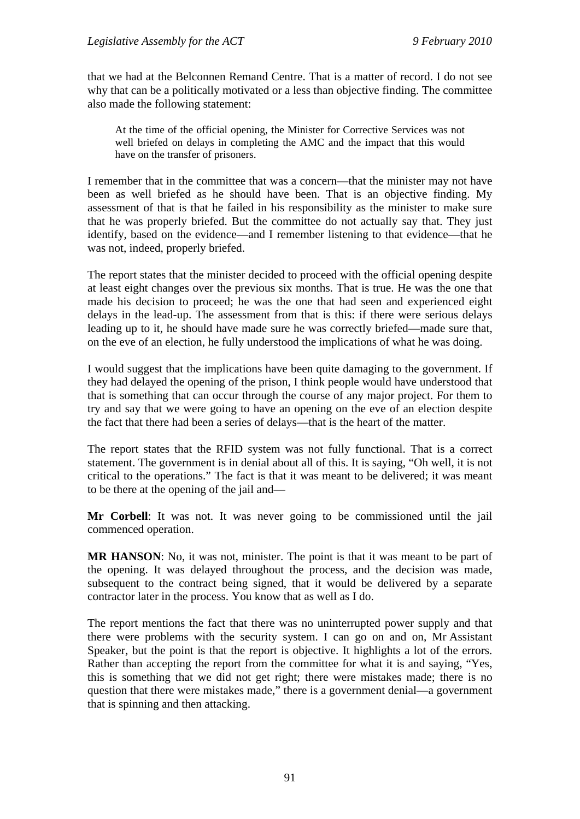that we had at the Belconnen Remand Centre. That is a matter of record. I do not see why that can be a politically motivated or a less than objective finding. The committee also made the following statement:

At the time of the official opening, the Minister for Corrective Services was not well briefed on delays in completing the AMC and the impact that this would have on the transfer of prisoners.

I remember that in the committee that was a concern—that the minister may not have been as well briefed as he should have been. That is an objective finding. My assessment of that is that he failed in his responsibility as the minister to make sure that he was properly briefed. But the committee do not actually say that. They just identify, based on the evidence—and I remember listening to that evidence—that he was not, indeed, properly briefed.

The report states that the minister decided to proceed with the official opening despite at least eight changes over the previous six months. That is true. He was the one that made his decision to proceed; he was the one that had seen and experienced eight delays in the lead-up. The assessment from that is this: if there were serious delays leading up to it, he should have made sure he was correctly briefed—made sure that, on the eve of an election, he fully understood the implications of what he was doing.

I would suggest that the implications have been quite damaging to the government. If they had delayed the opening of the prison, I think people would have understood that that is something that can occur through the course of any major project. For them to try and say that we were going to have an opening on the eve of an election despite the fact that there had been a series of delays—that is the heart of the matter.

The report states that the RFID system was not fully functional. That is a correct statement. The government is in denial about all of this. It is saying, "Oh well, it is not critical to the operations." The fact is that it was meant to be delivered; it was meant to be there at the opening of the jail and—

**Mr Corbell**: It was not. It was never going to be commissioned until the jail commenced operation.

**MR HANSON**: No, it was not, minister. The point is that it was meant to be part of the opening. It was delayed throughout the process, and the decision was made, subsequent to the contract being signed, that it would be delivered by a separate contractor later in the process. You know that as well as I do.

The report mentions the fact that there was no uninterrupted power supply and that there were problems with the security system. I can go on and on, Mr Assistant Speaker, but the point is that the report is objective. It highlights a lot of the errors. Rather than accepting the report from the committee for what it is and saying, "Yes, this is something that we did not get right; there were mistakes made; there is no question that there were mistakes made," there is a government denial—a government that is spinning and then attacking.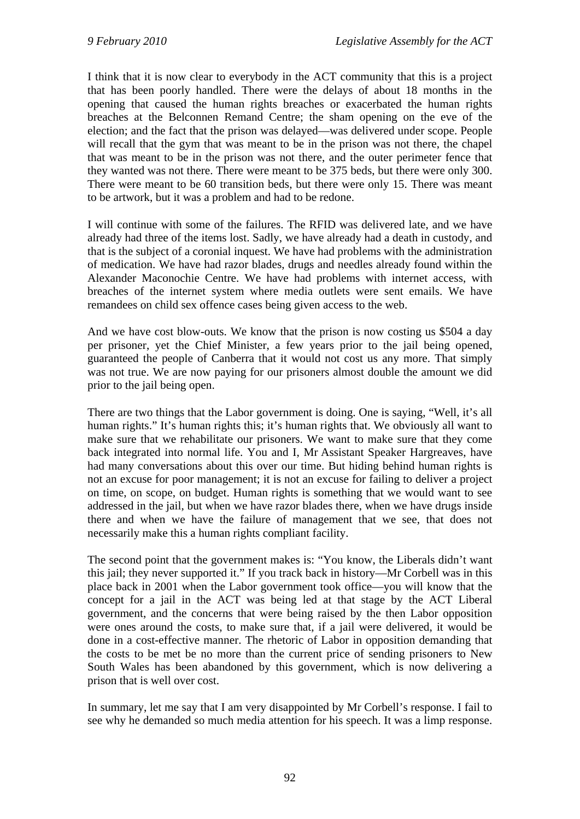I think that it is now clear to everybody in the ACT community that this is a project that has been poorly handled. There were the delays of about 18 months in the opening that caused the human rights breaches or exacerbated the human rights breaches at the Belconnen Remand Centre; the sham opening on the eve of the election; and the fact that the prison was delayed—was delivered under scope. People will recall that the gym that was meant to be in the prison was not there, the chapel that was meant to be in the prison was not there, and the outer perimeter fence that they wanted was not there. There were meant to be 375 beds, but there were only 300. There were meant to be 60 transition beds, but there were only 15. There was meant to be artwork, but it was a problem and had to be redone.

I will continue with some of the failures. The RFID was delivered late, and we have already had three of the items lost. Sadly, we have already had a death in custody, and that is the subject of a coronial inquest. We have had problems with the administration of medication. We have had razor blades, drugs and needles already found within the Alexander Maconochie Centre. We have had problems with internet access, with breaches of the internet system where media outlets were sent emails. We have remandees on child sex offence cases being given access to the web.

And we have cost blow-outs. We know that the prison is now costing us \$504 a day per prisoner, yet the Chief Minister, a few years prior to the jail being opened, guaranteed the people of Canberra that it would not cost us any more. That simply was not true. We are now paying for our prisoners almost double the amount we did prior to the jail being open.

There are two things that the Labor government is doing. One is saying, "Well, it's all human rights." It's human rights this; it's human rights that. We obviously all want to make sure that we rehabilitate our prisoners. We want to make sure that they come back integrated into normal life. You and I, Mr Assistant Speaker Hargreaves, have had many conversations about this over our time. But hiding behind human rights is not an excuse for poor management; it is not an excuse for failing to deliver a project on time, on scope, on budget. Human rights is something that we would want to see addressed in the jail, but when we have razor blades there, when we have drugs inside there and when we have the failure of management that we see, that does not necessarily make this a human rights compliant facility.

The second point that the government makes is: "You know, the Liberals didn't want this jail; they never supported it." If you track back in history—Mr Corbell was in this place back in 2001 when the Labor government took office—you will know that the concept for a jail in the ACT was being led at that stage by the ACT Liberal government, and the concerns that were being raised by the then Labor opposition were ones around the costs, to make sure that, if a jail were delivered, it would be done in a cost-effective manner. The rhetoric of Labor in opposition demanding that the costs to be met be no more than the current price of sending prisoners to New South Wales has been abandoned by this government, which is now delivering a prison that is well over cost.

In summary, let me say that I am very disappointed by Mr Corbell's response. I fail to see why he demanded so much media attention for his speech. It was a limp response.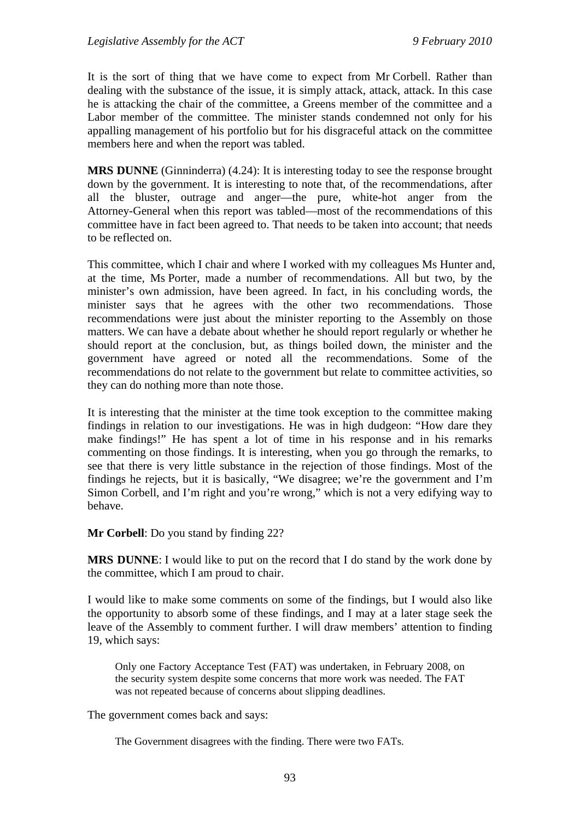It is the sort of thing that we have come to expect from Mr Corbell. Rather than dealing with the substance of the issue, it is simply attack, attack, attack. In this case he is attacking the chair of the committee, a Greens member of the committee and a Labor member of the committee. The minister stands condemned not only for his appalling management of his portfolio but for his disgraceful attack on the committee members here and when the report was tabled.

**MRS DUNNE** (Ginninderra) (4.24): It is interesting today to see the response brought down by the government. It is interesting to note that, of the recommendations, after all the bluster, outrage and anger—the pure, white-hot anger from the Attorney-General when this report was tabled—most of the recommendations of this committee have in fact been agreed to. That needs to be taken into account; that needs to be reflected on.

This committee, which I chair and where I worked with my colleagues Ms Hunter and, at the time, Ms Porter, made a number of recommendations. All but two, by the minister's own admission, have been agreed. In fact, in his concluding words, the minister says that he agrees with the other two recommendations. Those recommendations were just about the minister reporting to the Assembly on those matters. We can have a debate about whether he should report regularly or whether he should report at the conclusion, but, as things boiled down, the minister and the government have agreed or noted all the recommendations. Some of the recommendations do not relate to the government but relate to committee activities, so they can do nothing more than note those.

It is interesting that the minister at the time took exception to the committee making findings in relation to our investigations. He was in high dudgeon: "How dare they make findings!" He has spent a lot of time in his response and in his remarks commenting on those findings. It is interesting, when you go through the remarks, to see that there is very little substance in the rejection of those findings. Most of the findings he rejects, but it is basically, "We disagree; we're the government and I'm Simon Corbell, and I'm right and you're wrong," which is not a very edifying way to behave.

**Mr Corbell**: Do you stand by finding 22?

**MRS DUNNE**: I would like to put on the record that I do stand by the work done by the committee, which I am proud to chair.

I would like to make some comments on some of the findings, but I would also like the opportunity to absorb some of these findings, and I may at a later stage seek the leave of the Assembly to comment further. I will draw members' attention to finding 19, which says:

Only one Factory Acceptance Test (FAT) was undertaken, in February 2008, on the security system despite some concerns that more work was needed. The FAT was not repeated because of concerns about slipping deadlines.

The government comes back and says:

The Government disagrees with the finding. There were two FATs.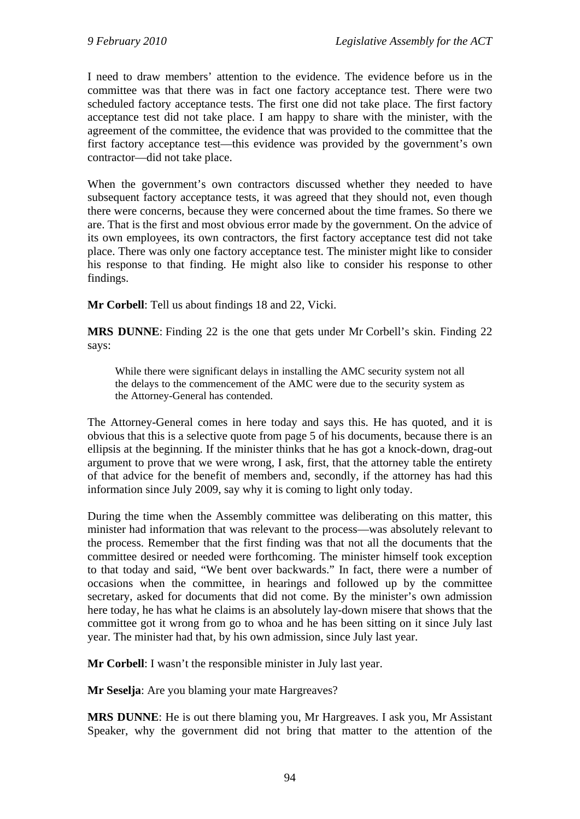I need to draw members' attention to the evidence. The evidence before us in the committee was that there was in fact one factory acceptance test. There were two scheduled factory acceptance tests. The first one did not take place. The first factory acceptance test did not take place. I am happy to share with the minister, with the agreement of the committee, the evidence that was provided to the committee that the first factory acceptance test—this evidence was provided by the government's own contractor—did not take place.

When the government's own contractors discussed whether they needed to have subsequent factory acceptance tests, it was agreed that they should not, even though there were concerns, because they were concerned about the time frames. So there we are. That is the first and most obvious error made by the government. On the advice of its own employees, its own contractors, the first factory acceptance test did not take place. There was only one factory acceptance test. The minister might like to consider his response to that finding. He might also like to consider his response to other findings.

**Mr Corbell**: Tell us about findings 18 and 22, Vicki.

**MRS DUNNE**: Finding 22 is the one that gets under Mr Corbell's skin. Finding 22 says:

While there were significant delays in installing the AMC security system not all the delays to the commencement of the AMC were due to the security system as the Attorney-General has contended.

The Attorney-General comes in here today and says this. He has quoted, and it is obvious that this is a selective quote from page 5 of his documents, because there is an ellipsis at the beginning. If the minister thinks that he has got a knock-down, drag-out argument to prove that we were wrong, I ask, first, that the attorney table the entirety of that advice for the benefit of members and, secondly, if the attorney has had this information since July 2009, say why it is coming to light only today.

During the time when the Assembly committee was deliberating on this matter, this minister had information that was relevant to the process—was absolutely relevant to the process. Remember that the first finding was that not all the documents that the committee desired or needed were forthcoming. The minister himself took exception to that today and said, "We bent over backwards." In fact, there were a number of occasions when the committee, in hearings and followed up by the committee secretary, asked for documents that did not come. By the minister's own admission here today, he has what he claims is an absolutely lay-down misere that shows that the committee got it wrong from go to whoa and he has been sitting on it since July last year. The minister had that, by his own admission, since July last year.

**Mr Corbell**: I wasn't the responsible minister in July last year.

**Mr Seselja**: Are you blaming your mate Hargreaves?

**MRS DUNNE**: He is out there blaming you, Mr Hargreaves. I ask you, Mr Assistant Speaker, why the government did not bring that matter to the attention of the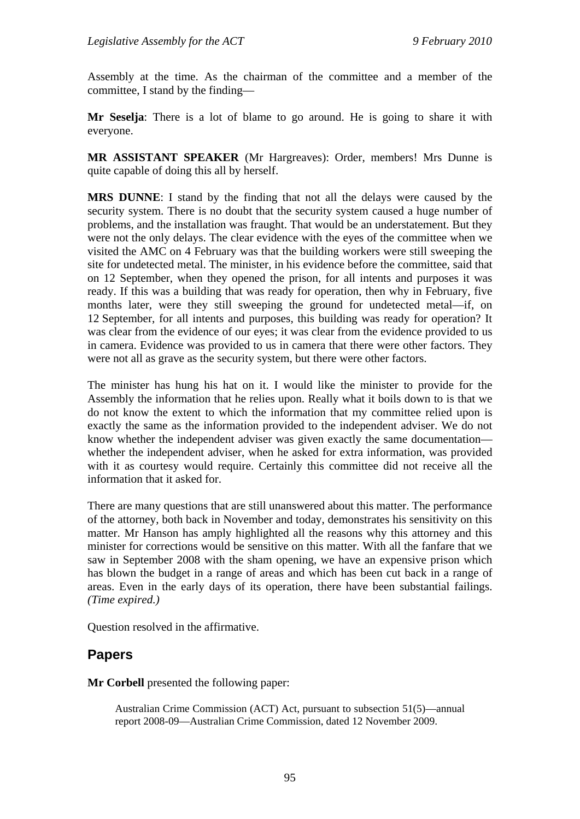Assembly at the time. As the chairman of the committee and a member of the committee, I stand by the finding—

**Mr Seselja**: There is a lot of blame to go around. He is going to share it with everyone.

**MR ASSISTANT SPEAKER** (Mr Hargreaves): Order, members! Mrs Dunne is quite capable of doing this all by herself.

**MRS DUNNE**: I stand by the finding that not all the delays were caused by the security system. There is no doubt that the security system caused a huge number of problems, and the installation was fraught. That would be an understatement. But they were not the only delays. The clear evidence with the eyes of the committee when we visited the AMC on 4 February was that the building workers were still sweeping the site for undetected metal. The minister, in his evidence before the committee, said that on 12 September, when they opened the prison, for all intents and purposes it was ready. If this was a building that was ready for operation, then why in February, five months later, were they still sweeping the ground for undetected metal—if, on 12 September, for all intents and purposes, this building was ready for operation? It was clear from the evidence of our eyes; it was clear from the evidence provided to us in camera. Evidence was provided to us in camera that there were other factors. They were not all as grave as the security system, but there were other factors.

The minister has hung his hat on it. I would like the minister to provide for the Assembly the information that he relies upon. Really what it boils down to is that we do not know the extent to which the information that my committee relied upon is exactly the same as the information provided to the independent adviser. We do not know whether the independent adviser was given exactly the same documentation whether the independent adviser, when he asked for extra information, was provided with it as courtesy would require. Certainly this committee did not receive all the information that it asked for.

There are many questions that are still unanswered about this matter. The performance of the attorney, both back in November and today, demonstrates his sensitivity on this matter. Mr Hanson has amply highlighted all the reasons why this attorney and this minister for corrections would be sensitive on this matter. With all the fanfare that we saw in September 2008 with the sham opening, we have an expensive prison which has blown the budget in a range of areas and which has been cut back in a range of areas. Even in the early days of its operation, there have been substantial failings. *(Time expired.)*

Question resolved in the affirmative.

# **Papers**

**Mr Corbell** presented the following paper:

Australian Crime Commission (ACT) Act, pursuant to subsection 51(5)—annual report 2008-09—Australian Crime Commission, dated 12 November 2009.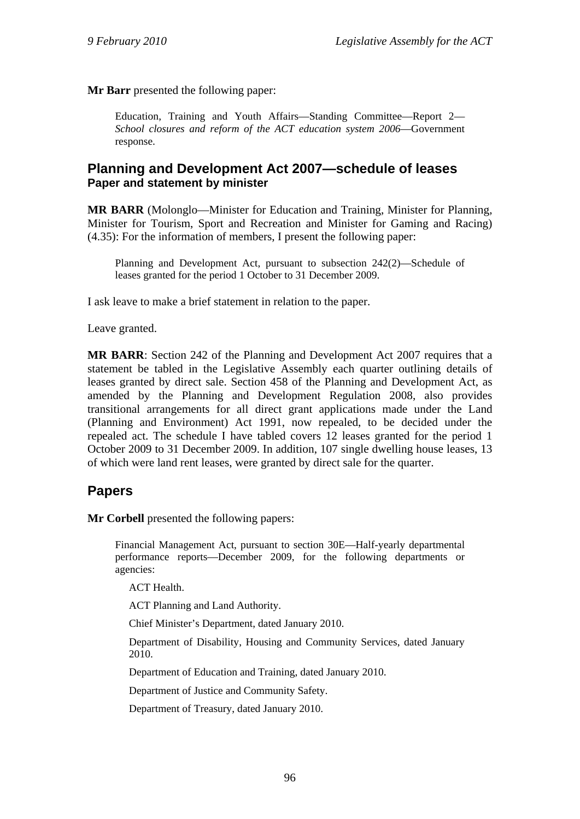**Mr Barr** presented the following paper:

Education, Training and Youth Affairs—Standing Committee—Report 2— *School closures and reform of the ACT education system 2006*—Government response.

# **Planning and Development Act 2007—schedule of leases Paper and statement by minister**

**MR BARR** (Molonglo—Minister for Education and Training, Minister for Planning, Minister for Tourism, Sport and Recreation and Minister for Gaming and Racing) (4.35): For the information of members, I present the following paper:

Planning and Development Act, pursuant to subsection 242(2)—Schedule of leases granted for the period 1 October to 31 December 2009.

I ask leave to make a brief statement in relation to the paper.

Leave granted.

**MR BARR**: Section 242 of the Planning and Development Act 2007 requires that a statement be tabled in the Legislative Assembly each quarter outlining details of leases granted by direct sale. Section 458 of the Planning and Development Act, as amended by the Planning and Development Regulation 2008, also provides transitional arrangements for all direct grant applications made under the Land (Planning and Environment) Act 1991, now repealed, to be decided under the repealed act. The schedule I have tabled covers 12 leases granted for the period 1 October 2009 to 31 December 2009. In addition, 107 single dwelling house leases, 13 of which were land rent leases, were granted by direct sale for the quarter.

# **Papers**

**Mr Corbell** presented the following papers:

Financial Management Act, pursuant to section 30E—Half-yearly departmental performance reports—December 2009, for the following departments or agencies:

ACT Health.

ACT Planning and Land Authority.

Chief Minister's Department, dated January 2010.

Department of Disability, Housing and Community Services, dated January 2010.

Department of Education and Training, dated January 2010.

Department of Justice and Community Safety.

Department of Treasury, dated January 2010.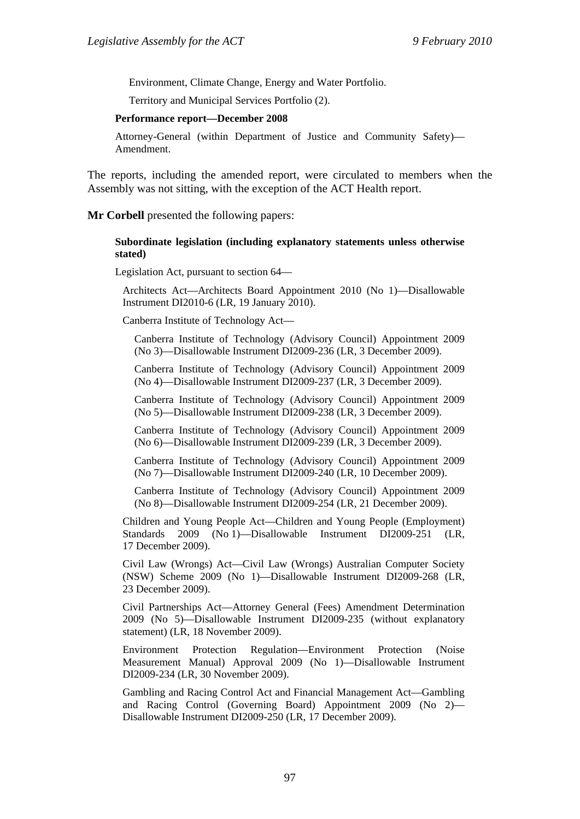Environment, Climate Change, Energy and Water Portfolio.

Territory and Municipal Services Portfolio (2).

#### **Performance report—December 2008**

Attorney-General (within Department of Justice and Community Safety)— Amendment.

The reports, including the amended report, were circulated to members when the Assembly was not sitting, with the exception of the ACT Health report.

#### **Mr Corbell** presented the following papers:

#### **Subordinate legislation (including explanatory statements unless otherwise stated)**

Legislation Act, pursuant to section 64—

Architects Act—Architects Board Appointment 2010 (No 1)—Disallowable Instrument DI2010-6 (LR, 19 January 2010).

Canberra Institute of Technology Act—

Canberra Institute of Technology (Advisory Council) Appointment 2009 (No 3)—Disallowable Instrument DI2009-236 (LR, 3 December 2009).

Canberra Institute of Technology (Advisory Council) Appointment 2009 (No 4)—Disallowable Instrument DI2009-237 (LR, 3 December 2009).

Canberra Institute of Technology (Advisory Council) Appointment 2009 (No 5)—Disallowable Instrument DI2009-238 (LR, 3 December 2009).

Canberra Institute of Technology (Advisory Council) Appointment 2009 (No 6)—Disallowable Instrument DI2009-239 (LR, 3 December 2009).

Canberra Institute of Technology (Advisory Council) Appointment 2009 (No 7)—Disallowable Instrument DI2009-240 (LR, 10 December 2009).

Canberra Institute of Technology (Advisory Council) Appointment 2009 (No 8)—Disallowable Instrument DI2009-254 (LR, 21 December 2009).

Children and Young People Act—Children and Young People (Employment) Standards 2009 (No 1)—Disallowable Instrument DI2009-251 (LR, 17 December 2009).

Civil Law (Wrongs) Act—Civil Law (Wrongs) Australian Computer Society (NSW) Scheme 2009 (No 1)—Disallowable Instrument DI2009-268 (LR, 23 December 2009).

Civil Partnerships Act—Attorney General (Fees) Amendment Determination 2009 (No 5)—Disallowable Instrument DI2009-235 (without explanatory statement) (LR, 18 November 2009).

Environment Protection Regulation—Environment Protection (Noise Measurement Manual) Approval 2009 (No 1)—Disallowable Instrument DI2009-234 (LR, 30 November 2009).

Gambling and Racing Control Act and Financial Management Act—Gambling and Racing Control (Governing Board) Appointment 2009 (No 2)— Disallowable Instrument DI2009-250 (LR, 17 December 2009).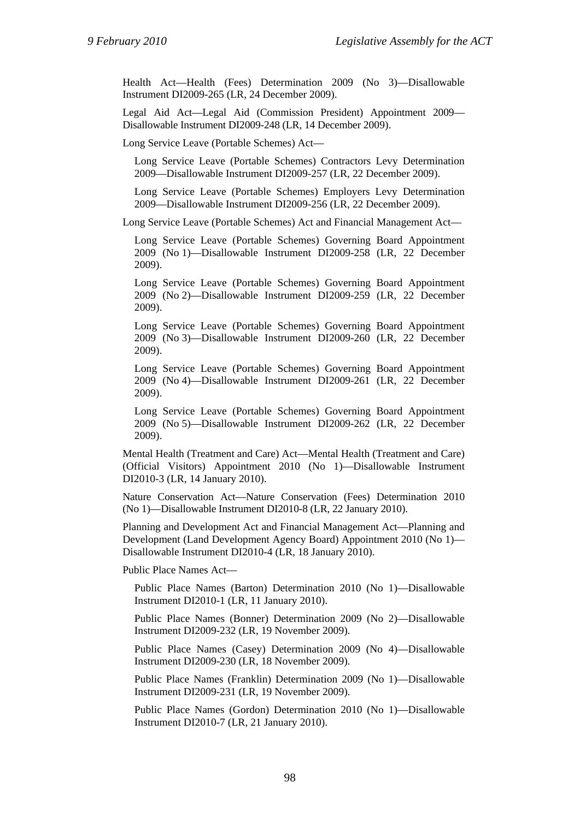Health Act—Health (Fees) Determination 2009 (No 3)—Disallowable Instrument DI2009-265 (LR, 24 December 2009).

Legal Aid Act—Legal Aid (Commission President) Appointment 2009— Disallowable Instrument DI2009-248 (LR, 14 December 2009).

Long Service Leave (Portable Schemes) Act—

Long Service Leave (Portable Schemes) Contractors Levy Determination 2009—Disallowable Instrument DI2009-257 (LR, 22 December 2009).

Long Service Leave (Portable Schemes) Employers Levy Determination 2009—Disallowable Instrument DI2009-256 (LR, 22 December 2009).

Long Service Leave (Portable Schemes) Act and Financial Management Act—

Long Service Leave (Portable Schemes) Governing Board Appointment 2009 (No 1)—Disallowable Instrument DI2009-258 (LR, 22 December 2009).

Long Service Leave (Portable Schemes) Governing Board Appointment 2009 (No 2)—Disallowable Instrument DI2009-259 (LR, 22 December 2009).

Long Service Leave (Portable Schemes) Governing Board Appointment 2009 (No 3)—Disallowable Instrument DI2009-260 (LR, 22 December 2009).

Long Service Leave (Portable Schemes) Governing Board Appointment 2009 (No 4)—Disallowable Instrument DI2009-261 (LR, 22 December 2009).

Long Service Leave (Portable Schemes) Governing Board Appointment 2009 (No 5)—Disallowable Instrument DI2009-262 (LR, 22 December 2009).

Mental Health (Treatment and Care) Act—Mental Health (Treatment and Care) (Official Visitors) Appointment 2010 (No 1)—Disallowable Instrument DI2010-3 (LR, 14 January 2010).

Nature Conservation Act—Nature Conservation (Fees) Determination 2010 (No 1)—Disallowable Instrument DI2010-8 (LR, 22 January 2010).

Planning and Development Act and Financial Management Act—Planning and Development (Land Development Agency Board) Appointment 2010 (No 1)— Disallowable Instrument DI2010-4 (LR, 18 January 2010).

Public Place Names Act—

Public Place Names (Barton) Determination 2010 (No 1)—Disallowable Instrument DI2010-1 (LR, 11 January 2010).

Public Place Names (Bonner) Determination 2009 (No 2)—Disallowable Instrument DI2009-232 (LR, 19 November 2009).

Public Place Names (Casey) Determination 2009 (No 4)—Disallowable Instrument DI2009-230 (LR, 18 November 2009).

Public Place Names (Franklin) Determination 2009 (No 1)—Disallowable Instrument DI2009-231 (LR, 19 November 2009).

Public Place Names (Gordon) Determination 2010 (No 1)—Disallowable Instrument DI2010-7 (LR, 21 January 2010).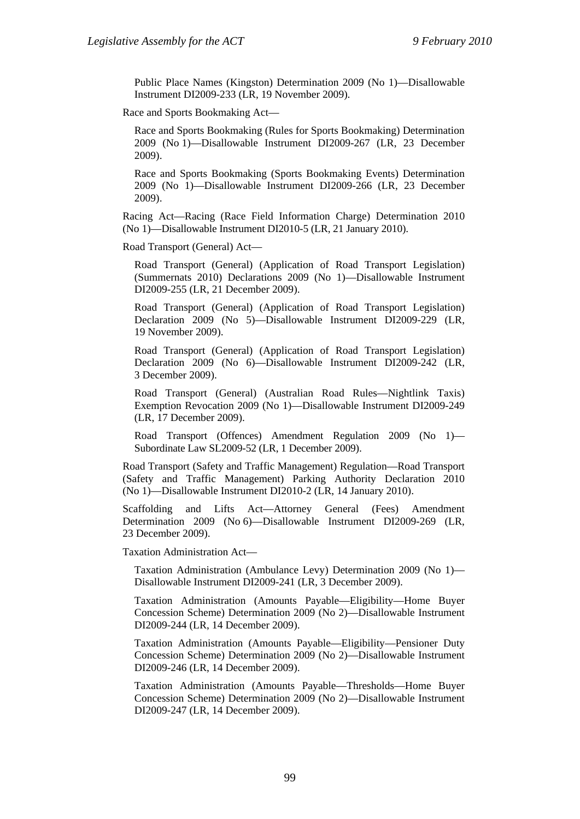Public Place Names (Kingston) Determination 2009 (No 1)—Disallowable Instrument DI2009-233 (LR, 19 November 2009).

Race and Sports Bookmaking Act—

Race and Sports Bookmaking (Rules for Sports Bookmaking) Determination 2009 (No 1)—Disallowable Instrument DI2009-267 (LR, 23 December 2009).

Race and Sports Bookmaking (Sports Bookmaking Events) Determination 2009 (No 1)—Disallowable Instrument DI2009-266 (LR, 23 December 2009).

Racing Act—Racing (Race Field Information Charge) Determination 2010 (No 1)—Disallowable Instrument DI2010-5 (LR, 21 January 2010).

Road Transport (General) Act—

Road Transport (General) (Application of Road Transport Legislation) (Summernats 2010) Declarations 2009 (No 1)—Disallowable Instrument DI2009-255 (LR, 21 December 2009).

Road Transport (General) (Application of Road Transport Legislation) Declaration 2009 (No 5)—Disallowable Instrument DI2009-229 (LR, 19 November 2009).

Road Transport (General) (Application of Road Transport Legislation) Declaration 2009 (No 6)—Disallowable Instrument DI2009-242 (LR, 3 December 2009).

Road Transport (General) (Australian Road Rules—Nightlink Taxis) Exemption Revocation 2009 (No 1)—Disallowable Instrument DI2009-249 (LR, 17 December 2009).

Road Transport (Offences) Amendment Regulation 2009 (No 1)— Subordinate Law SL2009-52 (LR, 1 December 2009).

Road Transport (Safety and Traffic Management) Regulation—Road Transport (Safety and Traffic Management) Parking Authority Declaration 2010 (No 1)—Disallowable Instrument DI2010-2 (LR, 14 January 2010).

Scaffolding and Lifts Act—Attorney General (Fees) Amendment Determination 2009 (No 6)—Disallowable Instrument DI2009-269 (LR, 23 December 2009).

Taxation Administration Act—

Taxation Administration (Ambulance Levy) Determination 2009 (No 1)— Disallowable Instrument DI2009-241 (LR, 3 December 2009).

Taxation Administration (Amounts Payable—Eligibility—Home Buyer Concession Scheme) Determination 2009 (No 2)—Disallowable Instrument DI2009-244 (LR, 14 December 2009).

Taxation Administration (Amounts Payable—Eligibility—Pensioner Duty Concession Scheme) Determination 2009 (No 2)—Disallowable Instrument DI2009-246 (LR, 14 December 2009).

Taxation Administration (Amounts Payable—Thresholds—Home Buyer Concession Scheme) Determination 2009 (No 2)—Disallowable Instrument DI2009-247 (LR, 14 December 2009).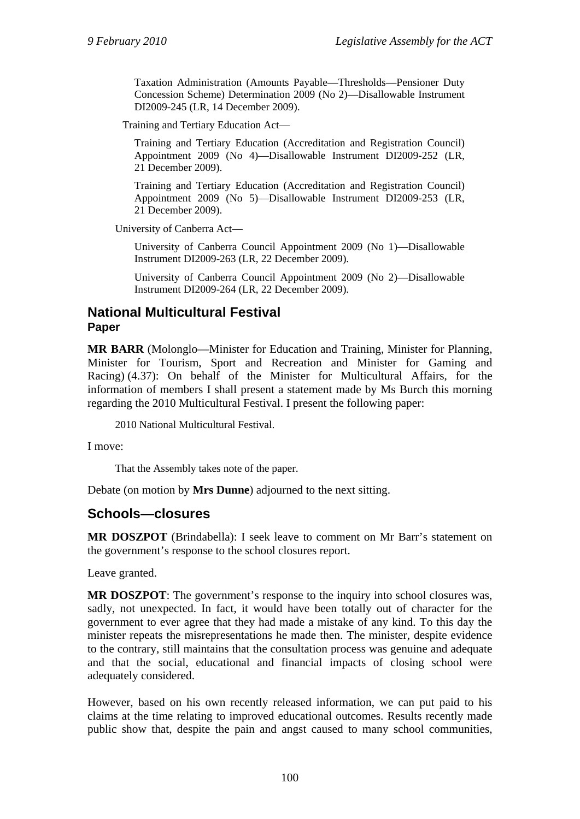Taxation Administration (Amounts Payable—Thresholds—Pensioner Duty Concession Scheme) Determination 2009 (No 2)—Disallowable Instrument DI2009-245 (LR, 14 December 2009).

Training and Tertiary Education Act—

Training and Tertiary Education (Accreditation and Registration Council) Appointment 2009 (No 4)—Disallowable Instrument DI2009-252 (LR, 21 December 2009).

Training and Tertiary Education (Accreditation and Registration Council) Appointment 2009 (No 5)—Disallowable Instrument DI2009-253 (LR, 21 December 2009).

University of Canberra Act—

University of Canberra Council Appointment 2009 (No 1)—Disallowable Instrument DI2009-263 (LR, 22 December 2009).

University of Canberra Council Appointment 2009 (No 2)—Disallowable Instrument DI2009-264 (LR, 22 December 2009).

# **National Multicultural Festival Paper**

**MR BARR** (Molonglo—Minister for Education and Training, Minister for Planning, Minister for Tourism, Sport and Recreation and Minister for Gaming and Racing) (4.37): On behalf of the Minister for Multicultural Affairs, for the information of members I shall present a statement made by Ms Burch this morning regarding the 2010 Multicultural Festival. I present the following paper:

2010 National Multicultural Festival.

I move:

That the Assembly takes note of the paper.

Debate (on motion by **Mrs Dunne**) adjourned to the next sitting.

### **Schools—closures**

**MR DOSZPOT** (Brindabella): I seek leave to comment on Mr Barr's statement on the government's response to the school closures report.

Leave granted.

**MR DOSZPOT**: The government's response to the inquiry into school closures was, sadly, not unexpected. In fact, it would have been totally out of character for the government to ever agree that they had made a mistake of any kind. To this day the minister repeats the misrepresentations he made then. The minister, despite evidence to the contrary, still maintains that the consultation process was genuine and adequate and that the social, educational and financial impacts of closing school were adequately considered.

However, based on his own recently released information, we can put paid to his claims at the time relating to improved educational outcomes. Results recently made public show that, despite the pain and angst caused to many school communities,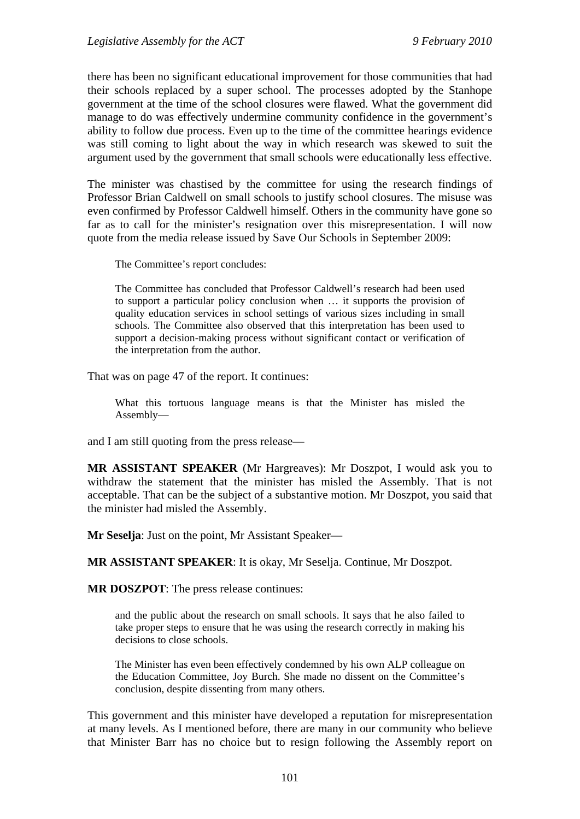there has been no significant educational improvement for those communities that had their schools replaced by a super school. The processes adopted by the Stanhope government at the time of the school closures were flawed. What the government did manage to do was effectively undermine community confidence in the government's ability to follow due process. Even up to the time of the committee hearings evidence was still coming to light about the way in which research was skewed to suit the argument used by the government that small schools were educationally less effective.

The minister was chastised by the committee for using the research findings of Professor Brian Caldwell on small schools to justify school closures. The misuse was even confirmed by Professor Caldwell himself. Others in the community have gone so far as to call for the minister's resignation over this misrepresentation. I will now quote from the media release issued by Save Our Schools in September 2009:

The Committee's report concludes:

The Committee has concluded that Professor Caldwell's research had been used to support a particular policy conclusion when … it supports the provision of quality education services in school settings of various sizes including in small schools. The Committee also observed that this interpretation has been used to support a decision-making process without significant contact or verification of the interpretation from the author.

That was on page 47 of the report. It continues:

What this tortuous language means is that the Minister has misled the Assembly—

and I am still quoting from the press release—

**MR ASSISTANT SPEAKER** (Mr Hargreaves): Mr Doszpot, I would ask you to withdraw the statement that the minister has misled the Assembly. That is not acceptable. That can be the subject of a substantive motion. Mr Doszpot, you said that the minister had misled the Assembly.

**Mr Seselja**: Just on the point, Mr Assistant Speaker—

**MR ASSISTANT SPEAKER**: It is okay, Mr Seselja. Continue, Mr Doszpot.

**MR DOSZPOT**: The press release continues:

and the public about the research on small schools. It says that he also failed to take proper steps to ensure that he was using the research correctly in making his decisions to close schools.

The Minister has even been effectively condemned by his own ALP colleague on the Education Committee, Joy Burch. She made no dissent on the Committee's conclusion, despite dissenting from many others.

This government and this minister have developed a reputation for misrepresentation at many levels. As I mentioned before, there are many in our community who believe that Minister Barr has no choice but to resign following the Assembly report on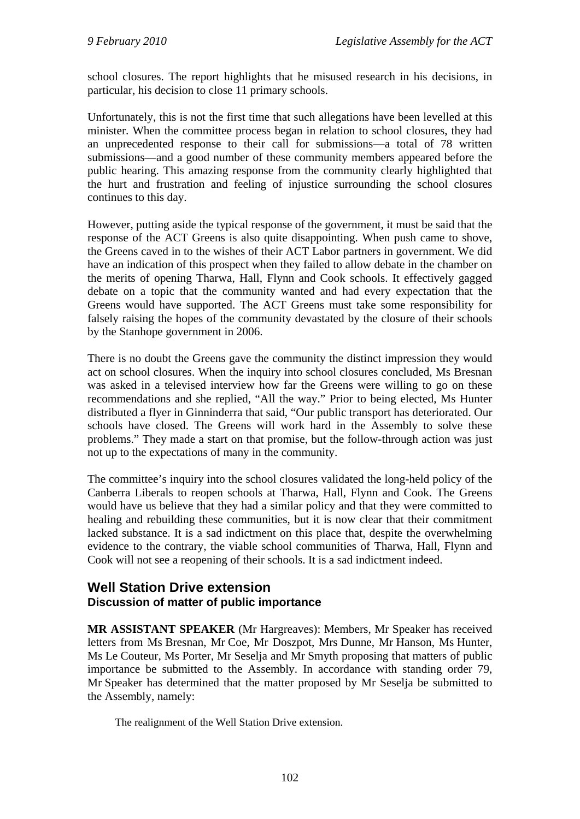school closures. The report highlights that he misused research in his decisions, in particular, his decision to close 11 primary schools.

Unfortunately, this is not the first time that such allegations have been levelled at this minister. When the committee process began in relation to school closures, they had an unprecedented response to their call for submissions—a total of 78 written submissions—and a good number of these community members appeared before the public hearing. This amazing response from the community clearly highlighted that the hurt and frustration and feeling of injustice surrounding the school closures continues to this day.

However, putting aside the typical response of the government, it must be said that the response of the ACT Greens is also quite disappointing. When push came to shove, the Greens caved in to the wishes of their ACT Labor partners in government. We did have an indication of this prospect when they failed to allow debate in the chamber on the merits of opening Tharwa, Hall, Flynn and Cook schools. It effectively gagged debate on a topic that the community wanted and had every expectation that the Greens would have supported. The ACT Greens must take some responsibility for falsely raising the hopes of the community devastated by the closure of their schools by the Stanhope government in 2006.

There is no doubt the Greens gave the community the distinct impression they would act on school closures. When the inquiry into school closures concluded, Ms Bresnan was asked in a televised interview how far the Greens were willing to go on these recommendations and she replied, "All the way." Prior to being elected, Ms Hunter distributed a flyer in Ginninderra that said, "Our public transport has deteriorated. Our schools have closed. The Greens will work hard in the Assembly to solve these problems." They made a start on that promise, but the follow-through action was just not up to the expectations of many in the community.

The committee's inquiry into the school closures validated the long-held policy of the Canberra Liberals to reopen schools at Tharwa, Hall, Flynn and Cook. The Greens would have us believe that they had a similar policy and that they were committed to healing and rebuilding these communities, but it is now clear that their commitment lacked substance. It is a sad indictment on this place that, despite the overwhelming evidence to the contrary, the viable school communities of Tharwa, Hall, Flynn and Cook will not see a reopening of their schools. It is a sad indictment indeed.

# **Well Station Drive extension Discussion of matter of public importance**

**MR ASSISTANT SPEAKER** (Mr Hargreaves): Members, Mr Speaker has received letters from Ms Bresnan, Mr Coe, Mr Doszpot, Mrs Dunne, Mr Hanson, Ms Hunter, Ms Le Couteur, Ms Porter, Mr Seselja and Mr Smyth proposing that matters of public importance be submitted to the Assembly. In accordance with standing order 79, Mr Speaker has determined that the matter proposed by Mr Seselja be submitted to the Assembly, namely:

The realignment of the Well Station Drive extension.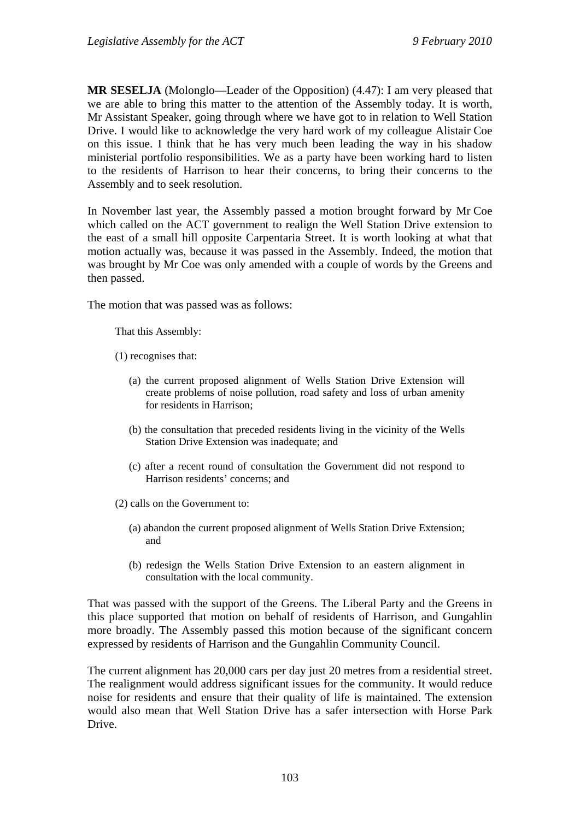**MR SESELJA** (Molonglo—Leader of the Opposition) (4.47): I am very pleased that we are able to bring this matter to the attention of the Assembly today. It is worth, Mr Assistant Speaker, going through where we have got to in relation to Well Station Drive. I would like to acknowledge the very hard work of my colleague Alistair Coe on this issue. I think that he has very much been leading the way in his shadow ministerial portfolio responsibilities. We as a party have been working hard to listen to the residents of Harrison to hear their concerns, to bring their concerns to the Assembly and to seek resolution.

In November last year, the Assembly passed a motion brought forward by Mr Coe which called on the ACT government to realign the Well Station Drive extension to the east of a small hill opposite Carpentaria Street. It is worth looking at what that motion actually was, because it was passed in the Assembly. Indeed, the motion that was brought by Mr Coe was only amended with a couple of words by the Greens and then passed.

The motion that was passed was as follows:

That this Assembly:

- (1) recognises that:
	- (a) the current proposed alignment of Wells Station Drive Extension will create problems of noise pollution, road safety and loss of urban amenity for residents in Harrison;
	- (b) the consultation that preceded residents living in the vicinity of the Wells Station Drive Extension was inadequate; and
	- (c) after a recent round of consultation the Government did not respond to Harrison residents' concerns; and

(2) calls on the Government to:

- (a) abandon the current proposed alignment of Wells Station Drive Extension; and
- (b) redesign the Wells Station Drive Extension to an eastern alignment in consultation with the local community.

That was passed with the support of the Greens. The Liberal Party and the Greens in this place supported that motion on behalf of residents of Harrison, and Gungahlin more broadly. The Assembly passed this motion because of the significant concern expressed by residents of Harrison and the Gungahlin Community Council.

The current alignment has 20,000 cars per day just 20 metres from a residential street. The realignment would address significant issues for the community. It would reduce noise for residents and ensure that their quality of life is maintained. The extension would also mean that Well Station Drive has a safer intersection with Horse Park Drive.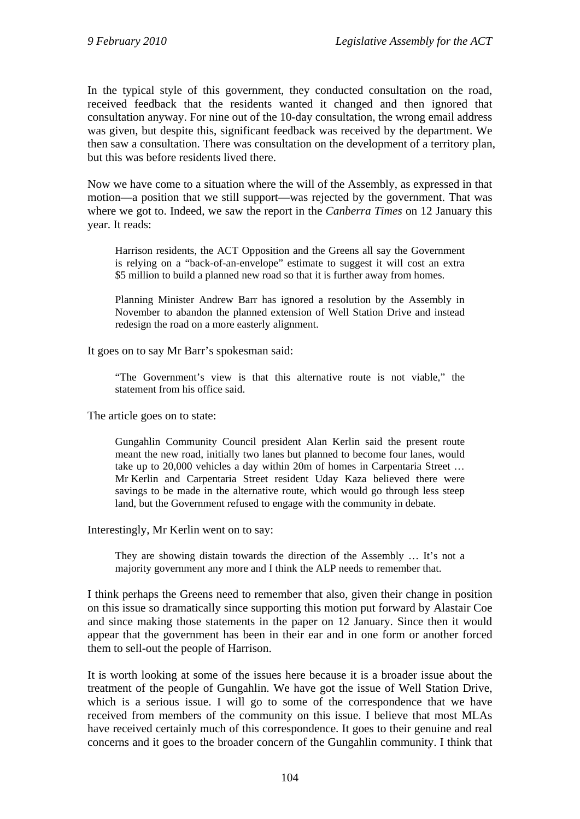In the typical style of this government, they conducted consultation on the road, received feedback that the residents wanted it changed and then ignored that consultation anyway. For nine out of the 10-day consultation, the wrong email address was given, but despite this, significant feedback was received by the department. We then saw a consultation. There was consultation on the development of a territory plan, but this was before residents lived there.

Now we have come to a situation where the will of the Assembly, as expressed in that motion—a position that we still support—was rejected by the government. That was where we got to. Indeed, we saw the report in the *Canberra Times* on 12 January this year. It reads:

Harrison residents, the ACT Opposition and the Greens all say the Government is relying on a "back-of-an-envelope" estimate to suggest it will cost an extra \$5 million to build a planned new road so that it is further away from homes.

Planning Minister Andrew Barr has ignored a resolution by the Assembly in November to abandon the planned extension of Well Station Drive and instead redesign the road on a more easterly alignment.

It goes on to say Mr Barr's spokesman said:

"The Government's view is that this alternative route is not viable," the statement from his office said.

The article goes on to state:

Gungahlin Community Council president Alan Kerlin said the present route meant the new road, initially two lanes but planned to become four lanes, would take up to 20,000 vehicles a day within 20m of homes in Carpentaria Street … Mr Kerlin and Carpentaria Street resident Uday Kaza believed there were savings to be made in the alternative route, which would go through less steep land, but the Government refused to engage with the community in debate.

Interestingly, Mr Kerlin went on to say:

They are showing distain towards the direction of the Assembly … It's not a majority government any more and I think the ALP needs to remember that.

I think perhaps the Greens need to remember that also, given their change in position on this issue so dramatically since supporting this motion put forward by Alastair Coe and since making those statements in the paper on 12 January. Since then it would appear that the government has been in their ear and in one form or another forced them to sell-out the people of Harrison.

It is worth looking at some of the issues here because it is a broader issue about the treatment of the people of Gungahlin. We have got the issue of Well Station Drive, which is a serious issue. I will go to some of the correspondence that we have received from members of the community on this issue. I believe that most MLAs have received certainly much of this correspondence. It goes to their genuine and real concerns and it goes to the broader concern of the Gungahlin community. I think that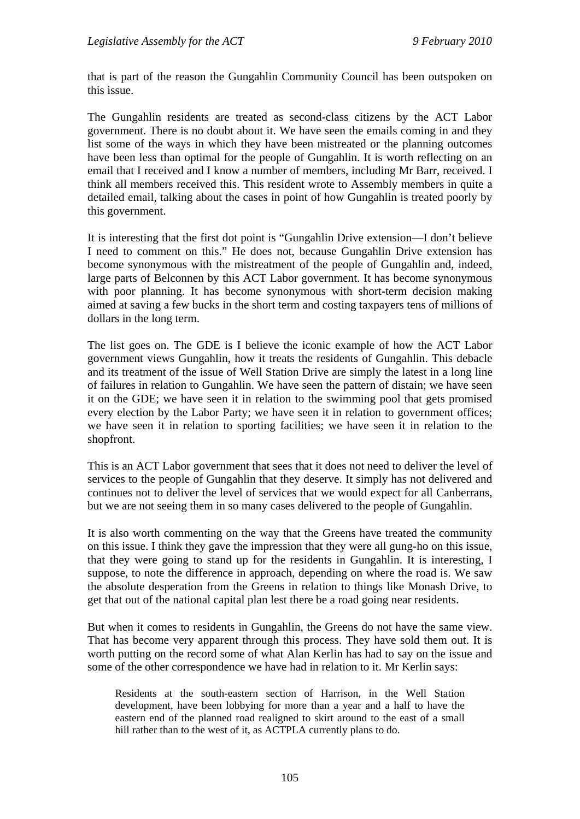that is part of the reason the Gungahlin Community Council has been outspoken on this issue.

The Gungahlin residents are treated as second-class citizens by the ACT Labor government. There is no doubt about it. We have seen the emails coming in and they list some of the ways in which they have been mistreated or the planning outcomes have been less than optimal for the people of Gungahlin. It is worth reflecting on an email that I received and I know a number of members, including Mr Barr, received. I think all members received this. This resident wrote to Assembly members in quite a detailed email, talking about the cases in point of how Gungahlin is treated poorly by this government.

It is interesting that the first dot point is "Gungahlin Drive extension—I don't believe I need to comment on this." He does not, because Gungahlin Drive extension has become synonymous with the mistreatment of the people of Gungahlin and, indeed, large parts of Belconnen by this ACT Labor government. It has become synonymous with poor planning. It has become synonymous with short-term decision making aimed at saving a few bucks in the short term and costing taxpayers tens of millions of dollars in the long term.

The list goes on. The GDE is I believe the iconic example of how the ACT Labor government views Gungahlin, how it treats the residents of Gungahlin. This debacle and its treatment of the issue of Well Station Drive are simply the latest in a long line of failures in relation to Gungahlin. We have seen the pattern of distain; we have seen it on the GDE; we have seen it in relation to the swimming pool that gets promised every election by the Labor Party; we have seen it in relation to government offices; we have seen it in relation to sporting facilities; we have seen it in relation to the shopfront.

This is an ACT Labor government that sees that it does not need to deliver the level of services to the people of Gungahlin that they deserve. It simply has not delivered and continues not to deliver the level of services that we would expect for all Canberrans, but we are not seeing them in so many cases delivered to the people of Gungahlin.

It is also worth commenting on the way that the Greens have treated the community on this issue. I think they gave the impression that they were all gung-ho on this issue, that they were going to stand up for the residents in Gungahlin. It is interesting, I suppose, to note the difference in approach, depending on where the road is. We saw the absolute desperation from the Greens in relation to things like Monash Drive, to get that out of the national capital plan lest there be a road going near residents.

But when it comes to residents in Gungahlin, the Greens do not have the same view. That has become very apparent through this process. They have sold them out. It is worth putting on the record some of what Alan Kerlin has had to say on the issue and some of the other correspondence we have had in relation to it. Mr Kerlin says:

Residents at the south-eastern section of Harrison, in the Well Station development, have been lobbying for more than a year and a half to have the eastern end of the planned road realigned to skirt around to the east of a small hill rather than to the west of it, as ACTPLA currently plans to do.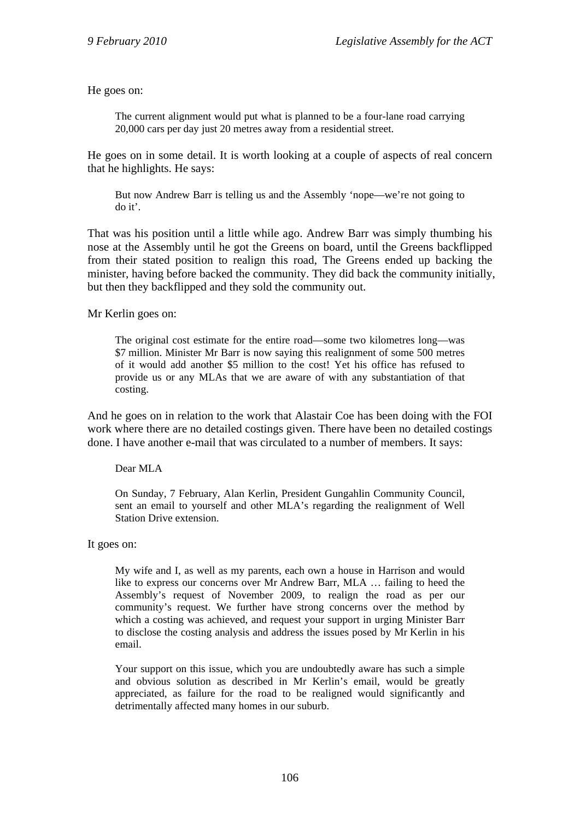He goes on:

The current alignment would put what is planned to be a four-lane road carrying 20,000 cars per day just 20 metres away from a residential street.

He goes on in some detail. It is worth looking at a couple of aspects of real concern that he highlights. He says:

But now Andrew Barr is telling us and the Assembly 'nope—we're not going to do it'.

That was his position until a little while ago. Andrew Barr was simply thumbing his nose at the Assembly until he got the Greens on board, until the Greens backflipped from their stated position to realign this road, The Greens ended up backing the minister, having before backed the community. They did back the community initially, but then they backflipped and they sold the community out.

Mr Kerlin goes on:

The original cost estimate for the entire road—some two kilometres long—was \$7 million. Minister Mr Barr is now saying this realignment of some 500 metres of it would add another \$5 million to the cost! Yet his office has refused to provide us or any MLAs that we are aware of with any substantiation of that costing.

And he goes on in relation to the work that Alastair Coe has been doing with the FOI work where there are no detailed costings given. There have been no detailed costings done. I have another e-mail that was circulated to a number of members. It says:

Dear MLA

On Sunday, 7 February, Alan Kerlin, President Gungahlin Community Council, sent an email to yourself and other MLA's regarding the realignment of Well Station Drive extension.

It goes on:

My wife and I, as well as my parents, each own a house in Harrison and would like to express our concerns over Mr Andrew Barr, MLA … failing to heed the Assembly's request of November 2009, to realign the road as per our community's request. We further have strong concerns over the method by which a costing was achieved, and request your support in urging Minister Barr to disclose the costing analysis and address the issues posed by Mr Kerlin in his email.

Your support on this issue, which you are undoubtedly aware has such a simple and obvious solution as described in Mr Kerlin's email, would be greatly appreciated, as failure for the road to be realigned would significantly and detrimentally affected many homes in our suburb.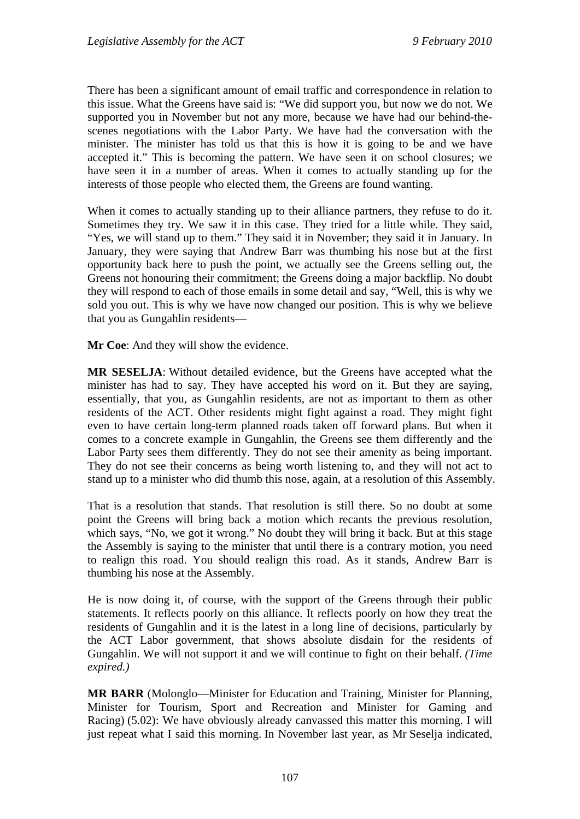There has been a significant amount of email traffic and correspondence in relation to this issue. What the Greens have said is: "We did support you, but now we do not. We supported you in November but not any more, because we have had our behind-thescenes negotiations with the Labor Party. We have had the conversation with the minister. The minister has told us that this is how it is going to be and we have accepted it." This is becoming the pattern. We have seen it on school closures; we have seen it in a number of areas. When it comes to actually standing up for the interests of those people who elected them, the Greens are found wanting.

When it comes to actually standing up to their alliance partners, they refuse to do it. Sometimes they try. We saw it in this case. They tried for a little while. They said, "Yes, we will stand up to them." They said it in November; they said it in January. In January, they were saying that Andrew Barr was thumbing his nose but at the first opportunity back here to push the point, we actually see the Greens selling out, the Greens not honouring their commitment; the Greens doing a major backflip. No doubt they will respond to each of those emails in some detail and say, "Well, this is why we sold you out. This is why we have now changed our position. This is why we believe that you as Gungahlin residents—

**Mr Coe**: And they will show the evidence.

**MR SESELJA**: Without detailed evidence, but the Greens have accepted what the minister has had to say. They have accepted his word on it. But they are saying, essentially, that you, as Gungahlin residents, are not as important to them as other residents of the ACT. Other residents might fight against a road. They might fight even to have certain long-term planned roads taken off forward plans. But when it comes to a concrete example in Gungahlin, the Greens see them differently and the Labor Party sees them differently. They do not see their amenity as being important. They do not see their concerns as being worth listening to, and they will not act to stand up to a minister who did thumb this nose, again, at a resolution of this Assembly.

That is a resolution that stands. That resolution is still there. So no doubt at some point the Greens will bring back a motion which recants the previous resolution, which says, "No, we got it wrong." No doubt they will bring it back. But at this stage the Assembly is saying to the minister that until there is a contrary motion, you need to realign this road. You should realign this road. As it stands, Andrew Barr is thumbing his nose at the Assembly.

He is now doing it, of course, with the support of the Greens through their public statements. It reflects poorly on this alliance. It reflects poorly on how they treat the residents of Gungahlin and it is the latest in a long line of decisions, particularly by the ACT Labor government, that shows absolute disdain for the residents of Gungahlin. We will not support it and we will continue to fight on their behalf. *(Time expired.)*

**MR BARR** (Molonglo—Minister for Education and Training, Minister for Planning, Minister for Tourism, Sport and Recreation and Minister for Gaming and Racing) (5.02): We have obviously already canvassed this matter this morning. I will just repeat what I said this morning. In November last year, as Mr Seselja indicated,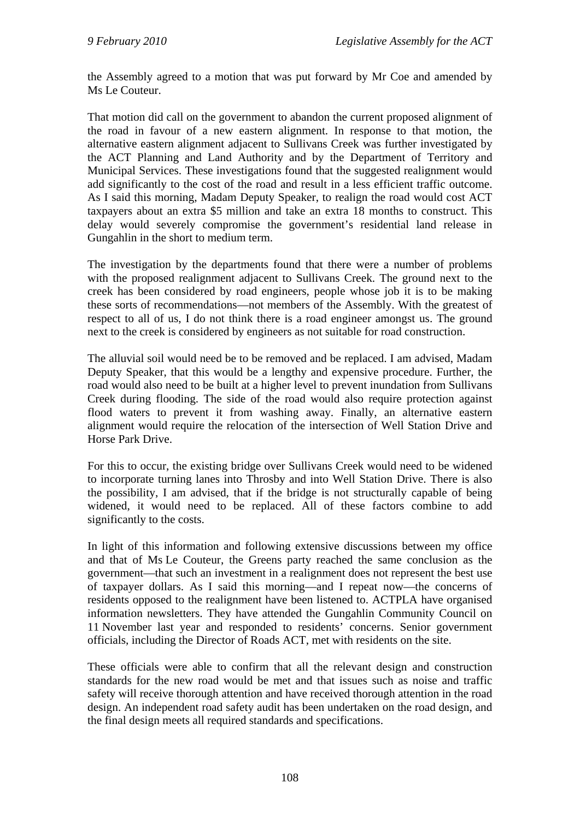the Assembly agreed to a motion that was put forward by Mr Coe and amended by Ms Le Couteur.

That motion did call on the government to abandon the current proposed alignment of the road in favour of a new eastern alignment. In response to that motion, the alternative eastern alignment adjacent to Sullivans Creek was further investigated by the ACT Planning and Land Authority and by the Department of Territory and Municipal Services. These investigations found that the suggested realignment would add significantly to the cost of the road and result in a less efficient traffic outcome. As I said this morning, Madam Deputy Speaker, to realign the road would cost ACT taxpayers about an extra \$5 million and take an extra 18 months to construct. This delay would severely compromise the government's residential land release in Gungahlin in the short to medium term.

The investigation by the departments found that there were a number of problems with the proposed realignment adjacent to Sullivans Creek. The ground next to the creek has been considered by road engineers, people whose job it is to be making these sorts of recommendations—not members of the Assembly. With the greatest of respect to all of us, I do not think there is a road engineer amongst us. The ground next to the creek is considered by engineers as not suitable for road construction.

The alluvial soil would need be to be removed and be replaced. I am advised, Madam Deputy Speaker, that this would be a lengthy and expensive procedure. Further, the road would also need to be built at a higher level to prevent inundation from Sullivans Creek during flooding. The side of the road would also require protection against flood waters to prevent it from washing away. Finally, an alternative eastern alignment would require the relocation of the intersection of Well Station Drive and Horse Park Drive.

For this to occur, the existing bridge over Sullivans Creek would need to be widened to incorporate turning lanes into Throsby and into Well Station Drive. There is also the possibility, I am advised, that if the bridge is not structurally capable of being widened, it would need to be replaced. All of these factors combine to add significantly to the costs.

In light of this information and following extensive discussions between my office and that of Ms Le Couteur, the Greens party reached the same conclusion as the government—that such an investment in a realignment does not represent the best use of taxpayer dollars. As I said this morning—and I repeat now—the concerns of residents opposed to the realignment have been listened to. ACTPLA have organised information newsletters. They have attended the Gungahlin Community Council on 11 November last year and responded to residents' concerns. Senior government officials, including the Director of Roads ACT, met with residents on the site.

These officials were able to confirm that all the relevant design and construction standards for the new road would be met and that issues such as noise and traffic safety will receive thorough attention and have received thorough attention in the road design. An independent road safety audit has been undertaken on the road design, and the final design meets all required standards and specifications.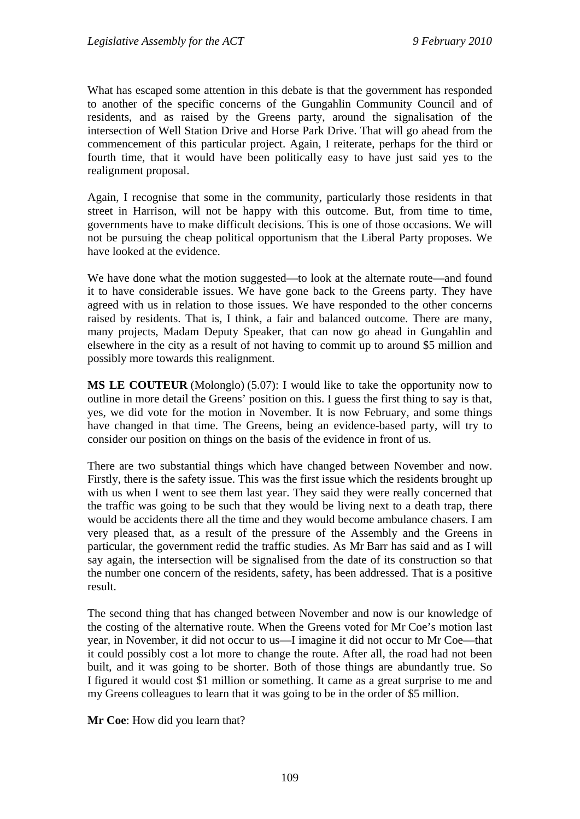What has escaped some attention in this debate is that the government has responded to another of the specific concerns of the Gungahlin Community Council and of residents, and as raised by the Greens party, around the signalisation of the intersection of Well Station Drive and Horse Park Drive. That will go ahead from the commencement of this particular project. Again, I reiterate, perhaps for the third or fourth time, that it would have been politically easy to have just said yes to the realignment proposal.

Again, I recognise that some in the community, particularly those residents in that street in Harrison, will not be happy with this outcome. But, from time to time, governments have to make difficult decisions. This is one of those occasions. We will not be pursuing the cheap political opportunism that the Liberal Party proposes. We have looked at the evidence.

We have done what the motion suggested—to look at the alternate route—and found it to have considerable issues. We have gone back to the Greens party. They have agreed with us in relation to those issues. We have responded to the other concerns raised by residents. That is, I think, a fair and balanced outcome. There are many, many projects, Madam Deputy Speaker, that can now go ahead in Gungahlin and elsewhere in the city as a result of not having to commit up to around \$5 million and possibly more towards this realignment.

**MS LE COUTEUR** (Molonglo) (5.07): I would like to take the opportunity now to outline in more detail the Greens' position on this. I guess the first thing to say is that, yes, we did vote for the motion in November. It is now February, and some things have changed in that time. The Greens, being an evidence-based party, will try to consider our position on things on the basis of the evidence in front of us.

There are two substantial things which have changed between November and now. Firstly, there is the safety issue. This was the first issue which the residents brought up with us when I went to see them last year. They said they were really concerned that the traffic was going to be such that they would be living next to a death trap, there would be accidents there all the time and they would become ambulance chasers. I am very pleased that, as a result of the pressure of the Assembly and the Greens in particular, the government redid the traffic studies. As Mr Barr has said and as I will say again, the intersection will be signalised from the date of its construction so that the number one concern of the residents, safety, has been addressed. That is a positive result.

The second thing that has changed between November and now is our knowledge of the costing of the alternative route. When the Greens voted for Mr Coe's motion last year, in November, it did not occur to us—I imagine it did not occur to Mr Coe—that it could possibly cost a lot more to change the route. After all, the road had not been built, and it was going to be shorter. Both of those things are abundantly true. So I figured it would cost \$1 million or something. It came as a great surprise to me and my Greens colleagues to learn that it was going to be in the order of \$5 million.

**Mr Coe**: How did you learn that?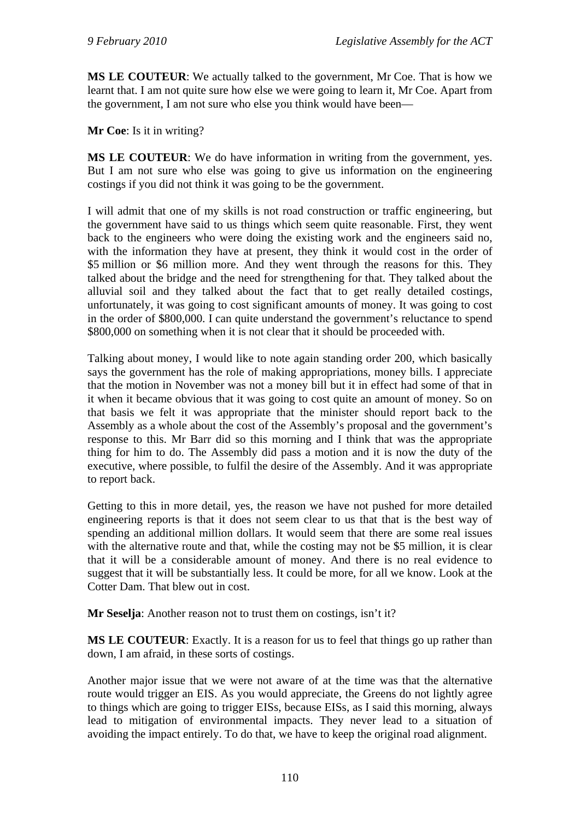**MS LE COUTEUR**: We actually talked to the government, Mr Coe. That is how we learnt that. I am not quite sure how else we were going to learn it, Mr Coe. Apart from the government, I am not sure who else you think would have been—

**Mr Coe**: Is it in writing?

**MS LE COUTEUR**: We do have information in writing from the government, yes. But I am not sure who else was going to give us information on the engineering costings if you did not think it was going to be the government.

I will admit that one of my skills is not road construction or traffic engineering, but the government have said to us things which seem quite reasonable. First, they went back to the engineers who were doing the existing work and the engineers said no, with the information they have at present, they think it would cost in the order of \$5 million or \$6 million more. And they went through the reasons for this. They talked about the bridge and the need for strengthening for that. They talked about the alluvial soil and they talked about the fact that to get really detailed costings, unfortunately, it was going to cost significant amounts of money. It was going to cost in the order of \$800,000. I can quite understand the government's reluctance to spend \$800,000 on something when it is not clear that it should be proceeded with.

Talking about money, I would like to note again standing order 200, which basically says the government has the role of making appropriations, money bills. I appreciate that the motion in November was not a money bill but it in effect had some of that in it when it became obvious that it was going to cost quite an amount of money. So on that basis we felt it was appropriate that the minister should report back to the Assembly as a whole about the cost of the Assembly's proposal and the government's response to this. Mr Barr did so this morning and I think that was the appropriate thing for him to do. The Assembly did pass a motion and it is now the duty of the executive, where possible, to fulfil the desire of the Assembly. And it was appropriate to report back.

Getting to this in more detail, yes, the reason we have not pushed for more detailed engineering reports is that it does not seem clear to us that that is the best way of spending an additional million dollars. It would seem that there are some real issues with the alternative route and that, while the costing may not be \$5 million, it is clear that it will be a considerable amount of money. And there is no real evidence to suggest that it will be substantially less. It could be more, for all we know. Look at the Cotter Dam. That blew out in cost.

**Mr Seselja**: Another reason not to trust them on costings, isn't it?

**MS LE COUTEUR**: Exactly. It is a reason for us to feel that things go up rather than down, I am afraid, in these sorts of costings.

Another major issue that we were not aware of at the time was that the alternative route would trigger an EIS. As you would appreciate, the Greens do not lightly agree to things which are going to trigger EISs, because EISs, as I said this morning, always lead to mitigation of environmental impacts. They never lead to a situation of avoiding the impact entirely. To do that, we have to keep the original road alignment.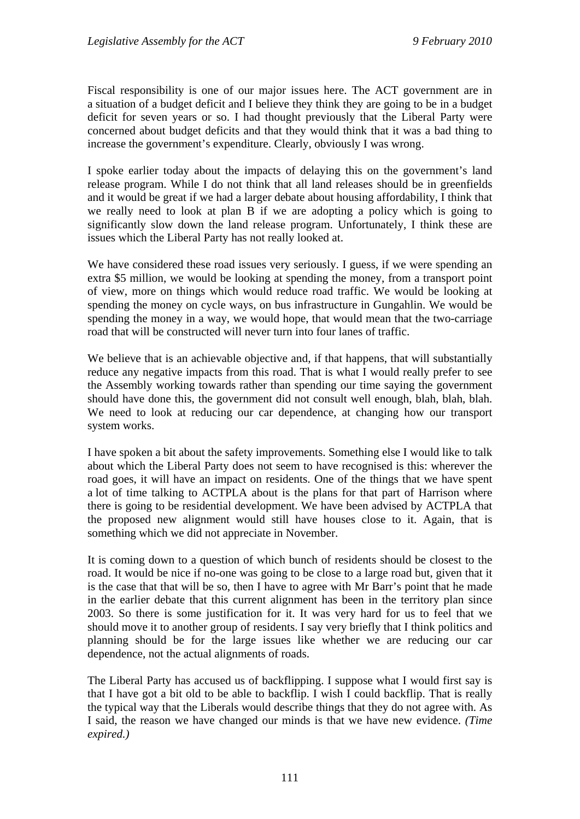Fiscal responsibility is one of our major issues here. The ACT government are in a situation of a budget deficit and I believe they think they are going to be in a budget deficit for seven years or so. I had thought previously that the Liberal Party were concerned about budget deficits and that they would think that it was a bad thing to increase the government's expenditure. Clearly, obviously I was wrong.

I spoke earlier today about the impacts of delaying this on the government's land release program. While I do not think that all land releases should be in greenfields and it would be great if we had a larger debate about housing affordability, I think that we really need to look at plan B if we are adopting a policy which is going to significantly slow down the land release program. Unfortunately, I think these are issues which the Liberal Party has not really looked at.

We have considered these road issues very seriously. I guess, if we were spending an extra \$5 million, we would be looking at spending the money, from a transport point of view, more on things which would reduce road traffic. We would be looking at spending the money on cycle ways, on bus infrastructure in Gungahlin. We would be spending the money in a way, we would hope, that would mean that the two-carriage road that will be constructed will never turn into four lanes of traffic.

We believe that is an achievable objective and, if that happens, that will substantially reduce any negative impacts from this road. That is what I would really prefer to see the Assembly working towards rather than spending our time saying the government should have done this, the government did not consult well enough, blah, blah, blah. We need to look at reducing our car dependence, at changing how our transport system works.

I have spoken a bit about the safety improvements. Something else I would like to talk about which the Liberal Party does not seem to have recognised is this: wherever the road goes, it will have an impact on residents. One of the things that we have spent a lot of time talking to ACTPLA about is the plans for that part of Harrison where there is going to be residential development. We have been advised by ACTPLA that the proposed new alignment would still have houses close to it. Again, that is something which we did not appreciate in November.

It is coming down to a question of which bunch of residents should be closest to the road. It would be nice if no-one was going to be close to a large road but, given that it is the case that that will be so, then I have to agree with Mr Barr's point that he made in the earlier debate that this current alignment has been in the territory plan since 2003. So there is some justification for it. It was very hard for us to feel that we should move it to another group of residents. I say very briefly that I think politics and planning should be for the large issues like whether we are reducing our car dependence, not the actual alignments of roads.

The Liberal Party has accused us of backflipping. I suppose what I would first say is that I have got a bit old to be able to backflip. I wish I could backflip. That is really the typical way that the Liberals would describe things that they do not agree with. As I said, the reason we have changed our minds is that we have new evidence. *(Time expired.)*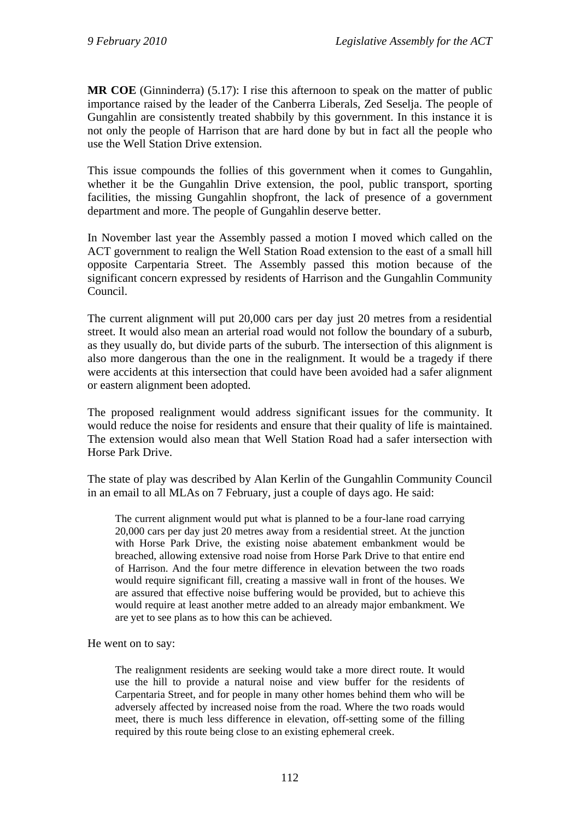**MR COE** (Ginninderra) (5.17): I rise this afternoon to speak on the matter of public importance raised by the leader of the Canberra Liberals, Zed Seselja. The people of Gungahlin are consistently treated shabbily by this government. In this instance it is not only the people of Harrison that are hard done by but in fact all the people who use the Well Station Drive extension.

This issue compounds the follies of this government when it comes to Gungahlin, whether it be the Gungahlin Drive extension, the pool, public transport, sporting facilities, the missing Gungahlin shopfront, the lack of presence of a government department and more. The people of Gungahlin deserve better.

In November last year the Assembly passed a motion I moved which called on the ACT government to realign the Well Station Road extension to the east of a small hill opposite Carpentaria Street. The Assembly passed this motion because of the significant concern expressed by residents of Harrison and the Gungahlin Community Council.

The current alignment will put 20,000 cars per day just 20 metres from a residential street. It would also mean an arterial road would not follow the boundary of a suburb, as they usually do, but divide parts of the suburb. The intersection of this alignment is also more dangerous than the one in the realignment. It would be a tragedy if there were accidents at this intersection that could have been avoided had a safer alignment or eastern alignment been adopted.

The proposed realignment would address significant issues for the community. It would reduce the noise for residents and ensure that their quality of life is maintained. The extension would also mean that Well Station Road had a safer intersection with Horse Park Drive.

The state of play was described by Alan Kerlin of the Gungahlin Community Council in an email to all MLAs on 7 February, just a couple of days ago. He said:

The current alignment would put what is planned to be a four-lane road carrying 20,000 cars per day just 20 metres away from a residential street. At the junction with Horse Park Drive, the existing noise abatement embankment would be breached, allowing extensive road noise from Horse Park Drive to that entire end of Harrison. And the four metre difference in elevation between the two roads would require significant fill, creating a massive wall in front of the houses. We are assured that effective noise buffering would be provided, but to achieve this would require at least another metre added to an already major embankment. We are yet to see plans as to how this can be achieved.

He went on to say:

The realignment residents are seeking would take a more direct route. It would use the hill to provide a natural noise and view buffer for the residents of Carpentaria Street, and for people in many other homes behind them who will be adversely affected by increased noise from the road. Where the two roads would meet, there is much less difference in elevation, off-setting some of the filling required by this route being close to an existing ephemeral creek.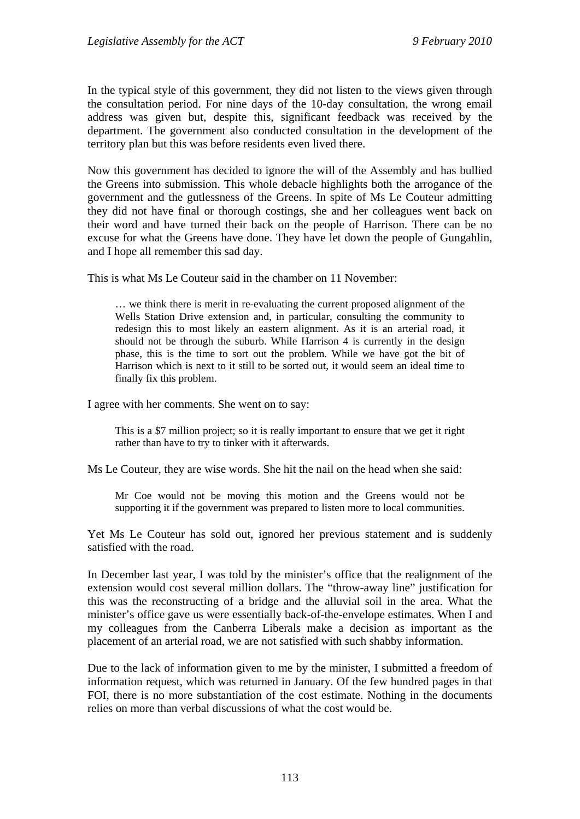In the typical style of this government, they did not listen to the views given through the consultation period. For nine days of the 10-day consultation, the wrong email address was given but, despite this, significant feedback was received by the department. The government also conducted consultation in the development of the territory plan but this was before residents even lived there.

Now this government has decided to ignore the will of the Assembly and has bullied the Greens into submission. This whole debacle highlights both the arrogance of the government and the gutlessness of the Greens. In spite of Ms Le Couteur admitting they did not have final or thorough costings, she and her colleagues went back on their word and have turned their back on the people of Harrison. There can be no excuse for what the Greens have done. They have let down the people of Gungahlin, and I hope all remember this sad day.

This is what Ms Le Couteur said in the chamber on 11 November:

… we think there is merit in re-evaluating the current proposed alignment of the Wells Station Drive extension and, in particular, consulting the community to redesign this to most likely an eastern alignment. As it is an arterial road, it should not be through the suburb. While Harrison 4 is currently in the design phase, this is the time to sort out the problem. While we have got the bit of Harrison which is next to it still to be sorted out, it would seem an ideal time to finally fix this problem.

I agree with her comments. She went on to say:

This is a \$7 million project; so it is really important to ensure that we get it right rather than have to try to tinker with it afterwards.

Ms Le Couteur, they are wise words. She hit the nail on the head when she said:

Mr Coe would not be moving this motion and the Greens would not be supporting it if the government was prepared to listen more to local communities.

Yet Ms Le Couteur has sold out, ignored her previous statement and is suddenly satisfied with the road.

In December last year, I was told by the minister's office that the realignment of the extension would cost several million dollars. The "throw-away line" justification for this was the reconstructing of a bridge and the alluvial soil in the area. What the minister's office gave us were essentially back-of-the-envelope estimates. When I and my colleagues from the Canberra Liberals make a decision as important as the placement of an arterial road, we are not satisfied with such shabby information.

Due to the lack of information given to me by the minister, I submitted a freedom of information request, which was returned in January. Of the few hundred pages in that FOI, there is no more substantiation of the cost estimate. Nothing in the documents relies on more than verbal discussions of what the cost would be.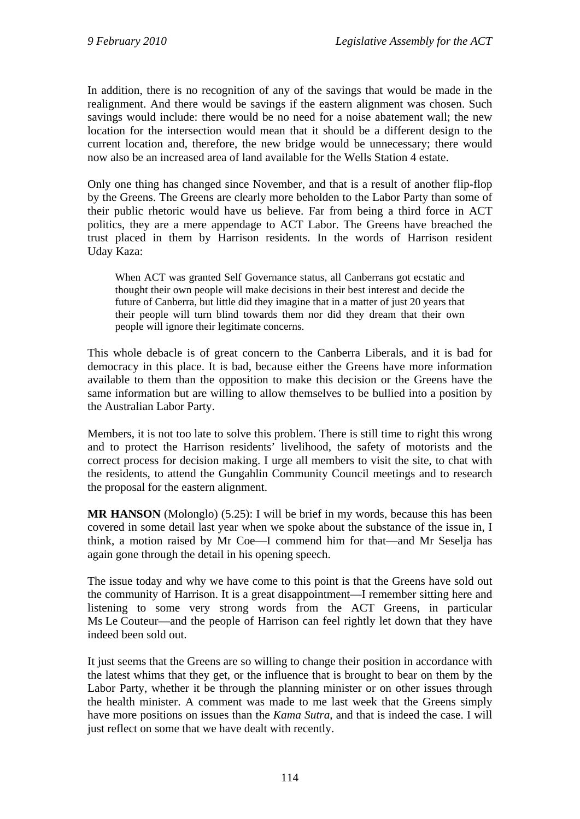In addition, there is no recognition of any of the savings that would be made in the realignment. And there would be savings if the eastern alignment was chosen. Such savings would include: there would be no need for a noise abatement wall; the new location for the intersection would mean that it should be a different design to the current location and, therefore, the new bridge would be unnecessary; there would now also be an increased area of land available for the Wells Station 4 estate.

Only one thing has changed since November, and that is a result of another flip-flop by the Greens. The Greens are clearly more beholden to the Labor Party than some of their public rhetoric would have us believe. Far from being a third force in ACT politics, they are a mere appendage to ACT Labor. The Greens have breached the trust placed in them by Harrison residents. In the words of Harrison resident Uday Kaza:

When ACT was granted Self Governance status, all Canberrans got ecstatic and thought their own people will make decisions in their best interest and decide the future of Canberra, but little did they imagine that in a matter of just 20 years that their people will turn blind towards them nor did they dream that their own people will ignore their legitimate concerns.

This whole debacle is of great concern to the Canberra Liberals, and it is bad for democracy in this place. It is bad, because either the Greens have more information available to them than the opposition to make this decision or the Greens have the same information but are willing to allow themselves to be bullied into a position by the Australian Labor Party.

Members, it is not too late to solve this problem. There is still time to right this wrong and to protect the Harrison residents' livelihood, the safety of motorists and the correct process for decision making. I urge all members to visit the site, to chat with the residents, to attend the Gungahlin Community Council meetings and to research the proposal for the eastern alignment.

**MR HANSON** (Molonglo) (5.25): I will be brief in my words, because this has been covered in some detail last year when we spoke about the substance of the issue in, I think, a motion raised by Mr Coe—I commend him for that—and Mr Seselja has again gone through the detail in his opening speech.

The issue today and why we have come to this point is that the Greens have sold out the community of Harrison. It is a great disappointment—I remember sitting here and listening to some very strong words from the ACT Greens, in particular Ms Le Couteur—and the people of Harrison can feel rightly let down that they have indeed been sold out.

It just seems that the Greens are so willing to change their position in accordance with the latest whims that they get, or the influence that is brought to bear on them by the Labor Party, whether it be through the planning minister or on other issues through the health minister. A comment was made to me last week that the Greens simply have more positions on issues than the *Kama Sutra*, and that is indeed the case. I will just reflect on some that we have dealt with recently.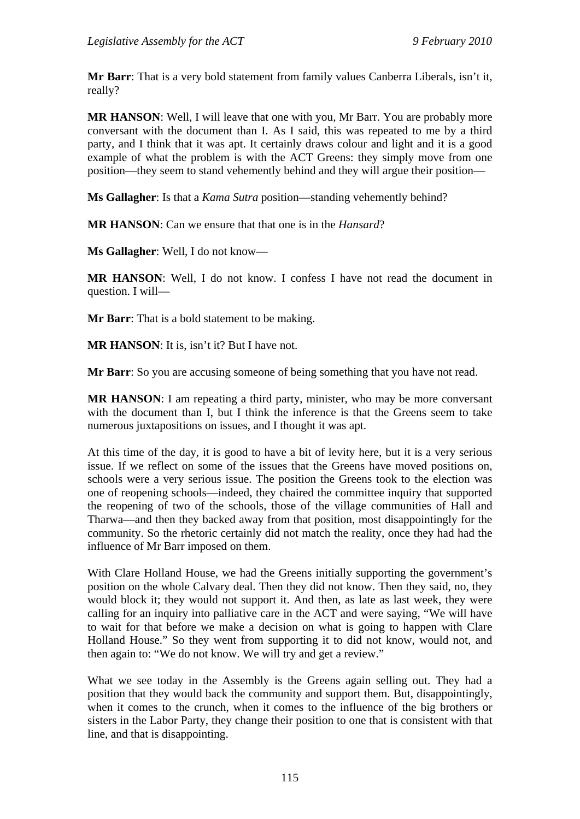**Mr Barr**: That is a very bold statement from family values Canberra Liberals, isn't it, really?

**MR HANSON**: Well, I will leave that one with you, Mr Barr. You are probably more conversant with the document than I. As I said, this was repeated to me by a third party, and I think that it was apt. It certainly draws colour and light and it is a good example of what the problem is with the ACT Greens: they simply move from one position—they seem to stand vehemently behind and they will argue their position—

**Ms Gallagher**: Is that a *Kama Sutra* position—standing vehemently behind?

**MR HANSON**: Can we ensure that that one is in the *Hansard*?

**Ms Gallagher**: Well, I do not know—

**MR HANSON**: Well, I do not know. I confess I have not read the document in question. I will—

**Mr Barr**: That is a bold statement to be making.

**MR HANSON**: It is, isn't it? But I have not.

**Mr Barr**: So you are accusing someone of being something that you have not read.

**MR HANSON:** I am repeating a third party, minister, who may be more conversant with the document than I, but I think the inference is that the Greens seem to take numerous juxtapositions on issues, and I thought it was apt.

At this time of the day, it is good to have a bit of levity here, but it is a very serious issue. If we reflect on some of the issues that the Greens have moved positions on, schools were a very serious issue. The position the Greens took to the election was one of reopening schools—indeed, they chaired the committee inquiry that supported the reopening of two of the schools, those of the village communities of Hall and Tharwa—and then they backed away from that position, most disappointingly for the community. So the rhetoric certainly did not match the reality, once they had had the influence of Mr Barr imposed on them.

With Clare Holland House, we had the Greens initially supporting the government's position on the whole Calvary deal. Then they did not know. Then they said, no, they would block it; they would not support it. And then, as late as last week, they were calling for an inquiry into palliative care in the ACT and were saying, "We will have to wait for that before we make a decision on what is going to happen with Clare Holland House." So they went from supporting it to did not know, would not, and then again to: "We do not know. We will try and get a review."

What we see today in the Assembly is the Greens again selling out. They had a position that they would back the community and support them. But, disappointingly, when it comes to the crunch, when it comes to the influence of the big brothers or sisters in the Labor Party, they change their position to one that is consistent with that line, and that is disappointing.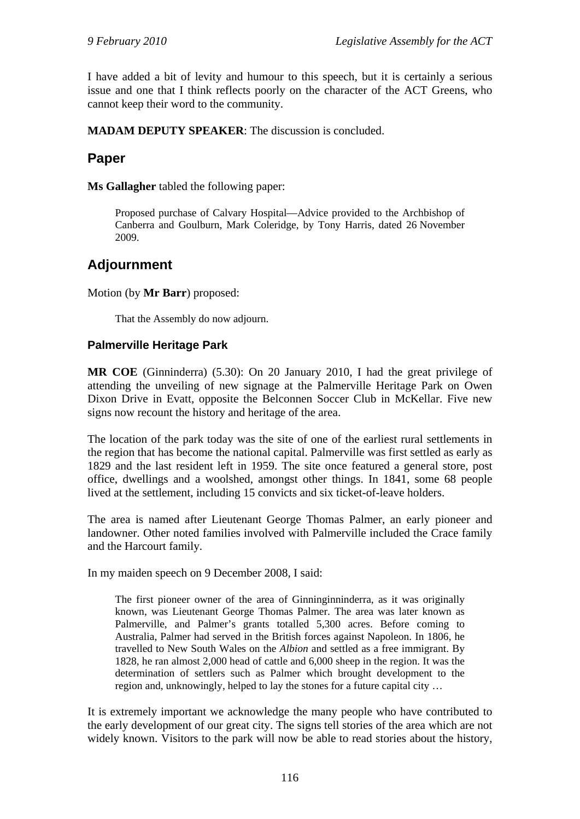I have added a bit of levity and humour to this speech, but it is certainly a serious issue and one that I think reflects poorly on the character of the ACT Greens, who cannot keep their word to the community.

**MADAM DEPUTY SPEAKER**: The discussion is concluded.

## **Paper**

**Ms Gallagher** tabled the following paper:

Proposed purchase of Calvary Hospital—Advice provided to the Archbishop of Canberra and Goulburn, Mark Coleridge, by Tony Harris, dated 26 November 2009.

# **Adjournment**

Motion (by **Mr Barr**) proposed:

That the Assembly do now adjourn.

### **Palmerville Heritage Park**

**MR COE** (Ginninderra) (5.30): On 20 January 2010, I had the great privilege of attending the unveiling of new signage at the Palmerville Heritage Park on Owen Dixon Drive in Evatt, opposite the Belconnen Soccer Club in McKellar. Five new signs now recount the history and heritage of the area.

The location of the park today was the site of one of the earliest rural settlements in the region that has become the national capital. Palmerville was first settled as early as 1829 and the last resident left in 1959. The site once featured a general store, post office, dwellings and a woolshed, amongst other things. In 1841, some 68 people lived at the settlement, including 15 convicts and six ticket-of-leave holders.

The area is named after Lieutenant George Thomas Palmer, an early pioneer and landowner. Other noted families involved with Palmerville included the Crace family and the Harcourt family.

In my maiden speech on 9 December 2008, I said:

The first pioneer owner of the area of Ginninginninderra, as it was originally known, was Lieutenant George Thomas Palmer. The area was later known as Palmerville, and Palmer's grants totalled 5,300 acres. Before coming to Australia, Palmer had served in the British forces against Napoleon. In 1806, he travelled to New South Wales on the *Albion* and settled as a free immigrant. By 1828, he ran almost 2,000 head of cattle and 6,000 sheep in the region. It was the determination of settlers such as Palmer which brought development to the region and, unknowingly, helped to lay the stones for a future capital city …

It is extremely important we acknowledge the many people who have contributed to the early development of our great city. The signs tell stories of the area which are not widely known. Visitors to the park will now be able to read stories about the history,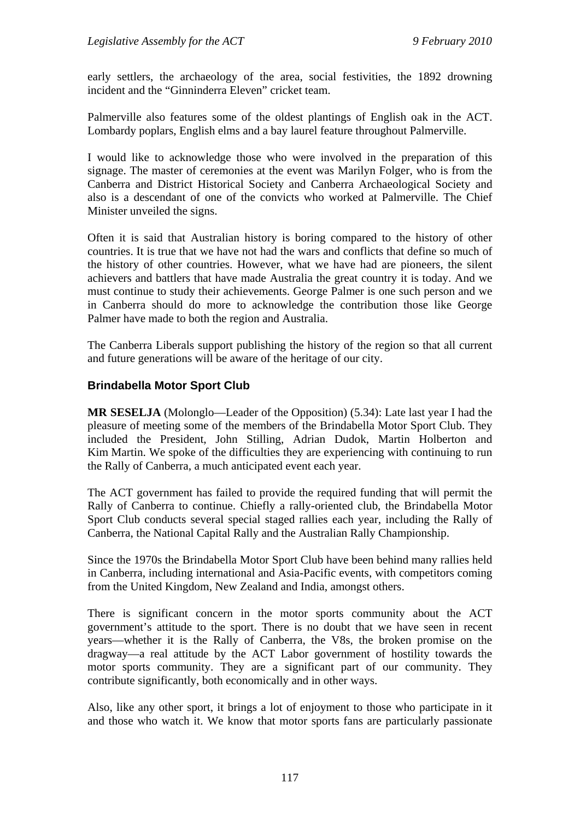early settlers, the archaeology of the area, social festivities, the 1892 drowning incident and the "Ginninderra Eleven" cricket team.

Palmerville also features some of the oldest plantings of English oak in the ACT. Lombardy poplars, English elms and a bay laurel feature throughout Palmerville.

I would like to acknowledge those who were involved in the preparation of this signage. The master of ceremonies at the event was Marilyn Folger, who is from the Canberra and District Historical Society and Canberra Archaeological Society and also is a descendant of one of the convicts who worked at Palmerville. The Chief Minister unveiled the signs.

Often it is said that Australian history is boring compared to the history of other countries. It is true that we have not had the wars and conflicts that define so much of the history of other countries. However, what we have had are pioneers, the silent achievers and battlers that have made Australia the great country it is today. And we must continue to study their achievements. George Palmer is one such person and we in Canberra should do more to acknowledge the contribution those like George Palmer have made to both the region and Australia.

The Canberra Liberals support publishing the history of the region so that all current and future generations will be aware of the heritage of our city.

#### **Brindabella Motor Sport Club**

**MR SESELJA** (Molonglo—Leader of the Opposition) (5.34): Late last year I had the pleasure of meeting some of the members of the Brindabella Motor Sport Club. They included the President, John Stilling, Adrian Dudok, Martin Holberton and Kim Martin. We spoke of the difficulties they are experiencing with continuing to run the Rally of Canberra, a much anticipated event each year.

The ACT government has failed to provide the required funding that will permit the Rally of Canberra to continue. Chiefly a rally-oriented club, the Brindabella Motor Sport Club conducts several special staged rallies each year, including the Rally of Canberra, the National Capital Rally and the Australian Rally Championship.

Since the 1970s the Brindabella Motor Sport Club have been behind many rallies held in Canberra, including international and Asia-Pacific events, with competitors coming from the United Kingdom, New Zealand and India, amongst others.

There is significant concern in the motor sports community about the ACT government's attitude to the sport. There is no doubt that we have seen in recent years—whether it is the Rally of Canberra, the V8s, the broken promise on the dragway—a real attitude by the ACT Labor government of hostility towards the motor sports community. They are a significant part of our community. They contribute significantly, both economically and in other ways.

Also, like any other sport, it brings a lot of enjoyment to those who participate in it and those who watch it. We know that motor sports fans are particularly passionate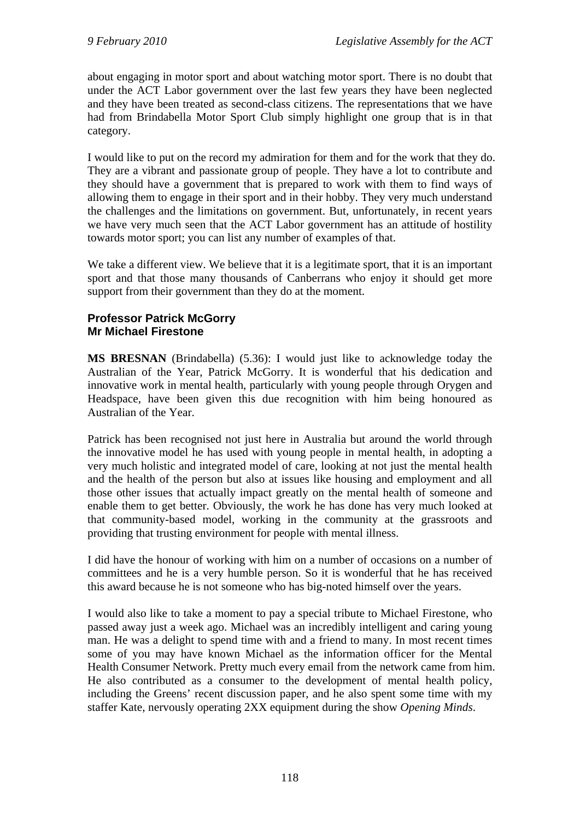about engaging in motor sport and about watching motor sport. There is no doubt that under the ACT Labor government over the last few years they have been neglected and they have been treated as second-class citizens. The representations that we have had from Brindabella Motor Sport Club simply highlight one group that is in that category.

I would like to put on the record my admiration for them and for the work that they do. They are a vibrant and passionate group of people. They have a lot to contribute and they should have a government that is prepared to work with them to find ways of allowing them to engage in their sport and in their hobby. They very much understand the challenges and the limitations on government. But, unfortunately, in recent years we have very much seen that the ACT Labor government has an attitude of hostility towards motor sport; you can list any number of examples of that.

We take a different view. We believe that it is a legitimate sport, that it is an important sport and that those many thousands of Canberrans who enjoy it should get more support from their government than they do at the moment.

#### **Professor Patrick McGorry Mr Michael Firestone**

**MS BRESNAN** (Brindabella) (5.36): I would just like to acknowledge today the Australian of the Year, Patrick McGorry. It is wonderful that his dedication and innovative work in mental health, particularly with young people through Orygen and Headspace, have been given this due recognition with him being honoured as Australian of the Year.

Patrick has been recognised not just here in Australia but around the world through the innovative model he has used with young people in mental health, in adopting a very much holistic and integrated model of care, looking at not just the mental health and the health of the person but also at issues like housing and employment and all those other issues that actually impact greatly on the mental health of someone and enable them to get better. Obviously, the work he has done has very much looked at that community-based model, working in the community at the grassroots and providing that trusting environment for people with mental illness.

I did have the honour of working with him on a number of occasions on a number of committees and he is a very humble person. So it is wonderful that he has received this award because he is not someone who has big-noted himself over the years.

I would also like to take a moment to pay a special tribute to Michael Firestone, who passed away just a week ago. Michael was an incredibly intelligent and caring young man. He was a delight to spend time with and a friend to many. In most recent times some of you may have known Michael as the information officer for the Mental Health Consumer Network. Pretty much every email from the network came from him. He also contributed as a consumer to the development of mental health policy, including the Greens' recent discussion paper, and he also spent some time with my staffer Kate, nervously operating 2XX equipment during the show *Opening Minds*.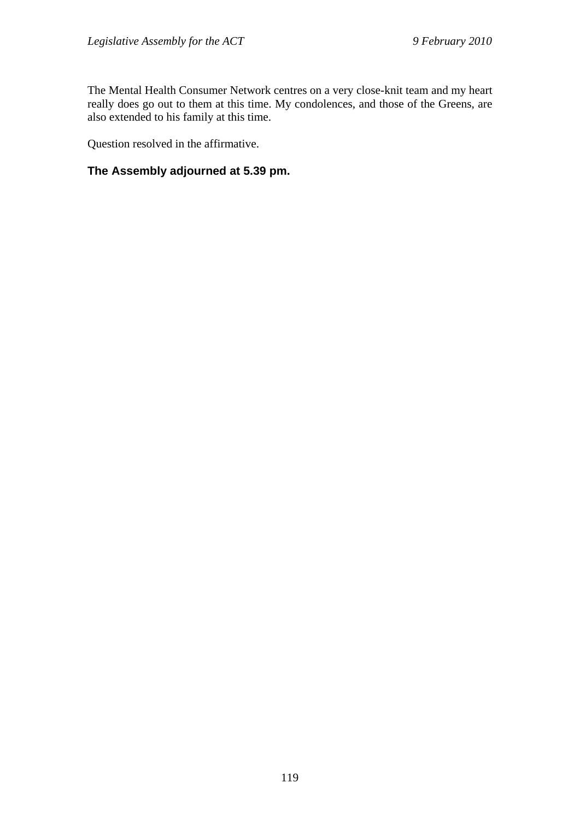The Mental Health Consumer Network centres on a very close-knit team and my heart really does go out to them at this time. My condolences, and those of the Greens, are also extended to his family at this time.

Question resolved in the affirmative.

## **The Assembly adjourned at 5.39 pm.**